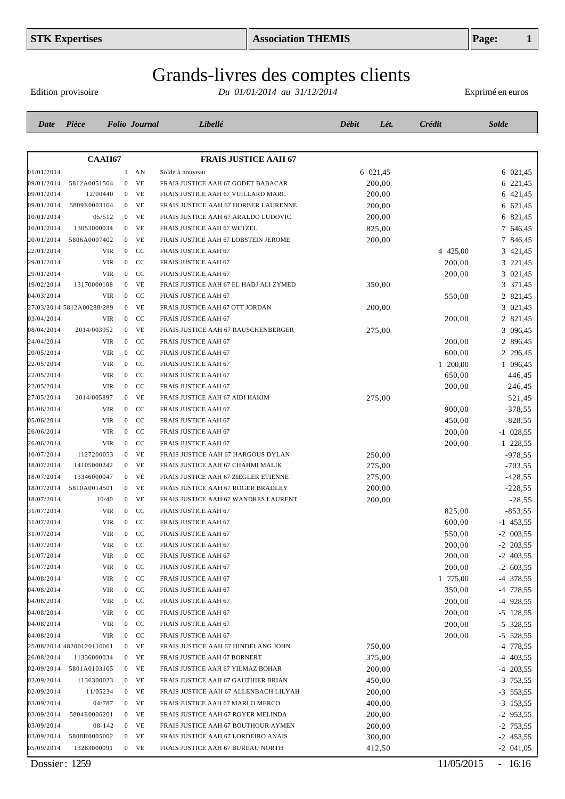# Grands-livres des comptes clients

Edition provisoire

| Date       | Pièce                     |            |                | <b>Folio</b> Journal | Libellé                                | Débit | Lét.     | <b>Crédit</b> | <b>Solde</b> |
|------------|---------------------------|------------|----------------|----------------------|----------------------------------------|-------|----------|---------------|--------------|
|            |                           |            |                |                      |                                        |       |          |               |              |
|            | <b>СААН67</b>             |            |                |                      | <b>FRAIS JUSTICE AAH 67</b>            |       |          |               |              |
| 01/01/2014 |                           |            |                | $1$ AN               | Solde à nouveau                        |       | 6 021,45 |               | 6 021,45     |
| 09/01/2014 | 5812A0051504              |            | $\mathbf{0}$   | <b>VE</b>            | FRAIS JUSTICE AAH 67 GODET BABACAR     |       | 200,00   |               | 6 221,45     |
| 09/01/2014 | 12/00440                  |            |                | $0$ VE               | FRAIS JUSTICE AAH 67 VUILLARD MARC     |       | 200,00   |               | 6 421,45     |
| 09/01/2014 | 5809E0003104              |            |                | $0$ VE               | FRAIS JUSTICE AAH 67 HORBER LAURENNE   |       | 200,00   |               | 6 621,45     |
| 10/01/2014 | 05/512                    |            |                | $0$ VE               | FRAIS JUSTICE AAH 67 ARALDO LUDOVIC    |       | 200,00   |               | 6 821,45     |
| 10/01/2014 | 13053000034               |            |                | $0$ VE               | FRAIS JUSTICE AAH 67 WETZEL            |       | 825,00   |               | 7 646,45     |
| 20/01/2014 | 5806A0007402              |            | $\overline{0}$ | VE                   | FRAIS JUSTICE AAH 67 LOBSTEIN JEROME   |       | 200,00   |               | 7 846,45     |
| 22/01/2014 |                           | VIR        | $\overline{0}$ | CC                   | FRAIS JUSTICE AAH 67                   |       |          | 4 425,00      | 3 421,45     |
| 29/01/2014 |                           | <b>VIR</b> | $\overline{0}$ | CC                   | FRAIS JUSTICE AAH 67                   |       |          | 200,00        | 3 221,45     |
| 29/01/2014 |                           | <b>VIR</b> |                | $0$ CC               | FRAIS JUSTICE AAH 67                   |       |          | 200,00        | 3 021,45     |
| 19/02/2014 | 13170000108               |            | $\overline{0}$ | <b>VE</b>            | FRAIS JUSTICE AAH 67 EL HADJ ALI ZYMED |       | 350,00   |               | 3 371,45     |
| 04/03/2014 |                           | <b>VIR</b> | $\overline{0}$ | CC                   | FRAIS JUSTICE AAH 67                   |       |          | 550,00        | 2 821,45     |
|            | 27/03/2014 5812A00288/289 |            | $\overline{0}$ | <b>VE</b>            | FRAIS JUSTICE AAH 67 OTT JORDAN        |       | 200,00   |               | 3 021,45     |
| 03/04/2014 |                           | <b>VIR</b> | $\overline{0}$ | CC                   | FRAIS JUSTICE AAH 67                   |       |          | 200,00        | 2 821,45     |
| 08/04/2014 | 2014/003952               |            | $\overline{0}$ | VE                   | FRAIS JUSTICE AAH 67 RAUSCHENBERGER    |       | 275,00   |               | 3 096,45     |
| 24/04/2014 |                           | <b>VIR</b> | $\overline{0}$ | CC                   | FRAIS JUSTICE AAH 67                   |       |          | 200,00        | 2 896,45     |
| 20/05/2014 |                           | <b>VIR</b> | $\overline{0}$ | CC                   | FRAIS JUSTICE AAH 67                   |       |          | 600,00        | 2 296,45     |
| 22/05/2014 |                           | <b>VIR</b> | $\overline{0}$ | CC                   | FRAIS JUSTICE AAH 67                   |       |          | 1 200,00      | 1 096,45     |
| 22/05/2014 |                           | <b>VIR</b> | $\overline{0}$ | CC                   | FRAIS JUSTICE AAH 67                   |       |          | 650,00        | 446,45       |
| 22/05/2014 |                           | VIR        | $\overline{0}$ | CC                   | FRAIS JUSTICE AAH 67                   |       |          | 200,00        | 246,45       |
| 27/05/2014 | 2014/005897               |            | $\overline{0}$ | VE                   | FRAIS JUSTICE AAH 67 AIDI HAKIM        |       | 275,00   |               | 521,45       |
| 05/06/2014 |                           | <b>VIR</b> | $\overline{0}$ | <b>CC</b>            | FRAIS JUSTICE AAH 67                   |       |          | 900,00        | $-378,55$    |
| 05/06/2014 |                           | <b>VIR</b> | $\overline{0}$ | CC                   | FRAIS JUSTICE AAH 67                   |       |          | 450,00        | $-828,55$    |
| 26/06/2014 |                           | <b>VIR</b> | $\overline{0}$ | CC                   | FRAIS JUSTICE AAH 67                   |       |          | 200,00        | $-1$ 028,55  |
| 26/06/2014 |                           | <b>VIR</b> | $\overline{0}$ | CC                   | FRAIS JUSTICE AAH 67                   |       |          | 200,00        | $-1$ 228,55  |
| 10/07/2014 | 1127200053                |            | $\mathbf{0}$   | <b>VE</b>            | FRAIS JUSTICE AAH 67 HARGOUS DYLAN     |       | 250,00   |               | $-978,55$    |
| 18/07/2014 | 14105000242               |            |                | $0$ VE               | FRAIS JUSTICE AAH 67 CHAHMI MALIK      |       | 275,00   |               | $-703,55$    |
| 18/07/2014 | 13346000047               |            |                | $0$ VE               | FRAIS JUSTICE AAH 67 ZIEGLER ETIENNE   |       | 275,00   |               | $-428,55$    |
| 18/07/2014 | 5810A0014501              |            |                | $0$ VE               | FRAIS JUSTICE AAH 67 ROGER BRADLEY     |       | 200,00   |               | $-228,55$    |
| 18/07/2014 | 10/40                     |            |                | $0$ VE               | FRAIS JUSTICE AAH 67 WANDRES LAURENT   |       | 200,00   |               | $-28,55$     |
| 31/07/2014 |                           | <b>VIR</b> |                | $0$ CC               | FRAIS JUSTICE AAH 67                   |       |          | 825,00        | $-853,55$    |
| 31/07/2014 |                           | <b>VIR</b> | $\overline{0}$ | CC                   | FRAIS JUSTICE AAH 67                   |       |          | 600,00        | $-1$ 453,55  |
| 31/07/2014 |                           | <b>VIR</b> | $\overline{0}$ | CC                   | FRAIS JUSTICE AAH 67                   |       |          | 550,00        | $-2$ 003,55  |
| 31/07/2014 |                           | VIR        | $\overline{0}$ | CC                   | <b>FRAIS JUSTICE AAH 67</b>            |       |          | 200,00        | $-2$ 203,55  |
| 31/07/2014 |                           | VIR        |                | $0$ CC               | FRAIS JUSTICE AAH 67                   |       |          | 200,00        | $-2$ 403,55  |
| 31/07/2014 |                           | VIR        |                | $0$ CC               | FRAIS JUSTICE AAH 67                   |       |          | 200,00        | $-2$ 603,55  |
| 04/08/2014 |                           | VIR        |                | $0$ CC               | FRAIS JUSTICE AAH 67                   |       |          | 1 775,00      | -4 378,55    |
| 04/08/2014 |                           | VIR        |                | $0$ CC               | FRAIS JUSTICE AAH 67                   |       |          | 350,00        | $-4$ 728,55  |
| 04/08/2014 |                           | VIR        |                | $0$ CC               | FRAIS JUSTICE AAH 67                   |       |          | 200,00        | $-4$ 928,55  |
| 04/08/2014 |                           | <b>VIR</b> |                | $0$ CC               | FRAIS JUSTICE AAH 67                   |       |          | 200,00        | $-5$ 128,55  |
| 04/08/2014 |                           | VIR        |                | $0$ CC               | FRAIS JUSTICE AAH 67                   |       |          | 200,00        | $-5$ 328,55  |
| 04/08/2014 |                           | <b>VIR</b> |                | $0$ CC               | FRAIS JUSTICE AAH 67                   |       |          | 200,00        | $-5$ 528,55  |
|            | 25/08/2014 48200120110061 |            | $\mathbf{0}$   | <b>VE</b>            | FRAIS JUSTICE AAH 67 HINDELANG JOHN    |       | 750,00   |               | -4 778,55    |
| 26/08/2014 | 11336000034               |            |                | $0$ VE               | FRAIS JUSTICE AAH 67 BORNERT           |       | 375,00   |               | $-4$ 403,55  |
| 02/09/2014 | 5801A0103105              |            |                | $0$ VE               | FRAIS JUSTICE AAH 67 YILMAZ BOHAR      |       | 200,00   |               | $-4$ 203,55  |
| 02/09/2014 | 1136300023                |            |                | $0$ VE               | FRAIS JUSTICE AAH 67 GAUTHIER BRIAN    |       | 450,00   |               | $-3$ 753,55  |
| 02/09/2014 | 11/05234                  |            |                | $0$ VE               | FRAIS JUSTICE AAH 67 ALLENBACH LILYAH  |       | 200,00   |               | $-3$ 553,55  |
| 03/09/2014 | 04/787                    |            |                | $0$ VE               | FRAIS JUSTICE AAH 67 MARLO MERCO       |       | 400,00   |               | $-3$ 153,55  |
| 03/09/2014 | 5804E0006201              |            |                | $0$ VE               | FRAIS JUSTICE AAH 67 ROYER MELINDA     |       | 200,00   |               | $-2$ 953,55  |
| 03/09/2014 | 08-142                    |            |                | $0$ VE               | FRAIS JUSTICE AAH 67 BOUTHOUR AYMEN    |       | 200,00   |               | $-2$ 753,55  |
| 03/09/2014 | 5808H0005002              |            | $\mathbf{0}$   | VE                   | FRAIS JUSTICE AAH 67 LORDEIRO ANAIS    |       | 300,00   |               | $-2$ 453,55  |
| 05/09/2014 | 13283000091               |            |                | $0$ VE               | FRAIS JUSTICE AAH 67 BUREAU NORTH      |       | 412,50   |               | $-2$ 041,05  |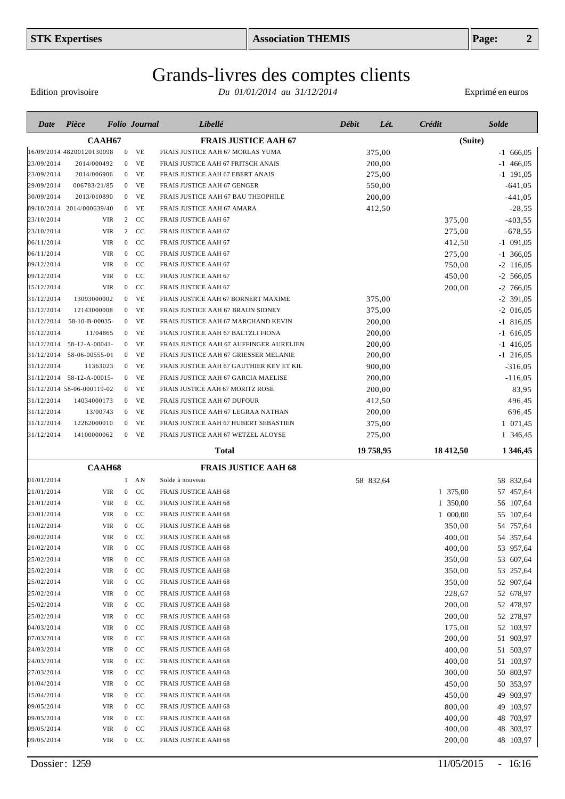Edition provisoire

| Date       | Pièce                      |            |                | <b>Folio</b> Journal | Libellé                                  | <b>Débit</b> | Lét.      | Crédit    | <b>Solde</b>  |
|------------|----------------------------|------------|----------------|----------------------|------------------------------------------|--------------|-----------|-----------|---------------|
|            | <b>CAAH67</b>              |            |                |                      | <b>FRAIS JUSTICE AAH 67</b>              |              |           |           | (Suite)       |
|            | 16/09/2014 48200120130098  |            |                | $0$ VE               | FRAIS JUSTICE AAH 67 MORLAS YUMA         |              | 375,00    |           | $-1, 666, 05$ |
| 23/09/2014 | 2014/000492                |            |                | $0$ VE               | FRAIS JUSTICE AAH 67 FRITSCH ANAIS       |              | 200,00    |           | $-1$ 466,05   |
| 23/09/2014 | 2014/006906                |            |                | $0$ VE               | FRAIS JUSTICE AAH 67 EBERT ANAIS         |              | 275,00    |           | $-1$ 191,05   |
| 29/09/2014 | 006783/21/85               |            |                | $0$ VE               | FRAIS JUSTICE AAH 67 GENGER              |              | 550,00    |           | $-641,05$     |
| 30/09/2014 | 2013/010890                |            |                | $0$ VE               | FRAIS JUSTICE AAH 67 BAU THEOPHILE       |              | 200,00    |           | $-441,05$     |
|            | 09/10/2014 2014/000639/40  |            | $\overline{0}$ | <b>VE</b>            | FRAIS JUSTICE AAH 67 AMARA               |              | 412,50    |           | $-28,55$      |
| 23/10/2014 |                            | <b>VIR</b> | 2              | CC                   | FRAIS JUSTICE AAH 67                     |              |           | 375,00    | $-403,55$     |
| 23/10/2014 |                            | <b>VIR</b> | 2              | CC                   | FRAIS JUSTICE AAH 67                     |              |           | 275,00    | $-678,55$     |
| 06/11/2014 |                            | <b>VIR</b> | $\overline{0}$ | CC                   | FRAIS JUSTICE AAH 67                     |              |           | 412,50    | $-1$ 091,05   |
| 06/11/2014 |                            | <b>VIR</b> | $\overline{0}$ | CC                   | FRAIS JUSTICE AAH 67                     |              |           | 275,00    | $-1$ 366,05   |
| 09/12/2014 |                            | <b>VIR</b> | $\overline{0}$ | CC                   | FRAIS JUSTICE AAH 67                     |              |           | 750,00    | $-2$ 116,05   |
| 09/12/2014 |                            | <b>VIR</b> | $\overline{0}$ | CC                   | FRAIS JUSTICE AAH 67                     |              |           | 450,00    | $-2$ 566,05   |
| 15/12/2014 |                            | <b>VIR</b> | $\overline{0}$ | CC                   | FRAIS JUSTICE AAH 67                     |              |           | 200,00    | $-2$ 766,05   |
| 31/12/2014 | 13093000002                |            | $\overline{0}$ | VE                   | FRAIS JUSTICE AAH 67 BORNERT MAXIME      |              | 375,00    |           | $-2$ 391,05   |
| 31/12/2014 | 12143000008                |            | $\overline{0}$ | VE                   | FRAIS JUSTICE AAH 67 BRAUN SIDNEY        |              | 375,00    |           | $-2$ 016,05   |
| 31/12/2014 | 58-10-B-00035-             |            | $\overline{0}$ | VE                   | FRAIS JUSTICE AAH 67 MARCHAND KEVIN      |              | 200,00    |           | $-1$ 816,05   |
| 31/12/2014 | 11/04865                   |            |                | $0$ VE               | FRAIS JUSTICE AAH 67 BALTZLI FIONA       |              | 200,00    |           | $-1$ 616,05   |
| 31/12/2014 | 58-12-A-00041-             |            | $\mathbf{0}$   | VE                   | FRAIS JUSTICE AAH 67 AUFFINGER AURELIEN  |              | 200,00    |           | $-1$ 416,05   |
| 31/12/2014 | 58-06-00555-01             |            | $\mathbf{0}$   | VE                   | FRAIS JUSTICE AAH 67 GRIESSER MELANIE    |              | 200,00    |           | $-1$ 216,05   |
| 31/12/2014 | 11363023                   |            |                | $0$ VE               | FRAIS JUSTICE AAH 67 GAUTHIER KEV ET KIL |              | 900,00    |           | $-316,05$     |
|            | 31/12/2014 58-12-A-00015-  |            |                | $0$ VE               | FRAIS JUSTICE AAH 67 GARCIA MAELISE      |              | 200,00    |           | $-116,05$     |
|            | 31/12/2014 58-06-000119-02 |            |                | $0$ VE               | FRAIS JUSTICE AAH 67 MORITZ ROSE         |              | 200,00    |           | 83,95         |
| 31/12/2014 | 14034000173                |            |                | $0$ VE               | FRAIS JUSTICE AAH 67 DUFOUR              |              | 412,50    |           | 496,45        |
| 31/12/2014 | 13/00743                   |            |                | $0$ VE               | FRAIS JUSTICE AAH 67 LEGRAA NATHAN       |              | 200,00    |           | 696,45        |
| 31/12/2014 | 12262000010                |            | $\mathbf{0}$   | VE                   | FRAIS JUSTICE AAH 67 HUBERT SEBASTIEN    |              | 375,00    |           | 1 071,45      |
| 31/12/2014 | 14100000062                |            |                | $0$ VE               | FRAIS JUSTICE AAH 67 WETZEL ALOYSE       |              | 275,00    |           | 1 346,45      |
|            |                            |            |                |                      | Total                                    |              | 19 758,95 | 18 412,50 | 1 3 4 6, 45   |
|            | <b>CAAH68</b>              |            |                |                      | <b>FRAIS JUSTICE AAH 68</b>              |              |           |           |               |
| 01/01/2014 |                            |            |                | $1$ AN               | Solde à nouveau                          |              | 58 832,64 |           | 58 832,64     |
| 21/01/2014 |                            | <b>VIR</b> | $\overline{0}$ | CC                   | <b>FRAIS JUSTICE AAH 68</b>              |              |           | 1 375,00  | 57 457,64     |
| 21/01/2014 |                            | <b>VIR</b> | $\mathbf{0}$   | CC                   | FRAIS JUSTICE AAH 68                     |              |           | 1 350,00  | 56 107,64     |
| 23/01/2014 |                            | <b>VIR</b> | $\overline{0}$ | CC                   | <b>FRAIS JUSTICE AAH 68</b>              |              |           | 1 000,00  | 55 107,64     |
| 11/02/2014 |                            | <b>VIR</b> | $\overline{0}$ | <b>CC</b>            | <b>FRAIS JUSTICE AAH 68</b>              |              |           | 350,00    | 54 757,64     |
| 20/02/2014 |                            | VIR        | $\mathbf{0}$   | CC                   | FRAIS JUSTICE AAH 68                     |              |           | 400,00    | 54 357,64     |
| 21/02/2014 |                            | VIR        | $\overline{0}$ | CC                   | <b>FRAIS JUSTICE AAH 68</b>              |              |           | 400,00    | 53 957,64     |
| 25/02/2014 |                            | VIR        | $\mathbf{0}$   | CC                   | FRAIS JUSTICE AAH 68                     |              |           | 350,00    | 53 607,64     |
| 25/02/2014 |                            | VIR        | $\mathbf{0}$   | CC                   | FRAIS JUSTICE AAH 68                     |              |           | 350,00    | 53 257,64     |
| 25/02/2014 |                            | VIR        | $\overline{0}$ | CC                   | FRAIS JUSTICE AAH 68                     |              |           | 350,00    | 52 907,64     |
| 25/02/2014 |                            | VIR        | $\mathbf{0}$   | CC                   | FRAIS JUSTICE AAH 68                     |              |           | 228,67    | 52 678,97     |
| 25/02/2014 |                            | VIR        | $\overline{0}$ | CC                   | FRAIS JUSTICE AAH 68                     |              |           | 200,00    | 52 478,97     |
| 25/02/2014 |                            | VIR        | $\mathbf{0}$   | CC                   | FRAIS JUSTICE AAH 68                     |              |           | 200,00    | 52 278,97     |
| 04/03/2014 |                            | VIR        | $\overline{0}$ | CC                   | FRAIS JUSTICE AAH 68                     |              |           | 175,00    | 52 103,97     |
| 07/03/2014 |                            | VIR        | $\mathbf{0}$   | CC                   | FRAIS JUSTICE AAH 68                     |              |           | 200,00    | 51 903,97     |
| 24/03/2014 |                            | VIR        | $\mathbf{0}$   | CC                   | FRAIS JUSTICE AAH 68                     |              |           | 400,00    | 51 503,97     |
| 24/03/2014 |                            | VIR        | $\mathbf{0}$   | CC                   | <b>FRAIS JUSTICE AAH 68</b>              |              |           | 400,00    | 51 103,97     |
| 27/03/2014 |                            | VIR        | $\overline{0}$ | CC                   | FRAIS JUSTICE AAH 68                     |              |           | 300,00    | 50 803,97     |
| 01/04/2014 |                            | VIR        | $\mathbf{0}$   | CC                   | FRAIS JUSTICE AAH 68                     |              |           | 450,00    | 50 353,97     |
| 15/04/2014 |                            | VIR        | $\mathbf{0}$   | CC                   | FRAIS JUSTICE AAH 68                     |              |           | 450,00    | 49 903,97     |
| 09/05/2014 |                            | VIR        | $\mathbf{0}$   | CC                   | FRAIS JUSTICE AAH 68                     |              |           | 800,00    | 49 103,97     |
| 09/05/2014 |                            | VIR        | $\overline{0}$ | CC                   | FRAIS JUSTICE AAH 68                     |              |           | 400,00    | 48 703,97     |
| 09/05/2014 |                            | VIR        | $\mathbf{0}$   | CC                   | <b>FRAIS JUSTICE AAH 68</b>              |              |           | 400,00    | 48<br>303,97  |
| 09/05/2014 |                            | VIR        | $\mathbf{0}$   | CC                   | <b>FRAIS JUSTICE AAH 68</b>              |              |           | 200,00    | 48 103,97     |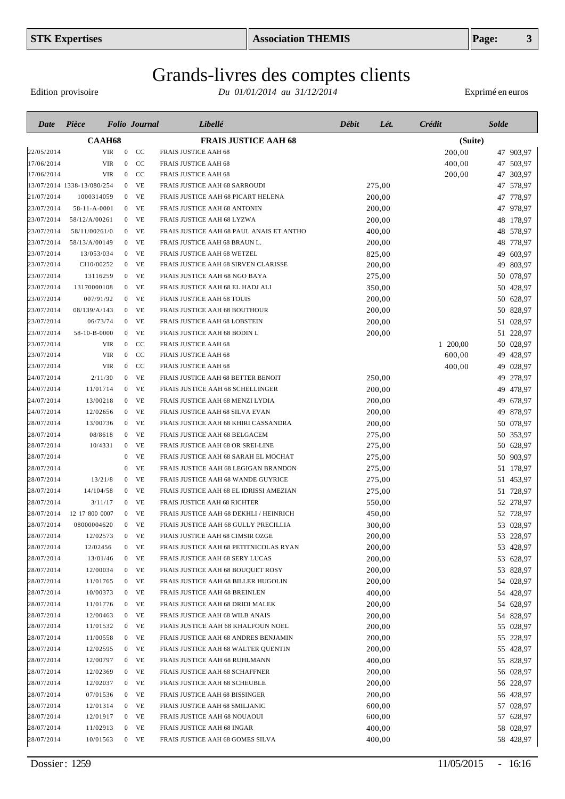Edition provisoire

| Date       | Pièce                      | <b>Folio</b> Journal |                |               | Libellé                                  | Débit | Lét.   | <b>Crédit</b> | <b>Solde</b> |           |
|------------|----------------------------|----------------------|----------------|---------------|------------------------------------------|-------|--------|---------------|--------------|-----------|
|            | <b>CAAH68</b>              |                      |                |               | <b>FRAIS JUSTICE AAH 68</b>              |       |        | (Suite)       |              |           |
| 22/05/2014 |                            | <b>VIR</b>           | $\mathbf{0}$   | <sub>CC</sub> | <b>FRAIS JUSTICE AAH 68</b>              |       |        | 200,00        |              | 47 903,97 |
| 17/06/2014 |                            | VIR                  | $\mathbf{0}$   | CC            | <b>FRAIS JUSTICE AAH 68</b>              |       |        | 400,00        |              | 47 503,97 |
| 17/06/2014 |                            | <b>VIR</b>           | $\mathbf{0}$   | CC            | <b>FRAIS JUSTICE AAH 68</b>              |       |        | 200,00        |              | 47 303,97 |
|            | 13/07/2014 1338-13/080/254 |                      |                | $0$ VE        | FRAIS JUSTICE AAH 68 SARROUDI            |       | 275,00 |               |              | 47 578,97 |
| 21/07/2014 | 1000314059                 |                      |                | $0$ VE        | FRAIS JUSTICE AAH 68 PICART HELENA       |       | 200,00 |               |              | 47 778,97 |
| 23/07/2014 | 58-11-A-0001               |                      |                | $0$ VE        | FRAIS JUSTICE AAH 68 ANTONIN             |       | 200,00 |               |              | 47 978,97 |
| 23/07/2014 | 58/12/A/00261              |                      |                | $0$ VE        | FRAIS JUSTICE AAH 68 LYZWA               |       | 200,00 |               |              | 48 178,97 |
| 23/07/2014 | 58/11/00261/0              |                      | $\mathbf{0}$   | <b>VE</b>     | FRAIS JUSTICE AAH 68 PAUL ANAIS ET ANTHO |       | 400,00 |               |              | 48 578,97 |
| 23/07/2014 | 58/13/A/00149              |                      |                | $0$ VE        | FRAIS JUSTICE AAH 68 BRAUN L.            |       | 200,00 |               |              | 48 778,97 |
| 23/07/2014 | 13/053/034                 |                      |                | $0$ VE        | FRAIS JUSTICE AAH 68 WETZEL              |       | 825,00 |               |              | 49 603,97 |
| 23/07/2014 | CI10/00252                 |                      |                | $0$ VE        | FRAIS JUSTICE AAH 68 SIRVEN CLARISSE     |       | 200,00 |               |              | 49 803,97 |
| 23/07/2014 | 13116259                   |                      |                | $0$ VE        | FRAIS JUSTICE AAH 68 NGO BAYA            |       | 275,00 |               |              | 50 078,97 |
| 23/07/2014 | 13170000108                |                      |                | $0$ VE        | FRAIS JUSTICE AAH 68 EL HADJ ALI         |       | 350,00 |               |              | 50 428,97 |
| 23/07/2014 | 007/91/92                  |                      |                | $0$ VE        | FRAIS JUSTICE AAH 68 TOUIS               |       | 200,00 |               |              | 50 628,97 |
| 23/07/2014 | 08/139/A/143               |                      |                | $0$ VE        | FRAIS JUSTICE AAH 68 BOUTHOUR            |       | 200,00 |               |              | 50 828,97 |
| 23/07/2014 | 06/73/74                   |                      |                | $0$ VE        | FRAIS JUSTICE AAH 68 LOBSTEIN            |       | 200,00 |               |              | 51 028,97 |
| 23/07/2014 | 58-10-B-0000               |                      |                | $0$ VE        | FRAIS JUSTICE AAH 68 BODIN L             |       | 200,00 |               |              | 51 228,97 |
| 23/07/2014 |                            | VIR                  | $\overline{0}$ | CC            | <b>FRAIS JUSTICE AAH 68</b>              |       |        | 1 200,00      |              | 50 028,97 |
| 23/07/2014 |                            | <b>VIR</b>           | $\overline{0}$ | <b>CC</b>     | <b>FRAIS JUSTICE AAH 68</b>              |       |        | 600,00        | 49           | 428,97    |
| 23/07/2014 |                            | <b>VIR</b>           | $\overline{0}$ | <b>CC</b>     | <b>FRAIS JUSTICE AAH 68</b>              |       |        | 400,00        | 49           | 028,97    |
| 24/07/2014 | 2/11/30                    |                      | $\overline{0}$ | VE            | FRAIS JUSTICE AAH 68 BETTER BENOIT       |       | 250,00 |               | 49           | 278,97    |
| 24/07/2014 | 11/01714                   |                      | $\overline{0}$ | <b>VE</b>     | FRAIS JUSTICE AAH 68 SCHELLINGER         |       | 200,00 |               |              | 49 478,97 |
| 24/07/2014 | 13/00218                   |                      | $\mathbf{0}$   | VE            | FRAIS JUSTICE AAH 68 MENZI LYDIA         |       | 200,00 |               | 49           | 678,97    |
| 24/07/2014 | 12/02656                   |                      | $\mathbf{0}$   | <b>VE</b>     | FRAIS JUSTICE AAH 68 SILVA EVAN          |       | 200,00 |               | 49           | 878,97    |
| 28/07/2014 | 13/00736                   |                      | $\overline{0}$ | VE            | FRAIS JUSTICE AAH 68 KHIRI CASSANDRA     |       | 200,00 |               |              | 50 078,97 |
| 28/07/2014 | 08/8618                    |                      | $\overline{0}$ | VE            | FRAIS JUSTICE AAH 68 BELGACEM            |       | 275,00 |               |              | 50 353,97 |
| 28/07/2014 | 10/4331                    |                      | $\mathbf{0}$   | VE            | FRAIS JUSTICE AAH 68 OR SREI-LINE        |       | 275,00 |               |              | 50 628,97 |
| 28/07/2014 |                            |                      | $\mathbf{0}$   | VE            | FRAIS JUSTICE AAH 68 SARAH EL MOCHAT     |       | 275,00 |               |              | 50 903,97 |
| 28/07/2014 |                            |                      | $\mathbf{0}$   | VE            | FRAIS JUSTICE AAH 68 LEGIGAN BRANDON     |       | 275,00 |               |              | 51 178,97 |
| 28/07/2014 | 13/21/8                    |                      | $\bf{0}$       | VE            | FRAIS JUSTICE AAH 68 WANDE GUYRICE       |       | 275,00 |               |              | 51 453,97 |
| 28/07/2014 | 14/104/58                  |                      | $\mathbf{0}$   | VE            | FRAIS JUSTICE AAH 68 EL IDRISSI AMEZIAN  |       | 275,00 |               |              | 51 728,97 |
| 28/07/2014 | 3/11/17                    |                      | $\mathbf{0}$   | VE            | FRAIS JUSTICE AAH 68 RICHTER             |       | 550,00 |               |              | 52 278,97 |
| 28/07/2014 | 12 17 800 0007             |                      | $\mathbf{0}$   | VE            | FRAIS JUSTICE AAH 68 DEKHLI / HEINRICH   |       | 450,00 |               |              | 52 728,97 |
| 28/07/2014 | 08000004620                |                      | $\mathbf{0}$   | VE            | FRAIS JUSTICE AAH 68 GULLY PRECILLIA     |       | 300,00 |               |              | 53 028,97 |
| 28/07/2014 | 12/02573                   |                      |                | $0$ VE        | FRAIS JUSTICE AAH 68 CIMSIR OZGE         |       | 200,00 |               |              | 53 228,97 |
| 28/07/2014 | 12/02456                   |                      |                | $0$ VE        | FRAIS JUSTICE AAH 68 PETITNICOLAS RYAN   |       | 200,00 |               |              | 53 428,97 |
| 28/07/2014 | 13/01/46                   |                      |                | $0$ VE        | FRAIS JUSTICE AAH 68 SERY LUCAS          |       | 200,00 |               |              | 53 628,97 |
| 28/07/2014 | 12/00034                   |                      |                | $0$ VE        | FRAIS JUSTICE AAH 68 BOUQUET ROSY        |       | 200,00 |               |              | 53 828,97 |
| 28/07/2014 | 11/01765                   |                      |                | $0$ VE        | FRAIS JUSTICE AAH 68 BILLER HUGOLIN      |       | 200,00 |               |              | 54 028,97 |
| 28/07/2014 | 10/00373                   |                      |                | $0$ VE        | FRAIS JUSTICE AAH 68 BREINLEN            |       | 400,00 |               |              | 54 428,97 |
| 28/07/2014 | 11/01776                   |                      |                | $0$ VE        | FRAIS JUSTICE AAH 68 DRIDI MALEK         |       | 200,00 |               |              | 54 628,97 |
| 28/07/2014 | 12/00463                   |                      |                | $0$ VE        | FRAIS JUSTICE AAH 68 WILB ANAIS          |       | 200,00 |               |              | 54 828,97 |
| 28/07/2014 | 11/01532                   |                      |                | $0$ VE        | FRAIS JUSTICE AAH 68 KHALFOUN NOEL       |       | 200,00 |               |              | 55 028,97 |
| 28/07/2014 | 11/00558                   |                      |                | $0$ VE        | FRAIS JUSTICE AAH 68 ANDRES BENJAMIN     |       | 200,00 |               |              | 55 228,97 |
| 28/07/2014 | 12/02595                   |                      |                | $0$ VE        | FRAIS JUSTICE AAH 68 WALTER QUENTIN      |       | 200,00 |               |              | 55 428,97 |
| 28/07/2014 | 12/00797                   |                      |                | $0$ VE        | FRAIS JUSTICE AAH 68 RUHLMANN            |       | 400,00 |               |              | 55 828,97 |
| 28/07/2014 | 12/02369                   |                      |                | $0$ VE        | FRAIS JUSTICE AAH 68 SCHAFFNER           |       | 200,00 |               |              | 56 028,97 |
| 28/07/2014 | 12/02037                   |                      |                | $0$ VE        | FRAIS JUSTICE AAH 68 SCHEUBLE            |       | 200,00 |               |              | 56 228,97 |
| 28/07/2014 | 07/01536                   |                      |                | $0$ VE        | FRAIS JUSTICE AAH 68 BISSINGER           |       | 200,00 |               |              | 56 428,97 |
| 28/07/2014 | 12/01314                   |                      |                | $0$ VE        | FRAIS JUSTICE AAH 68 SMILJANIC           |       | 600,00 |               |              | 57 028,97 |
| 28/07/2014 | 12/01917                   |                      |                | $0$ VE        | FRAIS JUSTICE AAH 68 NOUAOUI             |       | 600,00 |               |              | 57 628,97 |
| 28/07/2014 | 11/02913                   |                      |                | $0$ VE        | FRAIS JUSTICE AAH 68 INGAR               |       | 400,00 |               |              | 58 028,97 |
| 28/07/2014 | 10/01563                   |                      |                | $0$ VE        | FRAIS JUSTICE AAH 68 GOMES SILVA         |       | 400,00 |               |              | 58 428,97 |
|            |                            |                      |                |               |                                          |       |        |               |              |           |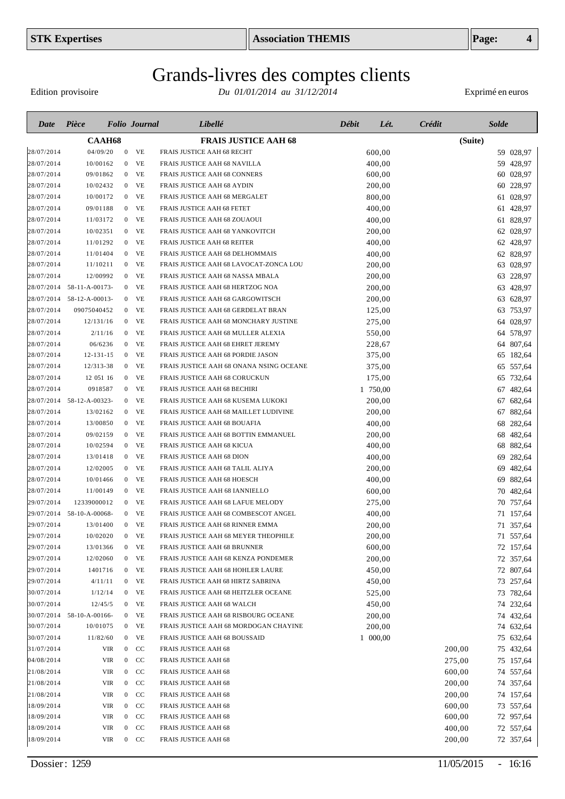Edition provisoire

| Date       | Pièce                     | <b>Folio</b> Journal |                      | Libellé                                 | Débit    | Crédit<br>Lét. | <b>Solde</b> |
|------------|---------------------------|----------------------|----------------------|-----------------------------------------|----------|----------------|--------------|
|            |                           | <b>CAAH68</b>        |                      | <b>FRAIS JUSTICE AAH 68</b>             |          |                | (Suite)      |
| 28/07/2014 | 04/09/20                  | $\boldsymbol{0}$     | <b>VE</b>            | FRAIS JUSTICE AAH 68 RECHT              | 600,00   |                | 59 028,97    |
| 28/07/2014 | 10/00162                  | $\boldsymbol{0}$     | <b>VE</b>            | FRAIS JUSTICE AAH 68 NAVILLA            | 400,00   |                | 59 428,97    |
| 28/07/2014 | 09/01862                  |                      | VE<br>$\mathbf{0}$   | FRAIS JUSTICE AAH 68 CONNERS            | 600,00   |                | 60 028,97    |
| 28/07/2014 | 10/02432                  |                      | VE<br>$\overline{0}$ | FRAIS JUSTICE AAH 68 AYDIN              | 200,00   |                | 60 228,97    |
| 28/07/2014 | 10/00172                  |                      | $\overline{0}$<br>VE | FRAIS JUSTICE AAH 68 MERGALET           | 800,00   |                | 61 028,97    |
| 28/07/2014 | 09/01188                  | $\overline{0}$       | VE                   | FRAIS JUSTICE AAH 68 FETET              | 400,00   |                | 61 428,97    |
| 28/07/2014 | 11/03172                  | $\overline{0}$       | VE                   | FRAIS JUSTICE AAH 68 ZOUAOUI            | 400,00   |                | 61 828,97    |
| 28/07/2014 | 10/02351                  | $\overline{0}$       | VE                   | FRAIS JUSTICE AAH 68 YANKOVITCH         | 200,00   |                | 62 028,97    |
| 28/07/2014 | 11/01292                  |                      | VE<br>$\overline{0}$ | FRAIS JUSTICE AAH 68 REITER             | 400,00   |                | 62 428,97    |
| 28/07/2014 | 11/01404                  |                      | $0$ VE               | FRAIS JUSTICE AAH 68 DELHOMMAIS         | 400,00   |                | 62 828,97    |
| 28/07/2014 | 11/10211                  |                      | $0$ VE               | FRAIS JUSTICE AAH 68 LAVOCAT-ZONCA LOU  | 200,00   |                | 63 028,97    |
| 28/07/2014 | 12/00992                  | $\mathbf{0}$         | <b>VE</b>            | FRAIS JUSTICE AAH 68 NASSA MBALA        | 200,00   |                | 63 228,97    |
|            | 28/07/2014 58-11-A-00173- |                      | $0$ VE               | FRAIS JUSTICE AAH 68 HERTZOG NOA        | 200,00   |                | 63 428,97    |
|            | 28/07/2014 58-12-A-00013- | $\mathbf{0}$         | VE                   | FRAIS JUSTICE AAH 68 GARGOWITSCH        | 200,00   |                | 63 628,97    |
| 28/07/2014 | 09075040452               | $\mathbf{0}$         | VE                   | FRAIS JUSTICE AAH 68 GERDELAT BRAN      | 125,00   |                | 63 753,97    |
| 28/07/2014 | 12/131/16                 | $\mathbf{0}$         | VE                   | FRAIS JUSTICE AAH 68 MONCHARY JUSTINE   | 275,00   |                | 64 028,97    |
| 28/07/2014 | 2/11/16                   | $\overline{0}$       | <b>VE</b>            | FRAIS JUSTICE AAH 68 MULLER ALEXIA      | 550,00   |                | 64 578,97    |
| 28/07/2014 | 06/6236                   | $\mathbf{0}$         | <b>VE</b>            | FRAIS JUSTICE AAH 68 EHRET JEREMY       | 228,67   |                | 64 807,64    |
| 28/07/2014 | $12 - 131 - 15$           | $\mathbf{0}$         | VE                   | FRAIS JUSTICE AAH 68 PORDIE JASON       | 375,00   |                | 65 182,64    |
| 28/07/2014 | 12/313-38                 | $\mathbf{0}$         | VE                   | FRAIS JUSTICE AAH 68 ONANA NSING OCEANE | 375,00   |                | 65 557,64    |
| 28/07/2014 | 12 051 16                 | $\mathbf{0}$         | VE                   | FRAIS JUSTICE AAH 68 CORUCKUN           | 175,00   |                | 65 732,64    |
| 28/07/2014 | 0918587                   | $\mathbf{0}$         | VE                   | FRAIS JUSTICE AAH 68 BECHIRI            | 1 750,00 |                | 67 482,64    |
|            | 28/07/2014 58-12-A-00323- | $\overline{0}$       | VE                   | FRAIS JUSTICE AAH 68 KUSEMA LUKOKI      | 200,00   |                | 67 682,64    |
| 28/07/2014 | 13/02162                  | $\mathbf{0}$         | VE                   | FRAIS JUSTICE AAH 68 MAILLET LUDIVINE   | 200,00   |                | 67 882,64    |
| 28/07/2014 | 13/00850                  | $\overline{0}$       | VE                   | FRAIS JUSTICE AAH 68 BOUAFIA            | 400,00   |                | 282,64<br>68 |
| 28/07/2014 | 09/02159                  | $\mathbf{0}$         | VE                   | FRAIS JUSTICE AAH 68 BOTTIN EMMANUEL    | 200,00   |                | 68 482,64    |
| 28/07/2014 | 10/02594                  | $\mathbf{0}$         | VE                   | FRAIS JUSTICE AAH 68 KICUA              | 400,00   |                | 68 882,64    |
| 28/07/2014 | 13/01418                  | $\overline{0}$       | VE                   | FRAIS JUSTICE AAH 68 DION               | 400,00   |                | 282,64<br>69 |
| 28/07/2014 | 12/02005                  | $\mathbf{0}$         | VE                   | FRAIS JUSTICE AAH 68 TALIL ALIYA        | 200,00   |                | 69 482,64    |
| 28/07/2014 | 10/01466                  | $\mathbf{0}$         | VE                   | FRAIS JUSTICE AAH 68 HOESCH             | 400,00   |                | 69 882,64    |
| 28/07/2014 | 11/00149                  | $\mathbf{0}$         | VE                   | FRAIS JUSTICE AAH 68 IANNIELLO          | 600,00   |                | 70 482,64    |
| 29/07/2014 | 12339000012               | $\mathbf{0}$         | VE                   | FRAIS JUSTICE AAH 68 LAFUE MELODY       | 275,00   |                | 757,64<br>70 |
| 29/07/2014 | 58-10-A-00068-            | $\overline{0}$       | VE                   | FRAIS JUSTICE AAH 68 COMBESCOT ANGEL    | 400,00   |                | 71 157,64    |
| 29/07/2014 | 13/01400                  | $\mathbf{0}$         | VE                   | FRAIS JUSTICE AAH 68 RINNER EMMA        | 200,00   |                | 71 357,64    |
| 29/07/2014 | 10/02020                  |                      | VE<br>$\mathbf{0}$   | FRAIS JUSTICE AAH 68 MEYER THEOPHILE    | 200,00   |                | 71 557,64    |
| 29/07/2014 | 13/01366                  |                      | $0$ VE               | FRAIS JUSTICE AAH 68 BRUNNER            | 600,00   |                | 72 157,64    |
| 29/07/2014 | 12/02060                  |                      | $0$ VE               | FRAIS JUSTICE AAH 68 KENZA PONDEMER     | 200,00   |                | 72 357,64    |
| 29/07/2014 | 1401716                   |                      | $0$ VE               | FRAIS JUSTICE AAH 68 HOHLER LAURE       | 450,00   |                | 72 807,64    |
| 29/07/2014 | 4/11/11                   |                      | $0$ VE               | FRAIS JUSTICE AAH 68 HIRTZ SABRINA      | 450,00   |                | 73 257,64    |
| 30/07/2014 | 1/12/14                   |                      | $0$ VE               | FRAIS JUSTICE AAH 68 HEITZLER OCEANE    | 525,00   |                | 73 782,64    |
| 30/07/2014 | 12/45/5                   |                      | $0$ VE               | FRAIS JUSTICE AAH 68 WALCH              | 450,00   |                | 74 232,64    |
|            | 30/07/2014 58-10-A-00166- |                      | $0$ VE               | FRAIS JUSTICE AAH 68 RISBOURG OCEANE    | 200,00   |                | 74 432,64    |
| 30/07/2014 | 10/01075                  |                      | $0$ VE               | FRAIS JUSTICE AAH 68 MORDOGAN CHAYINE   | 200,00   |                | 74 632,64    |
| 30/07/2014 | 11/82/60                  |                      | $0$ VE               | FRAIS JUSTICE AAH 68 BOUSSAID           | 1 000,00 |                | 75 632,64    |
| 31/07/2014 |                           | VIR                  | $0$ CC               | FRAIS JUSTICE AAH 68                    |          | 200,00         | 75 432,64    |
| 04/08/2014 |                           | <b>VIR</b>           | $0$ CC               | FRAIS JUSTICE AAH 68                    |          | 275,00         | 75 157,64    |
| 21/08/2014 |                           | <b>VIR</b>           | $0$ CC               | FRAIS JUSTICE AAH 68                    |          | 600,00         | 74 557,64    |
| 21/08/2014 |                           | <b>VIR</b>           | $0$ CC               | FRAIS JUSTICE AAH 68                    |          | 200,00         | 74 357,64    |
| 21/08/2014 |                           | <b>VIR</b>           | $0$ CC               | FRAIS JUSTICE AAH 68                    |          | 200,00         | 74 157,64    |
| 18/09/2014 |                           | <b>VIR</b>           | $0$ CC               | FRAIS JUSTICE AAH 68                    |          | 600,00         | 73 557,64    |
| 18/09/2014 |                           | VIR                  | $0$ CC               | FRAIS JUSTICE AAH 68                    |          | 600,00         | 72 957,64    |
| 18/09/2014 |                           | VIR                  | $0$ CC               | <b>FRAIS JUSTICE AAH 68</b>             |          | 400,00         | 72 557,64    |
| 18/09/2014 |                           | <b>VIR</b>           | $0$ CC               | FRAIS JUSTICE AAH 68                    |          | 200,00         | 72 357,64    |
|            |                           |                      |                      |                                         |          |                |              |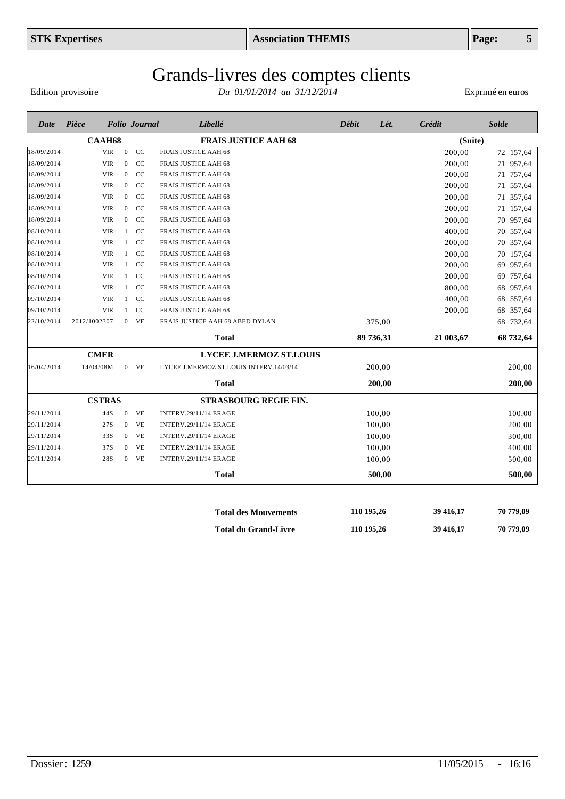Edition provisoire

*Du 01/01/2014 au 31/12/2014* Exprimé en euros

| Date       | Pièce         |                  | <b>Folio</b> Journal       | Libellé                                 | <b>Débit</b> | Lét.      | Crédit    | <b>Solde</b> |
|------------|---------------|------------------|----------------------------|-----------------------------------------|--------------|-----------|-----------|--------------|
|            | <b>CAAH68</b> |                  |                            | <b>FRAIS JUSTICE AAH 68</b>             |              |           | (Suite)   |              |
| 18/09/2014 | <b>VIR</b>    | $\mathbf{0}$     | CC                         | <b>FRAIS JUSTICE AAH 68</b>             |              |           | 200,00    | 72 157,64    |
| 18/09/2014 | <b>VIR</b>    | $\mathbf{0}$     | CC                         | <b>FRAIS JUSTICE AAH 68</b>             |              |           | 200,00    | 957,64<br>71 |
| 18/09/2014 | <b>VIR</b>    | $\overline{0}$   | <sub>CC</sub>              | <b>FRAIS JUSTICE AAH 68</b>             |              |           | 200,00    | 71 757,64    |
| 18/09/2014 | <b>VIR</b>    | $\mathbf{0}$     | <sub>CC</sub>              | <b>FRAIS JUSTICE AAH 68</b>             |              |           | 200,00    | 557,64<br>71 |
| 18/09/2014 | <b>VIR</b>    | $\mathbf{0}$     | CC                         | <b>FRAIS JUSTICE AAH 68</b>             |              |           | 200,00    | 357,64<br>71 |
| 18/09/2014 | <b>VIR</b>    | $\boldsymbol{0}$ | CC                         | FRAIS JUSTICE AAH 68                    |              |           | 200,00    | 71 157,64    |
| 18/09/2014 | <b>VIR</b>    | $\mathbf{0}$     | CC                         | FRAIS JUSTICE AAH 68                    |              |           | 200,00    | 70 957,64    |
| 08/10/2014 | <b>VIR</b>    | $\mathbf{1}$     | <sub>CC</sub>              | <b>FRAIS JUSTICE AAH 68</b>             |              |           | 400,00    | 70 557,64    |
| 08/10/2014 | <b>VIR</b>    | $\mathbf{1}$     | CC                         | <b>FRAIS JUSTICE AAH 68</b>             |              |           | 200,00    | 70 357,64    |
| 08/10/2014 | <b>VIR</b>    | $\mathbf{1}$     | CC                         | <b>FRAIS JUSTICE AAH 68</b>             |              |           | 200,00    | 70 157,64    |
| 08/10/2014 | <b>VIR</b>    | $\mathbf{1}$     | CC                         | FRAIS JUSTICE AAH 68                    |              |           | 200,00    | 69 957,64    |
| 08/10/2014 | <b>VIR</b>    | $\mathbf{1}$     | CC                         | <b>FRAIS JUSTICE AAH 68</b>             |              |           | 200,00    | 69 757,64    |
| 08/10/2014 | <b>VIR</b>    | 1                | CC                         | <b>FRAIS JUSTICE AAH 68</b>             |              |           | 800,00    | 68 957,64    |
| 09/10/2014 | <b>VIR</b>    | $\mathbf{1}$     | CC                         | FRAIS JUSTICE AAH 68                    |              |           | 400,00    | 68 557,64    |
| 09/10/2014 | <b>VIR</b>    | $\mathbf{1}$     | CC                         | <b>FRAIS JUSTICE AAH 68</b>             |              |           | 200,00    | 68 357,64    |
| 22/10/2014 | 2012/1002307  | $\mathbf{0}$     | <b>VE</b>                  | FRAIS JUSTICE AAH 68 ABED DYLAN         |              | 375,00    |           | 68 732,64    |
|            |               |                  |                            | <b>Total</b>                            |              | 89 736,31 | 21 003,67 | 68 732,64    |
|            | <b>CMER</b>   |                  |                            | <b>LYCEE J.MERMOZ ST.LOUIS</b>          |              |           |           |              |
| 16/04/2014 | 14/04/08M     | $\mathbf{0}$     | VE                         | LYCEE J.MERMOZ ST.LOUIS INTERV.14/03/14 |              | 200,00    |           | 200,00       |
|            |               |                  |                            | <b>Total</b>                            |              | 200,00    |           | 200,00       |
|            | <b>CSTRAS</b> |                  |                            | <b>STRASBOURG REGIE FIN.</b>            |              |           |           |              |
| 29/11/2014 | 44S           | $\mathbf{0}$     | VE                         | <b>INTERV.29/11/14 ERAGE</b>            |              | 100,00    |           | 100,00       |
| 29/11/2014 | 27S           | $\mathbf{0}$     | $\ensuremath{\mathsf{VE}}$ | <b>INTERV.29/11/14 ERAGE</b>            |              | 100,00    |           | 200,00       |
| 29/11/2014 | 33S           | $\overline{0}$   | <b>VE</b>                  | <b>INTERV.29/11/14 ERAGE</b>            |              | 100,00    |           | 300,00       |
| 29/11/2014 | 37S           | $\overline{0}$   | <b>VE</b>                  | <b>INTERV.29/11/14 ERAGE</b>            |              | 100,00    |           | 400,00       |
| 29/11/2014 | 28S           | $\boldsymbol{0}$ | <b>VE</b>                  | <b>INTERV.29/11/14 ERAGE</b>            |              | 100,00    |           | 500,00       |
|            |               |                  |                            | <b>Total</b>                            |              | 500,00    |           | 500,00       |
|            |               |                  |                            |                                         |              |           |           |              |
|            |               |                  |                            | <b>Total des Mouvements</b>             | 110 195,26   |           | 39 416,17 | 70 779,09    |

**Total du Grand-Livre**

**110 195,26**

**39 416,17**

**70 779,09**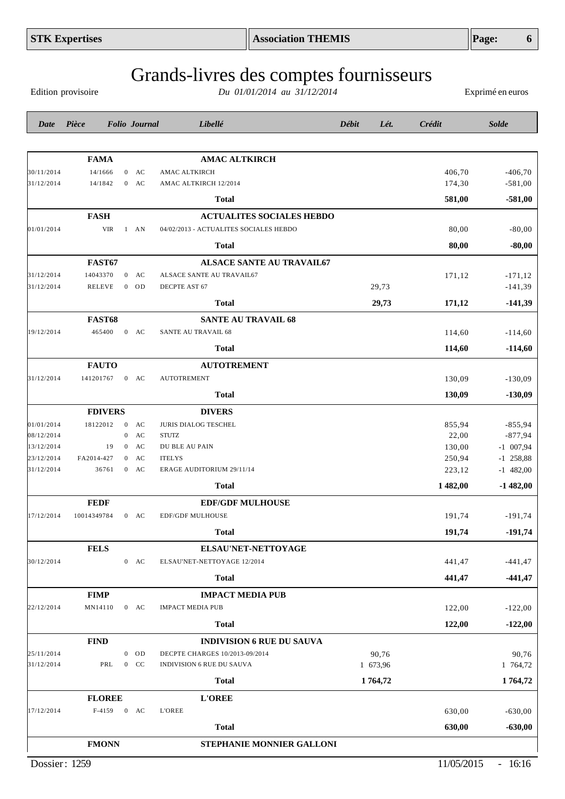|               | <b>FEDF</b>   |                |    | <b>EDF/GDF MULHOUSE</b>          |          |            |           |
|---------------|---------------|----------------|----|----------------------------------|----------|------------|-----------|
| 7/12/2014     | 10014349784   | $\overline{0}$ | AC | <b>EDF/GDF MULHOUSE</b>          |          | 191,74     | $-191,74$ |
|               |               |                |    | <b>Total</b>                     |          | 191,74     | $-191,74$ |
|               | <b>FELS</b>   |                |    | ELSAU'NET-NETTOYAGE              |          |            |           |
| 0/12/2014     |               | $\overline{0}$ | AC | ELSAU'NET-NETTOYAGE 12/2014      |          | 441,47     | $-441,47$ |
|               |               |                |    | <b>Total</b>                     |          | 441,47     | $-441,4'$ |
|               | <b>FIMP</b>   |                |    | <b>IMPACT MEDIA PUB</b>          |          |            |           |
| 2/12/2014     | MN14110       | $\overline{0}$ | AC | <b>IMPACT MEDIA PUB</b>          |          | 122,00     | $-122,00$ |
|               |               |                |    | <b>Total</b>                     |          | 122,00     | $-122,00$ |
|               | <b>FIND</b>   |                |    | <b>INDIVISION 6 RUE DU SAUVA</b> |          |            |           |
| 5/11/2014     |               | $\Omega$       | OD | DECPTE CHARGES 10/2013-09/2014   | 90,76    |            | 90,76     |
| 1/12/2014     | PRL           | $\overline{0}$ | CC | <b>INDIVISION 6 RUE DU SAUVA</b> | 1 673,96 |            | 1 764,72  |
|               |               |                |    | <b>Total</b>                     | 1764,72  |            | 1764,72   |
|               | <b>FLOREE</b> |                |    | <b>L'OREE</b>                    |          |            |           |
| 7/12/2014     | F-4159        | $\overline{0}$ | AC | <b>L'OREE</b>                    |          | 630,00     | $-630,00$ |
|               |               |                |    | <b>Total</b>                     |          | 630,00     | $-630,00$ |
|               | <b>FMONN</b>  |                |    | <b>STEPHANIE MONNIER GALLONI</b> |          |            |           |
| Dossier: 1259 |               |                |    |                                  |          | 11/05/2015 | $-16:16$  |
|               |               |                |    |                                  |          |            |           |

# Grands-livres des comptes fournisseurs

*Du 01/01/2014 au 31/12/2014* Exprimé en euros

| Date                     | Pièce            |                                      | <b>Folio Journal</b> | Libellé                                | Débit | Lét.     | Crédit           | <b>Solde</b>               |
|--------------------------|------------------|--------------------------------------|----------------------|----------------------------------------|-------|----------|------------------|----------------------------|
|                          |                  |                                      |                      |                                        |       |          |                  |                            |
|                          | <b>FAMA</b>      |                                      |                      | <b>AMAC ALTKIRCH</b>                   |       |          |                  |                            |
| 30/11/2014               | 14/1666          | $\overline{0}$                       | AC                   | AMAC ALTKIRCH                          |       |          | 406,70           | $-406,70$                  |
| 31/12/2014               | 14/1842          | $\mathbf{0}$                         | <b>AC</b>            | AMAC ALTKIRCH 12/2014                  |       |          | 174,30           | $-581,00$                  |
|                          |                  |                                      |                      | <b>Total</b>                           |       |          | 581,00           | $-581,00$                  |
|                          | <b>FASH</b>      |                                      |                      | <b>ACTUALITES SOCIALES HEBDO</b>       |       |          |                  |                            |
| 01/01/2014               | <b>VIR</b>       |                                      | $1$ AN               | 04/02/2013 - ACTUALITES SOCIALES HEBDO |       |          | 80,00            | $-80,00$                   |
|                          |                  |                                      |                      | <b>Total</b>                           |       |          | 80,00            | $-80,00$                   |
|                          | <b>FAST67</b>    |                                      |                      | <b>ALSACE SANTE AU TRAVAIL67</b>       |       |          |                  |                            |
| 31/12/2014               | 14043370         | $\overline{0}$                       | AC                   | ALSACE SANTE AU TRAVAIL67              |       |          | 171,12           | $-171,12$                  |
| 31/12/2014               | <b>RELEVE</b>    |                                      | $0$ OD               | DECPTE AST 67                          |       | 29,73    |                  | $-141,39$                  |
|                          |                  |                                      |                      | <b>Total</b>                           |       | 29,73    | 171,12           | $-141,39$                  |
|                          | <b>FAST68</b>    |                                      |                      | <b>SANTE AU TRAVAIL 68</b>             |       |          |                  |                            |
| 19/12/2014               | 465400           |                                      | $0$ AC               | SANTE AU TRAVAIL 68                    |       |          | 114,60           | $-114,60$                  |
|                          |                  |                                      |                      | <b>Total</b>                           |       |          | 114,60           | $-114,60$                  |
|                          | <b>FAUTO</b>     |                                      |                      | <b>AUTOTREMENT</b>                     |       |          |                  |                            |
| 31/12/2014               | 141201767        |                                      | $0$ AC               | <b>AUTOTREMENT</b>                     |       |          | 130,09           | $-130,09$                  |
|                          |                  |                                      |                      | <b>Total</b>                           |       |          | 130,09           | $-130,09$                  |
|                          | <b>FDIVERS</b>   |                                      |                      | <b>DIVERS</b>                          |       |          |                  |                            |
| 01/01/2014               | 18122012         | $\mathbf{0}$                         | AC                   | JURIS DIALOG TESCHEL                   |       |          | 855,94           | $-855,94$                  |
| 08/12/2014               |                  | $\boldsymbol{0}$                     | AC                   | <b>STUTZ</b>                           |       |          | 22,00            | $-877,94$                  |
| 13/12/2014<br>23/12/2014 | 19<br>FA2014-427 | $\boldsymbol{0}$<br>$\boldsymbol{0}$ | AC<br>AC             | DU BLE AU PAIN<br><b>ITELYS</b>        |       |          | 130,00<br>250,94 | $-1$ 007,94<br>$-1$ 258,88 |
| 31/12/2014               | 36761            | $\overline{0}$                       | AC                   | ERAGE AUDITORIUM 29/11/14              |       |          | 223,12           | $-1$ 482,00                |
|                          |                  |                                      |                      | <b>Total</b>                           |       |          | 1482,00          | $-1482,00$                 |
|                          | <b>FEDF</b>      |                                      |                      | <b>EDF/GDF MULHOUSE</b>                |       |          |                  |                            |
| 17/12/2014               | 10014349784      |                                      | $0$ AC               | <b>EDF/GDF MULHOUSE</b>                |       |          | 191,74           | $-191,74$                  |
|                          |                  |                                      |                      | <b>Total</b>                           |       |          | 191,74           | $-191,74$                  |
|                          | <b>FELS</b>      |                                      |                      | ELSAU'NET-NETTOYAGE                    |       |          |                  |                            |
| 30/12/2014               |                  |                                      | $0$ AC               | ELSAU'NET-NETTOYAGE 12/2014            |       |          | 441,47           | $-441, 47$                 |
|                          |                  |                                      |                      | <b>Total</b>                           |       |          | 441,47           | $-441,47$                  |
|                          | <b>FIMP</b>      |                                      |                      | <b>IMPACT MEDIA PUB</b>                |       |          |                  |                            |
| 22/12/2014               | MN14110          |                                      | $0$ AC               | <b>IMPACT MEDIA PUB</b>                |       |          | 122,00           | $-122,00$                  |
|                          |                  |                                      |                      | <b>Total</b>                           |       |          | 122,00           | $-122,00$                  |
|                          | <b>FIND</b>      |                                      |                      | <b>INDIVISION 6 RUE DU SAUVA</b>       |       |          |                  |                            |
| 25/11/2014               |                  | $\overline{0}$                       | OD                   | DECPTE CHARGES 10/2013-09/2014         |       | 90,76    |                  | 90,76                      |
| 31/12/2014               | PRL              |                                      | $0$ CC               | <b>INDIVISION 6 RUE DU SAUVA</b>       |       | 1 673,96 |                  | 1 764,72                   |
|                          |                  |                                      |                      | <b>Total</b>                           |       | 1764,72  |                  | 1764,72                    |
|                          | <b>FLOREE</b>    |                                      |                      | <b>L'OREE</b>                          |       |          |                  |                            |
| 17/12/2014               | F-4159           |                                      | $0$ AC               | <b>L'OREE</b>                          |       |          | 630,00           | $-630,00$                  |
|                          |                  |                                      |                      | <b>Total</b>                           |       |          | 630,00           | $-630,00$                  |
|                          | <b>FMONN</b>     |                                      |                      | STEPHANIE MONNIER GALLONI              |       |          |                  |                            |

Edition provisoire

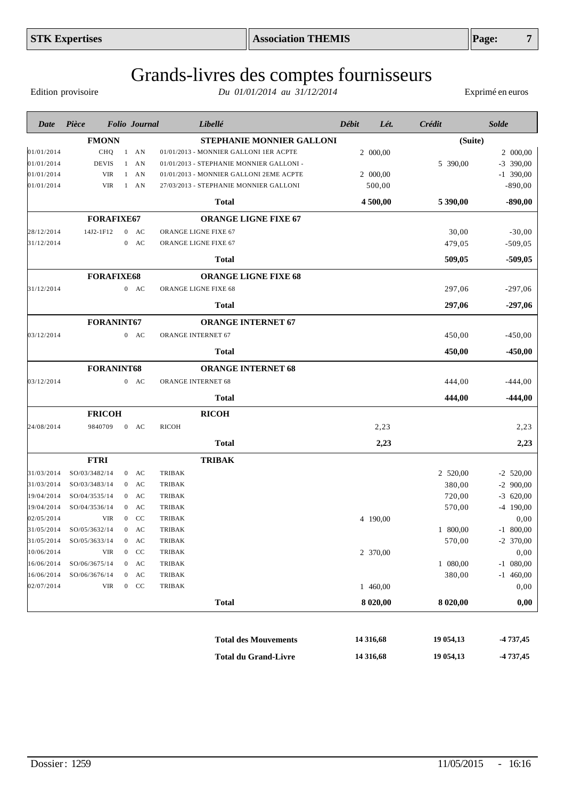| Date       | Pièce             |                | <b>Folio</b> Journal |                      | Libellé                                  | Débit | Lét.     | Crédit   | <b>Solde</b> |
|------------|-------------------|----------------|----------------------|----------------------|------------------------------------------|-------|----------|----------|--------------|
|            | <b>FMONN</b>      |                |                      |                      | <b>STEPHANIE MONNIER GALLONI</b>         |       |          | (Suite)  |              |
| 01/01/2014 | CHQ               | $\mathbf{1}$   | AN                   |                      | 01/01/2013 - MONNIER GALLONI 1ER ACPTE   |       | 2 000,00 |          | 2 000,00     |
| 01/01/2014 | <b>DEVIS</b>      | 1              | AN                   |                      | 01/01/2013 - STEPHANIE MONNIER GALLONI - |       |          | 5 390,00 | $-3$ 390,00  |
| 01/01/2014 | <b>VIR</b>        |                | $1$ AN               |                      | 01/01/2013 - MONNIER GALLONI 2EME ACPTE  |       | 2 000,00 |          | $-1$ 390,00  |
| 01/01/2014 | <b>VIR</b>        |                | $1$ AN               |                      | 27/03/2013 - STEPHANIE MONNIER GALLONI   |       | 500,00   |          | $-890,00$    |
|            |                   |                |                      |                      | <b>Total</b>                             |       | 4 500,00 | 5 390,00 | $-890,00$    |
|            | <b>FORAFIXE67</b> |                |                      |                      | <b>ORANGE LIGNE FIXE 67</b>              |       |          |          |              |
| 28/12/2014 | 14J2-1F12         |                | $0$ AC               | ORANGE LIGNE FIXE 67 |                                          |       |          | 30,00    | $-30,00$     |
| 31/12/2014 |                   |                | $0$ AC               | ORANGE LIGNE FIXE 67 |                                          |       |          | 479,05   | $-509,05$    |
|            |                   |                |                      |                      | <b>Total</b>                             |       |          | 509,05   | $-509,05$    |
|            | <b>FORAFIXE68</b> |                |                      |                      | <b>ORANGE LIGNE FIXE 68</b>              |       |          |          |              |
| 31/12/2014 |                   |                | $0$ AC               | ORANGE LIGNE FIXE 68 |                                          |       |          | 297,06   | $-297,06$    |
|            |                   |                |                      |                      | <b>Total</b>                             |       |          | 297,06   | $-297,06$    |
|            | FORANINT67        |                |                      |                      | <b>ORANGE INTERNET 67</b>                |       |          |          |              |
| 03/12/2014 |                   |                | $0$ AC               | ORANGE INTERNET 67   |                                          |       |          | 450,00   | $-450,00$    |
|            |                   |                |                      |                      | <b>Total</b>                             |       |          | 450,00   | $-450,00$    |
|            | <b>FORANINT68</b> |                |                      |                      | <b>ORANGE INTERNET 68</b>                |       |          |          |              |
| 03/12/2014 |                   |                | $0$ AC               | ORANGE INTERNET 68   |                                          |       |          | 444,00   | $-444,00$    |
|            |                   |                |                      |                      | <b>Total</b>                             |       |          | 444,00   | $-444,00$    |
|            | <b>FRICOH</b>     |                |                      |                      | <b>RICOH</b>                             |       |          |          |              |
| 24/08/2014 | 9840709           |                | $0$ AC               | <b>RICOH</b>         |                                          |       | 2,23     |          | 2,23         |
|            |                   |                |                      |                      | <b>Total</b>                             |       | 2,23     |          | 2,23         |
|            | <b>FTRI</b>       |                |                      |                      | <b>TRIBAK</b>                            |       |          |          |              |
| 31/03/2014 | SO/03/3482/14     |                | $0$ AC               | <b>TRIBAK</b>        |                                          |       |          | 2 520,00 | $-2$ 520,00  |
| 31/03/2014 | SO/03/3483/14     |                | $0$ AC               | <b>TRIBAK</b>        |                                          |       |          | 380,00   | $-2$ 900,00  |
| 19/04/2014 | SO/04/3535/14     |                | $0$ AC               | <b>TRIBAK</b>        |                                          |       |          | 720,00   | $-3$ 620,00  |
| 19/04/2014 | SO/04/3536/14     |                | $0$ AC               | <b>TRIBAK</b>        |                                          |       |          | 570,00   | $-4$ 190,00  |
| 02/05/2014 | <b>VIR</b>        |                | $0$ CC               | <b>TRIBAK</b>        |                                          |       | 4 190,00 |          | 0,00         |
| 31/05/2014 | SO/05/3632/14     |                | $0$ AC               | <b>TRIBAK</b>        |                                          |       |          | 1 800,00 | $-1$ 800,00  |
| 31/05/2014 | SO/05/3633/14     |                | $0$ AC               | TRIBAK               |                                          |       |          | 570,00   | $-2$ 370,00  |
| 10/06/2014 | <b>VIR</b>        | $\overline{0}$ | <sub>CC</sub>        | TRIBAK               |                                          |       | 2 370,00 |          | 0,00         |
| 16/06/2014 | SO/06/3675/14     |                | $0$ AC               | <b>TRIBAK</b>        |                                          |       |          | 1 080,00 | $-1$ 080,00  |

16/06/2014 SO/06/3676/14 0 AC TRIBAK 380,00 -1 460,00  $0.000$   $0.000$   $0.000$   $0.000$   $0.000$   $0.000$   $0.000$   $0.000$   $0.000$   $0.000$   $0.000$   $0.000$   $0.000$   $0.000$   $0.000$   $0.000$   $0.000$   $0.000$   $0.000$   $0.000$   $0.000$   $0.000$   $0.000$   $0.000$   $0.000$   $0.000$   $0.000$   $0.00$ 

> **Total des Mouvements Total du Grand-Livre**

**Total 8 020,00 8 020,00 0,00**

**14 316,68 14 316,68**

#### Grands-livres des comptes fournisseurs *Du 01/01/2014 au 31/12/2014* Exprimé en euros

Edition provisoire

**-4 737,45 -4 737,45**

**19 054,13 19 054,13**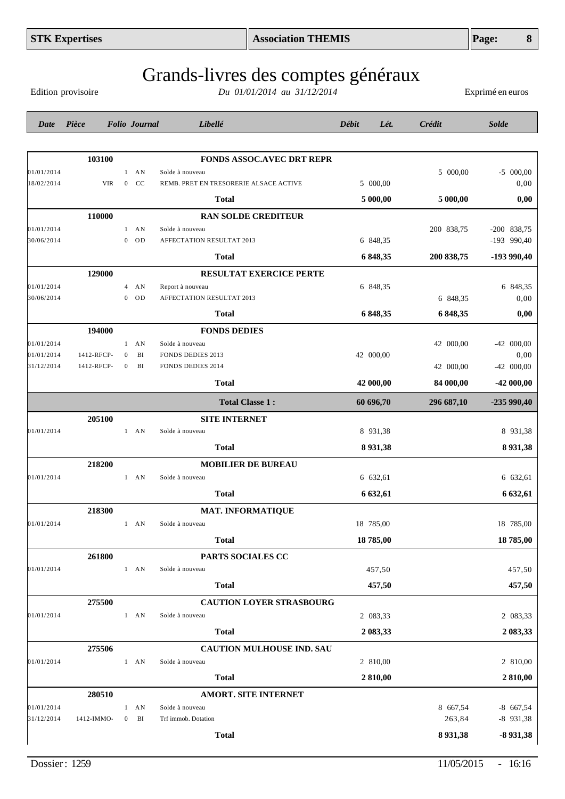|            | <b>STK Expertises</b> |                |                      | <b>Association THEMIS</b>                                         |               |            | Page:<br>8       |
|------------|-----------------------|----------------|----------------------|-------------------------------------------------------------------|---------------|------------|------------------|
|            | Edition provisoire    |                |                      | Grands-livres des comptes généraux<br>Du 01/01/2014 au 31/12/2014 |               |            | Exprimé en euros |
| Date       | Pièce                 |                | <b>Folio</b> Journal | Libellé                                                           | Débit<br>Lét. | Crédit     | <b>Solde</b>     |
|            |                       |                |                      |                                                                   |               |            |                  |
|            | 103100                |                |                      | <b>FONDS ASSOC.AVEC DRT REPR</b>                                  |               |            |                  |
| 01/01/2014 |                       |                | $1$ AN               | Solde à nouveau                                                   |               | 5 000,00   | $-5$ 000,00      |
| 18/02/2014 | <b>VIR</b>            | $\overline{0}$ | CC                   | REMB. PRET EN TRESORERIE ALSACE ACTIVE                            | 5 000,00      |            | 0,00             |
|            |                       |                |                      | Total                                                             | 5 000,00      | 5 000,00   | 0,00             |
|            | 110000                |                |                      | <b>RAN SOLDE CREDITEUR</b>                                        |               |            |                  |
| 01/01/2014 |                       |                | $1$ AN               | Solde à nouveau                                                   |               | 200 838,75 | $-200$ 838,75    |
| 30/06/2014 |                       | $\overline{0}$ | <b>OD</b>            | AFFECTATION RESULTAT 2013                                         | 6 848,35      |            | -193 990,40      |
|            |                       |                |                      | <b>Total</b>                                                      | 6 848,35      | 200 838,75 | -193 990,40      |
|            | 129000                |                |                      | <b>RESULTAT EXERCICE PERTE</b>                                    |               |            |                  |
| 01/01/2014 |                       |                | $4$ AN               | Report à nouveau                                                  | 6 848,35      |            | 6 848,35         |
| 30/06/2014 |                       | $\theta$       | OD                   | AFFECTATION RESULTAT 2013                                         |               | 6 848,35   | 0,00             |
|            |                       |                |                      | Total                                                             | 6 848,35      | 6 848,35   | 0,00             |
|            | 194000                |                |                      | <b>FONDS DEDIES</b>                                               |               |            |                  |
| 01/01/2014 |                       |                | $1$ AN               | Solde à nouveau                                                   |               | 42 000,00  | $-42000,00$      |
| 01/01/2014 | 1412-RFCP-            | $\mathbf{0}$   | BI                   | FONDS DEDIES 2013                                                 | 42 000,00     |            | 0,00             |
| 31/12/2014 | 1412-RFCP-            | $\overline{0}$ | BI                   | <b>FONDS DEDIES 2014</b>                                          |               | 42 000,00  | $-42000,00$      |
|            |                       |                |                      | <b>Total</b>                                                      | 42 000,00     | 84 000,00  | -42 000,00       |
|            |                       |                |                      | <b>Total Classe 1:</b>                                            | 60 696,70     | 296 687,10 | $-235990,40$     |
|            | 205100                |                |                      | <b>SITE INTERNET</b>                                              |               |            |                  |
| 01/01/2014 |                       |                | $1$ AN               | Solde à nouveau                                                   | 8 931,38      |            | 8 931,38         |
|            |                       |                |                      | <b>Total</b>                                                      | 8 9 3 1, 38   |            | 8 9 3 1 , 3 8    |
|            | 218200                |                |                      | <b>MOBILIER DE BUREAU</b>                                         |               |            |                  |
| 01/01/2014 |                       |                | $1$ AN               | Solde à nouveau                                                   | 6 632,61      |            | 6 632,61         |
|            |                       |                |                      | <b>Total</b>                                                      | 6 632,61      |            | 6 632,61         |
|            | 218300                |                |                      | <b>MAT. INFORMATIQUE</b>                                          |               |            |                  |
| 01/01/2014 |                       |                | $1$ AN               | Solde à nouveau                                                   | 18 785,00     |            | 18 785,00        |
|            |                       |                |                      |                                                                   |               |            |                  |
|            |                       |                |                      | <b>Total</b>                                                      | 18785,00      |            | 18785,00         |
|            | 261800                |                |                      | PARTS SOCIALES CC                                                 |               |            |                  |
| 01/01/2014 |                       |                | $1$ AN               | Solde à nouveau                                                   | 457,50        |            | 457,50           |
|            |                       |                |                      | <b>Total</b>                                                      | 457,50        |            | 457,50           |

**275500 CAUTION LOYER STRASBOURG**

**275506 CAUTION MULHOUSE IND. SAU**

**280510 AMORT. SITE INTERNET**

 $01/01/2014$  1 AN Solde à nouveau 2 083,33 2 083,33

 $01/01/2014$  1 AN Solde à nouveau 2 810,00 2 810,00

 $01/01/2014$  1 AN Solde à nouveau  $8\,667,54$  -8  $667,54$ 31/12/2014 1412-IMMO- 0 BI Trf immob. Dotation 263,84 -8 931,38

**Total 2 083,33 2 083,33**

**Total 2 810,00 2 810,00**

**Total 8 931,38 -8 931,38**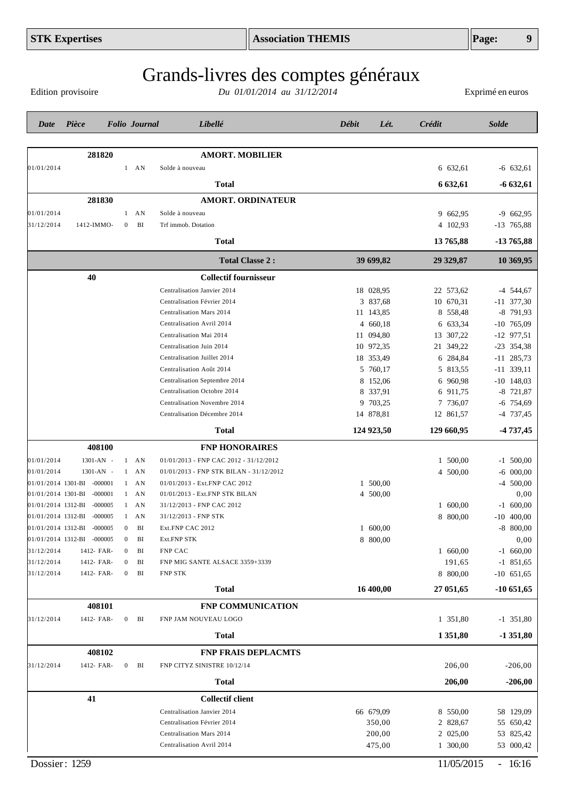Edition provisoire

| Date       | Pièce                      |                  | <b>Folio</b> Journal | Libellé                                 | Débit<br>Lét. | <b>Crédit</b> | <b>Solde</b>        |
|------------|----------------------------|------------------|----------------------|-----------------------------------------|---------------|---------------|---------------------|
|            |                            |                  |                      |                                         |               |               |                     |
|            | 281820                     |                  |                      | <b>AMORT. MOBILIER</b>                  |               |               |                     |
| 01/01/2014 |                            |                  | $1$ AN               | Solde à nouveau                         |               | 6 632,61      | $-6$ 632,61         |
|            |                            |                  |                      | Total                                   |               | 6 632,61      | $-6632,61$          |
|            | 281830                     |                  |                      | <b>AMORT. ORDINATEUR</b>                |               |               |                     |
| 01/01/2014 |                            |                  | $1$ AN               | Solde à nouveau                         |               | 9 662,95      | $-9662,95$          |
| 31/12/2014 | 1412-IMMO-                 | $\overline{0}$   | BI                   | Trf immob. Dotation                     |               | 4 102,93      | $-13$ 765,88        |
|            |                            |                  |                      | Total                                   |               | 13 765,88     | -13 765,88          |
|            |                            |                  |                      | <b>Total Classe 2:</b>                  | 39 699,82     | 29 329,87     | 10 369,95           |
|            | 40                         |                  |                      | <b>Collectif fournisseur</b>            |               |               |                     |
|            |                            |                  |                      | Centralisation Janvier 2014             | 18 028,95     | 22 573,62     | $-4$ 544,67         |
|            |                            |                  |                      | Centralisation Février 2014             | 3 837,68      | 10 670,31     | $-11$ 377,30        |
|            |                            |                  |                      | Centralisation Mars 2014                | 11 143,85     | 8 558,48      | $-8$ 791,93         |
|            |                            |                  |                      | Centralisation Avril 2014               | 4 660,18      | 6 633,34      | $-10$ 765,09        |
|            |                            |                  |                      | Centralisation Mai 2014                 | 11 094,80     | 13 307,22     | $-12$ 977,51        |
|            |                            |                  |                      | Centralisation Juin 2014                | 10 972,35     | 21 349,22     | $-23$ 354,38        |
|            |                            |                  |                      | Centralisation Juillet 2014             | 18 353,49     | 6 284,84      | $-11$ 285,73        |
|            |                            |                  |                      | Centralisation Août 2014                | 5 760,17      | 5 813,55      | $-11$ 339,11        |
|            |                            |                  |                      | Centralisation Septembre 2014           | 8 152,06      | 6 960,98      | $-10$ 148,03        |
|            |                            |                  |                      | Centralisation Octobre 2014             | 8 337,91      | 6 911,75      | $-8$ 721,87         |
|            |                            |                  |                      | Centralisation Novembre 2014            | 9 703,25      | 7 736,07      | $-6$ 754,69         |
|            |                            |                  |                      | Centralisation Décembre 2014            | 14 878,81     | 12 861,57     | $-4$ 737,45         |
|            |                            |                  |                      | <b>Total</b>                            | 124 923,50    | 129 660,95    | $-4737,45$          |
|            | 408100                     |                  |                      | <b>FNP HONORAIRES</b>                   |               |               |                     |
| 01/01/2014 | 1301-AN -                  |                  | $1$ AN               | 01/01/2013 - FNP CAC 2012 - 31/12/2012  |               | 1 500,00      | $-1$ 500,00         |
| 01/01/2014 | 1301-AN -                  |                  | $1$ AN               | 01/01/2013 - FNP STK BILAN - 31/12/2012 |               | 4 500,00      | $-6$ 000,00         |
|            | 01/01/2014 1301-BI -000001 |                  | $1$ AN               | 01/01/2013 - Ext.FNP CAC 2012           | 1 500,00      |               | $-4$ 500,00         |
|            | 01/01/2014 1301-BI -000001 |                  | $1 \quad AN$         | 01/01/2013 - Ext.FNP STK BILAN          | 4 500,00      |               | 0,00                |
|            | 01/01/2014 1312-BI -000005 |                  | $1 \quad AN$         | 31/12/2013 - FNP CAC 2012               |               | 600,00<br>1   | $-1$ 600,00         |
|            | 01/01/2014 1312-BI -000005 |                  | $1 \quad AN$         | 31/12/2013 - FNP STK                    |               | 8 800,00      | 400,00<br>$-10^{-}$ |
|            | 01/01/2014 1312-BI -000005 | $\boldsymbol{0}$ | BI                   | Ext.FNP CAC 2012                        | 1 600,00      |               | $-8$ 800,00         |
|            | 01/01/2014 1312-BI -000005 | $\Omega$         | ВI                   | Ext.FNP STK                             | 8 800,00      |               | 0,00                |
| 31/12/2014 | 1412- FAR-                 | $\bf{0}$         | BI                   | FNP CAC                                 |               | 1 660,00      | $-1$ 660,00         |
| 31/12/2014 | 1412- FAR-                 | $\bf{0}$         | BI                   | FNP MIG SANTE ALSACE 3359+3339          |               | 191,65        | $-1$ 851,65         |
| 31/12/2014 | 1412- FAR-                 | $\boldsymbol{0}$ | BI                   | <b>FNP STK</b>                          |               | 8 800,00      | $-10$ 651,65        |
|            |                            |                  |                      | <b>Total</b>                            | 16 400,00     | 27 051,65     | $-10651,65$         |
|            | 408101                     |                  |                      | <b>FNP COMMUNICATION</b>                |               |               |                     |
| 31/12/2014 | 1412- FAR-                 | $\boldsymbol{0}$ | BI                   | FNP JAM NOUVEAU LOGO                    |               | 1 351,80      | $-1$ 351,80         |
|            |                            |                  |                      | <b>Total</b>                            |               | 1 351,80      | $-1351,80$          |
|            | 408102                     |                  |                      | <b>FNP FRAIS DEPLACMTS</b>              |               |               |                     |
| 31/12/2014 | 1412- FAR-                 | $\boldsymbol{0}$ | BI                   | FNP CITYZ SINISTRE 10/12/14             |               | 206,00        | $-206,00$           |
|            |                            |                  |                      | <b>Total</b>                            |               | 206,00        | $-206,00$           |
|            | 41                         |                  |                      | <b>Collectif client</b>                 |               |               |                     |
|            |                            |                  |                      | Centralisation Janvier 2014             | 66 679,09     | 8 550,00      | 58 129,09           |
|            |                            |                  |                      | Centralisation Février 2014             | 350,00        | 2 828,67      | 55 650,42           |
|            |                            |                  |                      | Centralisation Mars 2014                | 200,00        | 2 025,00      | 53 825,42           |
|            |                            |                  |                      | Centralisation Avril 2014               | 475,00        | 1 300,00      | 53 000,42           |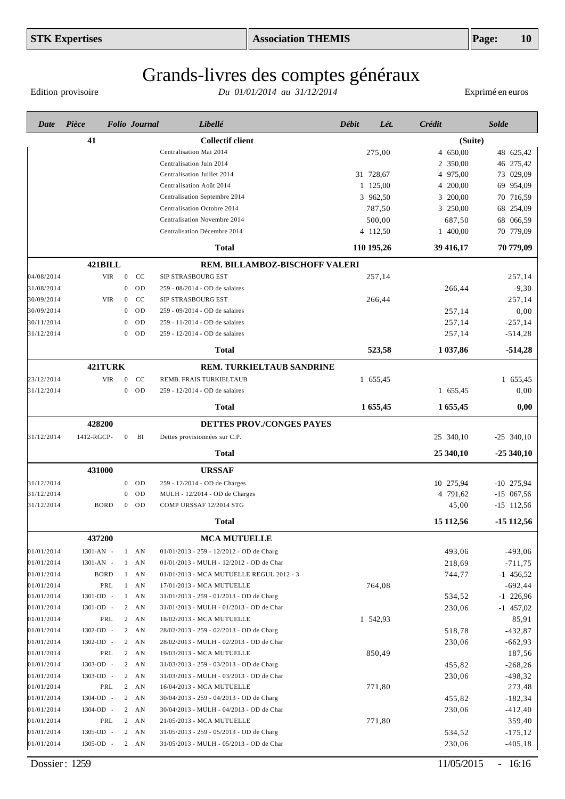Edition provisoire

| <b>Collectif client</b><br>41<br>(Suite)<br>Centralisation Mai 2014<br>4 650,00<br>275,00<br>48 625,42<br>2 350,00<br>46 275,42<br>Centralisation Juin 2014<br>31 728,67<br>73 029,09<br>Centralisation Juillet 2014<br>4 975,00<br>1 125,00<br>69 954,09<br>Centralisation Août 2014<br>4 200,00<br>3 962,50<br>3 200,00<br>70 716,59<br>Centralisation Septembre 2014<br>787,50<br>3 250,00<br>68 254,09<br>Centralisation Octobre 2014<br>500,00<br>687,50<br>68 066,59<br>Centralisation Novembre 2014<br>4 112,50<br>70 779,09<br>Centralisation Décembre 2014<br>1 400,00<br>110 195,26<br>39 416,17<br>70 779,09<br><b>Total</b><br>421BILL<br>REM. BILLAMBOZ-BISCHOFF VALERI<br>04/08/2014<br><b>VIR</b><br>$\mathbf{0}$<br>CC<br>SIP STRASBOURG EST<br>257,14<br>257,14<br>31/08/2014<br>OD<br>$-9,30$<br>$\mathbf{0}$<br>259 - 08/2014 - OD de salaires<br>266,44<br>30/09/2014<br><b>VIR</b><br>CC<br>257,14<br>$\overline{0}$<br>SIP STRASBOURG EST<br>266,44<br>30/09/2014<br>OD<br>0,00<br>$\mathbf{0}$<br>259 - 09/2014 - OD de salaires<br>257,14<br>30/11/2014<br>OD<br>257,14<br>$-257,14$<br>259 - 11/2014 - OD de salaires<br>$\theta$<br>31/12/2014<br>OD<br>257,14<br>$-514,28$<br>259 - 12/2014 - OD de salaires<br>$\overline{0}$<br>523,58<br>1 037,86<br>$-514,28$<br><b>Total</b><br>421TURK<br><b>REM. TURKIELTAUB SANDRINE</b><br>23/12/2014<br>VIR<br>CC<br>REMB. FRAIS TURKIELTAUB<br>1 655,45<br>$\overline{0}$<br>1 655,45<br>31/12/2014<br>$\boldsymbol{0}$<br>OD<br>1 655,45<br>259 - 12/2014 - OD de salaires<br>0,00<br>1 655,45<br>1 655,45<br><b>Total</b><br>0,00<br>428200<br>DETTES PROV./CONGES PAYES<br>31/12/2014<br>1412-RGCP-<br>BI<br>25 340,10<br>$\boldsymbol{0}$<br>Dettes provisionnées sur C.P.<br>$-25$ 340,10<br>25 340,10<br><b>Total</b><br>$-25340,10$<br>431000<br><b>URSSAF</b><br>31/12/2014<br><b>OD</b><br>259 - 12/2014 - OD de Charges<br>10 275,94<br>$-10$ 275,94<br>$\overline{0}$<br>31/12/2014<br>OD<br>4 791,62<br>$-15$ 067,56<br>MULH - 12/2014 - OD de Charges<br>$\mathbf{0}$<br>31/12/2014<br><b>BORD</b><br>45,00<br>$-15$ 112,56<br>$\boldsymbol{0}$<br><b>OD</b><br>COMP URSSAF 12/2014 STG<br>15 112,56<br>$-15112,56$<br><b>Total</b><br>437200<br><b>MCA MUTUELLE</b><br>01/01/2014<br>493,06<br>$-493,06$<br>1301-AN -<br>01/01/2013 - 259 - 12/2012 - OD de Charg<br>$1 \quad AN$<br>01/01/2014<br>218,69<br>$-711,75$<br>1301-AN -<br>$1$ AN<br>01/01/2013 - MULH - 12/2012 - OD de Char<br>01/01/2014<br><b>BORD</b><br>$1$ AN<br>$-1$ 456,52<br>01/01/2013 - MCA MUTUELLE REGUL 2012 - 3<br>744,77<br>01/01/2014<br>PRL<br>764,08<br>$-692,44$<br>$1$ AN<br>17/01/2013 - MCA MUTUELLE<br>01/01/2014<br>1301-OD -<br>$1$ AN<br>31/01/2013 - 259 - 01/2013 - OD de Charg<br>$-1$ 226,96<br>534,52<br>01/01/2014<br>$-1$ 457,02<br>1301-OD -<br>$2 \quad AN$<br>31/01/2013 - MULH - 01/2013 - OD de Char<br>230,06<br>01/01/2014<br>85,91<br>PRL<br>$2 \quad AN$<br>18/02/2013 - MCA MUTUELLE<br>1 542,93<br>01/01/2014<br>$-432,87$<br>1302-OD -<br>$2 \quad AN$<br>28/02/2013 - 259 - 02/2013 - OD de Charg<br>518,78<br>01/01/2014<br>$-662,93$<br>1302-OD -<br>$2 \quad AN$<br>28/02/2013 - MULH - 02/2013 - OD de Char<br>230,06<br>01/01/2014<br>187,56<br>PRL<br>$2 \quad AN$<br>19/03/2013 - MCA MUTUELLE<br>850,49<br>01/01/2014<br>$-268,26$<br>1303-OD -<br>$2 \quad AN$<br>31/03/2013 - 259 - 03/2013 - OD de Charg<br>455,82<br>01/01/2014<br>$-498,32$<br>1303-OD -<br>$2 \quad AN$<br>31/03/2013 - MULH - 03/2013 - OD de Char<br>230,06<br>01/01/2014<br>273,48<br>PRL<br>$2 \quad AN$<br>771,80<br>16/04/2013 - MCA MUTUELLE<br>01/01/2014<br>$-182,34$<br>1304-OD -<br>455,82<br>$2 \quad AN$<br>30/04/2013 - 259 - 04/2013 - OD de Charg<br>01/01/2014<br>1304-OD -<br>$2 \quad AN$<br>30/04/2013 - MULH - 04/2013 - OD de Char<br>230,06<br>$-412,40$<br>01/01/2014<br>359,40<br>PRL<br>$2 \quad AN$<br>21/05/2013 - MCA MUTUELLE<br>771,80<br>01/01/2014<br>$-175,12$<br>1305-OD -<br>$2 \quad AN$<br>31/05/2013 - 259 - 05/2013 - OD de Charg<br>534,52<br>01/01/2014<br>$-405,18$<br>1305-OD -<br>31/05/2013 - MULH - 05/2013 - OD de Char<br>230,06<br>$2 \quad AN$ | Date | Pièce | <b>Folio</b> Journal | Libellé | <b>Débit</b> | Crédit<br>Lét. | <b>Solde</b> |
|---------------------------------------------------------------------------------------------------------------------------------------------------------------------------------------------------------------------------------------------------------------------------------------------------------------------------------------------------------------------------------------------------------------------------------------------------------------------------------------------------------------------------------------------------------------------------------------------------------------------------------------------------------------------------------------------------------------------------------------------------------------------------------------------------------------------------------------------------------------------------------------------------------------------------------------------------------------------------------------------------------------------------------------------------------------------------------------------------------------------------------------------------------------------------------------------------------------------------------------------------------------------------------------------------------------------------------------------------------------------------------------------------------------------------------------------------------------------------------------------------------------------------------------------------------------------------------------------------------------------------------------------------------------------------------------------------------------------------------------------------------------------------------------------------------------------------------------------------------------------------------------------------------------------------------------------------------------------------------------------------------------------------------------------------------------------------------------------------------------------------------------------------------------------------------------------------------------------------------------------------------------------------------------------------------------------------------------------------------------------------------------------------------------------------------------------------------------------------------------------------------------------------------------------------------------------------------------------------------------------------------------------------------------------------------------------------------------------------------------------------------------------------------------------------------------------------------------------------------------------------------------------------------------------------------------------------------------------------------------------------------------------------------------------------------------------------------------------------------------------------------------------------------------------------------------------------------------------------------------------------------------------------------------------------------------------------------------------------------------------------------------------------------------------------------------------------------------------------------------------------------------------------------------------------------------------------------------------------------------------------------------------------------------------------------------------------------------------------------------------------------------------------------------------------------------------------------------------------------------------------------------------------------------------------------------------------------------------------------------------------------------------------------------------------------------------------------------------------------------------------------------------------------------------------------|------|-------|----------------------|---------|--------------|----------------|--------------|
|                                                                                                                                                                                                                                                                                                                                                                                                                                                                                                                                                                                                                                                                                                                                                                                                                                                                                                                                                                                                                                                                                                                                                                                                                                                                                                                                                                                                                                                                                                                                                                                                                                                                                                                                                                                                                                                                                                                                                                                                                                                                                                                                                                                                                                                                                                                                                                                                                                                                                                                                                                                                                                                                                                                                                                                                                                                                                                                                                                                                                                                                                                                                                                                                                                                                                                                                                                                                                                                                                                                                                                                                                                                                                                                                                                                                                                                                                                                                                                                                                                                                                                                                                                                 |      |       |                      |         |              |                |              |
|                                                                                                                                                                                                                                                                                                                                                                                                                                                                                                                                                                                                                                                                                                                                                                                                                                                                                                                                                                                                                                                                                                                                                                                                                                                                                                                                                                                                                                                                                                                                                                                                                                                                                                                                                                                                                                                                                                                                                                                                                                                                                                                                                                                                                                                                                                                                                                                                                                                                                                                                                                                                                                                                                                                                                                                                                                                                                                                                                                                                                                                                                                                                                                                                                                                                                                                                                                                                                                                                                                                                                                                                                                                                                                                                                                                                                                                                                                                                                                                                                                                                                                                                                                                 |      |       |                      |         |              |                |              |
|                                                                                                                                                                                                                                                                                                                                                                                                                                                                                                                                                                                                                                                                                                                                                                                                                                                                                                                                                                                                                                                                                                                                                                                                                                                                                                                                                                                                                                                                                                                                                                                                                                                                                                                                                                                                                                                                                                                                                                                                                                                                                                                                                                                                                                                                                                                                                                                                                                                                                                                                                                                                                                                                                                                                                                                                                                                                                                                                                                                                                                                                                                                                                                                                                                                                                                                                                                                                                                                                                                                                                                                                                                                                                                                                                                                                                                                                                                                                                                                                                                                                                                                                                                                 |      |       |                      |         |              |                |              |
|                                                                                                                                                                                                                                                                                                                                                                                                                                                                                                                                                                                                                                                                                                                                                                                                                                                                                                                                                                                                                                                                                                                                                                                                                                                                                                                                                                                                                                                                                                                                                                                                                                                                                                                                                                                                                                                                                                                                                                                                                                                                                                                                                                                                                                                                                                                                                                                                                                                                                                                                                                                                                                                                                                                                                                                                                                                                                                                                                                                                                                                                                                                                                                                                                                                                                                                                                                                                                                                                                                                                                                                                                                                                                                                                                                                                                                                                                                                                                                                                                                                                                                                                                                                 |      |       |                      |         |              |                |              |
|                                                                                                                                                                                                                                                                                                                                                                                                                                                                                                                                                                                                                                                                                                                                                                                                                                                                                                                                                                                                                                                                                                                                                                                                                                                                                                                                                                                                                                                                                                                                                                                                                                                                                                                                                                                                                                                                                                                                                                                                                                                                                                                                                                                                                                                                                                                                                                                                                                                                                                                                                                                                                                                                                                                                                                                                                                                                                                                                                                                                                                                                                                                                                                                                                                                                                                                                                                                                                                                                                                                                                                                                                                                                                                                                                                                                                                                                                                                                                                                                                                                                                                                                                                                 |      |       |                      |         |              |                |              |
|                                                                                                                                                                                                                                                                                                                                                                                                                                                                                                                                                                                                                                                                                                                                                                                                                                                                                                                                                                                                                                                                                                                                                                                                                                                                                                                                                                                                                                                                                                                                                                                                                                                                                                                                                                                                                                                                                                                                                                                                                                                                                                                                                                                                                                                                                                                                                                                                                                                                                                                                                                                                                                                                                                                                                                                                                                                                                                                                                                                                                                                                                                                                                                                                                                                                                                                                                                                                                                                                                                                                                                                                                                                                                                                                                                                                                                                                                                                                                                                                                                                                                                                                                                                 |      |       |                      |         |              |                |              |
|                                                                                                                                                                                                                                                                                                                                                                                                                                                                                                                                                                                                                                                                                                                                                                                                                                                                                                                                                                                                                                                                                                                                                                                                                                                                                                                                                                                                                                                                                                                                                                                                                                                                                                                                                                                                                                                                                                                                                                                                                                                                                                                                                                                                                                                                                                                                                                                                                                                                                                                                                                                                                                                                                                                                                                                                                                                                                                                                                                                                                                                                                                                                                                                                                                                                                                                                                                                                                                                                                                                                                                                                                                                                                                                                                                                                                                                                                                                                                                                                                                                                                                                                                                                 |      |       |                      |         |              |                |              |
|                                                                                                                                                                                                                                                                                                                                                                                                                                                                                                                                                                                                                                                                                                                                                                                                                                                                                                                                                                                                                                                                                                                                                                                                                                                                                                                                                                                                                                                                                                                                                                                                                                                                                                                                                                                                                                                                                                                                                                                                                                                                                                                                                                                                                                                                                                                                                                                                                                                                                                                                                                                                                                                                                                                                                                                                                                                                                                                                                                                                                                                                                                                                                                                                                                                                                                                                                                                                                                                                                                                                                                                                                                                                                                                                                                                                                                                                                                                                                                                                                                                                                                                                                                                 |      |       |                      |         |              |                |              |
|                                                                                                                                                                                                                                                                                                                                                                                                                                                                                                                                                                                                                                                                                                                                                                                                                                                                                                                                                                                                                                                                                                                                                                                                                                                                                                                                                                                                                                                                                                                                                                                                                                                                                                                                                                                                                                                                                                                                                                                                                                                                                                                                                                                                                                                                                                                                                                                                                                                                                                                                                                                                                                                                                                                                                                                                                                                                                                                                                                                                                                                                                                                                                                                                                                                                                                                                                                                                                                                                                                                                                                                                                                                                                                                                                                                                                                                                                                                                                                                                                                                                                                                                                                                 |      |       |                      |         |              |                |              |
|                                                                                                                                                                                                                                                                                                                                                                                                                                                                                                                                                                                                                                                                                                                                                                                                                                                                                                                                                                                                                                                                                                                                                                                                                                                                                                                                                                                                                                                                                                                                                                                                                                                                                                                                                                                                                                                                                                                                                                                                                                                                                                                                                                                                                                                                                                                                                                                                                                                                                                                                                                                                                                                                                                                                                                                                                                                                                                                                                                                                                                                                                                                                                                                                                                                                                                                                                                                                                                                                                                                                                                                                                                                                                                                                                                                                                                                                                                                                                                                                                                                                                                                                                                                 |      |       |                      |         |              |                |              |
|                                                                                                                                                                                                                                                                                                                                                                                                                                                                                                                                                                                                                                                                                                                                                                                                                                                                                                                                                                                                                                                                                                                                                                                                                                                                                                                                                                                                                                                                                                                                                                                                                                                                                                                                                                                                                                                                                                                                                                                                                                                                                                                                                                                                                                                                                                                                                                                                                                                                                                                                                                                                                                                                                                                                                                                                                                                                                                                                                                                                                                                                                                                                                                                                                                                                                                                                                                                                                                                                                                                                                                                                                                                                                                                                                                                                                                                                                                                                                                                                                                                                                                                                                                                 |      |       |                      |         |              |                |              |
|                                                                                                                                                                                                                                                                                                                                                                                                                                                                                                                                                                                                                                                                                                                                                                                                                                                                                                                                                                                                                                                                                                                                                                                                                                                                                                                                                                                                                                                                                                                                                                                                                                                                                                                                                                                                                                                                                                                                                                                                                                                                                                                                                                                                                                                                                                                                                                                                                                                                                                                                                                                                                                                                                                                                                                                                                                                                                                                                                                                                                                                                                                                                                                                                                                                                                                                                                                                                                                                                                                                                                                                                                                                                                                                                                                                                                                                                                                                                                                                                                                                                                                                                                                                 |      |       |                      |         |              |                |              |
|                                                                                                                                                                                                                                                                                                                                                                                                                                                                                                                                                                                                                                                                                                                                                                                                                                                                                                                                                                                                                                                                                                                                                                                                                                                                                                                                                                                                                                                                                                                                                                                                                                                                                                                                                                                                                                                                                                                                                                                                                                                                                                                                                                                                                                                                                                                                                                                                                                                                                                                                                                                                                                                                                                                                                                                                                                                                                                                                                                                                                                                                                                                                                                                                                                                                                                                                                                                                                                                                                                                                                                                                                                                                                                                                                                                                                                                                                                                                                                                                                                                                                                                                                                                 |      |       |                      |         |              |                |              |
|                                                                                                                                                                                                                                                                                                                                                                                                                                                                                                                                                                                                                                                                                                                                                                                                                                                                                                                                                                                                                                                                                                                                                                                                                                                                                                                                                                                                                                                                                                                                                                                                                                                                                                                                                                                                                                                                                                                                                                                                                                                                                                                                                                                                                                                                                                                                                                                                                                                                                                                                                                                                                                                                                                                                                                                                                                                                                                                                                                                                                                                                                                                                                                                                                                                                                                                                                                                                                                                                                                                                                                                                                                                                                                                                                                                                                                                                                                                                                                                                                                                                                                                                                                                 |      |       |                      |         |              |                |              |
|                                                                                                                                                                                                                                                                                                                                                                                                                                                                                                                                                                                                                                                                                                                                                                                                                                                                                                                                                                                                                                                                                                                                                                                                                                                                                                                                                                                                                                                                                                                                                                                                                                                                                                                                                                                                                                                                                                                                                                                                                                                                                                                                                                                                                                                                                                                                                                                                                                                                                                                                                                                                                                                                                                                                                                                                                                                                                                                                                                                                                                                                                                                                                                                                                                                                                                                                                                                                                                                                                                                                                                                                                                                                                                                                                                                                                                                                                                                                                                                                                                                                                                                                                                                 |      |       |                      |         |              |                |              |
|                                                                                                                                                                                                                                                                                                                                                                                                                                                                                                                                                                                                                                                                                                                                                                                                                                                                                                                                                                                                                                                                                                                                                                                                                                                                                                                                                                                                                                                                                                                                                                                                                                                                                                                                                                                                                                                                                                                                                                                                                                                                                                                                                                                                                                                                                                                                                                                                                                                                                                                                                                                                                                                                                                                                                                                                                                                                                                                                                                                                                                                                                                                                                                                                                                                                                                                                                                                                                                                                                                                                                                                                                                                                                                                                                                                                                                                                                                                                                                                                                                                                                                                                                                                 |      |       |                      |         |              |                |              |
|                                                                                                                                                                                                                                                                                                                                                                                                                                                                                                                                                                                                                                                                                                                                                                                                                                                                                                                                                                                                                                                                                                                                                                                                                                                                                                                                                                                                                                                                                                                                                                                                                                                                                                                                                                                                                                                                                                                                                                                                                                                                                                                                                                                                                                                                                                                                                                                                                                                                                                                                                                                                                                                                                                                                                                                                                                                                                                                                                                                                                                                                                                                                                                                                                                                                                                                                                                                                                                                                                                                                                                                                                                                                                                                                                                                                                                                                                                                                                                                                                                                                                                                                                                                 |      |       |                      |         |              |                |              |
|                                                                                                                                                                                                                                                                                                                                                                                                                                                                                                                                                                                                                                                                                                                                                                                                                                                                                                                                                                                                                                                                                                                                                                                                                                                                                                                                                                                                                                                                                                                                                                                                                                                                                                                                                                                                                                                                                                                                                                                                                                                                                                                                                                                                                                                                                                                                                                                                                                                                                                                                                                                                                                                                                                                                                                                                                                                                                                                                                                                                                                                                                                                                                                                                                                                                                                                                                                                                                                                                                                                                                                                                                                                                                                                                                                                                                                                                                                                                                                                                                                                                                                                                                                                 |      |       |                      |         |              |                |              |
|                                                                                                                                                                                                                                                                                                                                                                                                                                                                                                                                                                                                                                                                                                                                                                                                                                                                                                                                                                                                                                                                                                                                                                                                                                                                                                                                                                                                                                                                                                                                                                                                                                                                                                                                                                                                                                                                                                                                                                                                                                                                                                                                                                                                                                                                                                                                                                                                                                                                                                                                                                                                                                                                                                                                                                                                                                                                                                                                                                                                                                                                                                                                                                                                                                                                                                                                                                                                                                                                                                                                                                                                                                                                                                                                                                                                                                                                                                                                                                                                                                                                                                                                                                                 |      |       |                      |         |              |                |              |
|                                                                                                                                                                                                                                                                                                                                                                                                                                                                                                                                                                                                                                                                                                                                                                                                                                                                                                                                                                                                                                                                                                                                                                                                                                                                                                                                                                                                                                                                                                                                                                                                                                                                                                                                                                                                                                                                                                                                                                                                                                                                                                                                                                                                                                                                                                                                                                                                                                                                                                                                                                                                                                                                                                                                                                                                                                                                                                                                                                                                                                                                                                                                                                                                                                                                                                                                                                                                                                                                                                                                                                                                                                                                                                                                                                                                                                                                                                                                                                                                                                                                                                                                                                                 |      |       |                      |         |              |                |              |
|                                                                                                                                                                                                                                                                                                                                                                                                                                                                                                                                                                                                                                                                                                                                                                                                                                                                                                                                                                                                                                                                                                                                                                                                                                                                                                                                                                                                                                                                                                                                                                                                                                                                                                                                                                                                                                                                                                                                                                                                                                                                                                                                                                                                                                                                                                                                                                                                                                                                                                                                                                                                                                                                                                                                                                                                                                                                                                                                                                                                                                                                                                                                                                                                                                                                                                                                                                                                                                                                                                                                                                                                                                                                                                                                                                                                                                                                                                                                                                                                                                                                                                                                                                                 |      |       |                      |         |              |                |              |
|                                                                                                                                                                                                                                                                                                                                                                                                                                                                                                                                                                                                                                                                                                                                                                                                                                                                                                                                                                                                                                                                                                                                                                                                                                                                                                                                                                                                                                                                                                                                                                                                                                                                                                                                                                                                                                                                                                                                                                                                                                                                                                                                                                                                                                                                                                                                                                                                                                                                                                                                                                                                                                                                                                                                                                                                                                                                                                                                                                                                                                                                                                                                                                                                                                                                                                                                                                                                                                                                                                                                                                                                                                                                                                                                                                                                                                                                                                                                                                                                                                                                                                                                                                                 |      |       |                      |         |              |                |              |
|                                                                                                                                                                                                                                                                                                                                                                                                                                                                                                                                                                                                                                                                                                                                                                                                                                                                                                                                                                                                                                                                                                                                                                                                                                                                                                                                                                                                                                                                                                                                                                                                                                                                                                                                                                                                                                                                                                                                                                                                                                                                                                                                                                                                                                                                                                                                                                                                                                                                                                                                                                                                                                                                                                                                                                                                                                                                                                                                                                                                                                                                                                                                                                                                                                                                                                                                                                                                                                                                                                                                                                                                                                                                                                                                                                                                                                                                                                                                                                                                                                                                                                                                                                                 |      |       |                      |         |              |                |              |
|                                                                                                                                                                                                                                                                                                                                                                                                                                                                                                                                                                                                                                                                                                                                                                                                                                                                                                                                                                                                                                                                                                                                                                                                                                                                                                                                                                                                                                                                                                                                                                                                                                                                                                                                                                                                                                                                                                                                                                                                                                                                                                                                                                                                                                                                                                                                                                                                                                                                                                                                                                                                                                                                                                                                                                                                                                                                                                                                                                                                                                                                                                                                                                                                                                                                                                                                                                                                                                                                                                                                                                                                                                                                                                                                                                                                                                                                                                                                                                                                                                                                                                                                                                                 |      |       |                      |         |              |                |              |
|                                                                                                                                                                                                                                                                                                                                                                                                                                                                                                                                                                                                                                                                                                                                                                                                                                                                                                                                                                                                                                                                                                                                                                                                                                                                                                                                                                                                                                                                                                                                                                                                                                                                                                                                                                                                                                                                                                                                                                                                                                                                                                                                                                                                                                                                                                                                                                                                                                                                                                                                                                                                                                                                                                                                                                                                                                                                                                                                                                                                                                                                                                                                                                                                                                                                                                                                                                                                                                                                                                                                                                                                                                                                                                                                                                                                                                                                                                                                                                                                                                                                                                                                                                                 |      |       |                      |         |              |                |              |
|                                                                                                                                                                                                                                                                                                                                                                                                                                                                                                                                                                                                                                                                                                                                                                                                                                                                                                                                                                                                                                                                                                                                                                                                                                                                                                                                                                                                                                                                                                                                                                                                                                                                                                                                                                                                                                                                                                                                                                                                                                                                                                                                                                                                                                                                                                                                                                                                                                                                                                                                                                                                                                                                                                                                                                                                                                                                                                                                                                                                                                                                                                                                                                                                                                                                                                                                                                                                                                                                                                                                                                                                                                                                                                                                                                                                                                                                                                                                                                                                                                                                                                                                                                                 |      |       |                      |         |              |                |              |
|                                                                                                                                                                                                                                                                                                                                                                                                                                                                                                                                                                                                                                                                                                                                                                                                                                                                                                                                                                                                                                                                                                                                                                                                                                                                                                                                                                                                                                                                                                                                                                                                                                                                                                                                                                                                                                                                                                                                                                                                                                                                                                                                                                                                                                                                                                                                                                                                                                                                                                                                                                                                                                                                                                                                                                                                                                                                                                                                                                                                                                                                                                                                                                                                                                                                                                                                                                                                                                                                                                                                                                                                                                                                                                                                                                                                                                                                                                                                                                                                                                                                                                                                                                                 |      |       |                      |         |              |                |              |
|                                                                                                                                                                                                                                                                                                                                                                                                                                                                                                                                                                                                                                                                                                                                                                                                                                                                                                                                                                                                                                                                                                                                                                                                                                                                                                                                                                                                                                                                                                                                                                                                                                                                                                                                                                                                                                                                                                                                                                                                                                                                                                                                                                                                                                                                                                                                                                                                                                                                                                                                                                                                                                                                                                                                                                                                                                                                                                                                                                                                                                                                                                                                                                                                                                                                                                                                                                                                                                                                                                                                                                                                                                                                                                                                                                                                                                                                                                                                                                                                                                                                                                                                                                                 |      |       |                      |         |              |                |              |
|                                                                                                                                                                                                                                                                                                                                                                                                                                                                                                                                                                                                                                                                                                                                                                                                                                                                                                                                                                                                                                                                                                                                                                                                                                                                                                                                                                                                                                                                                                                                                                                                                                                                                                                                                                                                                                                                                                                                                                                                                                                                                                                                                                                                                                                                                                                                                                                                                                                                                                                                                                                                                                                                                                                                                                                                                                                                                                                                                                                                                                                                                                                                                                                                                                                                                                                                                                                                                                                                                                                                                                                                                                                                                                                                                                                                                                                                                                                                                                                                                                                                                                                                                                                 |      |       |                      |         |              |                |              |
|                                                                                                                                                                                                                                                                                                                                                                                                                                                                                                                                                                                                                                                                                                                                                                                                                                                                                                                                                                                                                                                                                                                                                                                                                                                                                                                                                                                                                                                                                                                                                                                                                                                                                                                                                                                                                                                                                                                                                                                                                                                                                                                                                                                                                                                                                                                                                                                                                                                                                                                                                                                                                                                                                                                                                                                                                                                                                                                                                                                                                                                                                                                                                                                                                                                                                                                                                                                                                                                                                                                                                                                                                                                                                                                                                                                                                                                                                                                                                                                                                                                                                                                                                                                 |      |       |                      |         |              |                |              |
|                                                                                                                                                                                                                                                                                                                                                                                                                                                                                                                                                                                                                                                                                                                                                                                                                                                                                                                                                                                                                                                                                                                                                                                                                                                                                                                                                                                                                                                                                                                                                                                                                                                                                                                                                                                                                                                                                                                                                                                                                                                                                                                                                                                                                                                                                                                                                                                                                                                                                                                                                                                                                                                                                                                                                                                                                                                                                                                                                                                                                                                                                                                                                                                                                                                                                                                                                                                                                                                                                                                                                                                                                                                                                                                                                                                                                                                                                                                                                                                                                                                                                                                                                                                 |      |       |                      |         |              |                |              |
|                                                                                                                                                                                                                                                                                                                                                                                                                                                                                                                                                                                                                                                                                                                                                                                                                                                                                                                                                                                                                                                                                                                                                                                                                                                                                                                                                                                                                                                                                                                                                                                                                                                                                                                                                                                                                                                                                                                                                                                                                                                                                                                                                                                                                                                                                                                                                                                                                                                                                                                                                                                                                                                                                                                                                                                                                                                                                                                                                                                                                                                                                                                                                                                                                                                                                                                                                                                                                                                                                                                                                                                                                                                                                                                                                                                                                                                                                                                                                                                                                                                                                                                                                                                 |      |       |                      |         |              |                |              |
|                                                                                                                                                                                                                                                                                                                                                                                                                                                                                                                                                                                                                                                                                                                                                                                                                                                                                                                                                                                                                                                                                                                                                                                                                                                                                                                                                                                                                                                                                                                                                                                                                                                                                                                                                                                                                                                                                                                                                                                                                                                                                                                                                                                                                                                                                                                                                                                                                                                                                                                                                                                                                                                                                                                                                                                                                                                                                                                                                                                                                                                                                                                                                                                                                                                                                                                                                                                                                                                                                                                                                                                                                                                                                                                                                                                                                                                                                                                                                                                                                                                                                                                                                                                 |      |       |                      |         |              |                |              |
|                                                                                                                                                                                                                                                                                                                                                                                                                                                                                                                                                                                                                                                                                                                                                                                                                                                                                                                                                                                                                                                                                                                                                                                                                                                                                                                                                                                                                                                                                                                                                                                                                                                                                                                                                                                                                                                                                                                                                                                                                                                                                                                                                                                                                                                                                                                                                                                                                                                                                                                                                                                                                                                                                                                                                                                                                                                                                                                                                                                                                                                                                                                                                                                                                                                                                                                                                                                                                                                                                                                                                                                                                                                                                                                                                                                                                                                                                                                                                                                                                                                                                                                                                                                 |      |       |                      |         |              |                |              |
|                                                                                                                                                                                                                                                                                                                                                                                                                                                                                                                                                                                                                                                                                                                                                                                                                                                                                                                                                                                                                                                                                                                                                                                                                                                                                                                                                                                                                                                                                                                                                                                                                                                                                                                                                                                                                                                                                                                                                                                                                                                                                                                                                                                                                                                                                                                                                                                                                                                                                                                                                                                                                                                                                                                                                                                                                                                                                                                                                                                                                                                                                                                                                                                                                                                                                                                                                                                                                                                                                                                                                                                                                                                                                                                                                                                                                                                                                                                                                                                                                                                                                                                                                                                 |      |       |                      |         |              |                |              |
|                                                                                                                                                                                                                                                                                                                                                                                                                                                                                                                                                                                                                                                                                                                                                                                                                                                                                                                                                                                                                                                                                                                                                                                                                                                                                                                                                                                                                                                                                                                                                                                                                                                                                                                                                                                                                                                                                                                                                                                                                                                                                                                                                                                                                                                                                                                                                                                                                                                                                                                                                                                                                                                                                                                                                                                                                                                                                                                                                                                                                                                                                                                                                                                                                                                                                                                                                                                                                                                                                                                                                                                                                                                                                                                                                                                                                                                                                                                                                                                                                                                                                                                                                                                 |      |       |                      |         |              |                |              |
|                                                                                                                                                                                                                                                                                                                                                                                                                                                                                                                                                                                                                                                                                                                                                                                                                                                                                                                                                                                                                                                                                                                                                                                                                                                                                                                                                                                                                                                                                                                                                                                                                                                                                                                                                                                                                                                                                                                                                                                                                                                                                                                                                                                                                                                                                                                                                                                                                                                                                                                                                                                                                                                                                                                                                                                                                                                                                                                                                                                                                                                                                                                                                                                                                                                                                                                                                                                                                                                                                                                                                                                                                                                                                                                                                                                                                                                                                                                                                                                                                                                                                                                                                                                 |      |       |                      |         |              |                |              |
|                                                                                                                                                                                                                                                                                                                                                                                                                                                                                                                                                                                                                                                                                                                                                                                                                                                                                                                                                                                                                                                                                                                                                                                                                                                                                                                                                                                                                                                                                                                                                                                                                                                                                                                                                                                                                                                                                                                                                                                                                                                                                                                                                                                                                                                                                                                                                                                                                                                                                                                                                                                                                                                                                                                                                                                                                                                                                                                                                                                                                                                                                                                                                                                                                                                                                                                                                                                                                                                                                                                                                                                                                                                                                                                                                                                                                                                                                                                                                                                                                                                                                                                                                                                 |      |       |                      |         |              |                |              |
|                                                                                                                                                                                                                                                                                                                                                                                                                                                                                                                                                                                                                                                                                                                                                                                                                                                                                                                                                                                                                                                                                                                                                                                                                                                                                                                                                                                                                                                                                                                                                                                                                                                                                                                                                                                                                                                                                                                                                                                                                                                                                                                                                                                                                                                                                                                                                                                                                                                                                                                                                                                                                                                                                                                                                                                                                                                                                                                                                                                                                                                                                                                                                                                                                                                                                                                                                                                                                                                                                                                                                                                                                                                                                                                                                                                                                                                                                                                                                                                                                                                                                                                                                                                 |      |       |                      |         |              |                |              |
|                                                                                                                                                                                                                                                                                                                                                                                                                                                                                                                                                                                                                                                                                                                                                                                                                                                                                                                                                                                                                                                                                                                                                                                                                                                                                                                                                                                                                                                                                                                                                                                                                                                                                                                                                                                                                                                                                                                                                                                                                                                                                                                                                                                                                                                                                                                                                                                                                                                                                                                                                                                                                                                                                                                                                                                                                                                                                                                                                                                                                                                                                                                                                                                                                                                                                                                                                                                                                                                                                                                                                                                                                                                                                                                                                                                                                                                                                                                                                                                                                                                                                                                                                                                 |      |       |                      |         |              |                |              |
|                                                                                                                                                                                                                                                                                                                                                                                                                                                                                                                                                                                                                                                                                                                                                                                                                                                                                                                                                                                                                                                                                                                                                                                                                                                                                                                                                                                                                                                                                                                                                                                                                                                                                                                                                                                                                                                                                                                                                                                                                                                                                                                                                                                                                                                                                                                                                                                                                                                                                                                                                                                                                                                                                                                                                                                                                                                                                                                                                                                                                                                                                                                                                                                                                                                                                                                                                                                                                                                                                                                                                                                                                                                                                                                                                                                                                                                                                                                                                                                                                                                                                                                                                                                 |      |       |                      |         |              |                |              |
|                                                                                                                                                                                                                                                                                                                                                                                                                                                                                                                                                                                                                                                                                                                                                                                                                                                                                                                                                                                                                                                                                                                                                                                                                                                                                                                                                                                                                                                                                                                                                                                                                                                                                                                                                                                                                                                                                                                                                                                                                                                                                                                                                                                                                                                                                                                                                                                                                                                                                                                                                                                                                                                                                                                                                                                                                                                                                                                                                                                                                                                                                                                                                                                                                                                                                                                                                                                                                                                                                                                                                                                                                                                                                                                                                                                                                                                                                                                                                                                                                                                                                                                                                                                 |      |       |                      |         |              |                |              |
|                                                                                                                                                                                                                                                                                                                                                                                                                                                                                                                                                                                                                                                                                                                                                                                                                                                                                                                                                                                                                                                                                                                                                                                                                                                                                                                                                                                                                                                                                                                                                                                                                                                                                                                                                                                                                                                                                                                                                                                                                                                                                                                                                                                                                                                                                                                                                                                                                                                                                                                                                                                                                                                                                                                                                                                                                                                                                                                                                                                                                                                                                                                                                                                                                                                                                                                                                                                                                                                                                                                                                                                                                                                                                                                                                                                                                                                                                                                                                                                                                                                                                                                                                                                 |      |       |                      |         |              |                |              |
|                                                                                                                                                                                                                                                                                                                                                                                                                                                                                                                                                                                                                                                                                                                                                                                                                                                                                                                                                                                                                                                                                                                                                                                                                                                                                                                                                                                                                                                                                                                                                                                                                                                                                                                                                                                                                                                                                                                                                                                                                                                                                                                                                                                                                                                                                                                                                                                                                                                                                                                                                                                                                                                                                                                                                                                                                                                                                                                                                                                                                                                                                                                                                                                                                                                                                                                                                                                                                                                                                                                                                                                                                                                                                                                                                                                                                                                                                                                                                                                                                                                                                                                                                                                 |      |       |                      |         |              |                |              |
|                                                                                                                                                                                                                                                                                                                                                                                                                                                                                                                                                                                                                                                                                                                                                                                                                                                                                                                                                                                                                                                                                                                                                                                                                                                                                                                                                                                                                                                                                                                                                                                                                                                                                                                                                                                                                                                                                                                                                                                                                                                                                                                                                                                                                                                                                                                                                                                                                                                                                                                                                                                                                                                                                                                                                                                                                                                                                                                                                                                                                                                                                                                                                                                                                                                                                                                                                                                                                                                                                                                                                                                                                                                                                                                                                                                                                                                                                                                                                                                                                                                                                                                                                                                 |      |       |                      |         |              |                |              |
|                                                                                                                                                                                                                                                                                                                                                                                                                                                                                                                                                                                                                                                                                                                                                                                                                                                                                                                                                                                                                                                                                                                                                                                                                                                                                                                                                                                                                                                                                                                                                                                                                                                                                                                                                                                                                                                                                                                                                                                                                                                                                                                                                                                                                                                                                                                                                                                                                                                                                                                                                                                                                                                                                                                                                                                                                                                                                                                                                                                                                                                                                                                                                                                                                                                                                                                                                                                                                                                                                                                                                                                                                                                                                                                                                                                                                                                                                                                                                                                                                                                                                                                                                                                 |      |       |                      |         |              |                |              |
|                                                                                                                                                                                                                                                                                                                                                                                                                                                                                                                                                                                                                                                                                                                                                                                                                                                                                                                                                                                                                                                                                                                                                                                                                                                                                                                                                                                                                                                                                                                                                                                                                                                                                                                                                                                                                                                                                                                                                                                                                                                                                                                                                                                                                                                                                                                                                                                                                                                                                                                                                                                                                                                                                                                                                                                                                                                                                                                                                                                                                                                                                                                                                                                                                                                                                                                                                                                                                                                                                                                                                                                                                                                                                                                                                                                                                                                                                                                                                                                                                                                                                                                                                                                 |      |       |                      |         |              |                |              |
|                                                                                                                                                                                                                                                                                                                                                                                                                                                                                                                                                                                                                                                                                                                                                                                                                                                                                                                                                                                                                                                                                                                                                                                                                                                                                                                                                                                                                                                                                                                                                                                                                                                                                                                                                                                                                                                                                                                                                                                                                                                                                                                                                                                                                                                                                                                                                                                                                                                                                                                                                                                                                                                                                                                                                                                                                                                                                                                                                                                                                                                                                                                                                                                                                                                                                                                                                                                                                                                                                                                                                                                                                                                                                                                                                                                                                                                                                                                                                                                                                                                                                                                                                                                 |      |       |                      |         |              |                |              |
|                                                                                                                                                                                                                                                                                                                                                                                                                                                                                                                                                                                                                                                                                                                                                                                                                                                                                                                                                                                                                                                                                                                                                                                                                                                                                                                                                                                                                                                                                                                                                                                                                                                                                                                                                                                                                                                                                                                                                                                                                                                                                                                                                                                                                                                                                                                                                                                                                                                                                                                                                                                                                                                                                                                                                                                                                                                                                                                                                                                                                                                                                                                                                                                                                                                                                                                                                                                                                                                                                                                                                                                                                                                                                                                                                                                                                                                                                                                                                                                                                                                                                                                                                                                 |      |       |                      |         |              |                |              |
|                                                                                                                                                                                                                                                                                                                                                                                                                                                                                                                                                                                                                                                                                                                                                                                                                                                                                                                                                                                                                                                                                                                                                                                                                                                                                                                                                                                                                                                                                                                                                                                                                                                                                                                                                                                                                                                                                                                                                                                                                                                                                                                                                                                                                                                                                                                                                                                                                                                                                                                                                                                                                                                                                                                                                                                                                                                                                                                                                                                                                                                                                                                                                                                                                                                                                                                                                                                                                                                                                                                                                                                                                                                                                                                                                                                                                                                                                                                                                                                                                                                                                                                                                                                 |      |       |                      |         |              |                |              |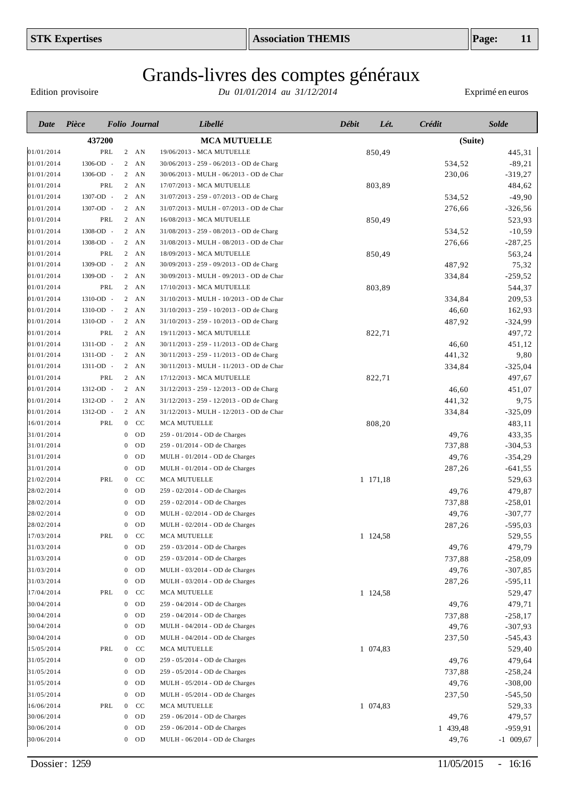Edition provisoire

| Date       | Pièce     |                | <b>Folio</b> Journal | Libellé                                  | Débit | Lét.     | Crédit   | <b>Solde</b> |
|------------|-----------|----------------|----------------------|------------------------------------------|-------|----------|----------|--------------|
|            | 437200    |                |                      | <b>MCA MUTUELLE</b>                      |       |          | (Suite)  |              |
| 01/01/2014 | PRL       |                | $2$ AN               | 19/06/2013 - MCA MUTUELLE                |       | 850,49   |          | 445,31       |
| 01/01/2014 | 1306-OD - |                | $2$ AN               | 30/06/2013 - 259 - 06/2013 - OD de Charg |       |          | 534,52   | $-89,21$     |
| 01/01/2014 | 1306-OD - |                | $2 \quad AN$         | 30/06/2013 - MULH - 06/2013 - OD de Char |       |          | 230,06   | $-319,27$    |
| 01/01/2014 | PRL       |                | $2 \quad AN$         | 17/07/2013 - MCA MUTUELLE                |       | 803,89   |          | 484,62       |
| 01/01/2014 | 1307-OD - |                | $2 \quad AN$         | 31/07/2013 - 259 - 07/2013 - OD de Charg |       |          | 534,52   | $-49,90$     |
| 01/01/2014 | 1307-OD - |                | $2 \quad AN$         | 31/07/2013 - MULH - 07/2013 - OD de Char |       |          | 276,66   | $-326,56$    |
| 01/01/2014 | PRL       |                | $2 \overline{AN}$    | 16/08/2013 - MCA MUTUELLE                |       | 850,49   |          | 523,93       |
| 01/01/2014 | 1308-OD - |                | $2 \overline{AN}$    | 31/08/2013 - 259 - 08/2013 - OD de Charg |       |          | 534,52   | $-10,59$     |
| 01/01/2014 | 1308-OD - |                | $2 \overline{AN}$    | 31/08/2013 - MULH - 08/2013 - OD de Char |       |          | 276,66   | $-287,25$    |
| 01/01/2014 | PRL       |                | $2 \quad AN$         | 18/09/2013 - MCA MUTUELLE                |       | 850,49   |          | 563,24       |
| 01/01/2014 | 1309-OD - |                | $2 \quad AN$         | 30/09/2013 - 259 - 09/2013 - OD de Charg |       |          | 487,92   | 75,32        |
| 01/01/2014 | 1309-OD - |                | $2 \quad AN$         | 30/09/2013 - MULH - 09/2013 - OD de Char |       |          | 334,84   | $-259,52$    |
| 01/01/2014 | PRL       |                | $2 \quad AN$         | 17/10/2013 - MCA MUTUELLE                |       | 803,89   |          | 544,37       |
| 01/01/2014 | 1310-OD - |                | $2 \quad AN$         | 31/10/2013 - MULH - 10/2013 - OD de Char |       |          | 334,84   | 209,53       |
| 01/01/2014 | 1310-OD - |                | $2 \overline{AN}$    | 31/10/2013 - 259 - 10/2013 - OD de Charg |       |          | 46,60    | 162,93       |
| 01/01/2014 | 1310-OD - |                | $2 \quad AN$         | 31/10/2013 - 259 - 10/2013 - OD de Charg |       |          | 487,92   | $-324,99$    |
| 01/01/2014 | PRL       |                | $2 \quad AN$         | 19/11/2013 - MCA MUTUELLE                |       | 822,71   |          | 497,72       |
| 01/01/2014 | 1311-OD - |                | $2 \quad AN$         | 30/11/2013 - 259 - 11/2013 - OD de Charg |       |          | 46,60    | 451,12       |
| 01/01/2014 | 1311-OD - |                | $2 \quad AN$         | 30/11/2013 - 259 - 11/2013 - OD de Charg |       |          | 441,32   | 9,80         |
| 01/01/2014 | 1311-OD - |                | $2 \quad AN$         | 30/11/2013 - MULH - 11/2013 - OD de Char |       |          | 334,84   | $-325,04$    |
| 01/01/2014 | PRL       |                | $2 \quad AN$         | 17/12/2013 - MCA MUTUELLE                |       | 822,71   |          | 497,67       |
| 01/01/2014 | 1312-OD - |                | $2$ AN               | 31/12/2013 - 259 - 12/2013 - OD de Charg |       |          | 46,60    | 451,07       |
| 01/01/2014 | 1312-OD - |                | $2 \quad AN$         | 31/12/2013 - 259 - 12/2013 - OD de Charg |       |          | 441,32   | 9,75         |
| 01/01/2014 | 1312-OD - |                | $2$ AN               | 31/12/2013 - MULH - 12/2013 - OD de Char |       |          | 334,84   | $-325,09$    |
| 16/01/2014 | PRL       | $\overline{0}$ | CC                   | MCA MUTUELLE                             |       | 808,20   |          | 483,11       |
| 31/01/2014 |           | $\overline{0}$ | <b>OD</b>            | 259 - 01/2014 - OD de Charges            |       |          | 49,76    | 433,35       |
| 31/01/2014 |           | $\overline{0}$ | OD                   | 259 - 01/2014 - OD de Charges            |       |          | 737,88   | $-304,53$    |
| 31/01/2014 |           | $\overline{0}$ | OD                   | MULH - 01/2014 - OD de Charges           |       |          | 49,76    | $-354,29$    |
| 31/01/2014 |           | $\overline{0}$ | OD                   | MULH - 01/2014 - OD de Charges           |       |          | 287,26   | $-641,55$    |
| 21/02/2014 | PRL       | $\overline{0}$ | CC                   | MCA MUTUELLE                             |       | 1 171,18 |          | 529,63       |
| 28/02/2014 |           | $\overline{0}$ | OD                   | 259 - 02/2014 - OD de Charges            |       |          | 49,76    | 479,87       |
| 28/02/2014 |           | $\overline{0}$ | OD                   | 259 - 02/2014 - OD de Charges            |       |          | 737,88   | $-258,01$    |
| 28/02/2014 |           | $\overline{0}$ | OD                   | MULH - 02/2014 - OD de Charges           |       |          | 49,76    | $-307,77$    |
| 28/02/2014 |           | $\mathbf{0}$   | OD                   | MULH - 02/2014 - OD de Charges           |       |          | 287,26   | $-595,03$    |
| 17/03/2014 | PRL       | $\mathbf{0}$   | CC                   | MCA MUTUELLE                             |       | 1 124,58 |          | 529,55       |
| 31/03/2014 |           |                | $0$ OD               | 259 - 03/2014 - OD de Charges            |       |          | 49,76    | 479,79       |
| 31/03/2014 |           |                | $0$ OD               | 259 - 03/2014 - OD de Charges            |       |          | 737,88   | $-258,09$    |
| 31/03/2014 |           |                | $0$ OD               | MULH - 03/2014 - OD de Charges           |       |          | 49,76    | $-307,85$    |
| 31/03/2014 |           |                | $0$ OD               | MULH - 03/2014 - OD de Charges           |       |          | 287,26   | $-595,11$    |
| 17/04/2014 | PRL       | $\mathbf{0}$   | <sub>CC</sub>        | MCA MUTUELLE                             |       | 1 124,58 |          | 529,47       |
| 30/04/2014 |           | $\mathbf{0}$   | <b>OD</b>            | 259 - 04/2014 - OD de Charges            |       |          | 49,76    | 479,71       |
| 30/04/2014 |           | $\overline{0}$ | OD                   | 259 - 04/2014 - OD de Charges            |       |          | 737,88   | $-258,17$    |
| 30/04/2014 |           | $\mathbf{0}$   | OD                   | MULH - 04/2014 - OD de Charges           |       |          | 49,76    | $-307,93$    |
| 30/04/2014 |           | $\mathbf{0}$   | <b>OD</b>            | MULH - 04/2014 - OD de Charges           |       |          | 237,50   | $-545,43$    |
| 15/05/2014 | PRL       | $\overline{0}$ | CC                   | MCA MUTUELLE                             |       | 1 074,83 |          | 529,40       |
| 31/05/2014 |           | $\mathbf{0}$   | OD                   | 259 - 05/2014 - OD de Charges            |       |          | 49,76    | 479,64       |
| 31/05/2014 |           | $\overline{0}$ | OD                   | 259 - 05/2014 - OD de Charges            |       |          | 737,88   | $-258,24$    |
| 31/05/2014 |           | $\mathbf{0}$   | OD                   | MULH - 05/2014 - OD de Charges           |       |          | 49,76    | $-308,00$    |
| 31/05/2014 |           | $\overline{0}$ | OD                   | MULH - 05/2014 - OD de Charges           |       |          | 237,50   | $-545,50$    |
| 16/06/2014 | PRL       | $\overline{0}$ | CC                   | MCA MUTUELLE                             |       | 1 074,83 |          | 529,33       |
| 30/06/2014 |           | $\overline{0}$ | <b>OD</b>            | 259 - 06/2014 - OD de Charges            |       |          | 49,76    | 479,57       |
| 30/06/2014 |           | $\bf{0}$       | OD                   | 259 - 06/2014 - OD de Charges            |       |          | 1 439,48 | -959,91      |
| 30/06/2014 |           |                | $0$ OD               | MULH - 06/2014 - OD de Charges           |       |          | 49,76    | $-1$ 009,67  |
|            |           |                |                      |                                          |       |          |          |              |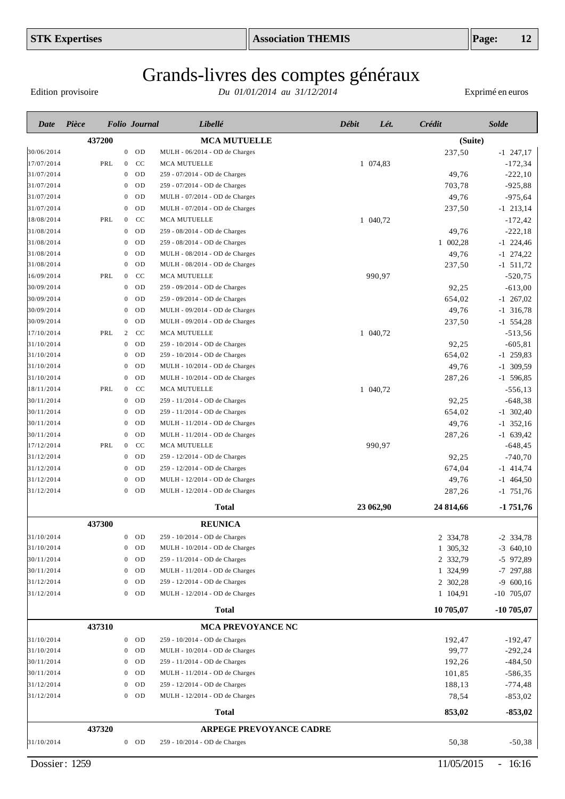Edition provisoire

| Date       | Pièce  |     |                  | <b>Folio</b> Journal | Libellé                        | <b>Débit</b> | Lét.      | Crédit    | <b>Solde</b> |
|------------|--------|-----|------------------|----------------------|--------------------------------|--------------|-----------|-----------|--------------|
|            | 437200 |     |                  |                      | <b>MCA MUTUELLE</b>            |              |           | (Suite)   |              |
| 30/06/2014 |        |     |                  | $0$ OD               | MULH - 06/2014 - OD de Charges |              |           | 237,50    | $-1$ 247,17  |
| 17/07/2014 |        | PRL | $\overline{0}$   | CC                   | <b>MCA MUTUELLE</b>            |              | 1 074,83  |           | $-172,34$    |
| 31/07/2014 |        |     | $\mathbf{0}$     | <b>OD</b>            | 259 - 07/2014 - OD de Charges  |              |           | 49,76     | $-222,10$    |
| 31/07/2014 |        |     | $\mathbf{0}$     | OD                   | 259 - 07/2014 - OD de Charges  |              |           | 703,78    | $-925,88$    |
| 31/07/2014 |        |     | $\mathbf{0}$     | OD                   | MULH - 07/2014 - OD de Charges |              |           | 49,76     | $-975,64$    |
| 31/07/2014 |        |     | $\theta$         | OD                   | MULH - 07/2014 - OD de Charges |              |           | 237,50    | $-1$ 213,14  |
| 18/08/2014 |        | PRL | $\mathbf{0}$     | CC                   | MCA MUTUELLE                   |              | 1 040,72  |           | $-172,42$    |
| 31/08/2014 |        |     | $\mathbf{0}$     | <b>OD</b>            | 259 - 08/2014 - OD de Charges  |              |           | 49,76     | $-222,18$    |
| 31/08/2014 |        |     | $\mathbf{0}$     | <b>OD</b>            | 259 - 08/2014 - OD de Charges  |              |           | 1 002,28  | $-1$ 224,46  |
| 31/08/2014 |        |     | $\theta$         | OD                   | MULH - 08/2014 - OD de Charges |              |           | 49,76     | $-1$ 274,22  |
| 31/08/2014 |        |     | $\mathbf 0$      | OD                   | MULH - 08/2014 - OD de Charges |              |           | 237,50    | $-1$ 511,72  |
| 16/09/2014 |        | PRL | $\mathbf{0}$     | CC                   | MCA MUTUELLE                   |              | 990,97    |           | $-520,75$    |
| 30/09/2014 |        |     | $\mathbf{0}$     | OD                   | 259 - 09/2014 - OD de Charges  |              |           | 92,25     | $-613,00$    |
| 30/09/2014 |        |     | $\mathbf 0$      | OD                   | 259 - 09/2014 - OD de Charges  |              |           | 654,02    | $-1$ 267,02  |
| 30/09/2014 |        |     | $\mathbf 0$      | OD                   | MULH - 09/2014 - OD de Charges |              |           | 49,76     | $-1$ 316,78  |
| 30/09/2014 |        |     | $\mathbf{0}$     | OD                   | MULH - 09/2014 - OD de Charges |              |           | 237,50    | $-1$ 554,28  |
| 17/10/2014 |        | PRL | 2                | CC                   | MCA MUTUELLE                   |              | 1 040,72  |           | $-513,56$    |
| 31/10/2014 |        |     | $\mathbf{0}$     | OD                   | 259 - 10/2014 - OD de Charges  |              |           | 92,25     | $-605, 81$   |
| 31/10/2014 |        |     | $\mathbf{0}$     | <b>OD</b>            | 259 - 10/2014 - OD de Charges  |              |           | 654,02    | $-1$ 259,83  |
| 31/10/2014 |        |     | $\mathbf{0}$     | OD                   | MULH - 10/2014 - OD de Charges |              |           | 49,76     | $-1$ 309,59  |
| 31/10/2014 |        |     | $\mathbf{0}$     | <b>OD</b>            | MULH - 10/2014 - OD de Charges |              |           | 287,26    | $-1$ 596,85  |
| 18/11/2014 |        | PRL | $\mathbf{0}$     | CC                   | MCA MUTUELLE                   |              | 1 040,72  |           | $-556,13$    |
| 30/11/2014 |        |     | $\mathbf{0}$     | <b>OD</b>            | 259 - 11/2014 - OD de Charges  |              |           | 92,25     | $-648,38$    |
| 30/11/2014 |        |     | $\mathbf{0}$     | <b>OD</b>            | 259 - 11/2014 - OD de Charges  |              |           | 654,02    | $-1$ 302,40  |
| 30/11/2014 |        |     | $\theta$         | <b>OD</b>            | MULH - 11/2014 - OD de Charges |              |           | 49,76     | $-1$ 352,16  |
| 30/11/2014 |        |     | $\mathbf{0}$     | <b>OD</b>            | MULH - 11/2014 - OD de Charges |              |           | 287,26    | $-1$ 639,42  |
| 17/12/2014 |        | PRL | $\overline{0}$   | CC                   | <b>MCA MUTUELLE</b>            |              | 990,97    |           | $-648, 45$   |
| 31/12/2014 |        |     | $\mathbf{0}$     | OD                   | 259 - 12/2014 - OD de Charges  |              |           | 92,25     | $-740,70$    |
| 31/12/2014 |        |     | $\theta$         | <b>OD</b>            | 259 - 12/2014 - OD de Charges  |              |           | 674,04    | $-1$ 414,74  |
| 31/12/2014 |        |     | $\theta$         | OD                   | MULH - 12/2014 - OD de Charges |              |           | 49,76     | $-1$ 464,50  |
| 31/12/2014 |        |     | $\theta$         | <b>OD</b>            | MULH - 12/2014 - OD de Charges |              |           | 287,26    | $-1$ 751,76  |
|            |        |     |                  |                      | <b>Total</b>                   |              | 23 062,90 | 24 814,66 | $-1751,76$   |
|            | 437300 |     |                  |                      | <b>REUNICA</b>                 |              |           |           |              |
| 31/10/2014 |        |     | $\boldsymbol{0}$ | OD                   | 259 - 10/2014 - OD de Charges  |              |           | 2 334,78  | $-2$ 334,78  |
| 31/10/2014 |        |     | $\bf{0}$         | <b>OD</b>            | MULH - 10/2014 - OD de Charges |              |           | 1 305,32  | $-3$ 640,10  |
| 30/11/2014 |        |     | $\bf{0}$         | <b>OD</b>            | 259 - 11/2014 - OD de Charges  |              |           | 2 332,79  | -5 972,89    |
| 30/11/2014 |        |     | $\bf{0}$         | <b>OD</b>            | MULH - 11/2014 - OD de Charges |              |           | 1 324,99  | $-7$ 297,88  |
| 31/12/2014 |        |     | $\mathbf{0}$     | <b>OD</b>            | 259 - 12/2014 - OD de Charges  |              |           | 2 302,28  | $-9,600,16$  |
| 31/12/2014 |        |     | $\mathbf{0}$     | <b>OD</b>            | MULH - 12/2014 - OD de Charges |              |           | 1 104,91  | $-10$ 705,07 |
|            |        |     |                  |                      | <b>Total</b>                   |              |           | 10 705,07 | $-10705,07$  |
|            | 437310 |     |                  |                      | <b>MCA PREVOYANCE NC</b>       |              |           |           |              |
| 31/10/2014 |        |     | $\mathbf{0}$     | <b>OD</b>            | 259 - 10/2014 - OD de Charges  |              |           | 192,47    | $-192,47$    |
| 31/10/2014 |        |     | $\bf{0}$         | <b>OD</b>            | MULH - 10/2014 - OD de Charges |              |           | 99,77     | $-292,24$    |
| 30/11/2014 |        |     | $\mathbf{0}$     | <b>OD</b>            | 259 - 11/2014 - OD de Charges  |              |           | 192,26    | $-484,50$    |
| 30/11/2014 |        |     | $\mathbf{0}$     | <b>OD</b>            | MULH - 11/2014 - OD de Charges |              |           | 101,85    | $-586,35$    |
| 31/12/2014 |        |     | $\mathbf{0}$     | <b>OD</b>            | 259 - 12/2014 - OD de Charges  |              |           | 188,13    | $-774,48$    |
| 31/12/2014 |        |     |                  | $0$ OD               | MULH - 12/2014 - OD de Charges |              |           | 78,54     | $-853,02$    |
|            |        |     |                  |                      | <b>Total</b>                   |              |           | 853,02    | $-853,02$    |
|            | 437320 |     |                  |                      | <b>ARPEGE PREVOYANCE CADRE</b> |              |           |           |              |
| 31/10/2014 |        |     |                  | $0$ OD               | 259 - 10/2014 - OD de Charges  |              |           | 50,38     | $-50,38$     |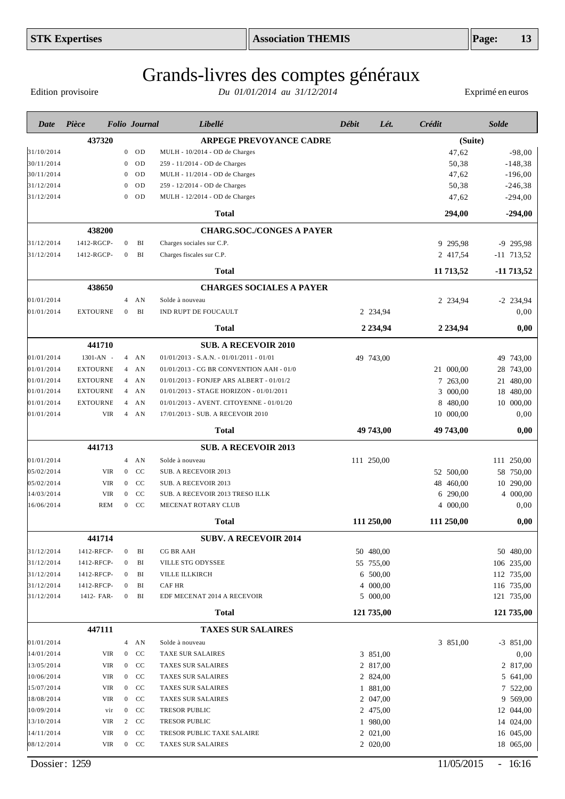Edition provisoire

| Date                     | Pièce           |                                | <b>Folio</b> Journal | Libellé                                        | Débit      | Lét.                 | <b>Crédit</b> | <b>Solde</b>          |
|--------------------------|-----------------|--------------------------------|----------------------|------------------------------------------------|------------|----------------------|---------------|-----------------------|
|                          | 437320          |                                |                      | <b>ARPEGE PREVOYANCE CADRE</b>                 |            |                      | (Suite)       |                       |
| 31/10/2014               |                 |                                | $0$ OD               | MULH - 10/2014 - OD de Charges                 |            |                      | 47,62         | $-98,00$              |
| 30/11/2014               |                 | $\mathbf{0}$                   | OD                   | 259 - 11/2014 - OD de Charges                  |            |                      | 50,38         | $-148,38$             |
| 30/11/2014               |                 | $\overline{0}$                 | <b>OD</b>            | MULH - 11/2014 - OD de Charges                 |            |                      | 47,62         | $-196,00$             |
| 31/12/2014               |                 | $\overline{0}$                 | OD                   | 259 - 12/2014 - OD de Charges                  |            |                      | 50,38         | $-246,38$             |
| 31/12/2014               |                 | $\overline{0}$                 | OD                   | MULH - 12/2014 - OD de Charges                 |            |                      | 47,62         | $-294,00$             |
|                          |                 |                                |                      | <b>Total</b>                                   |            |                      | 294,00        | $-294,00$             |
|                          | 438200          |                                |                      | <b>CHARG.SOC./CONGES A PAYER</b>               |            |                      |               |                       |
| 31/12/2014               | 1412-RGCP-      | $\overline{0}$                 | BI                   | Charges sociales sur C.P.                      |            |                      | 9 295,98      | $-9$ 295,98           |
| 31/12/2014               | 1412-RGCP-      | $\mathbf{0}$                   | BI                   | Charges fiscales sur C.P.                      |            |                      | 2 417,54      | $-11$ 713,52          |
|                          |                 |                                |                      | <b>Total</b>                                   |            |                      | 11 713,52     | -11 713,52            |
|                          | 438650          |                                |                      | <b>CHARGES SOCIALES A PAYER</b>                |            |                      |               |                       |
| 01/01/2014               |                 | $\overline{4}$                 | AN                   | Solde à nouveau                                |            |                      | 2 234,94      | $-2$ 234,94           |
| 01/01/2014               | <b>EXTOURNE</b> | $\overline{0}$                 | BI                   | IND RUPT DE FOUCAULT                           |            | 2 234,94             |               | 0,00                  |
|                          |                 |                                |                      | <b>Total</b>                                   |            | 2 2 3 4 9 4          | 2 2 3 4 , 9 4 | 0,00                  |
|                          | 441710          |                                |                      | <b>SUB. A RECEVOIR 2010</b>                    |            |                      |               |                       |
| 01/01/2014               | 1301-AN -       |                                | $4$ AN               | $01/01/2013$ - S.A.N. - $01/01/2011$ - $01/01$ | 49 743,00  |                      |               | 49 743,00             |
| 01/01/2014               | <b>EXTOURNE</b> |                                | $4$ AN               | 01/01/2013 - CG BR CONVENTION AAH - 01/0       |            |                      | 21 000,00     | 28<br>743,00          |
| 01/01/2014               | <b>EXTOURNE</b> |                                | $4$ AN               | 01/01/2013 - FONJEP ARS ALBERT - 01/01/2       |            |                      | 7 263,00      | 21<br>480,00          |
| 01/01/2014               | <b>EXTOURNE</b> |                                | $4$ AN               | 01/01/2013 - STAGE HORIZON - 01/01/2011        |            |                      | 3 000,00      | 18<br>480,00          |
| 01/01/2014               | <b>EXTOURNE</b> | $\overline{4}$                 | AN                   | 01/01/2013 - AVENT. CITOYENNE - 01/01/20       |            |                      | 8 480,00      | 10 000,00             |
| 01/01/2014               | <b>VIR</b>      |                                | $4$ AN               | 17/01/2013 - SUB. A RECEVOIR 2010              |            |                      | 10 000,00     | 0,00                  |
|                          |                 |                                |                      | <b>Total</b>                                   |            | 49 743,00            | 49 743,00     | 0,00                  |
|                          | 441713          |                                |                      | <b>SUB. A RECEVOIR 2013</b>                    |            |                      |               |                       |
| 01/01/2014               |                 |                                | $4$ AN               | Solde à nouveau                                | 111 250,00 |                      |               | 111 250,00            |
| 05/02/2014               | <b>VIR</b>      | $\overline{0}$                 | CC                   | SUB. A RECEVOIR 2013                           |            |                      | 52 500,00     | 58<br>750,00          |
| 05/02/2014               | <b>VIR</b>      | $\overline{0}$                 | CC                   | SUB. A RECEVOIR 2013                           |            |                      | 48 460,00     | 290,00<br>10          |
| 14/03/2014               | <b>VIR</b>      | $\overline{0}$                 | CC                   | SUB. A RECEVOIR 2013 TRESO ILLK                |            |                      | 6 290,00      | 4 000,00              |
| 16/06/2014               | <b>REM</b>      | $\overline{0}$                 | CC                   | MECENAT ROTARY CLUB                            |            |                      | 4 000,00      | 0,00                  |
|                          |                 |                                |                      | <b>Total</b>                                   | 111 250,00 |                      | 111 250,00    | 0,00                  |
|                          | 441714          |                                |                      | <b>SUBV. A RECEVOIR 2014</b>                   |            |                      |               |                       |
| 31/12/2014               | 1412-RFCP-      | $\overline{0}$                 | BI                   | CG BR AAH                                      | 50 480,00  |                      |               | 50 480,00             |
| 31/12/2014               | 1412-RFCP-      | $\overline{0}$                 | BI                   | VILLE STG ODYSSEE                              |            | 55 755,00            |               | 106 235,00            |
| 31/12/2014               | 1412-RFCP-      | $\mathbf{0}$                   | BI                   | VILLE ILLKIRCH                                 |            | 6 500,00             |               | 112 735,00            |
| 31/12/2014               | 1412-RFCP-      | $\mathbf{0}$                   | BI                   | CAF HR                                         |            | 4 000,00             |               | 116 735,00            |
| 31/12/2014               | 1412- FAR-      | $\mathbf{0}$                   | BI                   | EDF MECENAT 2014 A RECEVOIR                    |            | 5 000,00             |               | 121 735,00            |
|                          |                 |                                |                      | <b>Total</b>                                   | 121 735,00 |                      |               | 121 735,00            |
|                          | 447111          |                                |                      | <b>TAXES SUR SALAIRES</b>                      |            |                      |               |                       |
| 01/01/2014               |                 |                                | $4$ AN               | Solde à nouveau                                |            |                      | 3 851,00      | $-3$ 851,00           |
| 14/01/2014               | VIR             | $\overline{0}$                 | <b>CC</b>            | <b>TAXE SUR SALAIRES</b>                       |            | 3 851,00             |               | 0,00                  |
| 13/05/2014               | <b>VIR</b>      | $\mathbf{0}$                   | <sub>CC</sub>        | TAXES SUR SALAIRES                             |            | 2 817,00             |               | 2 817,00              |
| 10/06/2014               | <b>VIR</b>      | $\mathbf{0}$                   | <sub>CC</sub>        | <b>TAXES SUR SALAIRES</b>                      |            | 2 824,00             |               | 5 641,00              |
| 15/07/2014               | <b>VIR</b>      | $\mathbf{0}$                   | CC                   | <b>TAXES SUR SALAIRES</b>                      |            | 1 881,00             |               | 7 522,00              |
| 18/08/2014<br>10/09/2014 | VIR<br>vir      | $\mathbf{0}$<br>$\overline{0}$ | CC<br>CC             | TAXES SUR SALAIRES<br>TRESOR PUBLIC            |            | 2 047,00<br>2 475,00 |               | 9 569,00<br>12 044,00 |
| 13/10/2014               | VIR             | $\mathbf{2}$                   | CC                   | <b>TRESOR PUBLIC</b>                           |            | 1 980,00             |               | 14 024,00             |
| 14/11/2014               | VIR             | $\overline{0}$                 | CC                   | TRESOR PUBLIC TAXE SALAIRE                     |            | 2 021,00             |               | 16 045,00             |
| 08/12/2014               | VIR             |                                | $0$ CC               | TAXES SUR SALAIRES                             |            | 2 020,00             |               | 18 065,00             |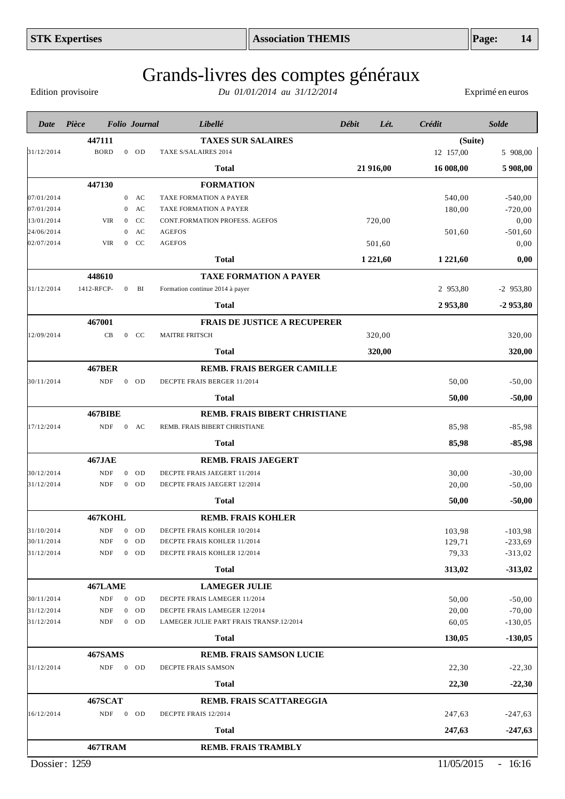Edition provisoire

| Date       | Pièce          |                  | <b>Folio</b> Journal | Libellé                                 | Débit | Lét.          | Crédit        | <b>Solde</b> |
|------------|----------------|------------------|----------------------|-----------------------------------------|-------|---------------|---------------|--------------|
|            | 447111         |                  |                      | <b>TAXES SUR SALAIRES</b>               |       |               | (Suite)       |              |
| 31/12/2014 | <b>BORD</b>    |                  | $0$ OD               | TAXE S/SALAIRES 2014                    |       |               | 12 157,00     | 5 908,00     |
|            |                |                  |                      | <b>Total</b>                            |       | 21 916,00     | 16 008,00     | 5 908,00     |
|            | 447130         |                  |                      | <b>FORMATION</b>                        |       |               |               |              |
| 07/01/2014 |                | $\overline{0}$   | AC                   | TAXE FORMATION A PAYER                  |       |               | 540,00        | $-540,00$    |
| 07/01/2014 |                | $\mathbf{0}$     | AC                   | TAXE FORMATION A PAYER                  |       |               | 180,00        | $-720,00$    |
| 13/01/2014 | <b>VIR</b>     | $\overline{0}$   | CC                   | <b>CONT.FORMATION PROFESS. AGEFOS</b>   |       | 720,00        |               | 0,00         |
| 24/06/2014 |                | $\mathbf{0}$     | AC                   | <b>AGEFOS</b>                           |       |               | 501,60        | $-501,60$    |
| 02/07/2014 | <b>VIR</b>     | $\boldsymbol{0}$ | CC                   | <b>AGEFOS</b>                           |       | 501,60        |               | 0,00         |
|            |                |                  |                      | <b>Total</b>                            |       | 1 2 2 1 , 6 0 | 1 2 2 1 , 6 0 | 0,00         |
|            | 448610         |                  |                      | <b>TAXE FORMATION A PAYER</b>           |       |               |               |              |
| 31/12/2014 | 1412-RFCP-     | $\mathbf{0}$     | BI                   | Formation continue 2014 à payer         |       |               | 2 953,80      | $-2$ 953,80  |
|            |                |                  |                      | <b>Total</b>                            |       |               | 2953,80       | $-2953,80$   |
|            | 467001         |                  |                      | <b>FRAIS DE JUSTICE A RECUPERER</b>     |       |               |               |              |
| 12/09/2014 | CB             |                  | $0$ CC               | <b>MAITRE FRITSCH</b>                   |       | 320,00        |               | 320,00       |
|            |                |                  |                      | <b>Total</b>                            |       | 320,00        |               | 320,00       |
|            | <b>467BER</b>  |                  |                      | REMB. FRAIS BERGER CAMILLE              |       |               |               |              |
| 30/11/2014 | <b>NDF</b>     |                  | $0$ OD               | DECPTE FRAIS BERGER 11/2014             |       |               | 50,00         | $-50,00$     |
|            |                |                  |                      | <b>Total</b>                            |       |               | 50,00         | $-50,00$     |
|            | <b>467BIBE</b> |                  |                      | REMB. FRAIS BIBERT CHRISTIANE           |       |               |               |              |
| 17/12/2014 | <b>NDF</b>     |                  | $0$ AC               | REMB. FRAIS BIBERT CHRISTIANE           |       |               | 85,98         | $-85,98$     |
|            |                |                  |                      | Total                                   |       |               | 85,98         | $-85,98$     |
|            | <b>467JAE</b>  |                  |                      | <b>REMB. FRAIS JAEGERT</b>              |       |               |               |              |
| 30/12/2014 | <b>NDF</b>     |                  | $0$ OD               | DECPTE FRAIS JAEGERT 11/2014            |       |               | 30,00         | $-30,00$     |
| 31/12/2014 | <b>NDF</b>     |                  | $0$ OD               | DECPTE FRAIS JAEGERT 12/2014            |       |               | 20,00         | $-50,00$     |
|            |                |                  |                      | Total                                   |       |               | 50,00         | $-50,00$     |
|            | 467KOHL        |                  |                      | <b>REMB. FRAIS KOHLER</b>               |       |               |               |              |
| 31/10/2014 | <b>NDF</b>     | $\overline{0}$   | OD                   | DECPTE FRAIS KOHLER 10/2014             |       |               | 103,98        | $-103,98$    |
| 30/11/2014 | NDF            |                  | $0$ OD               | DECPTE FRAIS KOHLER 11/2014             |       |               | 129,71        | $-233,69$    |
| 31/12/2014 | <b>NDF</b>     |                  | $0$ OD               | DECPTE FRAIS KOHLER 12/2014             |       |               | 79,33         | $-313,02$    |
|            |                |                  |                      | <b>Total</b>                            |       |               | 313,02        | $-313,02$    |
|            | 467LAME        |                  |                      | <b>LAMEGER JULIE</b>                    |       |               |               |              |
| 30/11/2014 | <b>NDF</b>     | $\overline{0}$   | OD                   | DECPTE FRAIS LAMEGER 11/2014            |       |               | 50,00         | $-50,00$     |
| 31/12/2014 | <b>NDF</b>     | $\mathbf{0}$     | OD                   | DECPTE FRAIS LAMEGER 12/2014            |       |               | 20,00         | $-70,00$     |
| 31/12/2014 | <b>NDF</b>     |                  | $0$ OD               | LAMEGER JULIE PART FRAIS TRANSP.12/2014 |       |               | 60,05         | $-130,05$    |
|            |                |                  |                      | <b>Total</b>                            |       |               | 130,05        | $-130,05$    |
|            | 467SAMS        |                  |                      | REMB. FRAIS SAMSON LUCIE                |       |               |               |              |
| 31/12/2014 | <b>NDF</b>     |                  | $0$ OD               | DECPTE FRAIS SAMSON                     |       |               | 22,30         | $-22,30$     |
|            |                |                  |                      | <b>Total</b>                            |       |               | 22,30         | $-22,30$     |
|            | 467SCAT        |                  |                      | REMB. FRAIS SCATTAREGGIA                |       |               |               |              |
| 16/12/2014 | <b>NDF</b>     |                  | $0$ OD               | DECPTE FRAIS 12/2014                    |       |               | 247,63        | $-247,63$    |
|            |                |                  |                      | <b>Total</b>                            |       |               | 247,63        | $-247,63$    |
|            | 467TRAM        |                  |                      | REMB. FRAIS TRAMBLY                     |       |               |               |              |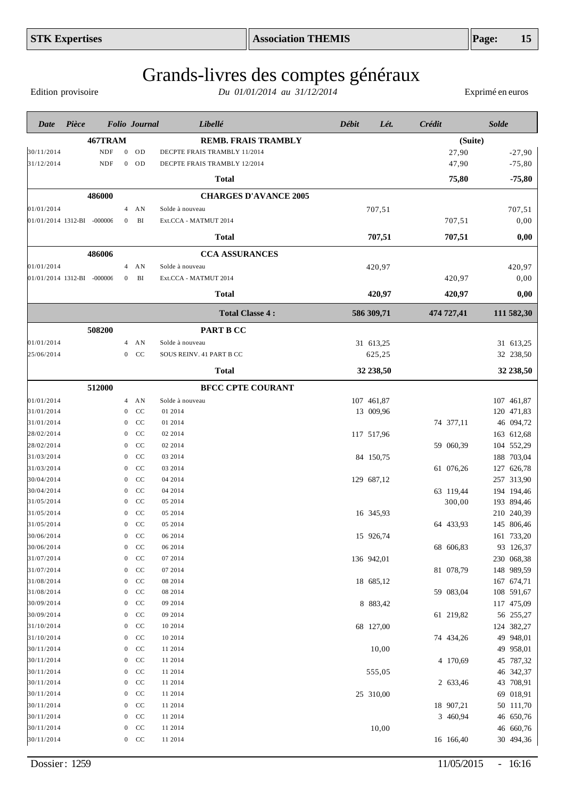Edition provisoire

| 467TRAM<br><b>REMB. FRAIS TRAMBLY</b><br>(Suite)<br>30/11/2014<br><b>NDF</b><br>OD<br>DECPTE FRAIS TRAMBLY 11/2014<br>27,90<br>$-27,90$<br>$\overline{0}$<br>31/12/2014<br><b>NDF</b><br>$0$ OD<br>47,90<br>$-75,80$<br>DECPTE FRAIS TRAMBLY 12/2014<br>$-75,80$<br>Total<br>75,80<br>486000<br><b>CHARGES D'AVANCE 2005</b><br>01/01/2014<br>Solde à nouveau<br>707,51<br>707,51<br>AN<br>4<br>01/01/2014 1312-BI -000006<br>BI<br>707,51<br>0,00<br>Ext.CCA - MATMUT 2014<br>$\bf{0}$<br>707,51<br>707,51<br>0,00<br><b>Total</b><br>486006<br><b>CCA ASSURANCES</b><br>01/01/2014<br>420,97<br>420,97<br>AN<br>Solde à nouveau<br>$\overline{4}$<br>01/01/2014 1312-BI -000006<br>BI<br>Ext.CCA - MATMUT 2014<br>420,97<br>0,00<br>$\overline{0}$<br><b>Total</b><br>420,97<br>420,97<br>0,00<br><b>Total Classe 4:</b><br>586 309,71<br>474 727,41<br>111 582,30<br>508200<br>PART B CC<br>01/01/2014<br>Solde à nouveau<br>31 613,25<br>31 613,25<br>$4$ AN<br>25/06/2014<br>CC<br>SOUS REINV. 41 PART B CC<br>625,25<br>32 238,50<br>$\overline{0}$<br>32 238,50<br>32 238,50<br><b>Total</b><br>512000<br><b>BFCC CPTE COURANT</b><br>107 461,87<br>01/01/2014<br>Solde à nouveau<br>107 461,87<br>4 AN<br>31/01/2014<br>CC<br>01 2014<br>13 009,96<br>120 471,83<br>$\overline{0}$<br>74 377,11<br>46 094,72<br>31/01/2014<br>CC<br>01 2014<br>$\overline{0}$<br>CC<br>02 2014<br>117 517,96<br>163 612,68<br>28/02/2014<br>$\overline{0}$<br>CC<br>02 2014<br>59 060,39<br>104 552,29<br>28/02/2014<br>$\overline{0}$<br>188 703,04<br>CC<br>03 2014<br>84 150,75<br>31/03/2014<br>$\overline{0}$<br>31/03/2014<br>CC<br>03 2014<br>61 076,26<br>127 626,78<br>$\overline{0}$<br>CC<br>04 2014<br>129 687,12<br>257 313,90<br>30/04/2014<br>$\overline{0}$<br>30/04/2014<br>CC<br>04 2014<br>63 119,44<br>194 194,46<br>$\overline{0}$<br>31/05/2014<br>CC<br>05 2014<br>300,00<br>193 894,46<br>$\mathbf{0}$<br>210 240,39<br>31/05/2014<br>CC<br>05 2014<br>16 345,93<br>$\mathbf{0}$<br>CC<br>145 806,46<br>31/05/2014<br>05 2014<br>64 433,93<br>$\boldsymbol{0}$<br>161 733,20<br>30/06/2014<br>CC<br>06 2014<br>15 926,74<br>$\Omega$<br>30/06/2014<br>93 126,37<br>CC<br>06 2014<br>68 606,83<br>0<br>31/07/2014<br>07 2014<br>CC<br>136 942,01<br>230 068,38<br>0<br>31/07/2014<br>CC<br>07 2014<br>81 078,79<br>148 989,59<br>0<br>31/08/2014<br>CC<br>08 2014<br>167 674,71<br>$\boldsymbol{0}$<br>18 685,12<br>31/08/2014<br>CC<br>08 2014<br>59 083,04<br>108 591,67<br>$\boldsymbol{0}$<br>30/09/2014<br>CC<br>09 2014<br>8 883,42<br>117 475,09<br>$\mathbf{0}$<br>30/09/2014<br>CC<br>09 2014<br>61 219,82<br>56 255,27<br>$\boldsymbol{0}$<br>31/10/2014<br>CC<br>10 2014<br>68 127,00<br>124 382,27<br>$\mathbf{0}$<br>49 948,01<br>31/10/2014<br>CC<br>10 2014<br>74 434,26<br>$\boldsymbol{0}$<br>49 958,01<br>30/11/2014<br>CC<br>11 2014<br>10,00<br>$\mathbf{0}$<br>45 787,32<br>30/11/2014<br>CC<br>11 2014<br>4 170,69<br>$\boldsymbol{0}$<br>46 342,37<br>30/11/2014<br>CC<br>11 2014<br>555,05<br>$\boldsymbol{0}$<br>43 708,91<br>30/11/2014<br>CC<br>11 2014<br>$\boldsymbol{0}$<br>2 633,46<br>69 018,91<br>30/11/2014<br>CC<br>11 2014<br>25 310,00<br>0<br>30/11/2014<br>CC<br>11 2014<br>18 907,21<br>50 111,70<br>0<br>30/11/2014<br>CC<br>11 2014<br>3 460,94<br>46 650,76<br>$\boldsymbol{0}$<br>10,00<br>46 660,76<br>30/11/2014<br>CC<br>11 2014<br>0 | Date       | Pièce | <b>Folio</b> Journal |        | Libellé | Débit<br>Lét. | Crédit    | <b>Solde</b> |
|-----------------------------------------------------------------------------------------------------------------------------------------------------------------------------------------------------------------------------------------------------------------------------------------------------------------------------------------------------------------------------------------------------------------------------------------------------------------------------------------------------------------------------------------------------------------------------------------------------------------------------------------------------------------------------------------------------------------------------------------------------------------------------------------------------------------------------------------------------------------------------------------------------------------------------------------------------------------------------------------------------------------------------------------------------------------------------------------------------------------------------------------------------------------------------------------------------------------------------------------------------------------------------------------------------------------------------------------------------------------------------------------------------------------------------------------------------------------------------------------------------------------------------------------------------------------------------------------------------------------------------------------------------------------------------------------------------------------------------------------------------------------------------------------------------------------------------------------------------------------------------------------------------------------------------------------------------------------------------------------------------------------------------------------------------------------------------------------------------------------------------------------------------------------------------------------------------------------------------------------------------------------------------------------------------------------------------------------------------------------------------------------------------------------------------------------------------------------------------------------------------------------------------------------------------------------------------------------------------------------------------------------------------------------------------------------------------------------------------------------------------------------------------------------------------------------------------------------------------------------------------------------------------------------------------------------------------------------------------------------------------------------------------------------------------------------------------------------------------------------------------------------------------------------------------------------------------------------------------------------------------------------------------------------------------------------------------------------------------------------------------------------------------|------------|-------|----------------------|--------|---------|---------------|-----------|--------------|
|                                                                                                                                                                                                                                                                                                                                                                                                                                                                                                                                                                                                                                                                                                                                                                                                                                                                                                                                                                                                                                                                                                                                                                                                                                                                                                                                                                                                                                                                                                                                                                                                                                                                                                                                                                                                                                                                                                                                                                                                                                                                                                                                                                                                                                                                                                                                                                                                                                                                                                                                                                                                                                                                                                                                                                                                                                                                                                                                                                                                                                                                                                                                                                                                                                                                                                                                                                                                     |            |       |                      |        |         |               |           |              |
|                                                                                                                                                                                                                                                                                                                                                                                                                                                                                                                                                                                                                                                                                                                                                                                                                                                                                                                                                                                                                                                                                                                                                                                                                                                                                                                                                                                                                                                                                                                                                                                                                                                                                                                                                                                                                                                                                                                                                                                                                                                                                                                                                                                                                                                                                                                                                                                                                                                                                                                                                                                                                                                                                                                                                                                                                                                                                                                                                                                                                                                                                                                                                                                                                                                                                                                                                                                                     |            |       |                      |        |         |               |           |              |
|                                                                                                                                                                                                                                                                                                                                                                                                                                                                                                                                                                                                                                                                                                                                                                                                                                                                                                                                                                                                                                                                                                                                                                                                                                                                                                                                                                                                                                                                                                                                                                                                                                                                                                                                                                                                                                                                                                                                                                                                                                                                                                                                                                                                                                                                                                                                                                                                                                                                                                                                                                                                                                                                                                                                                                                                                                                                                                                                                                                                                                                                                                                                                                                                                                                                                                                                                                                                     |            |       |                      |        |         |               |           |              |
|                                                                                                                                                                                                                                                                                                                                                                                                                                                                                                                                                                                                                                                                                                                                                                                                                                                                                                                                                                                                                                                                                                                                                                                                                                                                                                                                                                                                                                                                                                                                                                                                                                                                                                                                                                                                                                                                                                                                                                                                                                                                                                                                                                                                                                                                                                                                                                                                                                                                                                                                                                                                                                                                                                                                                                                                                                                                                                                                                                                                                                                                                                                                                                                                                                                                                                                                                                                                     |            |       |                      |        |         |               |           |              |
|                                                                                                                                                                                                                                                                                                                                                                                                                                                                                                                                                                                                                                                                                                                                                                                                                                                                                                                                                                                                                                                                                                                                                                                                                                                                                                                                                                                                                                                                                                                                                                                                                                                                                                                                                                                                                                                                                                                                                                                                                                                                                                                                                                                                                                                                                                                                                                                                                                                                                                                                                                                                                                                                                                                                                                                                                                                                                                                                                                                                                                                                                                                                                                                                                                                                                                                                                                                                     |            |       |                      |        |         |               |           |              |
|                                                                                                                                                                                                                                                                                                                                                                                                                                                                                                                                                                                                                                                                                                                                                                                                                                                                                                                                                                                                                                                                                                                                                                                                                                                                                                                                                                                                                                                                                                                                                                                                                                                                                                                                                                                                                                                                                                                                                                                                                                                                                                                                                                                                                                                                                                                                                                                                                                                                                                                                                                                                                                                                                                                                                                                                                                                                                                                                                                                                                                                                                                                                                                                                                                                                                                                                                                                                     |            |       |                      |        |         |               |           |              |
|                                                                                                                                                                                                                                                                                                                                                                                                                                                                                                                                                                                                                                                                                                                                                                                                                                                                                                                                                                                                                                                                                                                                                                                                                                                                                                                                                                                                                                                                                                                                                                                                                                                                                                                                                                                                                                                                                                                                                                                                                                                                                                                                                                                                                                                                                                                                                                                                                                                                                                                                                                                                                                                                                                                                                                                                                                                                                                                                                                                                                                                                                                                                                                                                                                                                                                                                                                                                     |            |       |                      |        |         |               |           |              |
|                                                                                                                                                                                                                                                                                                                                                                                                                                                                                                                                                                                                                                                                                                                                                                                                                                                                                                                                                                                                                                                                                                                                                                                                                                                                                                                                                                                                                                                                                                                                                                                                                                                                                                                                                                                                                                                                                                                                                                                                                                                                                                                                                                                                                                                                                                                                                                                                                                                                                                                                                                                                                                                                                                                                                                                                                                                                                                                                                                                                                                                                                                                                                                                                                                                                                                                                                                                                     |            |       |                      |        |         |               |           |              |
|                                                                                                                                                                                                                                                                                                                                                                                                                                                                                                                                                                                                                                                                                                                                                                                                                                                                                                                                                                                                                                                                                                                                                                                                                                                                                                                                                                                                                                                                                                                                                                                                                                                                                                                                                                                                                                                                                                                                                                                                                                                                                                                                                                                                                                                                                                                                                                                                                                                                                                                                                                                                                                                                                                                                                                                                                                                                                                                                                                                                                                                                                                                                                                                                                                                                                                                                                                                                     |            |       |                      |        |         |               |           |              |
|                                                                                                                                                                                                                                                                                                                                                                                                                                                                                                                                                                                                                                                                                                                                                                                                                                                                                                                                                                                                                                                                                                                                                                                                                                                                                                                                                                                                                                                                                                                                                                                                                                                                                                                                                                                                                                                                                                                                                                                                                                                                                                                                                                                                                                                                                                                                                                                                                                                                                                                                                                                                                                                                                                                                                                                                                                                                                                                                                                                                                                                                                                                                                                                                                                                                                                                                                                                                     |            |       |                      |        |         |               |           |              |
|                                                                                                                                                                                                                                                                                                                                                                                                                                                                                                                                                                                                                                                                                                                                                                                                                                                                                                                                                                                                                                                                                                                                                                                                                                                                                                                                                                                                                                                                                                                                                                                                                                                                                                                                                                                                                                                                                                                                                                                                                                                                                                                                                                                                                                                                                                                                                                                                                                                                                                                                                                                                                                                                                                                                                                                                                                                                                                                                                                                                                                                                                                                                                                                                                                                                                                                                                                                                     |            |       |                      |        |         |               |           |              |
|                                                                                                                                                                                                                                                                                                                                                                                                                                                                                                                                                                                                                                                                                                                                                                                                                                                                                                                                                                                                                                                                                                                                                                                                                                                                                                                                                                                                                                                                                                                                                                                                                                                                                                                                                                                                                                                                                                                                                                                                                                                                                                                                                                                                                                                                                                                                                                                                                                                                                                                                                                                                                                                                                                                                                                                                                                                                                                                                                                                                                                                                                                                                                                                                                                                                                                                                                                                                     |            |       |                      |        |         |               |           |              |
|                                                                                                                                                                                                                                                                                                                                                                                                                                                                                                                                                                                                                                                                                                                                                                                                                                                                                                                                                                                                                                                                                                                                                                                                                                                                                                                                                                                                                                                                                                                                                                                                                                                                                                                                                                                                                                                                                                                                                                                                                                                                                                                                                                                                                                                                                                                                                                                                                                                                                                                                                                                                                                                                                                                                                                                                                                                                                                                                                                                                                                                                                                                                                                                                                                                                                                                                                                                                     |            |       |                      |        |         |               |           |              |
|                                                                                                                                                                                                                                                                                                                                                                                                                                                                                                                                                                                                                                                                                                                                                                                                                                                                                                                                                                                                                                                                                                                                                                                                                                                                                                                                                                                                                                                                                                                                                                                                                                                                                                                                                                                                                                                                                                                                                                                                                                                                                                                                                                                                                                                                                                                                                                                                                                                                                                                                                                                                                                                                                                                                                                                                                                                                                                                                                                                                                                                                                                                                                                                                                                                                                                                                                                                                     |            |       |                      |        |         |               |           |              |
|                                                                                                                                                                                                                                                                                                                                                                                                                                                                                                                                                                                                                                                                                                                                                                                                                                                                                                                                                                                                                                                                                                                                                                                                                                                                                                                                                                                                                                                                                                                                                                                                                                                                                                                                                                                                                                                                                                                                                                                                                                                                                                                                                                                                                                                                                                                                                                                                                                                                                                                                                                                                                                                                                                                                                                                                                                                                                                                                                                                                                                                                                                                                                                                                                                                                                                                                                                                                     |            |       |                      |        |         |               |           |              |
|                                                                                                                                                                                                                                                                                                                                                                                                                                                                                                                                                                                                                                                                                                                                                                                                                                                                                                                                                                                                                                                                                                                                                                                                                                                                                                                                                                                                                                                                                                                                                                                                                                                                                                                                                                                                                                                                                                                                                                                                                                                                                                                                                                                                                                                                                                                                                                                                                                                                                                                                                                                                                                                                                                                                                                                                                                                                                                                                                                                                                                                                                                                                                                                                                                                                                                                                                                                                     |            |       |                      |        |         |               |           |              |
|                                                                                                                                                                                                                                                                                                                                                                                                                                                                                                                                                                                                                                                                                                                                                                                                                                                                                                                                                                                                                                                                                                                                                                                                                                                                                                                                                                                                                                                                                                                                                                                                                                                                                                                                                                                                                                                                                                                                                                                                                                                                                                                                                                                                                                                                                                                                                                                                                                                                                                                                                                                                                                                                                                                                                                                                                                                                                                                                                                                                                                                                                                                                                                                                                                                                                                                                                                                                     |            |       |                      |        |         |               |           |              |
|                                                                                                                                                                                                                                                                                                                                                                                                                                                                                                                                                                                                                                                                                                                                                                                                                                                                                                                                                                                                                                                                                                                                                                                                                                                                                                                                                                                                                                                                                                                                                                                                                                                                                                                                                                                                                                                                                                                                                                                                                                                                                                                                                                                                                                                                                                                                                                                                                                                                                                                                                                                                                                                                                                                                                                                                                                                                                                                                                                                                                                                                                                                                                                                                                                                                                                                                                                                                     |            |       |                      |        |         |               |           |              |
|                                                                                                                                                                                                                                                                                                                                                                                                                                                                                                                                                                                                                                                                                                                                                                                                                                                                                                                                                                                                                                                                                                                                                                                                                                                                                                                                                                                                                                                                                                                                                                                                                                                                                                                                                                                                                                                                                                                                                                                                                                                                                                                                                                                                                                                                                                                                                                                                                                                                                                                                                                                                                                                                                                                                                                                                                                                                                                                                                                                                                                                                                                                                                                                                                                                                                                                                                                                                     |            |       |                      |        |         |               |           |              |
|                                                                                                                                                                                                                                                                                                                                                                                                                                                                                                                                                                                                                                                                                                                                                                                                                                                                                                                                                                                                                                                                                                                                                                                                                                                                                                                                                                                                                                                                                                                                                                                                                                                                                                                                                                                                                                                                                                                                                                                                                                                                                                                                                                                                                                                                                                                                                                                                                                                                                                                                                                                                                                                                                                                                                                                                                                                                                                                                                                                                                                                                                                                                                                                                                                                                                                                                                                                                     |            |       |                      |        |         |               |           |              |
|                                                                                                                                                                                                                                                                                                                                                                                                                                                                                                                                                                                                                                                                                                                                                                                                                                                                                                                                                                                                                                                                                                                                                                                                                                                                                                                                                                                                                                                                                                                                                                                                                                                                                                                                                                                                                                                                                                                                                                                                                                                                                                                                                                                                                                                                                                                                                                                                                                                                                                                                                                                                                                                                                                                                                                                                                                                                                                                                                                                                                                                                                                                                                                                                                                                                                                                                                                                                     |            |       |                      |        |         |               |           |              |
|                                                                                                                                                                                                                                                                                                                                                                                                                                                                                                                                                                                                                                                                                                                                                                                                                                                                                                                                                                                                                                                                                                                                                                                                                                                                                                                                                                                                                                                                                                                                                                                                                                                                                                                                                                                                                                                                                                                                                                                                                                                                                                                                                                                                                                                                                                                                                                                                                                                                                                                                                                                                                                                                                                                                                                                                                                                                                                                                                                                                                                                                                                                                                                                                                                                                                                                                                                                                     |            |       |                      |        |         |               |           |              |
|                                                                                                                                                                                                                                                                                                                                                                                                                                                                                                                                                                                                                                                                                                                                                                                                                                                                                                                                                                                                                                                                                                                                                                                                                                                                                                                                                                                                                                                                                                                                                                                                                                                                                                                                                                                                                                                                                                                                                                                                                                                                                                                                                                                                                                                                                                                                                                                                                                                                                                                                                                                                                                                                                                                                                                                                                                                                                                                                                                                                                                                                                                                                                                                                                                                                                                                                                                                                     |            |       |                      |        |         |               |           |              |
|                                                                                                                                                                                                                                                                                                                                                                                                                                                                                                                                                                                                                                                                                                                                                                                                                                                                                                                                                                                                                                                                                                                                                                                                                                                                                                                                                                                                                                                                                                                                                                                                                                                                                                                                                                                                                                                                                                                                                                                                                                                                                                                                                                                                                                                                                                                                                                                                                                                                                                                                                                                                                                                                                                                                                                                                                                                                                                                                                                                                                                                                                                                                                                                                                                                                                                                                                                                                     |            |       |                      |        |         |               |           |              |
|                                                                                                                                                                                                                                                                                                                                                                                                                                                                                                                                                                                                                                                                                                                                                                                                                                                                                                                                                                                                                                                                                                                                                                                                                                                                                                                                                                                                                                                                                                                                                                                                                                                                                                                                                                                                                                                                                                                                                                                                                                                                                                                                                                                                                                                                                                                                                                                                                                                                                                                                                                                                                                                                                                                                                                                                                                                                                                                                                                                                                                                                                                                                                                                                                                                                                                                                                                                                     |            |       |                      |        |         |               |           |              |
|                                                                                                                                                                                                                                                                                                                                                                                                                                                                                                                                                                                                                                                                                                                                                                                                                                                                                                                                                                                                                                                                                                                                                                                                                                                                                                                                                                                                                                                                                                                                                                                                                                                                                                                                                                                                                                                                                                                                                                                                                                                                                                                                                                                                                                                                                                                                                                                                                                                                                                                                                                                                                                                                                                                                                                                                                                                                                                                                                                                                                                                                                                                                                                                                                                                                                                                                                                                                     |            |       |                      |        |         |               |           |              |
|                                                                                                                                                                                                                                                                                                                                                                                                                                                                                                                                                                                                                                                                                                                                                                                                                                                                                                                                                                                                                                                                                                                                                                                                                                                                                                                                                                                                                                                                                                                                                                                                                                                                                                                                                                                                                                                                                                                                                                                                                                                                                                                                                                                                                                                                                                                                                                                                                                                                                                                                                                                                                                                                                                                                                                                                                                                                                                                                                                                                                                                                                                                                                                                                                                                                                                                                                                                                     |            |       |                      |        |         |               |           |              |
|                                                                                                                                                                                                                                                                                                                                                                                                                                                                                                                                                                                                                                                                                                                                                                                                                                                                                                                                                                                                                                                                                                                                                                                                                                                                                                                                                                                                                                                                                                                                                                                                                                                                                                                                                                                                                                                                                                                                                                                                                                                                                                                                                                                                                                                                                                                                                                                                                                                                                                                                                                                                                                                                                                                                                                                                                                                                                                                                                                                                                                                                                                                                                                                                                                                                                                                                                                                                     |            |       |                      |        |         |               |           |              |
|                                                                                                                                                                                                                                                                                                                                                                                                                                                                                                                                                                                                                                                                                                                                                                                                                                                                                                                                                                                                                                                                                                                                                                                                                                                                                                                                                                                                                                                                                                                                                                                                                                                                                                                                                                                                                                                                                                                                                                                                                                                                                                                                                                                                                                                                                                                                                                                                                                                                                                                                                                                                                                                                                                                                                                                                                                                                                                                                                                                                                                                                                                                                                                                                                                                                                                                                                                                                     |            |       |                      |        |         |               |           |              |
|                                                                                                                                                                                                                                                                                                                                                                                                                                                                                                                                                                                                                                                                                                                                                                                                                                                                                                                                                                                                                                                                                                                                                                                                                                                                                                                                                                                                                                                                                                                                                                                                                                                                                                                                                                                                                                                                                                                                                                                                                                                                                                                                                                                                                                                                                                                                                                                                                                                                                                                                                                                                                                                                                                                                                                                                                                                                                                                                                                                                                                                                                                                                                                                                                                                                                                                                                                                                     |            |       |                      |        |         |               |           |              |
|                                                                                                                                                                                                                                                                                                                                                                                                                                                                                                                                                                                                                                                                                                                                                                                                                                                                                                                                                                                                                                                                                                                                                                                                                                                                                                                                                                                                                                                                                                                                                                                                                                                                                                                                                                                                                                                                                                                                                                                                                                                                                                                                                                                                                                                                                                                                                                                                                                                                                                                                                                                                                                                                                                                                                                                                                                                                                                                                                                                                                                                                                                                                                                                                                                                                                                                                                                                                     |            |       |                      |        |         |               |           |              |
|                                                                                                                                                                                                                                                                                                                                                                                                                                                                                                                                                                                                                                                                                                                                                                                                                                                                                                                                                                                                                                                                                                                                                                                                                                                                                                                                                                                                                                                                                                                                                                                                                                                                                                                                                                                                                                                                                                                                                                                                                                                                                                                                                                                                                                                                                                                                                                                                                                                                                                                                                                                                                                                                                                                                                                                                                                                                                                                                                                                                                                                                                                                                                                                                                                                                                                                                                                                                     |            |       |                      |        |         |               |           |              |
|                                                                                                                                                                                                                                                                                                                                                                                                                                                                                                                                                                                                                                                                                                                                                                                                                                                                                                                                                                                                                                                                                                                                                                                                                                                                                                                                                                                                                                                                                                                                                                                                                                                                                                                                                                                                                                                                                                                                                                                                                                                                                                                                                                                                                                                                                                                                                                                                                                                                                                                                                                                                                                                                                                                                                                                                                                                                                                                                                                                                                                                                                                                                                                                                                                                                                                                                                                                                     |            |       |                      |        |         |               |           |              |
|                                                                                                                                                                                                                                                                                                                                                                                                                                                                                                                                                                                                                                                                                                                                                                                                                                                                                                                                                                                                                                                                                                                                                                                                                                                                                                                                                                                                                                                                                                                                                                                                                                                                                                                                                                                                                                                                                                                                                                                                                                                                                                                                                                                                                                                                                                                                                                                                                                                                                                                                                                                                                                                                                                                                                                                                                                                                                                                                                                                                                                                                                                                                                                                                                                                                                                                                                                                                     |            |       |                      |        |         |               |           |              |
|                                                                                                                                                                                                                                                                                                                                                                                                                                                                                                                                                                                                                                                                                                                                                                                                                                                                                                                                                                                                                                                                                                                                                                                                                                                                                                                                                                                                                                                                                                                                                                                                                                                                                                                                                                                                                                                                                                                                                                                                                                                                                                                                                                                                                                                                                                                                                                                                                                                                                                                                                                                                                                                                                                                                                                                                                                                                                                                                                                                                                                                                                                                                                                                                                                                                                                                                                                                                     |            |       |                      |        |         |               |           |              |
|                                                                                                                                                                                                                                                                                                                                                                                                                                                                                                                                                                                                                                                                                                                                                                                                                                                                                                                                                                                                                                                                                                                                                                                                                                                                                                                                                                                                                                                                                                                                                                                                                                                                                                                                                                                                                                                                                                                                                                                                                                                                                                                                                                                                                                                                                                                                                                                                                                                                                                                                                                                                                                                                                                                                                                                                                                                                                                                                                                                                                                                                                                                                                                                                                                                                                                                                                                                                     |            |       |                      |        |         |               |           |              |
|                                                                                                                                                                                                                                                                                                                                                                                                                                                                                                                                                                                                                                                                                                                                                                                                                                                                                                                                                                                                                                                                                                                                                                                                                                                                                                                                                                                                                                                                                                                                                                                                                                                                                                                                                                                                                                                                                                                                                                                                                                                                                                                                                                                                                                                                                                                                                                                                                                                                                                                                                                                                                                                                                                                                                                                                                                                                                                                                                                                                                                                                                                                                                                                                                                                                                                                                                                                                     |            |       |                      |        |         |               |           |              |
|                                                                                                                                                                                                                                                                                                                                                                                                                                                                                                                                                                                                                                                                                                                                                                                                                                                                                                                                                                                                                                                                                                                                                                                                                                                                                                                                                                                                                                                                                                                                                                                                                                                                                                                                                                                                                                                                                                                                                                                                                                                                                                                                                                                                                                                                                                                                                                                                                                                                                                                                                                                                                                                                                                                                                                                                                                                                                                                                                                                                                                                                                                                                                                                                                                                                                                                                                                                                     |            |       |                      |        |         |               |           |              |
|                                                                                                                                                                                                                                                                                                                                                                                                                                                                                                                                                                                                                                                                                                                                                                                                                                                                                                                                                                                                                                                                                                                                                                                                                                                                                                                                                                                                                                                                                                                                                                                                                                                                                                                                                                                                                                                                                                                                                                                                                                                                                                                                                                                                                                                                                                                                                                                                                                                                                                                                                                                                                                                                                                                                                                                                                                                                                                                                                                                                                                                                                                                                                                                                                                                                                                                                                                                                     |            |       |                      |        |         |               |           |              |
|                                                                                                                                                                                                                                                                                                                                                                                                                                                                                                                                                                                                                                                                                                                                                                                                                                                                                                                                                                                                                                                                                                                                                                                                                                                                                                                                                                                                                                                                                                                                                                                                                                                                                                                                                                                                                                                                                                                                                                                                                                                                                                                                                                                                                                                                                                                                                                                                                                                                                                                                                                                                                                                                                                                                                                                                                                                                                                                                                                                                                                                                                                                                                                                                                                                                                                                                                                                                     |            |       |                      |        |         |               |           |              |
|                                                                                                                                                                                                                                                                                                                                                                                                                                                                                                                                                                                                                                                                                                                                                                                                                                                                                                                                                                                                                                                                                                                                                                                                                                                                                                                                                                                                                                                                                                                                                                                                                                                                                                                                                                                                                                                                                                                                                                                                                                                                                                                                                                                                                                                                                                                                                                                                                                                                                                                                                                                                                                                                                                                                                                                                                                                                                                                                                                                                                                                                                                                                                                                                                                                                                                                                                                                                     |            |       |                      |        |         |               |           |              |
|                                                                                                                                                                                                                                                                                                                                                                                                                                                                                                                                                                                                                                                                                                                                                                                                                                                                                                                                                                                                                                                                                                                                                                                                                                                                                                                                                                                                                                                                                                                                                                                                                                                                                                                                                                                                                                                                                                                                                                                                                                                                                                                                                                                                                                                                                                                                                                                                                                                                                                                                                                                                                                                                                                                                                                                                                                                                                                                                                                                                                                                                                                                                                                                                                                                                                                                                                                                                     |            |       |                      |        |         |               |           |              |
|                                                                                                                                                                                                                                                                                                                                                                                                                                                                                                                                                                                                                                                                                                                                                                                                                                                                                                                                                                                                                                                                                                                                                                                                                                                                                                                                                                                                                                                                                                                                                                                                                                                                                                                                                                                                                                                                                                                                                                                                                                                                                                                                                                                                                                                                                                                                                                                                                                                                                                                                                                                                                                                                                                                                                                                                                                                                                                                                                                                                                                                                                                                                                                                                                                                                                                                                                                                                     |            |       |                      |        |         |               |           |              |
|                                                                                                                                                                                                                                                                                                                                                                                                                                                                                                                                                                                                                                                                                                                                                                                                                                                                                                                                                                                                                                                                                                                                                                                                                                                                                                                                                                                                                                                                                                                                                                                                                                                                                                                                                                                                                                                                                                                                                                                                                                                                                                                                                                                                                                                                                                                                                                                                                                                                                                                                                                                                                                                                                                                                                                                                                                                                                                                                                                                                                                                                                                                                                                                                                                                                                                                                                                                                     |            |       |                      |        |         |               |           |              |
|                                                                                                                                                                                                                                                                                                                                                                                                                                                                                                                                                                                                                                                                                                                                                                                                                                                                                                                                                                                                                                                                                                                                                                                                                                                                                                                                                                                                                                                                                                                                                                                                                                                                                                                                                                                                                                                                                                                                                                                                                                                                                                                                                                                                                                                                                                                                                                                                                                                                                                                                                                                                                                                                                                                                                                                                                                                                                                                                                                                                                                                                                                                                                                                                                                                                                                                                                                                                     |            |       |                      |        |         |               |           |              |
|                                                                                                                                                                                                                                                                                                                                                                                                                                                                                                                                                                                                                                                                                                                                                                                                                                                                                                                                                                                                                                                                                                                                                                                                                                                                                                                                                                                                                                                                                                                                                                                                                                                                                                                                                                                                                                                                                                                                                                                                                                                                                                                                                                                                                                                                                                                                                                                                                                                                                                                                                                                                                                                                                                                                                                                                                                                                                                                                                                                                                                                                                                                                                                                                                                                                                                                                                                                                     |            |       |                      |        |         |               |           |              |
|                                                                                                                                                                                                                                                                                                                                                                                                                                                                                                                                                                                                                                                                                                                                                                                                                                                                                                                                                                                                                                                                                                                                                                                                                                                                                                                                                                                                                                                                                                                                                                                                                                                                                                                                                                                                                                                                                                                                                                                                                                                                                                                                                                                                                                                                                                                                                                                                                                                                                                                                                                                                                                                                                                                                                                                                                                                                                                                                                                                                                                                                                                                                                                                                                                                                                                                                                                                                     |            |       |                      |        |         |               |           |              |
|                                                                                                                                                                                                                                                                                                                                                                                                                                                                                                                                                                                                                                                                                                                                                                                                                                                                                                                                                                                                                                                                                                                                                                                                                                                                                                                                                                                                                                                                                                                                                                                                                                                                                                                                                                                                                                                                                                                                                                                                                                                                                                                                                                                                                                                                                                                                                                                                                                                                                                                                                                                                                                                                                                                                                                                                                                                                                                                                                                                                                                                                                                                                                                                                                                                                                                                                                                                                     | 30/11/2014 |       |                      | $0$ CC | 11 2014 |               | 16 166,40 | 30 494,36    |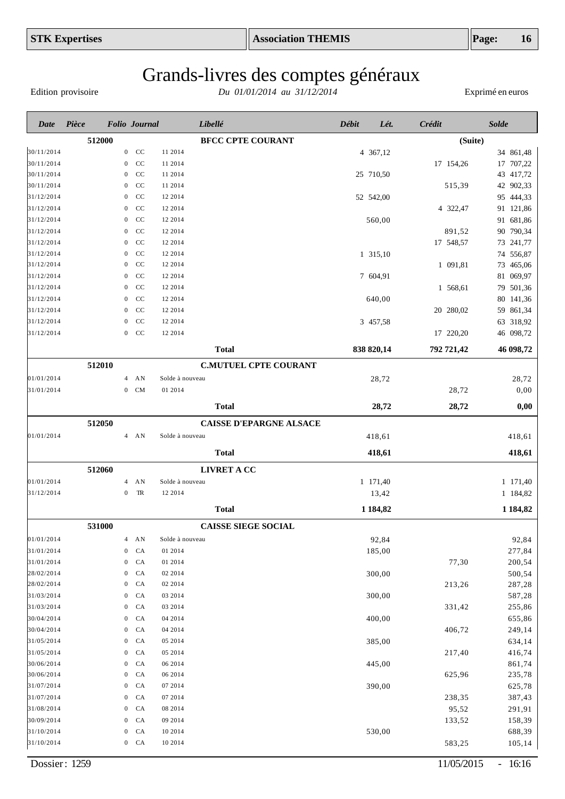Edition provisoire

| Date                     | Pièce  | <b>Folio</b> Journal |                |                    | Libellé                    |                                | <b>Débit</b> | Lét.         | Crédit     | <b>Solde</b>           |
|--------------------------|--------|----------------------|----------------|--------------------|----------------------------|--------------------------------|--------------|--------------|------------|------------------------|
|                          | 512000 |                      |                |                    | <b>BFCC CPTE COURANT</b>   |                                |              |              |            | (Suite)                |
| 30/11/2014               |        |                      | $0$ CC         | 11 2014            |                            |                                |              | 4 367,12     |            | 34 861,48              |
| 30/11/2014               |        | $\mathbf{0}$         | CC             | 11 2014            |                            |                                |              |              | 17 154,26  | 17 707,22              |
| 30/11/2014               |        | $\mathbf{0}$         | CC             | 11 2014            |                            |                                |              | 25 710,50    |            | 43 417,72              |
| 30/11/2014               |        | $\mathbf{0}$         | CC             | 11 2014            |                            |                                |              |              | 515,39     | 42 902,33              |
| 31/12/2014               |        | $\mathbf{0}$         | CC             | 12 2014            |                            |                                |              | 52 542,00    |            | 95 444,33              |
| 31/12/2014               |        | $\mathbf{0}$         | CC             | 12 2014            |                            |                                |              |              | 4 322,47   | 91 121,86              |
| 31/12/2014               |        | $\mathbf{0}$         | CC             | 12 2014            |                            |                                |              | 560,00       |            | 91 681,86              |
| 31/12/2014               |        | $\mathbf{0}$         | CC             | 12 2014            |                            |                                |              |              | 891,52     | 90 790,34              |
| 31/12/2014               |        | $\mathbf{0}$         | CC             | 12 2014            |                            |                                |              |              | 17 548,57  | 73 241,77              |
| 31/12/2014<br>31/12/2014 |        | $\mathbf{0}$         | CC<br>$\rm CC$ | 12 2014<br>12 2014 |                            |                                |              | 1 315,10     |            | 74 556,87<br>73 465,06 |
| 31/12/2014               |        | $\bf{0}$<br>$\bf{0}$ | CC             | 12 2014            |                            |                                |              |              | 1 091,81   | 81 069,97              |
| 31/12/2014               |        | $\mathbf{0}$         | CC             | 12 2014            |                            |                                |              | 7 604,91     | 1 568,61   | 79 501,36              |
| 31/12/2014               |        | $\mathbf{0}$         | CC             | 12 2014            |                            |                                |              | 640,00       |            | 80 141,36              |
| 31/12/2014               |        | $\mathbf{0}$         | $\rm CC$       | 12 2014            |                            |                                |              |              | 20 280,02  | 59 861,34              |
| 31/12/2014               |        | $\mathbf{0}$         | $\rm CC$       | 12 2014            |                            |                                |              | 3 457,58     |            | 63 318,92              |
| 31/12/2014               |        | $\overline{0}$       | CC             | 12 2014            |                            |                                |              |              | 17 220,20  | 46 098,72              |
|                          |        |                      |                |                    | <b>Total</b>               |                                |              | 838 820,14   | 792 721,42 | 46 098,72              |
|                          | 512010 |                      |                |                    |                            | <b>C.MUTUEL CPTE COURANT</b>   |              |              |            |                        |
| 01/01/2014               |        | $\overline{4}$       | AN             | Solde à nouveau    |                            |                                |              | 28,72        |            | 28,72                  |
| 31/01/2014               |        | $\mathbf{0}$         | <b>CM</b>      | 01 2014            |                            |                                |              |              | 28,72      | 0,00                   |
|                          |        |                      |                |                    | <b>Total</b>               |                                |              | 28,72        | 28,72      | 0,00                   |
|                          | 512050 |                      |                |                    |                            | <b>CAISSE D'EPARGNE ALSACE</b> |              |              |            |                        |
| 01/01/2014               |        |                      | $4$ AN         | Solde à nouveau    |                            |                                |              | 418,61       |            | 418,61                 |
|                          |        |                      |                |                    | <b>Total</b>               |                                |              | 418,61       |            | 418,61                 |
|                          | 512060 |                      |                |                    | <b>LIVRET A CC</b>         |                                |              |              |            |                        |
| 01/01/2014               |        | $\overline{4}$       | AN             | Solde à nouveau    |                            |                                |              | 1 171,40     |            | 1 171,40               |
| 31/12/2014               |        | $\mathbf{0}$         | TR             | 12 2014            |                            |                                |              | 13,42        |            | 1 184,82               |
|                          |        |                      |                |                    | <b>Total</b>               |                                |              | 1 1 8 4, 8 2 |            | 1 184,82               |
|                          | 531000 |                      |                |                    |                            |                                |              |              |            |                        |
| 01/01/2014               |        |                      | $4$ AN         | Solde à nouveau    | <b>CAISSE SIEGE SOCIAL</b> |                                |              | 92,84        |            | 92,84                  |
| 31/01/2014               |        | $\boldsymbol{0}$     | CA             | 01 2014            |                            |                                |              | 185,00       |            | 277,84                 |
| 31/01/2014               |        | $\boldsymbol{0}$     | CA             | 01 2014            |                            |                                |              |              | 77,30      | 200,54                 |
| 28/02/2014               |        | $\boldsymbol{0}$     | CA             | 02 2014            |                            |                                |              | 300,00       |            | 500,54                 |
| 28/02/2014               |        | $\boldsymbol{0}$     | CA             | 02 2014            |                            |                                |              |              | 213,26     | 287,28                 |
| 31/03/2014               |        | $\boldsymbol{0}$     | CA             | 03 2014            |                            |                                |              | 300,00       |            | 587,28                 |
| 31/03/2014               |        | $\boldsymbol{0}$     | CA             | 03 2014            |                            |                                |              |              | 331,42     | 255,86                 |
| 30/04/2014               |        | $\boldsymbol{0}$     | CA             | 04 2014            |                            |                                |              | 400,00       |            | 655,86                 |
| 30/04/2014               |        | $\boldsymbol{0}$     | CA             | 04 2014            |                            |                                |              |              | 406,72     | 249,14                 |
| 31/05/2014               |        | $\boldsymbol{0}$     | CA             | 05 2014            |                            |                                |              | 385,00       |            | 634,14                 |
| 31/05/2014               |        | $\boldsymbol{0}$     | CA             | 05 2014            |                            |                                |              |              | 217,40     | 416,74                 |
| 30/06/2014               |        | $\boldsymbol{0}$     | CA             | 06 2014            |                            |                                |              | 445,00       |            | 861,74                 |
| 30/06/2014               |        | $\boldsymbol{0}$     | CA             | 06 2014            |                            |                                |              |              | 625,96     | 235,78                 |
| 31/07/2014               |        | $\boldsymbol{0}$     | CA             | 07 2014            |                            |                                |              | 390,00       |            | 625,78                 |
| 31/07/2014               |        | $\boldsymbol{0}$     | CA             | 07 2014            |                            |                                |              |              | 238,35     | 387,43                 |
| 31/08/2014               |        | $\boldsymbol{0}$     | CA             | 08 2014            |                            |                                |              |              | 95,52      | 291,91                 |
| 30/09/2014               |        | $\boldsymbol{0}$     | CA             | 09 2014            |                            |                                |              |              | 133,52     | 158,39                 |
| 31/10/2014               |        | $\boldsymbol{0}$     | CA             | 10 2014            |                            |                                |              | 530,00       |            | 688,39                 |
| 31/10/2014               |        |                      | $0$ $CA$       | 10 2014            |                            |                                |              |              | 583,25     | 105,14                 |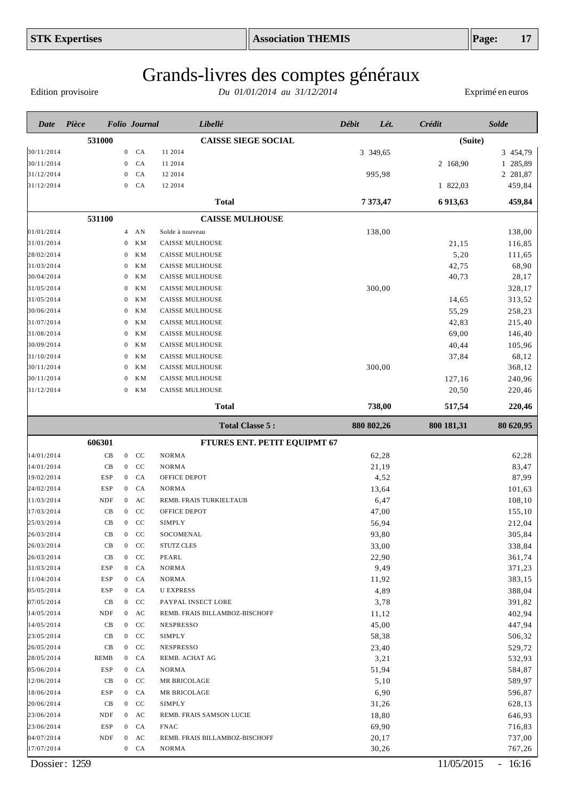Edition provisoire

| Date       | Pièce      |                  |                | <b>Folio</b> Journal | Libellé                        | Débit | Lét.       | Crédit     | <b>Solde</b> |
|------------|------------|------------------|----------------|----------------------|--------------------------------|-------|------------|------------|--------------|
|            | 531000     |                  |                |                      | <b>CAISSE SIEGE SOCIAL</b>     |       |            | (Suite)    |              |
| 30/11/2014 |            | $\mathbf{0}$     |                | CA                   | 11 2014                        |       | 3 349,65   |            | 3 454,79     |
| 30/11/2014 |            | $\boldsymbol{0}$ |                | CA                   | 11 2014                        |       |            | 2 168,90   | 1 285,89     |
| 31/12/2014 |            | $\mathbf{0}$     |                | CA                   | 12 2014                        |       | 995,98     |            | 2 281,87     |
| 31/12/2014 |            | $\mathbf{0}$     |                | CA                   | 12 2014                        |       |            | 1 822,03   | 459,84       |
|            |            |                  |                |                      | <b>Total</b>                   |       | 7 373,47   | 6 913,63   | 459,84       |
|            | 531100     |                  |                |                      | <b>CAISSE MULHOUSE</b>         |       |            |            |              |
| 01/01/2014 |            |                  | $4$ AN         |                      | Solde à nouveau                |       | 138,00     |            | 138,00       |
| 31/01/2014 |            | $\boldsymbol{0}$ |                | KM                   | <b>CAISSE MULHOUSE</b>         |       |            | 21,15      | 116,85       |
| 28/02/2014 |            | 0                |                | ΚM                   | <b>CAISSE MULHOUSE</b>         |       |            | 5,20       | 111,65       |
| 31/03/2014 |            | 0                |                | KM                   | <b>CAISSE MULHOUSE</b>         |       |            | 42,75      | 68,90        |
| 30/04/2014 |            | 0                |                | KM                   | CAISSE MULHOUSE                |       |            | 40,73      | 28,17        |
| 31/05/2014 |            | 0                |                | KM                   | <b>CAISSE MULHOUSE</b>         |       | 300,00     |            | 328,17       |
| 31/05/2014 |            | 0                |                | KM                   | CAISSE MULHOUSE                |       |            | 14,65      | 313,52       |
| 30/06/2014 |            | 0                |                | KM                   | <b>CAISSE MULHOUSE</b>         |       |            | 55,29      | 258,23       |
| 31/07/2014 |            | 0                |                | KM                   | CAISSE MULHOUSE                |       |            | 42,83      | 215,40       |
| 31/08/2014 |            | 0                |                | KM                   | <b>CAISSE MULHOUSE</b>         |       |            | 69,00      | 146,40       |
| 30/09/2014 |            | 0                |                | KM                   | <b>CAISSE MULHOUSE</b>         |       |            | 40,44      | 105,96       |
| 31/10/2014 |            | 0                |                | KM                   | CAISSE MULHOUSE                |       |            | 37,84      | 68,12        |
| 30/11/2014 |            | $\bf{0}$         |                | KM                   | CAISSE MULHOUSE                |       | 300,00     |            | 368,12       |
| 30/11/2014 |            | 0                |                | KM                   | CAISSE MULHOUSE                |       |            | 127,16     | 240,96       |
| 31/12/2014 |            | 0                |                | <b>KM</b>            | CAISSE MULHOUSE                |       |            | 20,50      | 220,46       |
|            |            |                  |                |                      | <b>Total</b>                   |       | 738,00     | 517,54     | 220,46       |
|            |            |                  |                |                      | <b>Total Classe 5:</b>         |       | 880 802,26 | 800 181,31 | 80 620,95    |
|            | 606301     |                  |                |                      | FTURES ENT. PETIT EQUIPMT 67   |       |            |            |              |
| 14/01/2014 | CB         |                  | $\mathbf{0}$   | <b>CC</b>            | <b>NORMA</b>                   |       | 62,28      |            | 62,28        |
| 14/01/2014 | CB         |                  | $\mathbf{0}$   | CC                   | <b>NORMA</b>                   |       | 21,19      |            | 83,47        |
| 19/02/2014 | <b>ESP</b> | $\overline{0}$   |                | CA                   | OFFICE DEPOT                   |       | 4,52       |            | 87,99        |
| 24/02/2014 | <b>ESP</b> | $\overline{0}$   |                | CA                   | <b>NORMA</b>                   |       | 13,64      |            | 101,63       |
| 11/03/2014 | <b>NDF</b> | $\overline{0}$   |                | AC                   | REMB. FRAIS TURKIELTAUB        |       | 6,47       |            | 108,10       |
| 17/03/2014 | CB         | $\overline{0}$   |                | CC                   | OFFICE DEPOT                   |       | 47,00      |            | 155,10       |
| 25/03/2014 | CB         | $\overline{0}$   |                | CC                   | <b>SIMPLY</b>                  |       | 56,94      |            | 212,04       |
| 26/03/2014 | CB         |                  | $\overline{0}$ | $\rm CC$             | SOCOMENAL                      |       | 93,80      |            | 305,84       |
| 26/03/2014 | CВ         |                  | $0$ CC         |                      | STUTZ CLES                     |       | 33,00      |            | 338,84       |
| 26/03/2014 | CB         |                  | $0$ CC         |                      | PEARL                          |       | 22,90      |            | 361,74       |
| 31/03/2014 | ESP        |                  | $0$ $CA$       |                      | <b>NORMA</b>                   |       | 9,49       |            | 371,23       |
| 11/04/2014 | ESP        |                  | $0$ $CA$       |                      | NORMA                          |       | 11,92      |            | 383,15       |
| 05/05/2014 | ESP        |                  | $0$ $CA$       |                      | <b>U EXPRESS</b>               |       | 4,89       |            | 388,04       |
| 07/05/2014 | CB         |                  | $0$ CC         |                      | PAYPAL INSECT LORE             |       | 3,78       |            | 391,82       |
| 14/05/2014 | NDF        |                  | $0$ AC         |                      | REMB. FRAIS BILLAMBOZ-BISCHOFF |       | 11,12      |            | 402,94       |
| 14/05/2014 | CB         |                  | $0$ CC         |                      | <b>NESPRESSO</b>               |       | 45,00      |            | 447,94       |
| 23/05/2014 | CB         |                  | $0$ CC         |                      | <b>SIMPLY</b>                  |       | 58,38      |            | 506,32       |
| 26/05/2014 | CВ         |                  | $0$ CC         |                      | <b>NESPRESSO</b>               |       | 23,40      |            | 529,72       |
| 28/05/2014 | REMB       |                  | $0$ $CA$       |                      | REMB. ACHAT AG                 |       | 3,21       |            | 532,93       |
| 05/06/2014 | <b>ESP</b> |                  | $0$ $CA$       |                      | NORMA                          |       | 51,94      |            | 584,87       |
| 12/06/2014 | CB         |                  | $0$ CC         |                      | MR BRICOLAGE                   |       | 5,10       |            | 589,97       |
| 18/06/2014 | ESP        |                  | $0$ $CA$       |                      | MR BRICOLAGE                   |       | 6,90       |            | 596,87       |
| 20/06/2014 | CB         |                  | $0$ CC         |                      | SIMPLY                         |       | 31,26      |            | 628,13       |
| 23/06/2014 | NDF        |                  | $0$ AC         |                      | REMB. FRAIS SAMSON LUCIE       |       | 18,80      |            | 646,93       |
| 23/06/2014 | ESP        |                  | $0$ $CA$       |                      | <b>FNAC</b>                    |       | 69,90      |            | 716,83       |
| 04/07/2014 | NDF        |                  | $0$ AC         |                      | REMB. FRAIS BILLAMBOZ-BISCHOFF |       | 20,17      |            | 737,00       |
| 17/07/2014 |            |                  | $0$ $CA$       |                      | NORMA                          |       | 30,26      |            | 767,26       |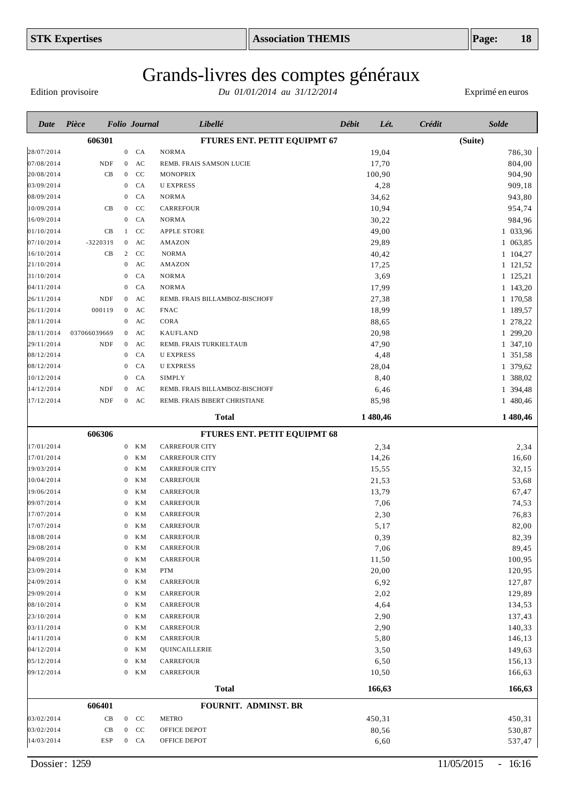Edition provisoire

| Date       | Pièce        |                  | <b>Folio Journal</b> | Libellé                        | Débit<br>Lét. | Solde<br>Crédit |
|------------|--------------|------------------|----------------------|--------------------------------|---------------|-----------------|
|            | 606301       |                  |                      | FTURES ENT. PETIT EQUIPMT 67   |               | (Suite)         |
| 28/07/2014 |              | $\boldsymbol{0}$ | CA                   | <b>NORMA</b>                   | 19,04         | 786,30          |
| 07/08/2014 | <b>NDF</b>   | $\mathbf{0}$     | AC                   | REMB. FRAIS SAMSON LUCIE       | 17,70         | 804,00          |
| 20/08/2014 | CB           | $\mathbf{0}$     | CC                   | <b>MONOPRIX</b>                | 100,90        | 904,90          |
| 03/09/2014 |              | $\mathbf{0}$     | CA                   | <b>U EXPRESS</b>               | 4,28          | 909,18          |
| 08/09/2014 |              | $\bf{0}$         | CA                   | <b>NORMA</b>                   | 34,62         | 943,80          |
| 10/09/2014 | CB           | $\mathbf{0}$     | CC                   | CARREFOUR                      | 10,94         | 954,74          |
| 16/09/2014 |              | $\mathbf{0}$     | CA                   | <b>NORMA</b>                   | 30,22         | 984,96          |
| 01/10/2014 | CB           |                  | CC<br>$\mathbf{1}$   | <b>APPLE STORE</b>             | 49,00         | 1 033,96        |
| 07/10/2014 | $-3220319$   |                  | AC<br>$\overline{0}$ | <b>AMAZON</b>                  | 29,89         | 1 063,85        |
| 16/10/2014 | CB           |                  | CC<br>2              | <b>NORMA</b>                   | 40,42         | 1 104,27        |
| 21/10/2014 |              | $\mathbf{0}$     | AC                   | AMAZON                         | 17,25         | 1 121,52        |
| 31/10/2014 |              | $\theta$         | CA                   | <b>NORMA</b>                   | 3,69          | 1 125,21        |
| 04/11/2014 |              | $\theta$         | CA                   | <b>NORMA</b>                   | 17,99         | 1 143,20        |
| 26/11/2014 | <b>NDF</b>   | $\mathbf{0}$     | AC                   | REMB. FRAIS BILLAMBOZ-BISCHOFF | 27,38         | 1 170,58        |
| 26/11/2014 | 000119       | $\bf{0}$         | AC                   | <b>FNAC</b>                    | 18,99         | 1 189,57        |
| 28/11/2014 |              | $\mathbf{0}$     | AC                   | CORA                           | 88,65         | 1 278,22        |
| 28/11/2014 | 037066039669 | $\bf{0}$         | AC                   | <b>KAUFLAND</b>                | 20,98         | 1 299,20        |
| 29/11/2014 | NDF          | $\mathbf{0}$     | AC                   | REMB. FRAIS TURKIELTAUB        | 47,90         | 1 347,10        |
| 08/12/2014 |              | $\mathbf 0$      | CA                   | <b>U EXPRESS</b>               | 4,48          | 1 351,58        |
| 08/12/2014 |              | $\theta$         | CA                   | <b>U EXPRESS</b>               | 28,04         | 1 379,62        |
| 10/12/2014 |              | $\theta$         | CA                   | SIMPLY                         | 8,40          | 1 388,02        |
| 14/12/2014 | <b>NDF</b>   | $\mathbf{0}$     | AC                   | REMB. FRAIS BILLAMBOZ-BISCHOFF | 6,46          | 1 394,48        |
| 17/12/2014 | <b>NDF</b>   | $\overline{0}$   | AC                   | REMB. FRAIS BIBERT CHRISTIANE  | 85,98         | 1 480,46        |
|            |              |                  |                      | <b>Total</b>                   | 1 480,46      | 1 480,46        |
|            | 606306       |                  |                      | FTURES ENT. PETIT EQUIPMT 68   |               |                 |
| 17/01/2014 |              | $\mathbf{0}$     | KМ                   | <b>CARREFOUR CITY</b>          | 2,34          | 2,34            |
| 17/01/2014 |              | $\mathbf 0$      | KМ                   | <b>CARREFOUR CITY</b>          | 14,26         | 16,60           |
| 19/03/2014 |              | $\theta$         | ΚM                   | <b>CARREFOUR CITY</b>          | 15,55         | 32,15           |
| 10/04/2014 |              | $\theta$         | KМ                   | CARREFOUR                      | 21,53         | 53,68           |
| 19/06/2014 |              | $\theta$         | ΚM                   | CARREFOUR                      | 13,79         | 67,47           |
| 09/07/2014 |              | $\theta$         | KМ                   | CARREFOUR                      | 7,06          | 74,53           |
| 17/07/2014 |              | $\theta$         | ΚM                   | CARREFOUR                      | 2,30          | 76,83           |
| 17/07/2014 |              | $\mathbf{0}$     | KМ                   | CARREFOUR                      | 5,17          | 82,00           |
| 18/08/2014 |              |                  | $0$ KM               | CARREFOUR                      | 0,39          | 82,39           |
| 29/08/2014 |              | $\bf{0}$         | ΚM                   | CARREFOUR                      | 7,06          | 89,45           |
| 04/09/2014 |              | $\mathbf{0}$     | ΚM                   | CARREFOUR                      | 11,50         | 100,95          |
| 23/09/2014 |              | $\bf{0}$         | KM                   | PTM                            | 20,00         | 120,95          |
| 24/09/2014 |              | $\mathbf{0}$     | ΚM                   | CARREFOUR                      | 6,92          | 127,87          |
| 29/09/2014 |              | $\bf{0}$         | ΚM                   | CARREFOUR                      | 2,02          | 129,89          |
| 08/10/2014 |              | $\bf{0}$         | ΚM                   | CARREFOUR                      | 4,64          | 134,53          |
| 23/10/2014 |              | $\bf{0}$         | ΚM                   | CARREFOUR                      | 2,90          | 137,43          |
| 03/11/2014 |              | $\bf{0}$         | KM                   | CARREFOUR                      | 2,90          | 140,33          |
| 14/11/2014 |              | $\bf{0}$         | ΚM                   | CARREFOUR                      | 5,80          | 146,13          |
| 04/12/2014 |              | $\bf{0}$         | ΚM                   | QUINCAILLERIE                  | 3,50          | 149,63          |
| 05/12/2014 |              | $\mathbf{0}$     | ΚM                   | CARREFOUR                      | 6,50          | 156,13          |
| 09/12/2014 |              |                  | $0$ KM               | CARREFOUR                      | 10,50         | 166,63          |
|            |              |                  |                      | <b>Total</b>                   | 166,63        | 166,63          |
|            | 606401       |                  |                      | FOURNIT. ADMINST. BR           |               |                 |
| 03/02/2014 | CB           |                  | $0$ CC               | <b>METRO</b>                   | 450,31        | 450,31          |
| 03/02/2014 | CB           |                  | $0$ CC               | OFFICE DEPOT                   | 80,56         | 530,87          |
| 14/03/2014 | ESP          |                  | $0$ $CA$             | OFFICE DEPOT                   | 6,60          | 537,47          |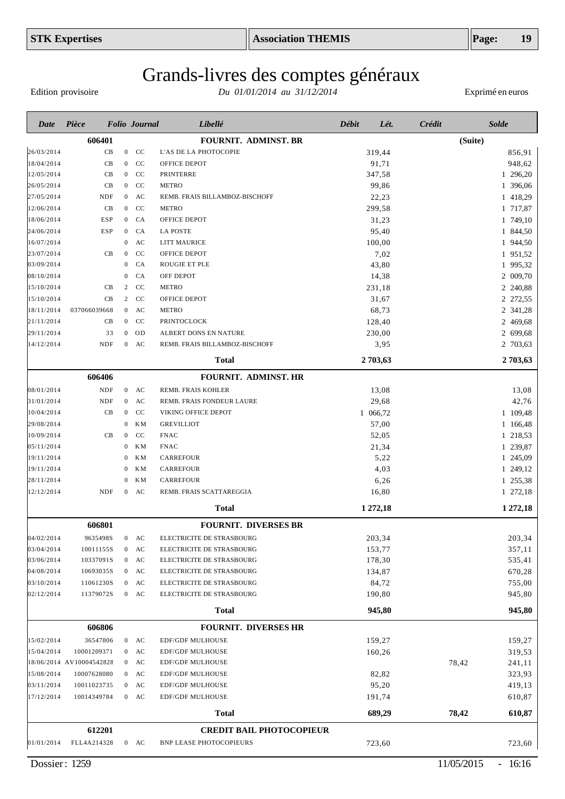# Grands-livres des comptes généraux

Edition provisoire

| Date                     | Pièce                       |                                | <b>Folio</b> Journal | Libellé                                     | <b>Débit</b> | Lét.            | Crédit  | <b>Solde</b>         |
|--------------------------|-----------------------------|--------------------------------|----------------------|---------------------------------------------|--------------|-----------------|---------|----------------------|
|                          | 606401                      |                                |                      | <b>FOURNIT. ADMINST. BR</b>                 |              |                 | (Suite) |                      |
| 26/03/2014               | CB                          |                                | $0$ CC               | L'AS DE LA PHOTOCOPIE                       |              | 319,44          |         | 856,91               |
| 18/04/2014               | CB                          | $\overline{0}$                 | CC                   | OFFICE DEPOT                                |              | 91,71           |         | 948,62               |
| 12/05/2014               | CB                          | $\overline{0}$                 | CC                   | <b>PRINTERRE</b>                            |              | 347,58          |         | 1 296,20             |
| 26/05/2014               | CB                          | $\overline{0}$                 | CC                   | <b>METRO</b>                                |              | 99,86           |         | 1 396,06             |
| 27/05/2014               | <b>NDF</b>                  | $\overline{0}$                 | AC                   | REMB. FRAIS BILLAMBOZ-BISCHOFF              |              | 22,23           |         | 1 418,29             |
| 12/06/2014               | CB                          | $\overline{0}$                 | CC                   | <b>METRO</b>                                |              | 299,58          |         | 1 717,87             |
| 18/06/2014               | <b>ESP</b>                  | $\mathbf{0}$                   | CA                   | OFFICE DEPOT                                |              | 31,23           |         | 1 749,10             |
| 24/06/2014               | <b>ESP</b>                  | $\mathbf{0}$                   | CA                   | <b>LA POSTE</b>                             |              | 95,40           |         | 1 844,50             |
| 16/07/2014               | CB                          | $\mathbf{0}$<br>$\overline{0}$ | AC<br>CC             | <b>LITT MAURICE</b>                         |              | 100,00          |         | 1 944,50             |
| 23/07/2014<br>03/09/2014 |                             | $\mathbf{0}$                   | CA                   | OFFICE DEPOT<br><b>ROUGIE ET PLE</b>        |              | 7,02<br>43,80   |         | 1 951,52<br>1 995,32 |
| 08/10/2014               |                             | $\mathbf{0}$                   | CA                   | OFF DEPOT                                   |              | 14,38           |         | 2 009,70             |
| 15/10/2014               | CB                          | 2                              | CC                   | <b>METRO</b>                                |              | 231,18          |         | 2 240,88             |
| 15/10/2014               | CB                          | $\overline{2}$                 | CC                   | OFFICE DEPOT                                |              | 31,67           |         | 2 272,55             |
| 18/11/2014               | 037066039668                | $\overline{0}$                 | AC                   | <b>METRO</b>                                |              | 68,73           |         | 2 341,28             |
| 21/11/2014               | CB                          | $\overline{0}$                 | CC                   | PRINTOCLOCK                                 |              | 128,40          |         | 2 469,68             |
| 29/11/2014               | 33                          | $\mathbf{0}$                   | OD                   | ALBERT DONS EN NATURE                       |              | 230,00          |         | 2 699,68             |
| 14/12/2014               | <b>NDF</b>                  | $\mathbf{0}$                   | AC                   | REMB. FRAIS BILLAMBOZ-BISCHOFF              |              | 3,95            |         | 2 703,63             |
|                          |                             |                                |                      | <b>Total</b>                                |              | 2 703,63        |         | 2 703,63             |
|                          | 606406                      |                                |                      | <b>FOURNIT. ADMINST. HR</b>                 |              |                 |         |                      |
| 08/01/2014               | <b>NDF</b>                  | $\overline{0}$                 | AC                   | REMB. FRAIS KOHLER                          |              | 13,08           |         | 13,08                |
| 31/01/2014               | $\ensuremath{\mathsf{NDF}}$ | $\boldsymbol{0}$               | AC                   | REMB. FRAIS FONDEUR LAURE                   |              | 29,68           |         | 42,76                |
| 10/04/2014               | CB                          | $\mathbf{0}$                   | CC                   | VIKING OFFICE DEPOT                         |              | 1 066,72        |         | 1 109,48             |
| 29/08/2014               |                             | $\mathbf{0}$                   | <b>KM</b>            | <b>GREVILLIOT</b>                           |              | 57,00           |         | 1 166,48             |
| 10/09/2014               | CB                          | $\mathbf{0}$                   | CC                   | <b>FNAC</b>                                 |              | 52,05           |         | 1 218,53             |
| 05/11/2014               |                             | $\bf{0}$                       | <b>KM</b>            | <b>FNAC</b>                                 |              | 21,34           |         | 1 239,87             |
| 19/11/2014               |                             | $\mathbf{0}$                   | <b>KM</b>            | <b>CARREFOUR</b>                            |              | 5,22            |         | 1 245,09             |
| 19/11/2014               |                             | $\theta$                       | KM                   | <b>CARREFOUR</b>                            |              | 4,03            |         | 1 249,12             |
| 28/11/2014               |                             | $\theta$                       | <b>KM</b>            | <b>CARREFOUR</b>                            |              | 6,26            |         | 1 255,38             |
| 12/12/2014               | <b>NDF</b>                  | $\mathbf{0}$                   | AC                   | REMB. FRAIS SCATTAREGGIA                    |              | 16,80           |         | 1 272,18             |
|                          |                             |                                |                      | <b>Total</b>                                |              | 1 272,18        |         | 1 272,18             |
|                          | 606801                      |                                |                      | <b>FOURNIT. DIVERSES BR</b>                 |              |                 |         |                      |
| 04/02/2014               | 9635498S                    | $\boldsymbol{0}$               | AC                   | ELECTRICITE DE STRASBOURG                   |              | 203,34          |         | 203,34               |
| 03/04/2014               | 10011155S                   | $\overline{0}$                 | AC                   | ELECTRICITE DE STRASBOURG                   |              | 153,77          |         | 357,11               |
| 03/06/2014               | 10337091S                   | $\boldsymbol{0}$               | AC                   | ELECTRICITE DE STRASBOURG                   |              | 178,30          |         | 535,41               |
| 04/08/2014               | 10693035S                   | $\mathbf{0}$                   | AC                   | ELECTRICITE DE STRASBOURG                   |              | 134,87          |         | 670,28               |
| 03/10/2014               | 11061230S                   | $\overline{0}$                 | AC                   | ELECTRICITE DE STRASBOURG                   |              | 84,72           |         | 755,00               |
| 02/12/2014               | 11379072S                   | $\mathbf{0}$                   | AC                   | ELECTRICITE DE STRASBOURG                   |              | 190,80          |         | 945,80               |
|                          |                             |                                |                      | <b>Total</b>                                |              | 945,80          |         | 945,80               |
|                          | 606806                      |                                |                      | <b>FOURNIT. DIVERSES HR</b>                 |              |                 |         |                      |
| 15/02/2014               | 36547806                    |                                | $0$ AC               | <b>EDF/GDF MULHOUSE</b>                     |              | 159,27          |         | 159,27               |
| 15/04/2014               | 10001209371                 |                                | $0$ AC               | <b>EDF/GDF MULHOUSE</b>                     |              | 160,26          |         | 319,53               |
|                          | 18/06/2014 AV10004542828    |                                | $0$ AC               | <b>EDF/GDF MULHOUSE</b>                     |              |                 | 78,42   | 241,11               |
| 15/08/2014               | 10007628080                 |                                | $0$ AC               | EDF/GDF MULHOUSE                            |              | 82,82           |         | 323,93               |
| 03/11/2014<br>17/12/2014 | 10011023735<br>10014349784  |                                | $0$ AC<br>$0$ AC     | EDF/GDF MULHOUSE<br><b>EDF/GDF MULHOUSE</b> |              | 95,20<br>191,74 |         | 419,13<br>610,87     |
|                          |                             |                                |                      | <b>Total</b>                                |              | 689,29          | 78,42   | 610,87               |
|                          |                             |                                |                      |                                             |              |                 |         |                      |
|                          | 612201                      |                                |                      | <b>CREDIT BAIL PHOTOCOPIEUR</b>             |              |                 |         |                      |
| 01/01/2014               | FLL4A214328                 |                                | $0$ AC               | <b>BNP LEASE PHOTOCOPIEURS</b>              |              | 723,60          |         | 723,60               |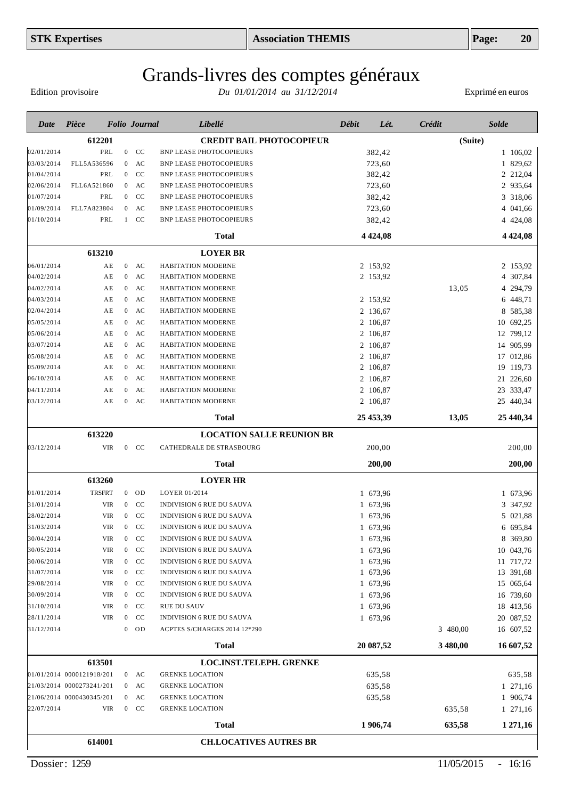# Grands-livres des comptes généraux

Edition provisoire

| Date       | Pièce                     |                  | <b>Folio</b> Journal          | Libellé                          | Débit<br>Lét. | Crédit   | <b>Solde</b>  |
|------------|---------------------------|------------------|-------------------------------|----------------------------------|---------------|----------|---------------|
|            | 612201                    |                  |                               | <b>CREDIT BAIL PHOTOCOPIEUR</b>  |               | (Suite)  |               |
| 02/01/2014 | PRL                       |                  | $\mathbf{0}$<br><sub>CC</sub> | <b>BNP LEASE PHOTOCOPIEURS</b>   | 382,42        |          | 1 106,02      |
| 03/03/2014 | FLL5A536596               | $\mathbf{0}$     | AC                            | <b>BNP LEASE PHOTOCOPIEURS</b>   | 723,60        |          | 1 829,62      |
| 01/04/2014 | PRL                       | $\boldsymbol{0}$ | CC                            | <b>BNP LEASE PHOTOCOPIEURS</b>   | 382,42        |          | 2 212,04      |
| 02/06/2014 | FLL6A521860               | $\overline{0}$   | AC                            | <b>BNP LEASE PHOTOCOPIEURS</b>   | 723,60        |          | 2 935,64      |
| 01/07/2014 | PRL                       | $\overline{0}$   | CC                            | <b>BNP LEASE PHOTOCOPIEURS</b>   | 382,42        |          | 3 318,06      |
| 01/09/2014 | FLL7A823804               | $\overline{0}$   | AC                            | <b>BNP LEASE PHOTOCOPIEURS</b>   | 723,60        |          | 4 041,66      |
| 01/10/2014 | PRL                       |                  | $1$ CC                        | <b>BNP LEASE PHOTOCOPIEURS</b>   | 382,42        |          | 4 424,08      |
|            |                           |                  |                               | <b>Total</b>                     | 4 4 2 4 , 0 8 |          | 4 4 2 4 , 0 8 |
|            | 613210                    |                  |                               | <b>LOYER BR</b>                  |               |          |               |
| 06/01/2014 | AE                        | $\overline{0}$   | AC                            | HABITATION MODERNE               | 2 153,92      |          | 2 153,92      |
| 04/02/2014 | ΑE                        | $\mathbf{0}$     | AC                            | HABITATION MODERNE               | 2 153,92      |          | 4 307,84      |
| 04/02/2014 | AE                        | $\overline{0}$   | AC                            | HABITATION MODERNE               |               | 13,05    | 4 294,79      |
| 04/03/2014 | ΑE                        | $\overline{0}$   | AC                            | HABITATION MODERNE               | 2 153,92      |          | 6 448,71      |
| 02/04/2014 | AE                        | $\boldsymbol{0}$ | AC                            | HABITATION MODERNE               | 2 136,67      |          | 8 585,38      |
| 05/05/2014 | AE                        | $\overline{0}$   | AC                            | HABITATION MODERNE               | 2 106,87      |          | 10 692,25     |
| 05/06/2014 | ΑE                        | $\boldsymbol{0}$ | AC                            | HABITATION MODERNE               | 2 106,87      |          | 12 799,12     |
| 03/07/2014 | AE                        | $\boldsymbol{0}$ | AC                            | HABITATION MODERNE               | 2 106,87      |          | 14 905,99     |
| 05/08/2014 | ΑE                        | $\boldsymbol{0}$ | AC                            | HABITATION MODERNE               | 2 106,87      |          | 17 012,86     |
| 05/09/2014 | ΑE                        | $\overline{0}$   | AC                            | HABITATION MODERNE               | 2 106,87      |          | 19 119,73     |
| 06/10/2014 | ΑE                        | $\boldsymbol{0}$ | AC                            | HABITATION MODERNE               | 2 106,87      |          | 21 226,60     |
| 04/11/2014 | ΑE                        | $\mathbf{0}$     | AC                            | HABITATION MODERNE               | 2 106,87      |          | 23 333,47     |
| 03/12/2014 | ΑE                        | $\overline{0}$   | AC                            | HABITATION MODERNE               | 2 106,87      |          | 25 440,34     |
|            |                           |                  |                               | <b>Total</b>                     | 25 453,39     | 13,05    | 25 440,34     |
|            | 613220                    |                  |                               | <b>LOCATION SALLE REUNION BR</b> |               |          |               |
| 03/12/2014 | <b>VIR</b>                |                  | $0$ CC                        | CATHEDRALE DE STRASBOURG         | 200,00        |          | 200,00        |
|            |                           |                  |                               | <b>Total</b>                     | 200,00        |          | 200,00        |
|            | 613260                    |                  |                               | <b>LOYER HR</b>                  |               |          |               |
| 01/01/2014 | <b>TRSFRT</b>             |                  | $0$ OD                        | LOYER 01/2014                    | 1 673,96      |          | 1 673,96      |
| 31/01/2014 | <b>VIR</b>                | $\boldsymbol{0}$ | CC                            | <b>INDIVISION 6 RUE DU SAUVA</b> | 1 673,96      |          | 3 347,92      |
| 28/02/2014 | <b>VIR</b>                | $\boldsymbol{0}$ | CC                            | <b>INDIVISION 6 RUE DU SAUVA</b> | 1 673,96      |          | 5 021,88      |
| 31/03/2014 | <b>VIR</b>                | $\boldsymbol{0}$ | CC                            | <b>INDIVISION 6 RUE DU SAUVA</b> | 1 673,96      |          | 6 695,84      |
| 30/04/2014 | VIR                       |                  | $\mathbf{0}$<br>CC            | INDIVISION 6 RUE DU SAUVA        | 1 673,96      |          | 8 369,80      |
| 30/05/2014 | VIR                       | $\overline{0}$   | CC                            | <b>INDIVISION 6 RUE DU SAUVA</b> | 1 673,96      |          | 10 043,76     |
| 30/06/2014 | <b>VIR</b>                | $\overline{0}$   | CC                            | INDIVISION 6 RUE DU SAUVA        | 1 673,96      |          | 11 717,72     |
| 31/07/2014 | VIR                       |                  | $0$ CC                        | INDIVISION 6 RUE DU SAUVA        | 1 673,96      |          | 13 391,68     |
| 29/08/2014 | VIR                       |                  | $0$ CC                        | INDIVISION 6 RUE DU SAUVA        | 1 673,96      |          | 15 065,64     |
| 30/09/2014 | <b>VIR</b>                |                  | $0$ CC                        | <b>INDIVISION 6 RUE DU SAUVA</b> | 1 673,96      |          | 16 739,60     |
| 31/10/2014 | VIR                       |                  | $0$ CC                        | <b>RUE DU SAUV</b>               | 1 673,96      |          | 18 413,56     |
| 28/11/2014 | VIR                       |                  | $\mathbf{0}$<br>CC            | <b>INDIVISION 6 RUE DU SAUVA</b> | 1 673,96      |          | 20 087,52     |
| 31/12/2014 |                           |                  | $0$ OD                        | ACPTES S/CHARGES 2014 12*290     |               | 3 480,00 | 16 607,52     |
|            |                           |                  |                               | <b>Total</b>                     | 20 087,52     | 3 480,00 | 16 607,52     |
|            | 613501                    |                  |                               | <b>LOC.INST.TELEPH. GRENKE</b>   |               |          |               |
|            | 01/01/2014 0000121918/201 |                  | $0$ AC                        | <b>GRENKE LOCATION</b>           | 635,58        |          | 635,58        |
|            | 21/03/2014 0000273241/201 |                  | $0$ AC                        | <b>GRENKE LOCATION</b>           | 635,58        |          | 1 271,16      |
|            | 21/06/2014 0000430345/201 |                  | $0$ AC                        | <b>GRENKE LOCATION</b>           | 635,58        |          | 1 906,74      |
| 22/07/2014 | VIR                       |                  | $0$ CC                        | <b>GRENKE LOCATION</b>           |               | 635,58   | 1 271,16      |
|            |                           |                  |                               | <b>Total</b>                     | 1 906,74      | 635,58   | 1 271,16      |
|            | 614001                    |                  |                               | <b>CH.LOCATIVES AUTRES BR</b>    |               |          |               |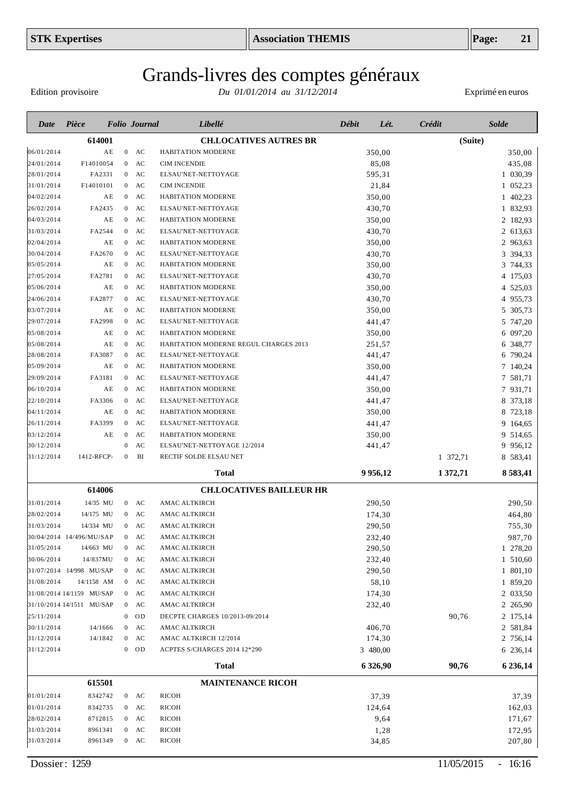Edition provisoire

| Date       | Pièce                     |                | <b>Folio</b> Journal   | Libellé                               | Débit | Lét.        | <b>Crédit</b> | <b>Solde</b> |
|------------|---------------------------|----------------|------------------------|---------------------------------------|-------|-------------|---------------|--------------|
|            | 614001                    |                |                        | <b>CH.LOCATIVES AUTRES BR</b>         |       |             | (Suite)       |              |
| 06/01/2014 | ΑE                        | $\mathbf{0}$   | AC                     | HABITATION MODERNE                    |       | 350,00      |               | 350,00       |
| 24/01/2014 | F14010054                 | $\mathbf{0}$   | AC                     | <b>CIM INCENDIE</b>                   |       | 85,08       |               | 435,08       |
| 28/01/2014 | FA2331                    | $\overline{0}$ | AC                     | ELSAU'NET-NETTOYAGE                   |       | 595,31      |               | 1 030,39     |
| 31/01/2014 | F14010101                 | $\overline{0}$ | AC                     | <b>CIM INCENDIE</b>                   |       | 21,84       |               | 1 052,23     |
| 04/02/2014 | ΑE                        | $\overline{0}$ | AC                     | HABITATION MODERNE                    |       | 350,00      |               | 1 402,23     |
| 26/02/2014 | FA2435                    | $\overline{0}$ | AC                     | ELSAU'NET-NETTOYAGE                   |       | 430,70      |               | 1 832,93     |
| 04/03/2014 | ΑE                        | $\overline{0}$ | AC                     | HABITATION MODERNE                    |       | 350,00      |               | 2 182,93     |
| 31/03/2014 | FA2544                    | $\mathbf{0}$   | AC                     | ELSAU'NET-NETTOYAGE                   |       | 430,70      |               | 2 613,63     |
| 02/04/2014 | ΑE                        | $\mathbf{0}$   | AC                     | HABITATION MODERNE                    |       | 350,00      |               | 2 963,63     |
| 30/04/2014 | FA2670                    | $\mathbf{0}$   | AC                     | ELSAU'NET-NETTOYAGE                   |       | 430,70      |               | 3<br>394,33  |
| 05/05/2014 | ΑE                        | $\mathbf{0}$   | AC                     | HABITATION MODERNE                    |       | 350,00      |               | 3 744,33     |
| 27/05/2014 | FA2781                    | $\bf{0}$       | AC                     | ELSAU'NET-NETTOYAGE                   |       | 430,70      |               | 4 175,03     |
| 05/06/2014 | ΑE                        | $\mathbf{0}$   | AC                     | HABITATION MODERNE                    |       | 350,00      |               | 4 525,03     |
| 24/06/2014 | FA2877                    | $\bf{0}$       | AC                     | ELSAU'NET-NETTOYAGE                   |       | 430,70      |               | 4 955,73     |
| 03/07/2014 | ΑE                        | $\mathbf{0}$   | AC                     | HABITATION MODERNE                    |       | 350,00      |               | 5 305,73     |
| 29/07/2014 | FA2998                    | $\mathbf{0}$   | $\mathbf{A}\mathbf{C}$ | ELSAU'NET-NETTOYAGE                   |       | 441,47      |               | 5 747,20     |
| 05/08/2014 | ΑE                        | $\mathbf{0}$   | $\mathbf{A}\mathbf{C}$ | HABITATION MODERNE                    |       | 350,00      |               | 6 097,20     |
| 05/08/2014 | ΑE                        | $\mathbf{0}$   | AC                     | HABITATION MODERNE REGUL CHARGES 2013 |       | 251,57      |               | 6 348,77     |
| 28/08/2014 | FA3087                    | $\bf{0}$       | AC                     | ELSAU'NET-NETTOYAGE                   |       | 441,47      |               | 6 790,24     |
| 05/09/2014 | ΑE                        | $\bf{0}$       | AC                     | HABITATION MODERNE                    |       | 350,00      |               | 7 140,24     |
| 29/09/2014 | FA3181                    | $\bf{0}$       | AC                     | ELSAU'NET-NETTOYAGE                   |       | 441,47      |               | 7 581,71     |
| 06/10/2014 | ΑE                        | $\mathbf{0}$   | AC                     | HABITATION MODERNE                    |       | 350,00      |               | 7 931,71     |
| 22/10/2014 | FA3306                    | $\bf{0}$       | AC                     | ELSAU'NET-NETTOYAGE                   |       | 441,47      |               | 8 373,18     |
| 04/11/2014 | ΑE                        | $\bf{0}$       | AC                     | HABITATION MODERNE                    |       | 350,00      |               | 8 723,18     |
| 26/11/2014 | FA3399                    | $\overline{0}$ | AC                     | ELSAU'NET-NETTOYAGE                   |       | 441,47      |               | 9 164,65     |
| 03/12/2014 | ΑE                        | $\theta$       | AC                     | HABITATION MODERNE                    |       | 350,00      |               | 9 514,65     |
| 30/12/2014 |                           | $\theta$       | AC                     | ELSAU'NET-NETTOYAGE 12/2014           |       | 441,47      |               | 9 956,12     |
| 31/12/2014 | 1412-RFCP-                | $\mathbf{0}$   | BI                     | RECTIF SOLDE ELSAU NET                |       |             | 1 372,71      | 8 583,41     |
|            |                           |                |                        | <b>Total</b>                          |       | 9 9 5 6, 12 | 1372,71       | 8583,41      |
|            | 614006                    |                |                        | <b>CH.LOCATIVES BAILLEUR HR</b>       |       |             |               |              |
| 31/01/2014 | 14/35 MU                  |                | $0$ AC                 | AMAC ALTKIRCH                         |       | 290,50      |               | 290,50       |
| 28/02/2014 | 14/175 MU                 |                | $0$ AC                 | AMAC ALTKIRCH                         |       | 174,30      |               | 464,80       |
| 31/03/2014 | 14/334 MU                 |                | $0$ AC                 | AMAC ALTKIRCH                         |       | 290,50      |               | 755,30       |
|            | 30/04/2014 14/496/MU/SAP  | $\overline{0}$ | AC                     | AMAC ALTKIRCH                         |       | 232,40      |               | 987,70       |
| 31/05/2014 | 14/663 MU                 |                | $0$ AC                 | AMAC ALTKIRCH                         |       | 290,50      |               | 1 278,20     |
| 30/06/2014 | 14/837MU                  | $\mathbf{0}$   | AC                     | AMAC ALTKIRCH                         |       | 232,40      |               | 1 510,60     |
|            | 31/07/2014 14/998 MU/SAP  | $\mathbf{0}$   | AC                     | AMAC ALTKIRCH                         |       | 290,50      |               | 1 801,10     |
| 31/08/2014 | 14/1158 AM                | $\mathbf{0}$   | AC                     | AMAC ALTKIRCH                         |       | 58,10       |               | 1 859,20     |
|            | 31/08/2014 14/1159 MU/SAP | $\bf{0}$       | AC                     | AMAC ALTKIRCH                         |       | 174,30      |               | 2 033,50     |
|            | 31/10/2014 14/1511 MU/SAP | $\bf{0}$       | AC                     | AMAC ALTKIRCH                         |       | 232,40      |               | 2 265,90     |
| 25/11/2014 |                           | $\mathbf 0$    | OD                     | DECPTE CHARGES 10/2013-09/2014        |       |             | 90,76         | 2 175,14     |
| 30/11/2014 | 14/1666                   | $\bf{0}$       | AC                     | AMAC ALTKIRCH                         |       | 406,70      |               | 2 581,84     |
| 31/12/2014 | 14/1842                   |                | $0$ AC                 | AMAC ALTKIRCH 12/2014                 |       | 174,30      |               | 2 756,14     |
| 31/12/2014 |                           |                | $0$ OD                 | ACPTES S/CHARGES 2014 12*290          |       | 3 480,00    |               | 6 236,14     |
|            |                           |                |                        | <b>Total</b>                          |       | 6 3 26,90   | 90,76         | 6 236,14     |
|            | 615501                    |                |                        | <b>MAINTENANCE RICOH</b>              |       |             |               |              |
| 01/01/2014 | 8342742                   |                | $0$ AC                 | RICOH                                 |       | 37,39       |               | 37,39        |
| 01/01/2014 | 8342735                   |                | $0$ AC                 | RICOH                                 |       |             |               |              |
|            |                           |                |                        |                                       |       | 124,64      |               | 162,03       |
| 28/02/2014 | 8712815                   |                | $0$ AC                 | RICOH                                 |       | 9,64        |               | 171,67       |
| 31/03/2014 | 8961341<br>8961349        | $\bf{0}$       | AC<br>$0$ AC           | RICOH<br>RICOH                        |       | 1,28        |               | 172,95       |
| 31/03/2014 |                           |                |                        |                                       |       | 34,85       |               | 207,80       |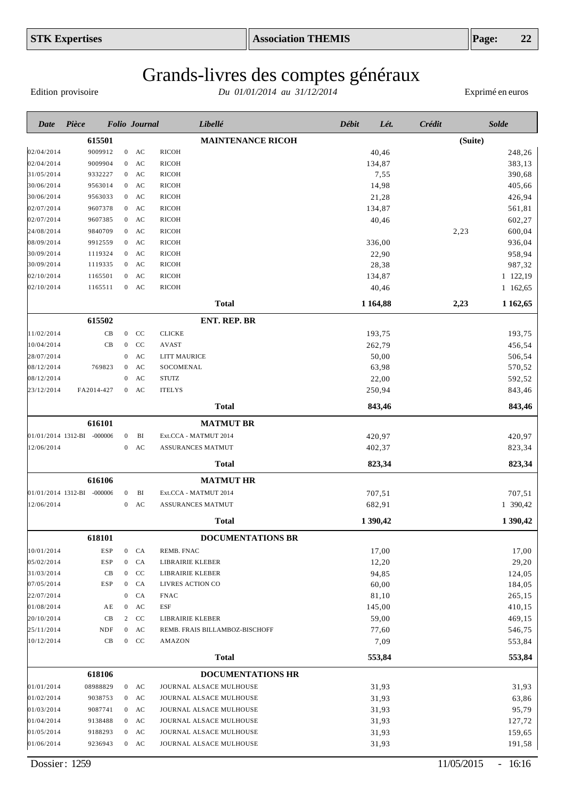Edition provisoire

| Date                     | Pièce                      |                                  | <b>Folio</b> Journal | Libellé                                            | Débit | Lét.           | Crédit  | <b>Solde</b>     |
|--------------------------|----------------------------|----------------------------------|----------------------|----------------------------------------------------|-------|----------------|---------|------------------|
|                          | 615501                     |                                  |                      | <b>MAINTENANCE RICOH</b>                           |       |                | (Suite) |                  |
| 02/04/2014               | 9009912                    |                                  | $0$ AC               | <b>RICOH</b>                                       |       | 40,46          |         | 248,26           |
| 02/04/2014               | 9009904                    | $\overline{0}$                   | AC                   | <b>RICOH</b>                                       |       | 134,87         |         | 383,13           |
| 31/05/2014               | 9332227                    | $\overline{0}$                   | AC                   | RICOH                                              |       | 7,55           |         | 390,68           |
| 30/06/2014               | 9563014                    | $\overline{0}$                   | AC                   | RICOH                                              |       | 14,98          |         | 405,66           |
| 30/06/2014               | 9563033                    | $\overline{0}$                   | AC                   | RICOH                                              |       | 21,28          |         | 426,94           |
| 02/07/2014               | 9607378                    | $\overline{0}$                   | AC                   | RICOH                                              |       | 134,87         |         | 561,81           |
| 02/07/2014               | 9607385                    | $\overline{0}$                   | AC                   | RICOH                                              |       | 40,46          |         | 602,27           |
| 24/08/2014               | 9840709                    | $\overline{0}$                   | AC                   | RICOH                                              |       |                | 2,23    | 600,04           |
| 08/09/2014               | 9912559                    | $\overline{0}$                   | AC                   | RICOH                                              |       | 336,00         |         | 936,04           |
| 30/09/2014               | 1119324                    | $\overline{0}$                   | AC                   | RICOH                                              |       | 22,90          |         | 958,94           |
| 30/09/2014               | 1119335                    | $\overline{0}$                   | AC                   | RICOH                                              |       | 28,38          |         | 987,32           |
| 02/10/2014               | 1165501                    | $\overline{0}$                   | AC                   | RICOH                                              |       | 134,87         |         | 1 122,19         |
| 02/10/2014               | 1165511                    | $\overline{0}$                   | AC                   | RICOH                                              |       | 40,46          |         | 1 162,65         |
|                          |                            |                                  |                      | <b>Total</b>                                       |       | 1 1 64,88      | 2,23    | 1 1 62, 65       |
|                          | 615502                     |                                  |                      | <b>ENT. REP. BR</b>                                |       |                |         |                  |
| 11/02/2014               | $\rm CB$                   | $\overline{0}$                   | CC                   | <b>CLICKE</b>                                      |       | 193,75         |         | 193,75           |
| 10/04/2014               | CB                         | $\overline{0}$                   | CC                   | <b>AVAST</b>                                       |       | 262,79         |         | 456,54           |
| 28/07/2014               |                            | $\boldsymbol{0}$                 | AC                   | <b>LITT MAURICE</b>                                |       | 50,00          |         | 506,54           |
| 08/12/2014               | 769823                     | $\mathbf{0}$                     | AC                   | SOCOMENAL                                          |       | 63,98          |         | 570,52           |
| 08/12/2014               |                            | $\boldsymbol{0}$                 | AC                   | <b>STUTZ</b>                                       |       | 22,00          |         | 592,52           |
| 23/12/2014               | FA2014-427                 | $\overline{0}$                   | AC                   | <b>ITELYS</b>                                      |       | 250,94         |         | 843,46           |
|                          |                            |                                  |                      | <b>Total</b>                                       |       | 843,46         |         | 843,46           |
|                          | 616101                     |                                  |                      | <b>MATMUT BR</b>                                   |       |                |         |                  |
|                          | 01/01/2014 1312-BI -000006 | $\boldsymbol{0}$                 | BI                   | Ext.CCA - MATMUT 2014                              |       | 420,97         |         | 420,97           |
| 12/06/2014               |                            | $\overline{0}$                   | AC                   | ASSURANCES MATMUT                                  |       | 402,37         |         | 823,34           |
|                          |                            |                                  |                      | <b>Total</b>                                       |       | 823,34         |         | 823,34           |
|                          | 616106                     |                                  |                      | <b>MATMUT HR</b>                                   |       |                |         |                  |
|                          | 01/01/2014 1312-BI -000006 | $\mathbf{0}$                     | BI                   | Ext.CCA - MATMUT 2014                              |       | 707,51         |         | 707,51           |
| 12/06/2014               |                            | $\overline{0}$                   | AC                   | ASSURANCES MATMUT                                  |       | 682,91         |         | 1 390,42         |
|                          |                            |                                  |                      |                                                    |       |                |         | 1 390,42         |
|                          |                            |                                  |                      | <b>Total</b>                                       |       | 1 390,42       |         |                  |
|                          | 618101                     |                                  |                      | DOCUMENTATIONS BR                                  |       |                |         |                  |
| 10/01/2014               | ESP                        |                                  | $\mathbf{0}$<br>CA   | REMB. FNAC                                         |       | 17,00          |         | 17,00            |
| 05/02/2014               | ESP                        | $\mathbf{0}$                     | CA                   | LIBRAIRIE KLEBER                                   |       | 12,20          |         | 29,20            |
| 31/03/2014               | CB                         | $\overline{0}$                   | CC                   | LIBRAIRIE KLEBER                                   |       | 94,85          |         | 124,05           |
| 07/05/2014               | ESP                        | $\mathbf{0}$                     | CA                   | LIVRES ACTION CO                                   |       | 60,00          |         | 184,05           |
| 22/07/2014               |                            | $\boldsymbol{0}$                 | CA                   | <b>FNAC</b>                                        |       | 81,10          |         | 265,15           |
| 01/08/2014               | ΑE                         | $\boldsymbol{0}$                 | AC                   | ESF                                                |       | 145,00         |         | 410,15           |
| 20/10/2014               | CB                         | $\overline{c}$<br>$\overline{0}$ | CC                   | LIBRAIRIE KLEBER                                   |       | 59,00          |         | 469,15           |
| 25/11/2014<br>10/12/2014 | NDF<br>CB                  | $\overline{0}$                   | AC<br>CC             | REMB. FRAIS BILLAMBOZ-BISCHOFF<br>AMAZON           |       | 77,60<br>7,09  |         | 546,75<br>553,84 |
|                          |                            |                                  |                      |                                                    |       |                |         |                  |
|                          |                            |                                  |                      | <b>Total</b>                                       |       | 553,84         |         | 553,84           |
|                          | 618106                     |                                  |                      | <b>DOCUMENTATIONS HR</b>                           |       |                |         |                  |
| 01/01/2014<br>01/02/2014 | 08988829                   | $\mathbf{0}$                     | $0$ AC<br>AC         | JOURNAL ALSACE MULHOUSE                            |       | 31,93<br>31,93 |         | 31,93            |
| 01/03/2014               | 9038753<br>9087741         | $\mathbf{0}$                     | AC                   | JOURNAL ALSACE MULHOUSE<br>JOURNAL ALSACE MULHOUSE |       | 31,93          |         | 63,86            |
| 01/04/2014               | 9138488                    | $\mathbf{0}$                     | AC                   | JOURNAL ALSACE MULHOUSE                            |       | 31,93          |         | 95,79<br>127,72  |
| 01/05/2014               | 9188293                    | $\mathbf{0}$                     | AC                   | JOURNAL ALSACE MULHOUSE                            |       | 31,93          |         | 159,65           |
| 01/06/2014               | 9236943                    |                                  | $0$ AC               | JOURNAL ALSACE MULHOUSE                            |       | 31,93          |         | 191,58           |
|                          |                            |                                  |                      |                                                    |       |                |         |                  |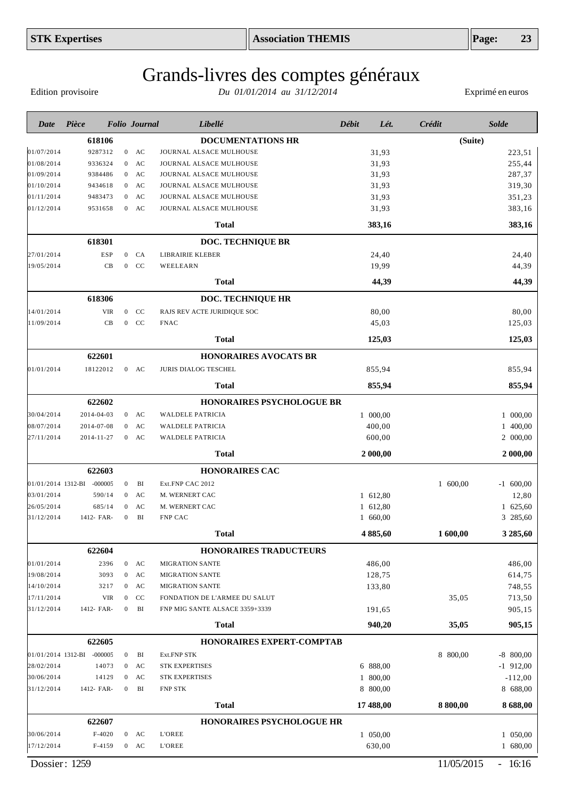# Grands-livres des comptes généraux

Edition provisoire

| Date       | Pièce                      |                | <b>Folio</b> Journal | Libellé                          | <b>Débit</b> | Lét.      | Crédit   | <b>Solde</b> |
|------------|----------------------------|----------------|----------------------|----------------------------------|--------------|-----------|----------|--------------|
|            | 618106                     |                |                      | <b>DOCUMENTATIONS HR</b>         |              |           | (Suite)  |              |
| 01/07/2014 | 9287312                    |                | $0$ AC               | JOURNAL ALSACE MULHOUSE          |              | 31,93     |          | 223,51       |
| 01/08/2014 | 9336324                    | $\overline{0}$ | AC                   | JOURNAL ALSACE MULHOUSE          |              | 31,93     |          | 255,44       |
| 01/09/2014 | 9384486                    |                | $0$ AC               | JOURNAL ALSACE MULHOUSE          |              | 31,93     |          | 287,37       |
| 01/10/2014 | 9434618                    |                | $0$ AC               | JOURNAL ALSACE MULHOUSE          |              | 31,93     |          | 319,30       |
| 01/11/2014 | 9483473                    | $\overline{0}$ | AC                   | JOURNAL ALSACE MULHOUSE          |              | 31,93     |          | 351,23       |
| 01/12/2014 | 9531658                    |                | $0$ AC               | JOURNAL ALSACE MULHOUSE          |              | 31,93     |          | 383,16       |
|            |                            |                |                      | Total                            |              | 383,16    |          | 383,16       |
|            | 618301                     |                |                      | <b>DOC. TECHNIQUE BR</b>         |              |           |          |              |
| 27/01/2014 | <b>ESP</b>                 | $\overline{0}$ | CA                   | LIBRAIRIE KLEBER                 |              | 24,40     |          | 24,40        |
| 19/05/2014 | CB                         | $\mathbf{0}$   | CC                   | WEELEARN                         |              | 19,99     |          | 44,39        |
|            |                            |                |                      | <b>Total</b>                     |              | 44,39     |          | 44,39        |
|            | 618306                     |                |                      | DOC. TECHNIQUE HR                |              |           |          |              |
| 14/01/2014 | <b>VIR</b>                 | $\mathbf{0}$   | CC                   | RAJS REV ACTE JURIDIQUE SOC      |              | 80,00     |          | 80,00        |
| 11/09/2014 | CB                         | $\mathbf{0}$   | CC                   | <b>FNAC</b>                      |              | 45,03     |          | 125,03       |
|            |                            |                |                      | <b>Total</b>                     |              | 125,03    |          | 125,03       |
|            | 622601                     |                |                      | <b>HONORAIRES AVOCATS BR</b>     |              |           |          |              |
| 01/01/2014 | 18122012                   |                | $0$ AC               | <b>JURIS DIALOG TESCHEL</b>      |              | 855,94    |          | 855,94       |
|            |                            |                |                      | <b>Total</b>                     |              | 855,94    |          | 855,94       |
|            | 622602                     |                |                      | <b>HONORAIRES PSYCHOLOGUE BR</b> |              |           |          |              |
| 30/04/2014 | 2014-04-03                 |                | $0$ AC               | <b>WALDELE PATRICIA</b>          |              | 1 000,00  |          | 1 000,00     |
| 08/07/2014 | 2014-07-08                 | $\overline{0}$ | AC                   | <b>WALDELE PATRICIA</b>          |              | 400,00    |          | 1 400,00     |
| 27/11/2014 | 2014-11-27                 | $\mathbf{0}$   | AC                   | <b>WALDELE PATRICIA</b>          |              | 600,00    |          | 2 000,00     |
|            |                            |                |                      | <b>Total</b>                     |              | 2 000,00  |          | 2 000,00     |
|            | 622603                     |                |                      | <b>HONORAIRES CAC</b>            |              |           |          |              |
|            | 01/01/2014 1312-BI -000005 | $\mathbf{0}$   | BI                   | Ext.FNP CAC 2012                 |              |           | 1 600,00 | $-1$ 600,00  |
| 03/01/2014 | 590/14                     | $\mathbf{0}$   | AC                   | M. WERNERT CAC                   |              | 1 612,80  |          | 12,80        |
| 26/05/2014 | 685/14                     | $\mathbf{0}$   | AC                   | M. WERNERT CAC                   |              | 1 612,80  |          | 1 625,60     |
| 31/12/2014 | 1412- FAR-                 | $\overline{0}$ | BI                   | FNP CAC                          |              | 1 660,00  |          | 3 285,60     |
|            |                            |                |                      | <b>Total</b>                     |              | 4885,60   | 1600,00  | 3 285,60     |
|            | 622604                     |                |                      | HONORAIRES TRADUCTEURS           |              |           |          |              |
| 01/01/2014 | 2396                       |                | $0$ AC               | <b>MIGRATION SANTE</b>           |              | 486,00    |          | 486,00       |
| 19/08/2014 | 3093                       |                | $0$ AC               | <b>MIGRATION SANTE</b>           |              | 128,75    |          | 614,75       |
| 14/10/2014 | 3217                       |                | $0$ AC               | <b>MIGRATION SANTE</b>           |              | 133,80    |          | 748,55       |
| 17/11/2014 | <b>VIR</b>                 | $\mathbf{0}$   | CC                   | FONDATION DE L'ARMEE DU SALUT    |              |           | 35,05    | 713,50       |
| 31/12/2014 | 1412- FAR-                 | $\overline{0}$ | BI                   | FNP MIG SANTE ALSACE 3359+3339   |              | 191,65    |          | 905,15       |
|            |                            |                |                      | <b>Total</b>                     |              | 940,20    | 35,05    | 905,15       |
|            | 622605                     |                |                      | HONORAIRES EXPERT-COMPTAB        |              |           |          |              |
|            | 01/01/2014 1312-BI -000005 | $\overline{0}$ | BI                   | Ext.FNP STK                      |              |           | 8 800,00 | $-8$ 800,00  |
| 28/02/2014 | 14073                      |                | $0$ AC               | STK EXPERTISES                   |              | 6 888,00  |          | $-1$ 912,00  |
| 30/06/2014 | 14129                      |                | $0$ AC               | <b>STK EXPERTISES</b>            |              | 1 800,00  |          | $-112,00$    |
| 31/12/2014 | 1412- FAR-                 | $\overline{0}$ | BI                   | <b>FNP STK</b>                   |              | 8 800,00  |          | 8 688,00     |
|            |                            |                |                      | <b>Total</b>                     |              | 17 488,00 | 8 800,00 | 8688,00      |
|            | 622607                     |                |                      | <b>HONORAIRES PSYCHOLOGUE HR</b> |              |           |          |              |
| 30/06/2014 | $F-4020$                   |                | $0$ AC               | <b>L'OREE</b>                    |              | 1 050,00  |          | 1 050,00     |
| 17/12/2014 | F-4159                     |                | $0$ AC               | <b>L'OREE</b>                    |              | 630,00    |          | 1 680,00     |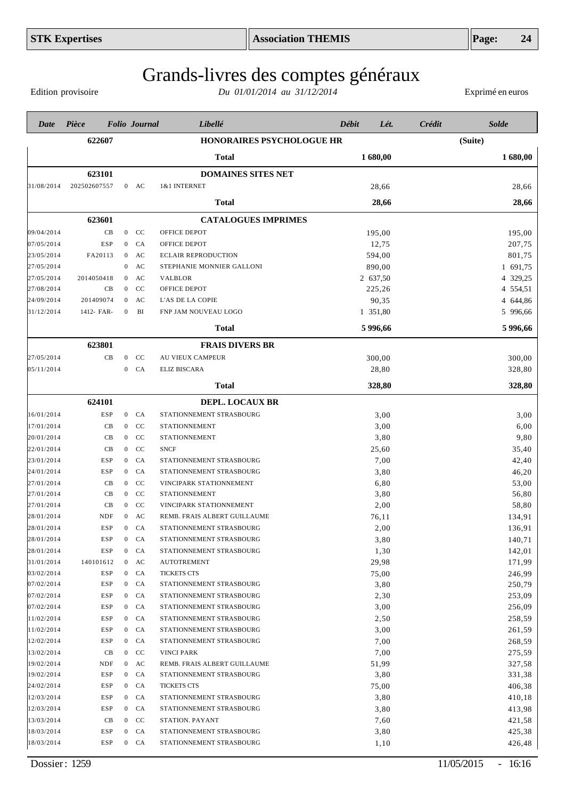Edition provisoire

| 622607<br><b>HONORAIRES PSYCHOLOGUE HR</b><br>(Suite)<br><b>Total</b><br>1 680,00<br>1 680,00<br>623101<br><b>DOMAINES SITES NET</b><br>202502607557<br>1&1 INTERNET<br>28,66<br>$0$ AC<br>28,66<br>28,66<br>28,66<br>Total<br>623601<br><b>CATALOGUES IMPRIMES</b><br>CB<br>$0$ CC<br>OFFICE DEPOT<br>195,00<br>195,00<br><b>ESP</b><br>CA<br>OFFICE DEPOT<br>12,75<br>207,75<br>$\bf{0}$<br>801,75<br>FA20113<br>AC<br><b>ECLAIR REPRODUCTION</b><br>594,00<br>$\mathbf{0}$<br>1 691,75<br>AC<br>STEPHANIE MONNIER GALLONI<br>890,00<br>$\mathbf{0}$<br>4 329,25<br>AC<br>2 637,50<br>2014050418<br><b>VALBLOR</b><br>$\mathbf{0}$<br>CC<br>4 554,51<br>CB<br>$\mathbf{0}$<br>OFFICE DEPOT<br>225,26<br>201409074<br>$0$ AC<br>90,35<br>4 644,86<br>L'AS DE LA COPIE<br>BI<br>1 351,80<br>5 996,66<br>1412- FAR-<br>FNP JAM NOUVEAU LOGO<br>$\mathbf{0}$<br>5 996,66<br>5 996,66<br>Total<br>623801<br><b>FRAIS DIVERS BR</b><br>27/05/2014<br>$\rm CC$<br>AU VIEUX CAMPEUR<br>300,00<br>300,00<br>CB<br>$\overline{0}$<br>05/11/2014<br>CA<br>28,80<br>328,80<br>$\mathbf{0}$<br><b>ELIZ BISCARA</b><br>328,80<br>328,80<br>Total<br>624101<br><b>DEPL. LOCAUX BR</b><br>ESP<br>STATIONNEMENT STRASBOURG<br>$\mathbf{0}$<br>CA<br>3,00<br>3,00<br>CB<br>CC<br>3,00<br>6,00<br>$\mathbf{0}$<br><b>STATIONNEMENT</b><br><sub>CC</sub><br>3,80<br>9,80<br>CB<br>$\overline{0}$<br><b>STATIONNEMENT</b><br>CC<br><b>SNCF</b><br>35,40<br>CB<br>$\mathbf{0}$<br>25,60<br>CA<br>7,00<br>42,40<br>ESP<br>STATIONNEMENT STRASBOURG<br>$\mathbf{0}$<br>CA<br>3,80<br>46,20<br>ESP<br>STATIONNEMENT STRASBOURG<br>$\mathbf{0}$<br>CC<br>6,80<br>53,00<br>CB<br>$\mathbf{0}$<br>VINCIPARK STATIONNEMENT<br>CC<br><b>STATIONNEMENT</b><br>3,80<br>56,80<br>CB<br>$\mathbf{0}$<br>CC<br>2,00<br>58,80<br>CB<br>$\overline{0}$<br>VINCIPARK STATIONNEMENT<br>AC<br>76,11<br>134,91<br>NDF<br>$\overline{0}$<br>REMB. FRAIS ALBERT GUILLAUME<br><b>ESP</b><br>CA<br>2,00<br>136,91<br>$\overline{0}$<br>STATIONNEMENT STRASBOURG<br>3,80<br>140,71<br><b>ESP</b><br>$\boldsymbol{0}$<br>CA<br>STATIONNEMENT STRASBOURG<br>1,30<br>ESP<br>CA<br>142,01<br>$\mathbf{0}$<br>STATIONNEMENT STRASBOURG<br>29,98<br>171,99<br>140101612<br>$0$ AC<br><b>AUTOTREMENT</b><br>ESP<br>75,00<br>246,99<br>CA<br><b>TICKETS CTS</b><br>$\mathbf{0}$<br>3,80<br>250,79<br>ESP<br>$0$ $CA$<br>STATIONNEMENT STRASBOURG<br>2,30<br>253,09<br>$0$ $CA$<br>STATIONNEMENT STRASBOURG<br>ESP<br>3,00<br>256,09<br>ESP<br>CA<br>STATIONNEMENT STRASBOURG<br>$\mathbf{0}$<br>258,59<br>2,50<br>$0$ $CA$<br>STATIONNEMENT STRASBOURG<br>ESP<br>3,00<br>261,59<br>$0$ $CA$<br>STATIONNEMENT STRASBOURG<br>ESP<br>7,00<br>268,59<br>ESP<br>$0$ $CA$<br>STATIONNEMENT STRASBOURG<br>7,00<br>275,59<br>CB<br>CC<br><b>VINCI PARK</b><br>$\mathbf{0}$<br>327,58<br>NDF<br>$0$ AC<br>REMB. FRAIS ALBERT GUILLAUME<br>51,99<br>3,80<br>331,38<br>ESP<br>$0$ $CA$<br>STATIONNEMENT STRASBOURG<br>406,38<br>ESP<br>75,00<br>$0$ CA<br><b>TICKETS CTS</b><br>3,80<br>410,18<br>ESP<br>CA<br>STATIONNEMENT STRASBOURG<br>$\mathbf{0}$<br>3,80<br>413,98<br>ESP<br>$0$ $CA$<br>STATIONNEMENT STRASBOURG<br>421,58<br>CB<br>CC<br>7,60<br>$\overline{0}$<br>STATION. PAYANT<br>3,80<br>425,38<br>ESP<br>CA<br>STATIONNEMENT STRASBOURG<br>$\mathbf{0}$<br>426,48<br>ESP<br>$0$ $CA$<br>STATIONNEMENT STRASBOURG<br>1,10 | Date       | Pièce | <b>Folio</b> Journal | Libellé | <b>Débit</b> | Lét. | <b>Crédit</b> | <b>Solde</b> |
|--------------------------------------------------------------------------------------------------------------------------------------------------------------------------------------------------------------------------------------------------------------------------------------------------------------------------------------------------------------------------------------------------------------------------------------------------------------------------------------------------------------------------------------------------------------------------------------------------------------------------------------------------------------------------------------------------------------------------------------------------------------------------------------------------------------------------------------------------------------------------------------------------------------------------------------------------------------------------------------------------------------------------------------------------------------------------------------------------------------------------------------------------------------------------------------------------------------------------------------------------------------------------------------------------------------------------------------------------------------------------------------------------------------------------------------------------------------------------------------------------------------------------------------------------------------------------------------------------------------------------------------------------------------------------------------------------------------------------------------------------------------------------------------------------------------------------------------------------------------------------------------------------------------------------------------------------------------------------------------------------------------------------------------------------------------------------------------------------------------------------------------------------------------------------------------------------------------------------------------------------------------------------------------------------------------------------------------------------------------------------------------------------------------------------------------------------------------------------------------------------------------------------------------------------------------------------------------------------------------------------------------------------------------------------------------------------------------------------------------------------------------------------------------------------------------------------------------------------------------------------------------------------------------------------------------------------------------------------------------------------------------------------------------------------------------------------------------------------------------------------------------------------------------------------------------------------------------------------------------------------------------------------------------------------------------------------------------------------------------------------|------------|-------|----------------------|---------|--------------|------|---------------|--------------|
|                                                                                                                                                                                                                                                                                                                                                                                                                                                                                                                                                                                                                                                                                                                                                                                                                                                                                                                                                                                                                                                                                                                                                                                                                                                                                                                                                                                                                                                                                                                                                                                                                                                                                                                                                                                                                                                                                                                                                                                                                                                                                                                                                                                                                                                                                                                                                                                                                                                                                                                                                                                                                                                                                                                                                                                                                                                                                                                                                                                                                                                                                                                                                                                                                                                                                                                                                                          |            |       |                      |         |              |      |               |              |
|                                                                                                                                                                                                                                                                                                                                                                                                                                                                                                                                                                                                                                                                                                                                                                                                                                                                                                                                                                                                                                                                                                                                                                                                                                                                                                                                                                                                                                                                                                                                                                                                                                                                                                                                                                                                                                                                                                                                                                                                                                                                                                                                                                                                                                                                                                                                                                                                                                                                                                                                                                                                                                                                                                                                                                                                                                                                                                                                                                                                                                                                                                                                                                                                                                                                                                                                                                          |            |       |                      |         |              |      |               |              |
|                                                                                                                                                                                                                                                                                                                                                                                                                                                                                                                                                                                                                                                                                                                                                                                                                                                                                                                                                                                                                                                                                                                                                                                                                                                                                                                                                                                                                                                                                                                                                                                                                                                                                                                                                                                                                                                                                                                                                                                                                                                                                                                                                                                                                                                                                                                                                                                                                                                                                                                                                                                                                                                                                                                                                                                                                                                                                                                                                                                                                                                                                                                                                                                                                                                                                                                                                                          |            |       |                      |         |              |      |               |              |
|                                                                                                                                                                                                                                                                                                                                                                                                                                                                                                                                                                                                                                                                                                                                                                                                                                                                                                                                                                                                                                                                                                                                                                                                                                                                                                                                                                                                                                                                                                                                                                                                                                                                                                                                                                                                                                                                                                                                                                                                                                                                                                                                                                                                                                                                                                                                                                                                                                                                                                                                                                                                                                                                                                                                                                                                                                                                                                                                                                                                                                                                                                                                                                                                                                                                                                                                                                          | 31/08/2014 |       |                      |         |              |      |               |              |
|                                                                                                                                                                                                                                                                                                                                                                                                                                                                                                                                                                                                                                                                                                                                                                                                                                                                                                                                                                                                                                                                                                                                                                                                                                                                                                                                                                                                                                                                                                                                                                                                                                                                                                                                                                                                                                                                                                                                                                                                                                                                                                                                                                                                                                                                                                                                                                                                                                                                                                                                                                                                                                                                                                                                                                                                                                                                                                                                                                                                                                                                                                                                                                                                                                                                                                                                                                          |            |       |                      |         |              |      |               |              |
|                                                                                                                                                                                                                                                                                                                                                                                                                                                                                                                                                                                                                                                                                                                                                                                                                                                                                                                                                                                                                                                                                                                                                                                                                                                                                                                                                                                                                                                                                                                                                                                                                                                                                                                                                                                                                                                                                                                                                                                                                                                                                                                                                                                                                                                                                                                                                                                                                                                                                                                                                                                                                                                                                                                                                                                                                                                                                                                                                                                                                                                                                                                                                                                                                                                                                                                                                                          |            |       |                      |         |              |      |               |              |
|                                                                                                                                                                                                                                                                                                                                                                                                                                                                                                                                                                                                                                                                                                                                                                                                                                                                                                                                                                                                                                                                                                                                                                                                                                                                                                                                                                                                                                                                                                                                                                                                                                                                                                                                                                                                                                                                                                                                                                                                                                                                                                                                                                                                                                                                                                                                                                                                                                                                                                                                                                                                                                                                                                                                                                                                                                                                                                                                                                                                                                                                                                                                                                                                                                                                                                                                                                          | 09/04/2014 |       |                      |         |              |      |               |              |
|                                                                                                                                                                                                                                                                                                                                                                                                                                                                                                                                                                                                                                                                                                                                                                                                                                                                                                                                                                                                                                                                                                                                                                                                                                                                                                                                                                                                                                                                                                                                                                                                                                                                                                                                                                                                                                                                                                                                                                                                                                                                                                                                                                                                                                                                                                                                                                                                                                                                                                                                                                                                                                                                                                                                                                                                                                                                                                                                                                                                                                                                                                                                                                                                                                                                                                                                                                          | 07/05/2014 |       |                      |         |              |      |               |              |
|                                                                                                                                                                                                                                                                                                                                                                                                                                                                                                                                                                                                                                                                                                                                                                                                                                                                                                                                                                                                                                                                                                                                                                                                                                                                                                                                                                                                                                                                                                                                                                                                                                                                                                                                                                                                                                                                                                                                                                                                                                                                                                                                                                                                                                                                                                                                                                                                                                                                                                                                                                                                                                                                                                                                                                                                                                                                                                                                                                                                                                                                                                                                                                                                                                                                                                                                                                          | 23/05/2014 |       |                      |         |              |      |               |              |
|                                                                                                                                                                                                                                                                                                                                                                                                                                                                                                                                                                                                                                                                                                                                                                                                                                                                                                                                                                                                                                                                                                                                                                                                                                                                                                                                                                                                                                                                                                                                                                                                                                                                                                                                                                                                                                                                                                                                                                                                                                                                                                                                                                                                                                                                                                                                                                                                                                                                                                                                                                                                                                                                                                                                                                                                                                                                                                                                                                                                                                                                                                                                                                                                                                                                                                                                                                          | 27/05/2014 |       |                      |         |              |      |               |              |
|                                                                                                                                                                                                                                                                                                                                                                                                                                                                                                                                                                                                                                                                                                                                                                                                                                                                                                                                                                                                                                                                                                                                                                                                                                                                                                                                                                                                                                                                                                                                                                                                                                                                                                                                                                                                                                                                                                                                                                                                                                                                                                                                                                                                                                                                                                                                                                                                                                                                                                                                                                                                                                                                                                                                                                                                                                                                                                                                                                                                                                                                                                                                                                                                                                                                                                                                                                          | 27/05/2014 |       |                      |         |              |      |               |              |
|                                                                                                                                                                                                                                                                                                                                                                                                                                                                                                                                                                                                                                                                                                                                                                                                                                                                                                                                                                                                                                                                                                                                                                                                                                                                                                                                                                                                                                                                                                                                                                                                                                                                                                                                                                                                                                                                                                                                                                                                                                                                                                                                                                                                                                                                                                                                                                                                                                                                                                                                                                                                                                                                                                                                                                                                                                                                                                                                                                                                                                                                                                                                                                                                                                                                                                                                                                          | 27/08/2014 |       |                      |         |              |      |               |              |
|                                                                                                                                                                                                                                                                                                                                                                                                                                                                                                                                                                                                                                                                                                                                                                                                                                                                                                                                                                                                                                                                                                                                                                                                                                                                                                                                                                                                                                                                                                                                                                                                                                                                                                                                                                                                                                                                                                                                                                                                                                                                                                                                                                                                                                                                                                                                                                                                                                                                                                                                                                                                                                                                                                                                                                                                                                                                                                                                                                                                                                                                                                                                                                                                                                                                                                                                                                          | 24/09/2014 |       |                      |         |              |      |               |              |
|                                                                                                                                                                                                                                                                                                                                                                                                                                                                                                                                                                                                                                                                                                                                                                                                                                                                                                                                                                                                                                                                                                                                                                                                                                                                                                                                                                                                                                                                                                                                                                                                                                                                                                                                                                                                                                                                                                                                                                                                                                                                                                                                                                                                                                                                                                                                                                                                                                                                                                                                                                                                                                                                                                                                                                                                                                                                                                                                                                                                                                                                                                                                                                                                                                                                                                                                                                          | 31/12/2014 |       |                      |         |              |      |               |              |
|                                                                                                                                                                                                                                                                                                                                                                                                                                                                                                                                                                                                                                                                                                                                                                                                                                                                                                                                                                                                                                                                                                                                                                                                                                                                                                                                                                                                                                                                                                                                                                                                                                                                                                                                                                                                                                                                                                                                                                                                                                                                                                                                                                                                                                                                                                                                                                                                                                                                                                                                                                                                                                                                                                                                                                                                                                                                                                                                                                                                                                                                                                                                                                                                                                                                                                                                                                          |            |       |                      |         |              |      |               |              |
|                                                                                                                                                                                                                                                                                                                                                                                                                                                                                                                                                                                                                                                                                                                                                                                                                                                                                                                                                                                                                                                                                                                                                                                                                                                                                                                                                                                                                                                                                                                                                                                                                                                                                                                                                                                                                                                                                                                                                                                                                                                                                                                                                                                                                                                                                                                                                                                                                                                                                                                                                                                                                                                                                                                                                                                                                                                                                                                                                                                                                                                                                                                                                                                                                                                                                                                                                                          |            |       |                      |         |              |      |               |              |
|                                                                                                                                                                                                                                                                                                                                                                                                                                                                                                                                                                                                                                                                                                                                                                                                                                                                                                                                                                                                                                                                                                                                                                                                                                                                                                                                                                                                                                                                                                                                                                                                                                                                                                                                                                                                                                                                                                                                                                                                                                                                                                                                                                                                                                                                                                                                                                                                                                                                                                                                                                                                                                                                                                                                                                                                                                                                                                                                                                                                                                                                                                                                                                                                                                                                                                                                                                          |            |       |                      |         |              |      |               |              |
|                                                                                                                                                                                                                                                                                                                                                                                                                                                                                                                                                                                                                                                                                                                                                                                                                                                                                                                                                                                                                                                                                                                                                                                                                                                                                                                                                                                                                                                                                                                                                                                                                                                                                                                                                                                                                                                                                                                                                                                                                                                                                                                                                                                                                                                                                                                                                                                                                                                                                                                                                                                                                                                                                                                                                                                                                                                                                                                                                                                                                                                                                                                                                                                                                                                                                                                                                                          |            |       |                      |         |              |      |               |              |
|                                                                                                                                                                                                                                                                                                                                                                                                                                                                                                                                                                                                                                                                                                                                                                                                                                                                                                                                                                                                                                                                                                                                                                                                                                                                                                                                                                                                                                                                                                                                                                                                                                                                                                                                                                                                                                                                                                                                                                                                                                                                                                                                                                                                                                                                                                                                                                                                                                                                                                                                                                                                                                                                                                                                                                                                                                                                                                                                                                                                                                                                                                                                                                                                                                                                                                                                                                          |            |       |                      |         |              |      |               |              |
|                                                                                                                                                                                                                                                                                                                                                                                                                                                                                                                                                                                                                                                                                                                                                                                                                                                                                                                                                                                                                                                                                                                                                                                                                                                                                                                                                                                                                                                                                                                                                                                                                                                                                                                                                                                                                                                                                                                                                                                                                                                                                                                                                                                                                                                                                                                                                                                                                                                                                                                                                                                                                                                                                                                                                                                                                                                                                                                                                                                                                                                                                                                                                                                                                                                                                                                                                                          |            |       |                      |         |              |      |               |              |
|                                                                                                                                                                                                                                                                                                                                                                                                                                                                                                                                                                                                                                                                                                                                                                                                                                                                                                                                                                                                                                                                                                                                                                                                                                                                                                                                                                                                                                                                                                                                                                                                                                                                                                                                                                                                                                                                                                                                                                                                                                                                                                                                                                                                                                                                                                                                                                                                                                                                                                                                                                                                                                                                                                                                                                                                                                                                                                                                                                                                                                                                                                                                                                                                                                                                                                                                                                          |            |       |                      |         |              |      |               |              |
|                                                                                                                                                                                                                                                                                                                                                                                                                                                                                                                                                                                                                                                                                                                                                                                                                                                                                                                                                                                                                                                                                                                                                                                                                                                                                                                                                                                                                                                                                                                                                                                                                                                                                                                                                                                                                                                                                                                                                                                                                                                                                                                                                                                                                                                                                                                                                                                                                                                                                                                                                                                                                                                                                                                                                                                                                                                                                                                                                                                                                                                                                                                                                                                                                                                                                                                                                                          | 16/01/2014 |       |                      |         |              |      |               |              |
|                                                                                                                                                                                                                                                                                                                                                                                                                                                                                                                                                                                                                                                                                                                                                                                                                                                                                                                                                                                                                                                                                                                                                                                                                                                                                                                                                                                                                                                                                                                                                                                                                                                                                                                                                                                                                                                                                                                                                                                                                                                                                                                                                                                                                                                                                                                                                                                                                                                                                                                                                                                                                                                                                                                                                                                                                                                                                                                                                                                                                                                                                                                                                                                                                                                                                                                                                                          | 17/01/2014 |       |                      |         |              |      |               |              |
|                                                                                                                                                                                                                                                                                                                                                                                                                                                                                                                                                                                                                                                                                                                                                                                                                                                                                                                                                                                                                                                                                                                                                                                                                                                                                                                                                                                                                                                                                                                                                                                                                                                                                                                                                                                                                                                                                                                                                                                                                                                                                                                                                                                                                                                                                                                                                                                                                                                                                                                                                                                                                                                                                                                                                                                                                                                                                                                                                                                                                                                                                                                                                                                                                                                                                                                                                                          | 20/01/2014 |       |                      |         |              |      |               |              |
|                                                                                                                                                                                                                                                                                                                                                                                                                                                                                                                                                                                                                                                                                                                                                                                                                                                                                                                                                                                                                                                                                                                                                                                                                                                                                                                                                                                                                                                                                                                                                                                                                                                                                                                                                                                                                                                                                                                                                                                                                                                                                                                                                                                                                                                                                                                                                                                                                                                                                                                                                                                                                                                                                                                                                                                                                                                                                                                                                                                                                                                                                                                                                                                                                                                                                                                                                                          | 22/01/2014 |       |                      |         |              |      |               |              |
|                                                                                                                                                                                                                                                                                                                                                                                                                                                                                                                                                                                                                                                                                                                                                                                                                                                                                                                                                                                                                                                                                                                                                                                                                                                                                                                                                                                                                                                                                                                                                                                                                                                                                                                                                                                                                                                                                                                                                                                                                                                                                                                                                                                                                                                                                                                                                                                                                                                                                                                                                                                                                                                                                                                                                                                                                                                                                                                                                                                                                                                                                                                                                                                                                                                                                                                                                                          | 23/01/2014 |       |                      |         |              |      |               |              |
|                                                                                                                                                                                                                                                                                                                                                                                                                                                                                                                                                                                                                                                                                                                                                                                                                                                                                                                                                                                                                                                                                                                                                                                                                                                                                                                                                                                                                                                                                                                                                                                                                                                                                                                                                                                                                                                                                                                                                                                                                                                                                                                                                                                                                                                                                                                                                                                                                                                                                                                                                                                                                                                                                                                                                                                                                                                                                                                                                                                                                                                                                                                                                                                                                                                                                                                                                                          | 24/01/2014 |       |                      |         |              |      |               |              |
|                                                                                                                                                                                                                                                                                                                                                                                                                                                                                                                                                                                                                                                                                                                                                                                                                                                                                                                                                                                                                                                                                                                                                                                                                                                                                                                                                                                                                                                                                                                                                                                                                                                                                                                                                                                                                                                                                                                                                                                                                                                                                                                                                                                                                                                                                                                                                                                                                                                                                                                                                                                                                                                                                                                                                                                                                                                                                                                                                                                                                                                                                                                                                                                                                                                                                                                                                                          | 27/01/2014 |       |                      |         |              |      |               |              |
|                                                                                                                                                                                                                                                                                                                                                                                                                                                                                                                                                                                                                                                                                                                                                                                                                                                                                                                                                                                                                                                                                                                                                                                                                                                                                                                                                                                                                                                                                                                                                                                                                                                                                                                                                                                                                                                                                                                                                                                                                                                                                                                                                                                                                                                                                                                                                                                                                                                                                                                                                                                                                                                                                                                                                                                                                                                                                                                                                                                                                                                                                                                                                                                                                                                                                                                                                                          | 27/01/2014 |       |                      |         |              |      |               |              |
|                                                                                                                                                                                                                                                                                                                                                                                                                                                                                                                                                                                                                                                                                                                                                                                                                                                                                                                                                                                                                                                                                                                                                                                                                                                                                                                                                                                                                                                                                                                                                                                                                                                                                                                                                                                                                                                                                                                                                                                                                                                                                                                                                                                                                                                                                                                                                                                                                                                                                                                                                                                                                                                                                                                                                                                                                                                                                                                                                                                                                                                                                                                                                                                                                                                                                                                                                                          | 27/01/2014 |       |                      |         |              |      |               |              |
|                                                                                                                                                                                                                                                                                                                                                                                                                                                                                                                                                                                                                                                                                                                                                                                                                                                                                                                                                                                                                                                                                                                                                                                                                                                                                                                                                                                                                                                                                                                                                                                                                                                                                                                                                                                                                                                                                                                                                                                                                                                                                                                                                                                                                                                                                                                                                                                                                                                                                                                                                                                                                                                                                                                                                                                                                                                                                                                                                                                                                                                                                                                                                                                                                                                                                                                                                                          | 28/01/2014 |       |                      |         |              |      |               |              |
|                                                                                                                                                                                                                                                                                                                                                                                                                                                                                                                                                                                                                                                                                                                                                                                                                                                                                                                                                                                                                                                                                                                                                                                                                                                                                                                                                                                                                                                                                                                                                                                                                                                                                                                                                                                                                                                                                                                                                                                                                                                                                                                                                                                                                                                                                                                                                                                                                                                                                                                                                                                                                                                                                                                                                                                                                                                                                                                                                                                                                                                                                                                                                                                                                                                                                                                                                                          | 28/01/2014 |       |                      |         |              |      |               |              |
|                                                                                                                                                                                                                                                                                                                                                                                                                                                                                                                                                                                                                                                                                                                                                                                                                                                                                                                                                                                                                                                                                                                                                                                                                                                                                                                                                                                                                                                                                                                                                                                                                                                                                                                                                                                                                                                                                                                                                                                                                                                                                                                                                                                                                                                                                                                                                                                                                                                                                                                                                                                                                                                                                                                                                                                                                                                                                                                                                                                                                                                                                                                                                                                                                                                                                                                                                                          | 28/01/2014 |       |                      |         |              |      |               |              |
|                                                                                                                                                                                                                                                                                                                                                                                                                                                                                                                                                                                                                                                                                                                                                                                                                                                                                                                                                                                                                                                                                                                                                                                                                                                                                                                                                                                                                                                                                                                                                                                                                                                                                                                                                                                                                                                                                                                                                                                                                                                                                                                                                                                                                                                                                                                                                                                                                                                                                                                                                                                                                                                                                                                                                                                                                                                                                                                                                                                                                                                                                                                                                                                                                                                                                                                                                                          | 28/01/2014 |       |                      |         |              |      |               |              |
|                                                                                                                                                                                                                                                                                                                                                                                                                                                                                                                                                                                                                                                                                                                                                                                                                                                                                                                                                                                                                                                                                                                                                                                                                                                                                                                                                                                                                                                                                                                                                                                                                                                                                                                                                                                                                                                                                                                                                                                                                                                                                                                                                                                                                                                                                                                                                                                                                                                                                                                                                                                                                                                                                                                                                                                                                                                                                                                                                                                                                                                                                                                                                                                                                                                                                                                                                                          | 31/01/2014 |       |                      |         |              |      |               |              |
|                                                                                                                                                                                                                                                                                                                                                                                                                                                                                                                                                                                                                                                                                                                                                                                                                                                                                                                                                                                                                                                                                                                                                                                                                                                                                                                                                                                                                                                                                                                                                                                                                                                                                                                                                                                                                                                                                                                                                                                                                                                                                                                                                                                                                                                                                                                                                                                                                                                                                                                                                                                                                                                                                                                                                                                                                                                                                                                                                                                                                                                                                                                                                                                                                                                                                                                                                                          | 03/02/2014 |       |                      |         |              |      |               |              |
|                                                                                                                                                                                                                                                                                                                                                                                                                                                                                                                                                                                                                                                                                                                                                                                                                                                                                                                                                                                                                                                                                                                                                                                                                                                                                                                                                                                                                                                                                                                                                                                                                                                                                                                                                                                                                                                                                                                                                                                                                                                                                                                                                                                                                                                                                                                                                                                                                                                                                                                                                                                                                                                                                                                                                                                                                                                                                                                                                                                                                                                                                                                                                                                                                                                                                                                                                                          | 07/02/2014 |       |                      |         |              |      |               |              |
|                                                                                                                                                                                                                                                                                                                                                                                                                                                                                                                                                                                                                                                                                                                                                                                                                                                                                                                                                                                                                                                                                                                                                                                                                                                                                                                                                                                                                                                                                                                                                                                                                                                                                                                                                                                                                                                                                                                                                                                                                                                                                                                                                                                                                                                                                                                                                                                                                                                                                                                                                                                                                                                                                                                                                                                                                                                                                                                                                                                                                                                                                                                                                                                                                                                                                                                                                                          | 07/02/2014 |       |                      |         |              |      |               |              |
|                                                                                                                                                                                                                                                                                                                                                                                                                                                                                                                                                                                                                                                                                                                                                                                                                                                                                                                                                                                                                                                                                                                                                                                                                                                                                                                                                                                                                                                                                                                                                                                                                                                                                                                                                                                                                                                                                                                                                                                                                                                                                                                                                                                                                                                                                                                                                                                                                                                                                                                                                                                                                                                                                                                                                                                                                                                                                                                                                                                                                                                                                                                                                                                                                                                                                                                                                                          | 07/02/2014 |       |                      |         |              |      |               |              |
|                                                                                                                                                                                                                                                                                                                                                                                                                                                                                                                                                                                                                                                                                                                                                                                                                                                                                                                                                                                                                                                                                                                                                                                                                                                                                                                                                                                                                                                                                                                                                                                                                                                                                                                                                                                                                                                                                                                                                                                                                                                                                                                                                                                                                                                                                                                                                                                                                                                                                                                                                                                                                                                                                                                                                                                                                                                                                                                                                                                                                                                                                                                                                                                                                                                                                                                                                                          | 11/02/2014 |       |                      |         |              |      |               |              |
|                                                                                                                                                                                                                                                                                                                                                                                                                                                                                                                                                                                                                                                                                                                                                                                                                                                                                                                                                                                                                                                                                                                                                                                                                                                                                                                                                                                                                                                                                                                                                                                                                                                                                                                                                                                                                                                                                                                                                                                                                                                                                                                                                                                                                                                                                                                                                                                                                                                                                                                                                                                                                                                                                                                                                                                                                                                                                                                                                                                                                                                                                                                                                                                                                                                                                                                                                                          | 11/02/2014 |       |                      |         |              |      |               |              |
|                                                                                                                                                                                                                                                                                                                                                                                                                                                                                                                                                                                                                                                                                                                                                                                                                                                                                                                                                                                                                                                                                                                                                                                                                                                                                                                                                                                                                                                                                                                                                                                                                                                                                                                                                                                                                                                                                                                                                                                                                                                                                                                                                                                                                                                                                                                                                                                                                                                                                                                                                                                                                                                                                                                                                                                                                                                                                                                                                                                                                                                                                                                                                                                                                                                                                                                                                                          | 12/02/2014 |       |                      |         |              |      |               |              |
|                                                                                                                                                                                                                                                                                                                                                                                                                                                                                                                                                                                                                                                                                                                                                                                                                                                                                                                                                                                                                                                                                                                                                                                                                                                                                                                                                                                                                                                                                                                                                                                                                                                                                                                                                                                                                                                                                                                                                                                                                                                                                                                                                                                                                                                                                                                                                                                                                                                                                                                                                                                                                                                                                                                                                                                                                                                                                                                                                                                                                                                                                                                                                                                                                                                                                                                                                                          | 13/02/2014 |       |                      |         |              |      |               |              |
|                                                                                                                                                                                                                                                                                                                                                                                                                                                                                                                                                                                                                                                                                                                                                                                                                                                                                                                                                                                                                                                                                                                                                                                                                                                                                                                                                                                                                                                                                                                                                                                                                                                                                                                                                                                                                                                                                                                                                                                                                                                                                                                                                                                                                                                                                                                                                                                                                                                                                                                                                                                                                                                                                                                                                                                                                                                                                                                                                                                                                                                                                                                                                                                                                                                                                                                                                                          | 19/02/2014 |       |                      |         |              |      |               |              |
|                                                                                                                                                                                                                                                                                                                                                                                                                                                                                                                                                                                                                                                                                                                                                                                                                                                                                                                                                                                                                                                                                                                                                                                                                                                                                                                                                                                                                                                                                                                                                                                                                                                                                                                                                                                                                                                                                                                                                                                                                                                                                                                                                                                                                                                                                                                                                                                                                                                                                                                                                                                                                                                                                                                                                                                                                                                                                                                                                                                                                                                                                                                                                                                                                                                                                                                                                                          | 19/02/2014 |       |                      |         |              |      |               |              |
|                                                                                                                                                                                                                                                                                                                                                                                                                                                                                                                                                                                                                                                                                                                                                                                                                                                                                                                                                                                                                                                                                                                                                                                                                                                                                                                                                                                                                                                                                                                                                                                                                                                                                                                                                                                                                                                                                                                                                                                                                                                                                                                                                                                                                                                                                                                                                                                                                                                                                                                                                                                                                                                                                                                                                                                                                                                                                                                                                                                                                                                                                                                                                                                                                                                                                                                                                                          | 24/02/2014 |       |                      |         |              |      |               |              |
|                                                                                                                                                                                                                                                                                                                                                                                                                                                                                                                                                                                                                                                                                                                                                                                                                                                                                                                                                                                                                                                                                                                                                                                                                                                                                                                                                                                                                                                                                                                                                                                                                                                                                                                                                                                                                                                                                                                                                                                                                                                                                                                                                                                                                                                                                                                                                                                                                                                                                                                                                                                                                                                                                                                                                                                                                                                                                                                                                                                                                                                                                                                                                                                                                                                                                                                                                                          | 12/03/2014 |       |                      |         |              |      |               |              |
|                                                                                                                                                                                                                                                                                                                                                                                                                                                                                                                                                                                                                                                                                                                                                                                                                                                                                                                                                                                                                                                                                                                                                                                                                                                                                                                                                                                                                                                                                                                                                                                                                                                                                                                                                                                                                                                                                                                                                                                                                                                                                                                                                                                                                                                                                                                                                                                                                                                                                                                                                                                                                                                                                                                                                                                                                                                                                                                                                                                                                                                                                                                                                                                                                                                                                                                                                                          | 12/03/2014 |       |                      |         |              |      |               |              |
|                                                                                                                                                                                                                                                                                                                                                                                                                                                                                                                                                                                                                                                                                                                                                                                                                                                                                                                                                                                                                                                                                                                                                                                                                                                                                                                                                                                                                                                                                                                                                                                                                                                                                                                                                                                                                                                                                                                                                                                                                                                                                                                                                                                                                                                                                                                                                                                                                                                                                                                                                                                                                                                                                                                                                                                                                                                                                                                                                                                                                                                                                                                                                                                                                                                                                                                                                                          | 13/03/2014 |       |                      |         |              |      |               |              |
|                                                                                                                                                                                                                                                                                                                                                                                                                                                                                                                                                                                                                                                                                                                                                                                                                                                                                                                                                                                                                                                                                                                                                                                                                                                                                                                                                                                                                                                                                                                                                                                                                                                                                                                                                                                                                                                                                                                                                                                                                                                                                                                                                                                                                                                                                                                                                                                                                                                                                                                                                                                                                                                                                                                                                                                                                                                                                                                                                                                                                                                                                                                                                                                                                                                                                                                                                                          | 18/03/2014 |       |                      |         |              |      |               |              |
|                                                                                                                                                                                                                                                                                                                                                                                                                                                                                                                                                                                                                                                                                                                                                                                                                                                                                                                                                                                                                                                                                                                                                                                                                                                                                                                                                                                                                                                                                                                                                                                                                                                                                                                                                                                                                                                                                                                                                                                                                                                                                                                                                                                                                                                                                                                                                                                                                                                                                                                                                                                                                                                                                                                                                                                                                                                                                                                                                                                                                                                                                                                                                                                                                                                                                                                                                                          | 18/03/2014 |       |                      |         |              |      |               |              |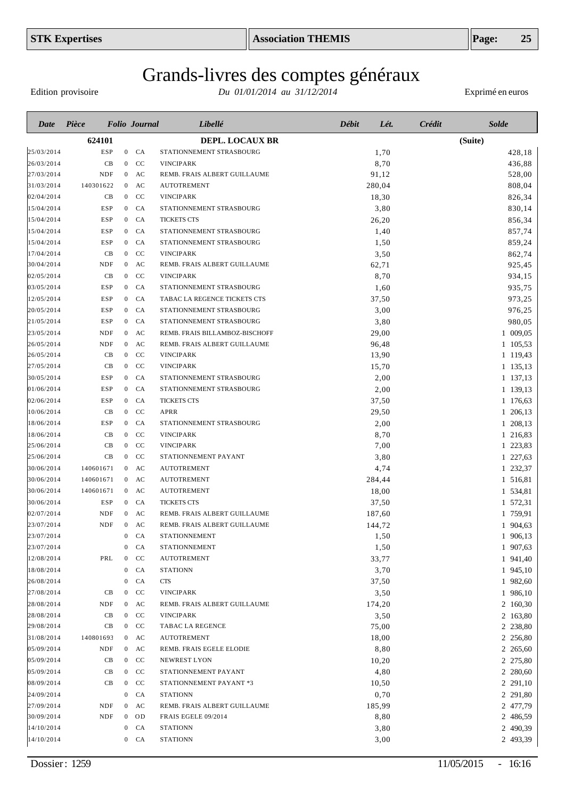# Grands-livres des comptes généraux

Edition provisoire

| Date                     | Pièce             |                | <b>Folio</b> Journal | Libellé                        | Débit<br>Lét. | <b>Solde</b><br>Crédit |
|--------------------------|-------------------|----------------|----------------------|--------------------------------|---------------|------------------------|
|                          | 624101            |                |                      | <b>DEPL. LOCAUX BR</b>         |               | (Suite)                |
| 25/03/2014               | <b>ESP</b>        |                | $0$ $CA$             | STATIONNEMENT STRASBOURG       | 1,70          | 428,18                 |
| 26/03/2014               | CB                |                | $0$ CC               | <b>VINCIPARK</b>               | 8,70          | 436,88                 |
| 27/03/2014               | <b>NDF</b>        |                | $0$ AC               | REMB. FRAIS ALBERT GUILLAUME   | 91,12         | 528,00                 |
| 31/03/2014               | 140301622         |                | $0$ AC               | <b>AUTOTREMENT</b>             | 280,04        | 808,04                 |
| 02/04/2014               | CB                |                | $0$ CC               | <b>VINCIPARK</b>               | 18,30         | 826,34                 |
| 15/04/2014               | ESP               |                | $0$ $CA$             | STATIONNEMENT STRASBOURG       | 3,80          | 830,14                 |
| 15/04/2014               | ESP               |                | $0$ CA               | <b>TICKETS CTS</b>             | 26,20         | 856,34                 |
| 15/04/2014               | ESP               |                | $0$ $CA$             | STATIONNEMENT STRASBOURG       | 1,40          | 857,74                 |
| 15/04/2014               | ESP               |                | $0$ CA               | STATIONNEMENT STRASBOURG       | 1,50          | 859,24                 |
| 17/04/2014               | CB                |                | $0$ CC               | <b>VINCIPARK</b>               | 3,50          | 862,74                 |
| 30/04/2014               | <b>NDF</b>        |                | $0$ AC               | REMB. FRAIS ALBERT GUILLAUME   | 62,71         | 925,45                 |
| 02/05/2014               | CB                | $\mathbf{0}$   | <sub>CC</sub>        | <b>VINCIPARK</b>               | 8,70          | 934,15                 |
| 03/05/2014               | <b>ESP</b>        |                | $0$ $CA$             | STATIONNEMENT STRASBOURG       | 1,60          | 935,75                 |
| 12/05/2014               | <b>ESP</b>        |                | $0$ CA               | TABAC LA REGENCE TICKETS CTS   | 37,50         | 973,25                 |
| 20/05/2014               | <b>ESP</b>        |                | $0$ CA               | STATIONNEMENT STRASBOURG       | 3,00          | 976,25                 |
| 21/05/2014               | <b>ESP</b>        |                | $0$ $CA$             | STATIONNEMENT STRASBOURG       | 3,80          | 980,05                 |
| 23/05/2014               | <b>NDF</b>        |                | $0$ AC               | REMB. FRAIS BILLAMBOZ-BISCHOFF | 29,00         | 1 009,05               |
| 26/05/2014               | <b>NDF</b>        |                | $0$ AC               | REMB. FRAIS ALBERT GUILLAUME   | 96,48         | 1 105,53               |
| 26/05/2014               | CB                | $\overline{0}$ | CC                   | <b>VINCIPARK</b>               | 13,90         | 1 119,43               |
| 27/05/2014               | CB                | $\overline{0}$ | CC                   | <b>VINCIPARK</b>               | 15,70         | 1 135,13               |
| 30/05/2014               | <b>ESP</b>        | $\mathbf{0}$   | CA                   | STATIONNEMENT STRASBOURG       | 2,00          | 1 137,13               |
| 01/06/2014               | <b>ESP</b>        | $\mathbf{0}$   | CA                   | STATIONNEMENT STRASBOURG       | 2,00          | 1 139,13               |
| 02/06/2014               | <b>ESP</b>        | $\mathbf{0}$   | CA                   | <b>TICKETS CTS</b>             | 37,50         | 1 176,63               |
| 10/06/2014               | CB                | $\overline{0}$ | CC                   | <b>APRR</b>                    | 29,50         | 1 206,13               |
| 18/06/2014               | <b>ESP</b>        | $\overline{0}$ | CA                   | STATIONNEMENT STRASBOURG       | 2,00          | 1 208,13               |
| 18/06/2014               | CB                | $\overline{0}$ | CC                   | <b>VINCIPARK</b>               | 8,70          | 1 216,83               |
| 25/06/2014               | CB                |                | $0$ CC               | <b>VINCIPARK</b>               | 7,00          | 1 223,83               |
| 25/06/2014               | CB                |                | $0$ CC               | STATIONNEMENT PAYANT           | 3,80          | 1 227,63               |
| 30/06/2014               | 140601671         |                | $0$ AC               | <b>AUTOTREMENT</b>             | 4,74          | 1 232,37               |
| 30/06/2014               | 140601671         |                | $0$ AC               | <b>AUTOTREMENT</b>             | 284,44        | 1 516,81               |
| 30/06/2014               | 140601671         |                | $0$ AC               | <b>AUTOTREMENT</b>             | 18,00         | 1 534,81               |
| 30/06/2014               | <b>ESP</b>        |                | $0$ CA               | <b>TICKETS CTS</b>             | 37,50         | 1 572,31               |
| 02/07/2014               | <b>NDF</b>        |                | $0$ AC               | REMB. FRAIS ALBERT GUILLAUME   | 187,60        | 1 759,91               |
| 23/07/2014               | <b>NDF</b>        |                | $0$ AC               | REMB. FRAIS ALBERT GUILLAUME   | 144,72        | 1 904,63               |
| 23/07/2014               |                   | $\overline{0}$ | CA                   | <b>STATIONNEMENT</b>           | 1,50          | 1 906,13               |
| 23/07/2014               |                   |                | $0$ $CA$             | <b>STATIONNEMENT</b>           | 1,50          | 1 907,63               |
| 12/08/2014               | PRL               |                | $0$ CC               | <b>AUTOTREMENT</b>             | 33,77         | 1 941,40               |
| 18/08/2014               |                   |                | $0$ $CA$             | <b>STATIONN</b>                | 3,70          | 1 945,10               |
| 26/08/2014               |                   |                | $0$ $CA$             | <b>CTS</b>                     | 37,50         | 1 982,60               |
| 27/08/2014               | CB                |                | $0$ CC               | <b>VINCIPARK</b>               | 3,50          | 1 986,10               |
| 28/08/2014               | NDF               |                | $0$ AC               | REMB. FRAIS ALBERT GUILLAUME   | 174,20        | 2 160,30               |
| 28/08/2014               | CB                |                | $0$ CC               | <b>VINCIPARK</b>               | 3,50          | 2 163,80               |
| 29/08/2014               | CB                |                | $0$ CC               | TABAC LA REGENCE               | 75,00         | 2 238,80               |
| 31/08/2014               | 140801693         |                | $0$ AC               | <b>AUTOTREMENT</b>             | 18,00         | 2 256,80               |
| 05/09/2014               | NDF               |                | $0$ AC               | REMB. FRAIS EGELE ELODIE       | 8,80          | 2 265,60               |
| 05/09/2014               | CB                |                | $0$ CC               | NEWREST LYON                   | 10,20         | 2 275,80               |
| 05/09/2014               | CB                |                | $0$ CC               | STATIONNEMENT PAYANT           |               |                        |
| 08/09/2014               | CB                |                | $0$ CC               | STATIONNEMENT PAYANT *3        | 4,80<br>10,50 | 2 280,60<br>2 291,10   |
| 24/09/2014               |                   | $\overline{0}$ | <b>CA</b>            | <b>STATIONN</b>                |               |                        |
|                          |                   |                |                      |                                | 0,70          | 2 291,80               |
| 27/09/2014<br>30/09/2014 | <b>NDF</b><br>NDF | $\mathbf{0}$   | $0$ AC<br>OD         | REMB. FRAIS ALBERT GUILLAUME   | 185,99        | 2 477,79               |
|                          |                   |                |                      | FRAIS EGELE 09/2014            | 8,80          | 2 486,59               |
| 14/10/2014               |                   | $\bf{0}$       | CA                   | <b>STATIONN</b>                | 3,80          | 2 490,39               |
| 14/10/2014               |                   |                | $0$ $CA$             | <b>STATIONN</b>                | 3,00          | 2 493,39               |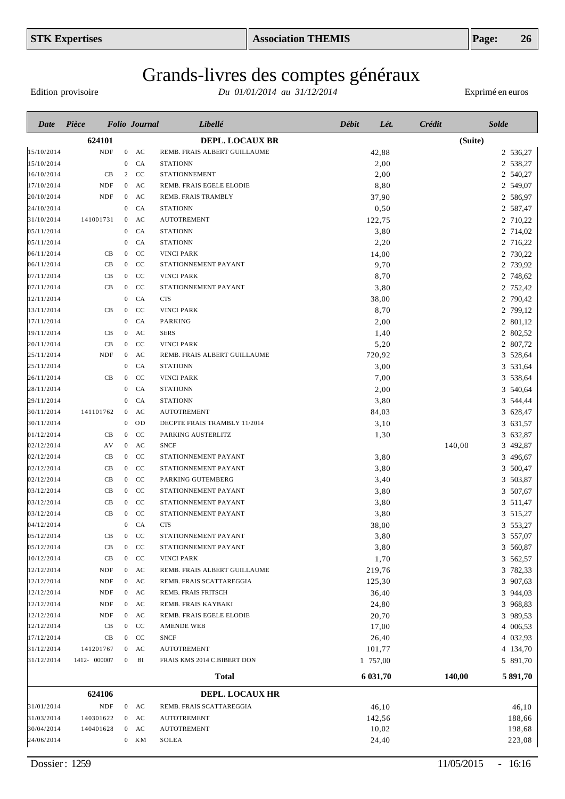# Grands-livres des comptes généraux

Edition provisoire

| Date       | Pièce        |                  | <b>Folio Journal</b> | Libellé                      | <b>Débit</b><br>Lét. | <b>Crédit</b> | <b>Solde</b> |
|------------|--------------|------------------|----------------------|------------------------------|----------------------|---------------|--------------|
|            | 624101       |                  |                      | DEPL. LOCAUX BR              |                      |               | (Suite)      |
| 15/10/2014 | <b>NDF</b>   | $\overline{0}$   | AC                   | REMB. FRAIS ALBERT GUILLAUME | 42,88                |               | 2 536,27     |
| 15/10/2014 |              | $\mathbf{0}$     | CA                   | <b>STATIONN</b>              | 2,00                 |               | 2 538,27     |
| 16/10/2014 | CB           | 2                | <b>CC</b>            | <b>STATIONNEMENT</b>         | 2,00                 |               | 2 540,27     |
| 17/10/2014 | NDF          | $\overline{0}$   | AC                   | REMB. FRAIS EGELE ELODIE     | 8,80                 |               | 2 549,07     |
| 20/10/2014 | NDF          | $\mathbf{0}$     | AC                   | REMB. FRAIS TRAMBLY          | 37,90                |               | 2 586,97     |
| 24/10/2014 |              | $\overline{0}$   | CA                   | <b>STATIONN</b>              | 0,50                 |               | 2 587,47     |
| 31/10/2014 | 141001731    | $\overline{0}$   | AC                   | <b>AUTOTREMENT</b>           | 122,75               |               | 2 710,22     |
| 05/11/2014 |              | $\mathbf{0}$     | CA                   | <b>STATIONN</b>              | 3,80                 |               | 2 714,02     |
| 05/11/2014 |              | $\mathbf{0}$     | CA                   | <b>STATIONN</b>              | 2,20                 |               | 2 716,22     |
| 06/11/2014 | CB           | $\mathbf{0}$     | CC                   | <b>VINCI PARK</b>            | 14,00                |               | 2 730,22     |
| 06/11/2014 | CB           | $\overline{0}$   | <b>CC</b>            | STATIONNEMENT PAYANT         | 9,70                 |               | 2 739,92     |
| 07/11/2014 | CB           | $\overline{0}$   | CC                   | <b>VINCI PARK</b>            | 8,70                 |               | 2 748,62     |
| 07/11/2014 | CB           | $\overline{0}$   | CC                   | STATIONNEMENT PAYANT         | 3,80                 |               | 2 752,42     |
| 12/11/2014 |              | $\mathbf{0}$     | <b>CA</b>            | <b>CTS</b>                   | 38,00                |               | 2 790,42     |
| 13/11/2014 | CB           | $\mathbf{0}$     | CC                   | <b>VINCI PARK</b>            | 8,70                 |               | 2 799,12     |
| 17/11/2014 |              | $\mathbf{0}$     | <b>CA</b>            | <b>PARKING</b>               | 2,00                 |               | 2 801,12     |
| 19/11/2014 | CB           | $\mathbf{0}$     | AC                   | <b>SERS</b>                  | 1,40                 |               | 2 802,52     |
| 20/11/2014 | CB           | $\overline{0}$   | CC                   | <b>VINCI PARK</b>            | 5,20                 |               | 2 807,72     |
| 25/11/2014 | NDF          | $\overline{0}$   | AC                   | REMB. FRAIS ALBERT GUILLAUME | 720,92               |               | 3 528,64     |
| 25/11/2014 |              | $\mathbf{0}$     | CA                   | <b>STATIONN</b>              | 3,00                 |               | 3 531,64     |
| 26/11/2014 | CB           | $\mathbf{0}$     | CC                   | <b>VINCI PARK</b>            | 7,00                 |               | 3 538,64     |
| 28/11/2014 |              | $\mathbf{0}$     | CA                   | <b>STATIONN</b>              | 2,00                 |               | 3 540,64     |
| 29/11/2014 |              | $\mathbf{0}$     | CA                   | <b>STATIONN</b>              | 3,80                 |               | 3 544,44     |
| 30/11/2014 | 141101762    | $\overline{0}$   | AC                   | <b>AUTOTREMENT</b>           | 84,03                |               | 3 628,47     |
| 30/11/2014 |              | $\mathbf{0}$     | OD                   | DECPTE FRAIS TRAMBLY 11/2014 | 3,10                 |               | 3 631,57     |
| 01/12/2014 | CB           | $\mathbf{0}$     | CC                   | PARKING AUSTERLITZ           | 1,30                 |               | 3 632,87     |
| 02/12/2014 | AV           | $\boldsymbol{0}$ | AC                   | <b>SNCF</b>                  |                      | 140,00        | 3 492,87     |
| 02/12/2014 | CB           | $\overline{0}$   | CC                   | STATIONNEMENT PAYANT         | 3,80                 |               | 3 496,67     |
| 02/12/2014 | CB           | $\overline{0}$   | CC                   | STATIONNEMENT PAYANT         | 3,80                 |               | 3 500,47     |
| 02/12/2014 | CB           | $\overline{0}$   | <sub>CC</sub>        | PARKING GUTEMBERG            | 3,40                 |               | 3 503,87     |
| 03/12/2014 | CB           | $\overline{0}$   | CC                   | STATIONNEMENT PAYANT         | 3,80                 |               | 3 507,67     |
| 03/12/2014 | CB           | $\overline{0}$   | CC                   | STATIONNEMENT PAYANT         | 3,80                 |               | 3 511,47     |
| 03/12/2014 | CB           | $\overline{0}$   | CC                   | STATIONNEMENT PAYANT         | 3,80                 |               | 3 515,27     |
| 04/12/2014 |              | $\boldsymbol{0}$ | CA                   | <b>CTS</b>                   | 38,00                |               | 3 553,27     |
| 05/12/2014 | CB           | $\overline{0}$   | CC                   | STATIONNEMENT PAYANT         | 3,80                 |               | 3 557,07     |
| 05/12/2014 | CB           |                  | $0$ CC               | STATIONNEMENT PAYANT         | 3,80                 |               | 3 560,87     |
| 10/12/2014 | CB           |                  | $0$ CC               | <b>VINCI PARK</b>            | 1,70                 |               | 3 562,57     |
| 12/12/2014 | NDF          |                  | $0$ AC               | REMB. FRAIS ALBERT GUILLAUME | 219,76               |               | 3 782,33     |
| 12/12/2014 | NDF          |                  | $0$ AC               | REMB. FRAIS SCATTAREGGIA     | 125,30               |               | 3 907,63     |
| 12/12/2014 | NDF          |                  | $0$ AC               | REMB. FRAIS FRITSCH          | 36,40                |               | 3 944,03     |
| 12/12/2014 | NDF          |                  | $0$ AC               | REMB. FRAIS KAYBAKI          | 24,80                |               | 3 968,83     |
| 12/12/2014 | NDF          |                  | $0$ AC               | REMB. FRAIS EGELE ELODIE     | 20,70                |               | 3 989,53     |
| 12/12/2014 | CB           |                  | $0$ CC               | AMENDE WEB                   | 17,00                |               | 4 006,53     |
| 17/12/2014 | CB           |                  | $0$ CC               | <b>SNCF</b>                  | 26,40                |               | 4 032,93     |
| 31/12/2014 | 141201767    |                  | $0$ AC               | <b>AUTOTREMENT</b>           | 101,77               |               | 4 134,70     |
| 31/12/2014 | 1412- 000007 | $\boldsymbol{0}$ | BI                   | FRAIS KMS 2014 C.BIBERT DON  | 1 757,00             |               | 5 891,70     |
|            |              |                  |                      | <b>Total</b>                 | 6 031,70             | 140,00        | 5 891,70     |
|            | 624106       |                  |                      | DEPL. LOCAUX HR              |                      |               |              |
| 31/01/2014 | <b>NDF</b>   |                  | $0$ AC               | REMB. FRAIS SCATTAREGGIA     | 46,10                |               | 46,10        |
| 31/03/2014 | 140301622    |                  | $0$ AC               | <b>AUTOTREMENT</b>           | 142,56               |               | 188,66       |
| 30/04/2014 | 140401628    |                  | $0$ AC               | <b>AUTOTREMENT</b>           | 10,02                |               | 198,68       |
| 24/06/2014 |              |                  | $0$ KM               | SOLEA                        | 24,40                |               | 223,08       |
|            |              |                  |                      |                              |                      |               |              |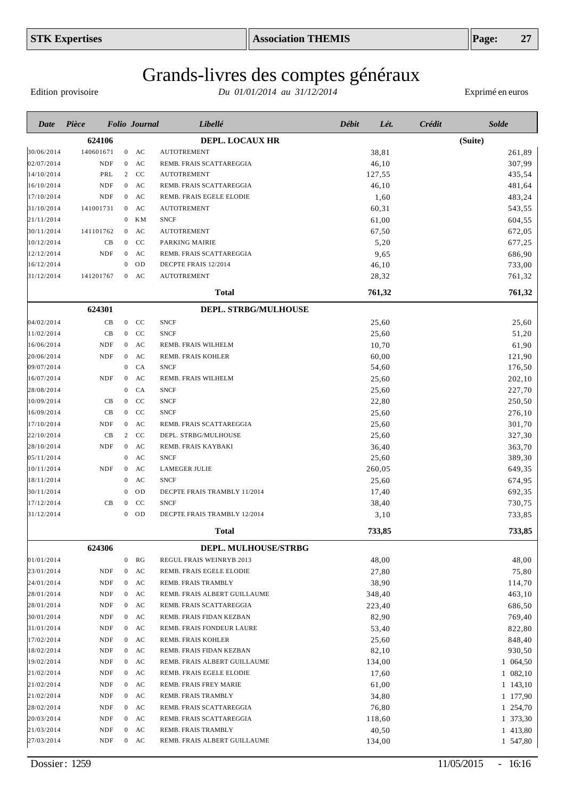# Grands-livres des comptes généraux

Edition provisoire

| Date                     | Pièce      |    |                                | <b>Folio</b> Journal   | Libellé                                              | <b>Débit</b> | Lét.            | Crédit | <b>Solde</b>         |
|--------------------------|------------|----|--------------------------------|------------------------|------------------------------------------------------|--------------|-----------------|--------|----------------------|
|                          | 624106     |    |                                |                        | <b>DEPL. LOCAUX HR</b>                               |              |                 |        | (Suite)              |
| 30/06/2014               | 140601671  |    |                                | $0$ AC                 | <b>AUTOTREMENT</b>                                   |              | 38,81           |        | 261,89               |
| 02/07/2014               | <b>NDF</b> |    | $\mathbf{0}$                   | AC                     | REMB. FRAIS SCATTAREGGIA                             |              | 46,10           |        | 307,99               |
| 14/10/2014               | PRL        |    |                                | 2 CC                   | <b>AUTOTREMENT</b>                                   |              | 127,55          |        | 435,54               |
| 16/10/2014               | NDF        |    |                                | $0$ AC                 | REMB. FRAIS SCATTAREGGIA                             |              | 46,10           |        | 481,64               |
| 17/10/2014               | NDF        |    |                                | $0$ AC                 | REMB. FRAIS EGELE ELODIE                             |              | 1,60            |        | 483,24               |
| 31/10/2014               | 141001731  |    | $\overline{0}$                 | AC                     | <b>AUTOTREMENT</b>                                   |              | 60,31           |        | 543,55               |
| 21/11/2014               |            |    | $\boldsymbol{0}$               | KМ                     | <b>SNCF</b>                                          |              | 61,00           |        | 604,55               |
| 30/11/2014               | 141101762  |    | $\overline{0}$                 | AC                     | <b>AUTOTREMENT</b>                                   |              | 67,50           |        | 672,05               |
| 10/12/2014               |            | CB | $\mathbf{0}$                   | CC                     | PARKING MAIRIE                                       |              | 5,20            |        | 677,25               |
| 12/12/2014               | <b>NDF</b> |    | $\overline{0}$                 | AC                     | REMB. FRAIS SCATTAREGGIA                             |              | 9,65            |        | 686,90               |
| 16/12/2014               |            |    | $\mathbf{0}$                   | OD                     | DECPTE FRAIS 12/2014                                 |              | 46,10           |        | 733,00               |
| 31/12/2014               | 141201767  |    |                                | $0$ AC                 | <b>AUTOTREMENT</b>                                   |              | 28,32           |        | 761,32               |
|                          |            |    |                                |                        | <b>Total</b>                                         |              | 761,32          |        | 761,32               |
|                          | 624301     |    |                                |                        | DEPL. STRBG/MULHOUSE                                 |              |                 |        |                      |
| 04/02/2014               |            | CB |                                | $0$ CC                 | <b>SNCF</b>                                          |              | 25,60           |        | 25,60                |
| 11/02/2014               |            | CB |                                | $0$ CC                 | <b>SNCF</b>                                          |              | 25,60           |        | 51,20                |
| 16/06/2014               | NDF        |    |                                | $0$ AC                 | REMB. FRAIS WILHELM                                  |              | 10,70           |        | 61,90                |
| 20/06/2014               | <b>NDF</b> |    | $\overline{0}$                 | AC                     | REMB. FRAIS KOHLER                                   |              | 60,00           |        | 121,90               |
| 09/07/2014               |            |    | $\mathbf{0}$                   | CA                     | <b>SNCF</b>                                          |              | 54,60           |        | 176,50               |
| 16/07/2014               | <b>NDF</b> |    | $\boldsymbol{0}$               | AC                     | REMB. FRAIS WILHELM                                  |              | 25,60           |        | 202,10               |
| 28/08/2014               |            |    | $\mathbf{0}$                   | CA                     | <b>SNCF</b>                                          |              | 25,60           |        | 227,70               |
| 10/09/2014               |            | CB | $\overline{0}$                 | <b>CC</b>              | <b>SNCF</b>                                          |              | 22,80           |        | 250,50               |
| 16/09/2014               |            | CB | $\overline{0}$                 | CC                     | <b>SNCF</b>                                          |              | 25,60           |        | 276,10               |
| 17/10/2014               | <b>NDF</b> |    | $\overline{0}$                 | AC                     | REMB. FRAIS SCATTAREGGIA                             |              | 25,60           |        | 301,70               |
| 22/10/2014               | CB         |    | $\overline{2}$                 | <b>CC</b>              | DEPL. STRBG/MULHOUSE                                 |              | 25,60           |        | 327,30               |
| 28/10/2014               | <b>NDF</b> |    | $\overline{0}$                 | AC                     | REMB. FRAIS KAYBAKI                                  |              | 36,40           |        | 363,70               |
| 05/11/2014               |            |    | $\mathbf{0}$                   | AC                     | <b>SNCF</b>                                          |              | 25,60           |        | 389,30               |
| 10/11/2014               | <b>NDF</b> |    | $\mathbf{0}$                   | AC                     | <b>LAMEGER JULIE</b>                                 |              | 260,05          |        | 649,35               |
| 18/11/2014               |            |    | $\boldsymbol{0}$               | $\mathbf{A}\mathbf{C}$ | <b>SNCF</b>                                          |              | 25,60           |        | 674,95               |
| 30/11/2014               |            |    | $\theta$                       | OD                     | DECPTE FRAIS TRAMBLY 11/2014                         |              | 17,40           |        | 692,35               |
| 17/12/2014               |            | CВ | $\bf{0}$                       | $\rm CC$               | <b>SNCF</b>                                          |              | 38,40           |        | 730,75               |
| 31/12/2014               |            |    | $\mathbf{0}$                   | OD                     | DECPTE FRAIS TRAMBLY 12/2014                         |              | 3,10            |        | 733,85               |
|                          |            |    |                                |                        | Total                                                |              | 733,85          |        | 733,85               |
|                          | 624306     |    |                                |                        | DEPL. MULHOUSE/STRBG                                 |              |                 |        |                      |
| 01/01/2014               |            |    | $\boldsymbol{0}$               | RG                     | REGUL FRAIS WEINRYB 2013                             |              | 48,00           |        | 48,00                |
| 23/01/2014               | <b>NDF</b> |    | $\boldsymbol{0}$               | AC                     | REMB. FRAIS EGELE ELODIE                             |              | 27,80           |        | 75,80                |
| 24/01/2014               | NDF        |    | $\overline{0}$                 | AC                     | REMB. FRAIS TRAMBLY                                  |              | 38,90           |        | 114,70               |
| 28/01/2014               | NDF        |    | $\mathbf{0}$                   | AC                     | REMB. FRAIS ALBERT GUILLAUME                         |              | 348,40          |        | 463,10               |
| 28/01/2014               | NDF        |    | $\mathbf{0}$                   | AC                     | REMB. FRAIS SCATTAREGGIA                             |              | 223,40          |        | 686,50               |
| 30/01/2014               | <b>NDF</b> |    | $\overline{0}$                 | AC                     | REMB. FRAIS FIDAN KEZBAN                             |              | 82,90           |        | 769,40               |
| 31/01/2014               | <b>NDF</b> |    | $\overline{0}$                 | AC                     | REMB. FRAIS FONDEUR LAURE                            |              | 53,40           |        | 822,80               |
| 17/02/2014               | NDF        |    | $\overline{0}$                 | AC                     | REMB. FRAIS KOHLER                                   |              | 25,60           |        | 848,40               |
| 18/02/2014               | NDF        |    |                                | $0$ AC                 | REMB. FRAIS FIDAN KEZBAN                             |              | 82,10           |        | 930,50               |
| 19/02/2014               | NDF        |    | $\mathbf{0}$                   | AC                     | REMB. FRAIS ALBERT GUILLAUME                         |              | 134,00          |        | 1 064,50             |
| 21/02/2014               | NDF        |    | $\mathbf{0}$                   | AC                     | REMB. FRAIS EGELE ELODIE                             |              | 17,60           |        | 1 082,10             |
| 21/02/2014               | NDF        |    | $\mathbf{0}$                   | AC                     | REMB. FRAIS FREY MARIE                               |              | 61,00           |        | 1 143,10             |
| 21/02/2014               | NDF        |    | $\mathbf{0}$                   | AC                     | REMB. FRAIS TRAMBLY                                  |              | 34,80           |        | 1 177,90             |
|                          |            |    |                                |                        |                                                      |              |                 |        |                      |
| 28/02/2014               | NDF<br>NDF |    | $\mathbf{0}$                   | AC<br>AC               | REMB. FRAIS SCATTAREGGIA<br>REMB. FRAIS SCATTAREGGIA |              | 76,80           |        | 1 254,70             |
| 20/03/2014<br>21/03/2014 | NDF        |    | $\mathbf{0}$<br>$\overline{0}$ | AC                     | REMB. FRAIS TRAMBLY                                  |              | 118,60          |        | 1 373,30             |
| 27/03/2014               | NDF        |    |                                | $0$ AC                 | REMB. FRAIS ALBERT GUILLAUME                         |              | 40,50<br>134,00 |        | 1 413,80<br>1 547,80 |
|                          |            |    |                                |                        |                                                      |              |                 |        |                      |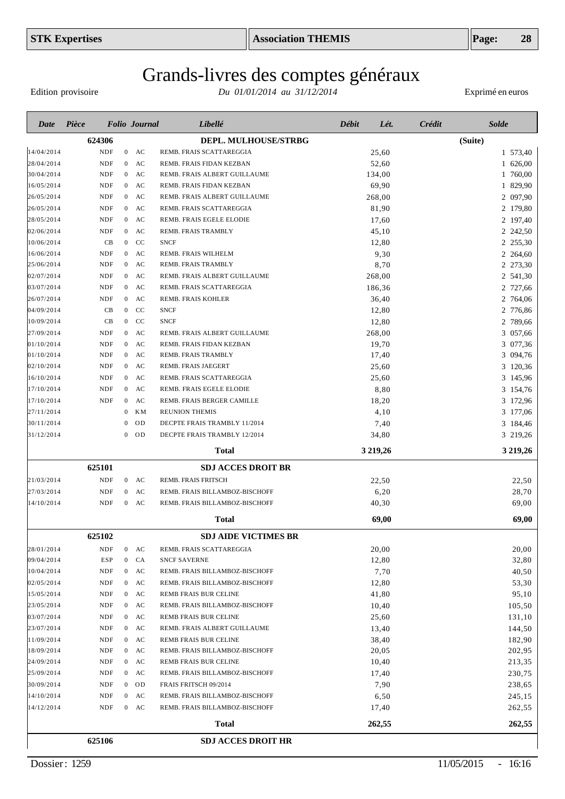# Grands-livres des comptes généraux

Edition provisoire

| Date                     | Pièce  |                          |                                | <b>Folio</b> Journal | Libellé                                                 | Débit | Lét.           | Crédit | <b>Solde</b>         |
|--------------------------|--------|--------------------------|--------------------------------|----------------------|---------------------------------------------------------|-------|----------------|--------|----------------------|
|                          | 624306 |                          |                                |                      | DEPL. MULHOUSE/STRBG                                    |       |                |        | (Suite)              |
| 14/04/2014               |        | <b>NDF</b>               | $\mathbf{0}$                   | AC                   | REMB. FRAIS SCATTAREGGIA                                |       | 25,60          |        | 1 573,40             |
| 28/04/2014               |        | <b>NDF</b>               | $\mathbf{0}$                   | AC                   | REMB. FRAIS FIDAN KEZBAN                                |       | 52,60          |        | 1 626,00             |
| 30/04/2014               |        | <b>NDF</b>               | $\overline{0}$                 | AC                   | REMB. FRAIS ALBERT GUILLAUME                            |       | 134,00         |        | 1 760,00             |
| 16/05/2014               |        | NDF                      | $\overline{0}$                 | AC                   | REMB. FRAIS FIDAN KEZBAN                                |       | 69,90          |        | 1 829,90             |
| 26/05/2014               |        | <b>NDF</b>               | $\overline{0}$                 | AC                   | REMB. FRAIS ALBERT GUILLAUME                            |       | 268,00         |        | 2 097,90             |
| 26/05/2014               |        | NDF                      | $\overline{0}$                 | AC                   | REMB. FRAIS SCATTAREGGIA                                |       | 81,90          |        | 2 179,80             |
| 28/05/2014               |        | <b>NDF</b>               | $\overline{0}$                 | AC                   | REMB. FRAIS EGELE ELODIE                                |       | 17,60          |        | 2 197,40             |
| 02/06/2014               |        | <b>NDF</b>               | $\overline{0}$                 | AC                   | REMB. FRAIS TRAMBLY                                     |       | 45,10          |        | 2 242,50             |
| 10/06/2014               |        | CB                       | $\overline{0}$                 | CC                   | <b>SNCF</b>                                             |       | 12,80          |        | 2 255,30             |
| 16/06/2014               |        | <b>NDF</b>               | $\overline{0}$                 | AC                   | REMB. FRAIS WILHELM                                     |       | 9,30           |        | 2 264,60             |
| 25/06/2014               |        | NDF                      | $\mathbf{0}$                   | AC                   | REMB. FRAIS TRAMBLY                                     |       | 8,70           |        | 2 273,30             |
| 02/07/2014               |        | NDF                      | $\mathbf{0}$                   | AC                   | REMB. FRAIS ALBERT GUILLAUME                            |       | 268,00         |        | 2 541,30             |
| 03/07/2014               |        | NDF                      | $\mathbf{0}$                   | AC                   | REMB. FRAIS SCATTAREGGIA                                |       | 186,36         |        | 2 727,66             |
| 26/07/2014               |        | NDF                      | $\mathbf{0}$                   | AC                   | <b>REMB. FRAIS KOHLER</b>                               |       | 36,40          |        | 2 764,06             |
| 04/09/2014               |        | CB                       | $\overline{0}$                 | CC                   | <b>SNCF</b>                                             |       | 12,80          |        | 2 776,86             |
| 10/09/2014               |        | CB                       | $\overline{0}$                 | CC                   | <b>SNCF</b>                                             |       | 12,80          |        | 2 789,66             |
| 27/09/2014               |        | NDF                      | $\mathbf{0}$                   | AC                   | REMB. FRAIS ALBERT GUILLAUME                            |       | 268,00         |        | 3 057,66             |
| 01/10/2014<br>01/10/2014 |        | <b>NDF</b><br>NDF        | $\mathbf{0}$<br>$\mathbf{0}$   | AC<br>AC             | REMB. FRAIS FIDAN KEZBAN<br>REMB. FRAIS TRAMBLY         |       | 19,70<br>17,40 |        | 3 077,36<br>3 094,76 |
| 02/10/2014               |        | NDF                      | $\mathbf{0}$                   | AC                   | REMB. FRAIS JAEGERT                                     |       | 25,60          |        | 3 120,36             |
| 16/10/2014               |        | NDF                      | $\mathbf{0}$                   | AC                   | REMB. FRAIS SCATTAREGGIA                                |       | 25,60          |        | 3 145,96             |
| 17/10/2014               |        | NDF                      | $\mathbf{0}$                   | AC                   | REMB. FRAIS EGELE ELODIE                                |       | 8,80           |        | 3 154,76             |
| 17/10/2014               |        | NDF                      | $\mathbf{0}$                   | AC                   | REMB. FRAIS BERGER CAMILLE                              |       | 18,20          |        | 3 172,96             |
| 27/11/2014               |        |                          | $\bf{0}$                       | KМ                   | <b>REUNION THEMIS</b>                                   |       | 4,10           |        | 3 177,06             |
| 30/11/2014               |        |                          | $\theta$                       | OD                   | DECPTE FRAIS TRAMBLY 11/2014                            |       | 7,40           |        | 3 184,46             |
| 31/12/2014               |        |                          | $\theta$                       | <b>OD</b>            | DECPTE FRAIS TRAMBLY 12/2014                            |       | 34,80          |        | 3 219,26             |
|                          |        |                          |                                |                      | Total                                                   |       | 3 2 19, 26     |        | 3 219,26             |
|                          |        |                          |                                |                      |                                                         |       |                |        |                      |
|                          | 625101 |                          |                                |                      | <b>SDJ ACCES DROIT BR</b>                               |       |                |        |                      |
| 21/03/2014<br>27/03/2014 |        | <b>NDF</b><br><b>NDF</b> | $\mathbf{0}$                   | $0$ AC<br>AC         | REMB. FRAIS FRITSCH<br>REMB. FRAIS BILLAMBOZ-BISCHOFF   |       | 22,50<br>6,20  |        | 22,50<br>28,70       |
| 14/10/2014               |        | NDF                      | $\overline{0}$                 | AC                   | REMB. FRAIS BILLAMBOZ-BISCHOFF                          |       | 40,30          |        | 69,00                |
|                          |        |                          |                                |                      |                                                         |       |                |        |                      |
|                          |        |                          |                                |                      | <b>Total</b>                                            |       | 69,00          |        | 69,00                |
|                          | 625102 |                          |                                |                      | <b>SDJ AIDE VICTIMES BR</b>                             |       |                |        |                      |
| 28/01/2014               |        | NDF                      |                                | $0$ AC               | REMB. FRAIS SCATTAREGGIA                                |       | 20,00          |        | 20,00                |
| 09/04/2014               |        | ESP                      | $\bf{0}$                       | CA                   | <b>SNCF SAVERNE</b>                                     |       | 12,80          |        | 32,80                |
| 10/04/2014               |        | NDF                      | $\mathbf{0}$                   | AC                   | REMB. FRAIS BILLAMBOZ-BISCHOFF                          |       | 7,70           |        | 40,50                |
| 02/05/2014               |        | NDF                      | $\mathbf{0}$                   | AC                   | REMB. FRAIS BILLAMBOZ-BISCHOFF                          |       | 12,80          |        | 53,30                |
| 15/05/2014               |        | NDF                      | $\mathbf{0}$                   | AC                   | REMB FRAIS BUR CELINE                                   |       | 41,80          |        | 95,10                |
| 23/05/2014<br>03/07/2014 |        | NDF                      | $\mathbf{0}$<br>$\overline{0}$ | AC                   | REMB. FRAIS BILLAMBOZ-BISCHOFF<br>REMB FRAIS BUR CELINE |       | 10,40          |        | 105,50               |
| 23/07/2014               |        | NDF<br>NDF               | $\overline{0}$                 | AC<br>AC             | REMB. FRAIS ALBERT GUILLAUME                            |       | 25,60<br>13,40 |        | 131,10<br>144,50     |
| 11/09/2014               |        | NDF                      | $\overline{0}$                 | AC                   | REMB FRAIS BUR CELINE                                   |       | 38,40          |        | 182,90               |
| 18/09/2014               |        | NDF                      | $\boldsymbol{0}$               | AC                   | REMB. FRAIS BILLAMBOZ-BISCHOFF                          |       | 20,05          |        | 202,95               |
| 24/09/2014               |        | NDF                      | $\mathbf{0}$                   | AC                   | REMB FRAIS BUR CELINE                                   |       | 10,40          |        | 213,35               |
| 25/09/2014               |        | NDF                      | $\mathbf{0}$                   | AC                   | REMB. FRAIS BILLAMBOZ-BISCHOFF                          |       | 17,40          |        | 230,75               |
| 30/09/2014               |        | NDF                      | $\mathbf{0}$                   | <b>OD</b>            | FRAIS FRITSCH 09/2014                                   |       | 7,90           |        | 238,65               |
| 14/10/2014               |        | NDF                      | $\mathbf{0}$                   | AC                   | REMB. FRAIS BILLAMBOZ-BISCHOFF                          |       | 6,50           |        | 245,15               |
| 14/12/2014               |        | NDF                      |                                | $0$ AC               | REMB. FRAIS BILLAMBOZ-BISCHOFF                          |       | 17,40          |        | 262,55               |
|                          |        |                          |                                |                      | <b>Total</b>                                            |       | 262,55         |        | 262,55               |
|                          | 625106 |                          |                                |                      | <b>SDJ ACCES DROIT HR</b>                               |       |                |        |                      |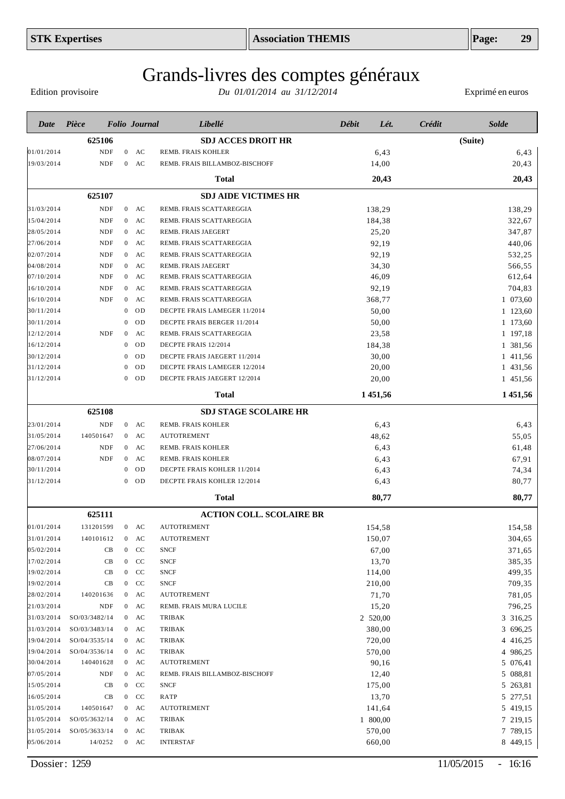Edition provisoire

| Date       | Pièce         |                  | <b>Folio</b> Journal | Libellé                         | <b>Débit</b> | Lét.     | Crédit | <b>Solde</b> |
|------------|---------------|------------------|----------------------|---------------------------------|--------------|----------|--------|--------------|
|            | 625106        |                  |                      | <b>SDJ ACCES DROIT HR</b>       |              |          |        | (Suite)      |
| 01/01/2014 | <b>NDF</b>    | $\overline{0}$   | AC                   | REMB. FRAIS KOHLER              |              | 6,43     |        | 6,43         |
| 19/03/2014 | <b>NDF</b>    | $\mathbf{0}$     | AC                   | REMB. FRAIS BILLAMBOZ-BISCHOFF  |              | 14,00    |        | 20,43        |
|            |               |                  |                      | <b>Total</b>                    |              | 20,43    |        | 20,43        |
|            | 625107        |                  |                      | <b>SDJ AIDE VICTIMES HR</b>     |              |          |        |              |
| 31/03/2014 | <b>NDF</b>    | $\overline{0}$   | AC                   | REMB. FRAIS SCATTAREGGIA        |              | 138,29   |        | 138,29       |
| 15/04/2014 | <b>NDF</b>    | $\boldsymbol{0}$ | AC                   | REMB. FRAIS SCATTAREGGIA        |              | 184,38   |        | 322,67       |
| 28/05/2014 | <b>NDF</b>    | $\mathbf{0}$     | AC                   | <b>REMB. FRAIS JAEGERT</b>      |              | 25,20    |        | 347,87       |
| 27/06/2014 | <b>NDF</b>    | $\boldsymbol{0}$ | AC                   | REMB. FRAIS SCATTAREGGIA        |              | 92,19    |        | 440,06       |
| 02/07/2014 | <b>NDF</b>    | $\boldsymbol{0}$ | AC                   | REMB. FRAIS SCATTAREGGIA        |              | 92,19    |        | 532,25       |
| 04/08/2014 | <b>NDF</b>    | $\boldsymbol{0}$ | AC                   | REMB. FRAIS JAEGERT             |              | 34,30    |        | 566,55       |
| 07/10/2014 | <b>NDF</b>    | $\overline{0}$   | AC                   | REMB. FRAIS SCATTAREGGIA        |              | 46,09    |        | 612,64       |
| 16/10/2014 | <b>NDF</b>    | $\overline{0}$   | AC                   | REMB. FRAIS SCATTAREGGIA        |              | 92,19    |        | 704,83       |
| 16/10/2014 | <b>NDF</b>    | $\overline{0}$   | AC                   | REMB. FRAIS SCATTAREGGIA        |              | 368,77   |        | 1 073,60     |
| 30/11/2014 |               | $\mathbf{0}$     | OD                   | DECPTE FRAIS LAMEGER 11/2014    |              | 50,00    |        | 1 123,60     |
| 30/11/2014 |               | $\mathbf{0}$     | OD                   | DECPTE FRAIS BERGER 11/2014     |              | 50,00    |        | 1 173,60     |
| 12/12/2014 | <b>NDF</b>    | $\mathbf{0}$     | AC                   | REMB. FRAIS SCATTAREGGIA        |              | 23,58    |        | 1 197,18     |
| 16/12/2014 |               | $\mathbf{0}$     | OD                   | DECPTE FRAIS 12/2014            |              | 184,38   |        | 1 381,56     |
| 30/12/2014 |               | $\mathbf{0}$     | OD                   | DECPTE FRAIS JAEGERT 11/2014    |              | 30,00    |        | 1 411,56     |
| 31/12/2014 |               | $\theta$         | OD                   | DECPTE FRAIS LAMEGER 12/2014    |              | 20,00    |        | 1 431,56     |
| 31/12/2014 |               | $\mathbf{0}$     | <b>OD</b>            | DECPTE FRAIS JAEGERT 12/2014    |              | 20,00    |        | 1 451,56     |
|            |               |                  |                      | Total                           |              | 1 451,56 |        | 1 451,56     |
|            | 625108        |                  |                      | <b>SDJ STAGE SCOLAIRE HR</b>    |              |          |        |              |
| 23/01/2014 | <b>NDF</b>    |                  | $0$ AC               | REMB. FRAIS KOHLER              |              | 6,43     |        | 6,43         |
| 31/05/2014 | 140501647     | $\boldsymbol{0}$ | AC                   | <b>AUTOTREMENT</b>              |              | 48,62    |        | 55,05        |
| 27/06/2014 | <b>NDF</b>    | $\overline{0}$   | AC                   | REMB. FRAIS KOHLER              |              | 6,43     |        | 61,48        |
| 08/07/2014 | <b>NDF</b>    | $\mathbf{0}$     | AC                   | REMB. FRAIS KOHLER              |              | 6,43     |        | 67,91        |
| 30/11/2014 |               | $\mathbf{0}$     | OD                   | DECPTE FRAIS KOHLER 11/2014     |              | 6,43     |        | 74,34        |
| 31/12/2014 |               | $\mathbf{0}$     | OD                   | DECPTE FRAIS KOHLER 12/2014     |              | 6,43     |        | 80,77        |
|            |               |                  |                      | <b>Total</b>                    |              | 80,77    |        | 80,77        |
|            | 625111        |                  |                      | <b>ACTION COLL. SCOLAIRE BR</b> |              |          |        |              |
| 01/01/2014 | 131201599     |                  | $0$ AC               | <b>AUTOTREMENT</b>              |              | 154,58   |        | 154,58       |
| 31/01/2014 | 140101612     | $\mathbf{0}$     | AC                   | <b>AUTOTREMENT</b>              |              | 150,07   |        | 304,65       |
| 05/02/2014 | CB            |                  | $0$ CC               | <b>SNCF</b>                     |              | 67,00    |        | 371,65       |
| 17/02/2014 | CB            |                  | $0$ CC               | <b>SNCF</b>                     |              | 13,70    |        | 385,35       |
| 19/02/2014 | CB            |                  | $0$ CC               | <b>SNCF</b>                     |              | 114,00   |        | 499,35       |
| 19/02/2014 | CB            |                  | $0$ CC               | <b>SNCF</b>                     |              | 210,00   |        | 709,35       |
| 28/02/2014 | 140201636     | $\mathbf{0}$     | AC                   | <b>AUTOTREMENT</b>              |              | 71,70    |        | 781,05       |
| 21/03/2014 | NDF           | $\overline{0}$   | AC                   | REMB. FRAIS MURA LUCILE         |              | 15,20    |        | 796,25       |
| 31/03/2014 | SO/03/3482/14 |                  | $0$ AC               | <b>TRIBAK</b>                   |              | 2 520,00 |        | 3 316,25     |
| 31/03/2014 | SO/03/3483/14 |                  | $0$ AC               | <b>TRIBAK</b>                   |              | 380,00   |        | 3 696,25     |
| 19/04/2014 | SO/04/3535/14 |                  | $0$ AC               | <b>TRIBAK</b>                   |              | 720,00   |        | 4 416,25     |
| 19/04/2014 | SO/04/3536/14 |                  | $0$ AC               | <b>TRIBAK</b>                   |              | 570,00   |        | 4 986,25     |
| 30/04/2014 | 140401628     |                  | $0$ AC               | <b>AUTOTREMENT</b>              |              | 90,16    |        | 5 076,41     |
| 07/05/2014 | NDF           |                  | $0$ AC               | REMB. FRAIS BILLAMBOZ-BISCHOFF  |              | 12,40    |        | 5 088,81     |
| 15/05/2014 | CB            |                  | $0$ CC               | <b>SNCF</b>                     |              | 175,00   |        | 5 263,81     |
| 16/05/2014 | CB            |                  | $0$ CC               | RATP                            |              | 13,70    |        | 5 277,51     |
| 31/05/2014 | 140501647     |                  | $0$ AC               | <b>AUTOTREMENT</b>              |              | 141,64   |        | 5 419,15     |
| 31/05/2014 | SO/05/3632/14 |                  | $0$ AC               | TRIBAK                          |              | 1 800,00 |        | 7 219,15     |
| 31/05/2014 | SO/05/3633/14 |                  | $0$ AC               | TRIBAK                          |              | 570,00   |        | 7 789,15     |
| 05/06/2014 | 14/0252       |                  | $0$ AC               | <b>INTERSTAF</b>                |              | 660,00   |        | 8 449,15     |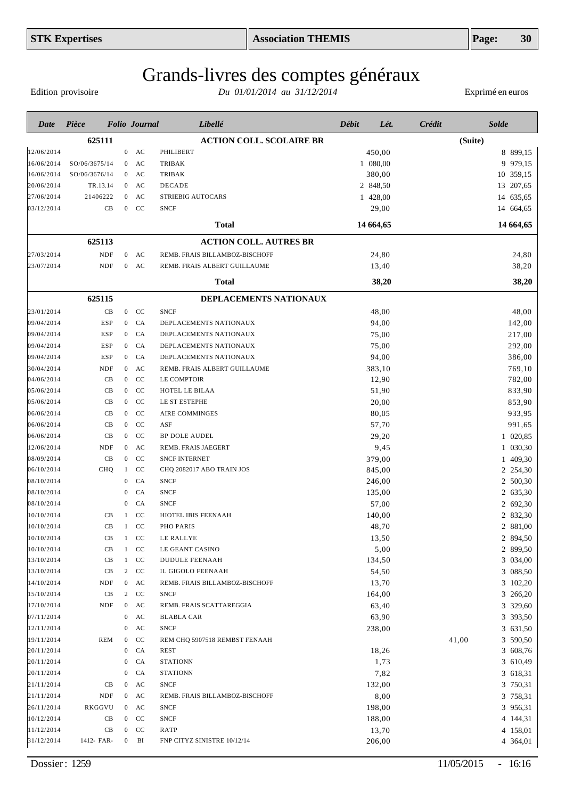Edition provisoire

| Date       | Pièce         |                | <b>Folio</b> Journal      | Libellé                         | <b>Débit</b> | Lét.      | Crédit  | <b>Solde</b> |
|------------|---------------|----------------|---------------------------|---------------------------------|--------------|-----------|---------|--------------|
|            | 625111        |                |                           | <b>ACTION COLL. SCOLAIRE BR</b> |              |           | (Suite) |              |
| 12/06/2014 |               |                | $0$ AC                    | PHILIBERT                       |              | 450,00    |         | 8 899,15     |
| 16/06/2014 | SO/06/3675/14 |                | $0$ AC                    | <b>TRIBAK</b>                   |              | 1 080,00  |         | 9 979,15     |
| 16/06/2014 | SO/06/3676/14 |                | $0$ AC                    | <b>TRIBAK</b>                   |              | 380,00    |         | 10 359,15    |
| 20/06/2014 | TR.13.14      |                | $0$ AC                    | DECADE                          |              | 2 848,50  |         | 13 207,65    |
| 27/06/2014 | 21406222      |                | AC<br>$\overline{0}$      | STRIEBIG AUTOCARS               |              | 1 428,00  |         | 14 635,65    |
| 03/12/2014 | CB            |                | CC<br>$\mathbf{0}$        | <b>SNCF</b>                     |              | 29,00     |         | 14 664,65    |
|            |               |                |                           | <b>Total</b>                    |              | 14 664,65 |         | 14 664,65    |
|            | 625113        |                |                           | <b>ACTION COLL. AUTRES BR</b>   |              |           |         |              |
| 27/03/2014 | <b>NDF</b>    |                | $0$ AC                    | REMB. FRAIS BILLAMBOZ-BISCHOFF  |              | 24,80     |         | 24,80        |
| 23/07/2014 | <b>NDF</b>    |                | $0$ AC                    | REMB. FRAIS ALBERT GUILLAUME    |              | 13,40     |         | 38,20        |
|            |               |                |                           | <b>Total</b>                    |              | 38,20     |         | 38,20        |
|            | 625115        |                |                           | DEPLACEMENTS NATIONAUX          |              |           |         |              |
| 23/01/2014 | CB            |                | $0$ CC                    | <b>SNCF</b>                     |              | 48,00     |         | 48,00        |
| 09/04/2014 | <b>ESP</b>    |                | CA<br>$\mathbf{0}$        | DEPLACEMENTS NATIONAUX          |              | 94,00     |         | 142,00       |
| 09/04/2014 | <b>ESP</b>    |                | CA<br>$\mathbf{0}$        | DEPLACEMENTS NATIONAUX          |              | 75,00     |         | 217,00       |
| 09/04/2014 | <b>ESP</b>    | $\mathbf{0}$   | CA                        | DEPLACEMENTS NATIONAUX          |              | 75,00     |         | 292,00       |
| 09/04/2014 | <b>ESP</b>    |                | CA<br>$\mathbf{0}$        | DEPLACEMENTS NATIONAUX          |              | 94,00     |         | 386,00       |
| 30/04/2014 | NDF           |                | AC<br>$\mathbf{0}$        | REMB. FRAIS ALBERT GUILLAUME    |              | 383,10    |         | 769,10       |
| 04/06/2014 | CB            | $\mathbf{0}$   | <b>CC</b>                 | LE COMPTOIR                     |              | 12,90     |         | 782,00       |
| 05/06/2014 | CB            | $\overline{0}$ | CC                        | HOTEL LE BILAA                  |              | 51,90     |         | 833,90       |
| 05/06/2014 | CB            | $\overline{0}$ | CC                        | LE ST ESTEPHE                   |              | 20,00     |         | 853,90       |
| 06/06/2014 | CB            |                | CC<br>$\mathbf{0}$        | AIRE COMMINGES                  |              | 80,05     |         | 933,95       |
| 06/06/2014 | CB            |                | CC<br>$\mathbf{0}$        | ASF                             |              | 57,70     |         | 991,65       |
| 06/06/2014 | CB            |                | CC<br>$\mathbf{0}$        | <b>BP DOLE AUDEL</b>            |              | 29,20     |         | 1 020,85     |
| 12/06/2014 | <b>NDF</b>    |                | AC<br>$\overline{0}$      | REMB. FRAIS JAEGERT             |              | 9,45      |         | 1 030,30     |
| 08/09/2014 | CB            | $\overline{0}$ | <b>CC</b>                 | <b>SNCF INTERNET</b>            |              | 379,00    |         | 1 409,30     |
| 06/10/2014 | CHQ           | $\mathbf{1}$   | <b>CC</b>                 | CHQ 2082017 ABO TRAIN JOS       |              | 845,00    |         | 2 254,30     |
| 08/10/2014 |               | 0              | CA                        | <b>SNCF</b>                     |              | 246,00    |         | 2 500,30     |
| 08/10/2014 |               | 0              | CA                        | <b>SNCF</b>                     |              | 135,00    |         | 2 635,30     |
| 08/10/2014 |               | 0              | CA                        | <b>SNCF</b>                     |              | 57,00     |         | 2 692,30     |
| 10/10/2014 | CB            | 1              | CC                        | HIOTEL IBIS FEENAAH             |              | 140,00    |         | 2 832,30     |
| 10/10/2014 | CB            |                | <b>CC</b><br>$\mathbf{1}$ | PHO PARIS                       |              | 48,70     |         | 2 881,00     |
| 10/10/2014 | CB            | $\mathbf{1}$   | CC                        | LE RALLYE                       |              | 13,50     |         | 2 894,50     |
| 10/10/2014 | CB            |                | CC<br>$\mathbf{1}$        | LE GEANT CASINO                 |              | 5,00      |         | 2 899,50     |
| 13/10/2014 | CB            |                | CC<br>1                   | <b>DUDULE FEENAAH</b>           |              | 134,50    |         | 3 034,00     |
| 13/10/2014 | CB            |                | CC<br>$\overline{2}$      | IL GIGOLO FEENAAH               |              | 54,50     |         | 3 088,50     |
| 14/10/2014 | NDF           |                | $0$ AC                    | REMB. FRAIS BILLAMBOZ-BISCHOFF  |              | 13,70     |         | 3 102,20     |
| 15/10/2014 | CB            |                | 2 CC                      | <b>SNCF</b>                     |              | 164,00    |         | 3 266,20     |
| 17/10/2014 | NDF           |                | $0$ AC                    | REMB. FRAIS SCATTAREGGIA        |              | 63,40     |         | 3 329,60     |
| 07/11/2014 |               |                | $0$ AC                    | <b>BLABLA CAR</b>               |              | 63,90     |         | 3 393,50     |
| 12/11/2014 |               | $\mathbf{0}$   | AC                        | <b>SNCF</b>                     |              | 238,00    |         | 3 631,50     |
| 19/11/2014 | <b>REM</b>    |                | CC<br>$\mathbf{0}$        | REM CHQ 5907518 REMBST FENAAH   |              |           | 41,00   | 3 590,50     |
| 20/11/2014 |               |                | CA<br>$\mathbf{0}$        | <b>REST</b>                     |              | 18,26     |         | 3 608,76     |
| 20/11/2014 |               | $\mathbf{0}$   | CA                        | <b>STATIONN</b>                 |              | 1,73      |         | 3 610,49     |
| 20/11/2014 |               | $\mathbf{0}$   | CA                        | <b>STATIONN</b>                 |              | 7,82      |         | 3 618,31     |
| 21/11/2014 | CB            |                | $0$ AC                    | <b>SNCF</b>                     |              | 132,00    |         | 3 750,31     |
| 21/11/2014 | NDF           |                | $0$ AC                    | REMB. FRAIS BILLAMBOZ-BISCHOFF  |              | 8,00      |         | 3 758,31     |
| 26/11/2014 | RKGGVU        |                | $0$ AC                    | <b>SNCF</b>                     |              | 198,00    |         | 3 956,31     |
| 10/12/2014 | CB            |                | $0$ CC                    | <b>SNCF</b>                     |              | 188,00    |         | 4 144,31     |
| 11/12/2014 | CB            |                | $0$ CC                    | RATP                            |              | 13,70     |         | 4 158,01     |
| 31/12/2014 | 1412- FAR-    |                | $0$ BI                    | FNP CITYZ SINISTRE 10/12/14     |              | 206,00    |         | 4 364,01     |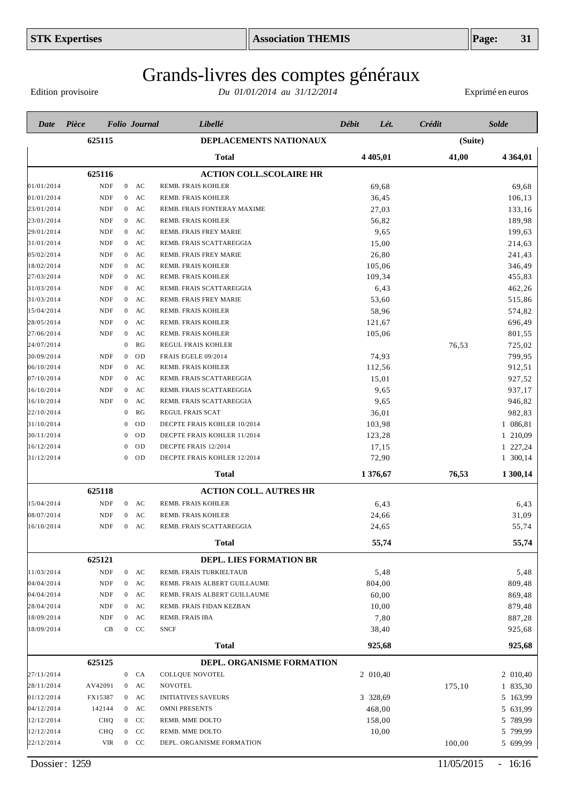Edition provisoire

| Date       | Pièce      |                  | <b>Folio</b> Journal | Libellé                        | Débit | Lét.       | Crédit |         | <b>Solde</b>  |
|------------|------------|------------------|----------------------|--------------------------------|-------|------------|--------|---------|---------------|
|            | 625115     |                  |                      | DEPLACEMENTS NATIONAUX         |       |            |        | (Suite) |               |
|            |            |                  |                      | <b>Total</b>                   |       | 4 4 0 5,01 | 41,00  |         | 4 3 6 4 , 0 1 |
|            | 625116     |                  |                      | <b>ACTION COLL.SCOLAIRE HR</b> |       |            |        |         |               |
| 01/01/2014 | <b>NDF</b> | $\overline{0}$   | AC                   | REMB. FRAIS KOHLER             |       | 69,68      |        |         | 69,68         |
| 01/01/2014 | <b>NDF</b> | $\overline{0}$   | AC                   | REMB. FRAIS KOHLER             |       | 36,45      |        |         | 106,13        |
| 23/01/2014 | <b>NDF</b> | $\overline{0}$   | AC                   | REMB. FRAIS FONTERAY MAXIME    |       | 27,03      |        |         | 133,16        |
| 23/01/2014 | NDF        | $\mathbf{0}$     | AC                   | REMB. FRAIS KOHLER             |       | 56,82      |        |         | 189,98        |
| 29/01/2014 | <b>NDF</b> | $\overline{0}$   | AC                   | <b>REMB. FRAIS FREY MARIE</b>  |       | 9,65       |        |         | 199,63        |
| 31/01/2014 | NDF        | $\overline{0}$   | AC                   | REMB. FRAIS SCATTAREGGIA       |       | 15,00      |        |         | 214,63        |
| 05/02/2014 | <b>NDF</b> | $\overline{0}$   | AC                   | REMB. FRAIS FREY MARIE         |       | 26,80      |        |         | 241,43        |
| 18/02/2014 | <b>NDF</b> | $\overline{0}$   | AC                   | REMB. FRAIS KOHLER             |       | 105,06     |        |         | 346,49        |
| 27/03/2014 | NDF        | $\mathbf{0}$     | AC                   | REMB. FRAIS KOHLER             |       | 109,34     |        |         | 455,83        |
| 31/03/2014 | <b>NDF</b> |                  | $0$ AC               | REMB. FRAIS SCATTAREGGIA       |       | 6,43       |        |         | 462,26        |
| 31/03/2014 | <b>NDF</b> | $\overline{0}$   | AC                   | REMB. FRAIS FREY MARIE         |       | 53,60      |        |         | 515,86        |
| 15/04/2014 | <b>NDF</b> |                  | $0$ AC               | REMB. FRAIS KOHLER             |       | 58,96      |        |         | 574,82        |
| 28/05/2014 | <b>NDF</b> | $\mathbf{0}$     | AC                   | REMB. FRAIS KOHLER             |       | 121,67     |        |         | 696,49        |
| 27/06/2014 | <b>NDF</b> | $\mathbf{0}$     | AC                   | REMB. FRAIS KOHLER             |       | 105,06     |        |         | 801,55        |
| 24/07/2014 |            | $\mathbf{0}$     | RG                   | REGUL FRAIS KOHLER             |       |            | 76,53  |         | 725,02        |
| 30/09/2014 | <b>NDF</b> | $\overline{0}$   | <b>OD</b>            | FRAIS EGELE 09/2014            |       | 74,93      |        |         | 799,95        |
| 06/10/2014 | <b>NDF</b> | $\mathbf{0}$     | AC                   | REMB. FRAIS KOHLER             |       | 112,56     |        |         | 912,51        |
| 07/10/2014 | <b>NDF</b> | $\overline{0}$   | AC                   | REMB. FRAIS SCATTAREGGIA       |       | 15,01      |        |         | 927,52        |
| 16/10/2014 | <b>NDF</b> | $\mathbf{0}$     | AC                   | REMB. FRAIS SCATTAREGGIA       |       | 9,65       |        |         | 937,17        |
| 16/10/2014 | <b>NDF</b> | $\mathbf{0}$     | AC                   | REMB. FRAIS SCATTAREGGIA       |       | 9,65       |        |         | 946,82        |
| 22/10/2014 |            | $\mathbf{0}$     | RG                   | REGUL FRAIS SCAT               |       | 36,01      |        |         | 982,83        |
| 31/10/2014 |            | $\theta$         | OD                   | DECPTE FRAIS KOHLER 10/2014    |       | 103,98     |        |         | 1 086,81      |
| 30/11/2014 |            | $\theta$         | OD                   | DECPTE FRAIS KOHLER 11/2014    |       | 123,28     |        |         | 1 210,09      |
| 16/12/2014 |            | $\theta$         | OD                   | DECPTE FRAIS 12/2014           |       | 17,15      |        |         | 1 227,24      |
| 31/12/2014 |            | $\overline{0}$   | OD                   | DECPTE FRAIS KOHLER 12/2014    |       | 72,90      |        |         | 1 300,14      |
|            |            |                  |                      | Total                          |       | 1 376,67   | 76,53  |         | 1 300,14      |
|            | 625118     |                  |                      | <b>ACTION COLL. AUTRES HR</b>  |       |            |        |         |               |
| 15/04/2014 | <b>NDF</b> |                  | $0$ AC               | <b>REMB. FRAIS KOHLER</b>      |       | 6,43       |        |         | 6,43          |
| 08/07/2014 | <b>NDF</b> | $\bf{0}$         | AC                   | REMB. FRAIS KOHLER             |       | 24,66      |        |         | 31,09         |
| 16/10/2014 | <b>NDF</b> | $\overline{0}$   | AC                   | REMB. FRAIS SCATTAREGGIA       |       | 24,65      |        |         | 55,74         |
|            |            |                  |                      | <b>Total</b>                   |       | 55,74      |        |         | 55,74         |
|            | 625121     |                  |                      | DEPL. LIES FORMATION BR        |       |            |        |         |               |
| 11/03/2014 | NDF        |                  | $0$ AC               | REMB. FRAIS TURKIELTAUB        |       | 5,48       |        |         | 5,48          |
| 04/04/2014 | <b>NDF</b> | $\boldsymbol{0}$ | AC                   | REMB. FRAIS ALBERT GUILLAUME   |       | 804,00     |        |         | 809,48        |
| 04/04/2014 | <b>NDF</b> | $\boldsymbol{0}$ | AC                   | REMB. FRAIS ALBERT GUILLAUME   |       | 60,00      |        |         | 869,48        |
| 28/04/2014 | <b>NDF</b> | $\boldsymbol{0}$ | AC                   | REMB. FRAIS FIDAN KEZBAN       |       | 10,00      |        |         | 879,48        |
| 18/09/2014 | <b>NDF</b> | $\boldsymbol{0}$ | AC                   | REMB. FRAIS IBA                |       | 7,80       |        |         | 887,28        |
| 18/09/2014 | CB         | $\boldsymbol{0}$ | <b>CC</b>            | <b>SNCF</b>                    |       | 38,40      |        |         | 925,68        |
|            |            |                  |                      | <b>Total</b>                   |       | 925,68     |        |         | 925,68        |
|            | 625125     |                  |                      | DEPL. ORGANISME FORMATION      |       |            |        |         |               |
| 27/11/2014 |            | $\boldsymbol{0}$ | CA                   | <b>COLLQUE NOVOTEL</b>         |       | 2 010,40   |        |         | 2 010,40      |
| 28/11/2014 | AV42091    | $\boldsymbol{0}$ | AC                   | <b>NOVOTEL</b>                 |       |            | 175,10 |         | 1 835,30      |
| 01/12/2014 | FX15387    |                  | $0$ AC               | <b>INITIATIVES SAVEURS</b>     |       | 3 328,69   |        |         | 5 163,99      |
| 04/12/2014 | 142144     |                  | $0$ AC               | <b>OMNI PRESENTS</b>           |       | 468,00     |        |         | 5 631,99      |
| 12/12/2014 | <b>CHQ</b> |                  | $0$ CC               | REMB. MME DOLTO                |       | 158,00     |        |         | 5 789,99      |
| 12/12/2014 | <b>CHQ</b> | $\mathbf{0}$     | CC                   | REMB. MME DOLTO                |       | 10,00      |        |         | 5 799,99      |
| 22/12/2014 | VIR        |                  | $0$ CC               | DEPL. ORGANISME FORMATION      |       |            | 100,00 |         | 5 699,99      |
|            |            |                  |                      |                                |       |            |        |         |               |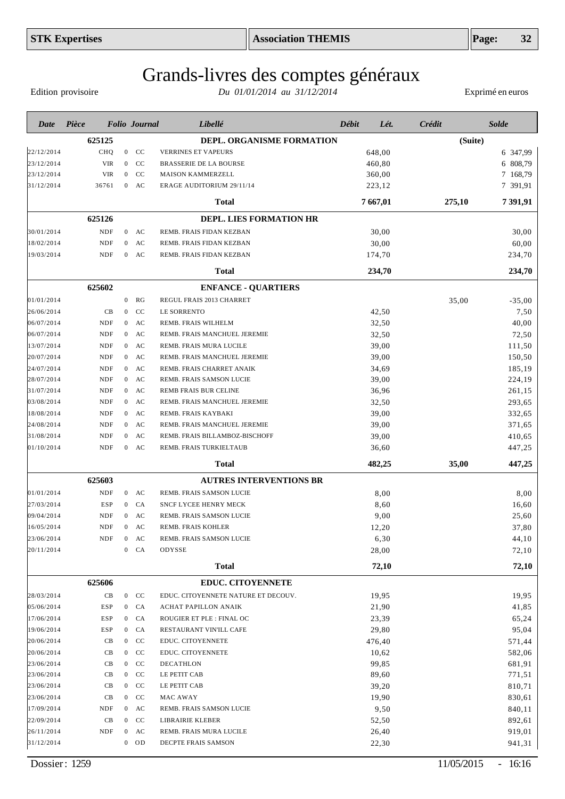Edition provisoire

| Date       | Pièce |            |                  | <b>Folio Journal</b> | Libellé                             | Débit | Lét.     | Crédit  | <b>Solde</b> |
|------------|-------|------------|------------------|----------------------|-------------------------------------|-------|----------|---------|--------------|
|            |       | 625125     |                  |                      | <b>DEPL. ORGANISME FORMATION</b>    |       |          | (Suite) |              |
| 22/12/2014 |       | CHQ        |                  | $0$ CC               | <b>VERRINES ET VAPEURS</b>          |       | 648,00   |         | 6 347,99     |
| 23/12/2014 |       | <b>VIR</b> | $\mathbf{0}$     | <b>CC</b>            | <b>BRASSERIE DE LA BOURSE</b>       |       | 460,80   |         | 6 808,79     |
| 23/12/2014 |       | <b>VIR</b> | $\overline{0}$   | CC                   | <b>MAISON KAMMERZELL</b>            |       | 360,00   |         | 7 168,79     |
| 31/12/2014 |       | 36761      | $\overline{0}$   | AC                   | ERAGE AUDITORIUM 29/11/14           |       | 223,12   |         | 7 391,91     |
|            |       |            |                  |                      | <b>Total</b>                        |       | 7 667,01 | 275,10  | 7 391,91     |
|            |       | 625126     |                  |                      | <b>DEPL. LIES FORMATION HR</b>      |       |          |         |              |
| 30/01/2014 |       | <b>NDF</b> |                  | $0$ AC               | REMB. FRAIS FIDAN KEZBAN            |       | 30,00    |         | 30,00        |
| 18/02/2014 |       | <b>NDF</b> | $\overline{0}$   | AC                   | REMB. FRAIS FIDAN KEZBAN            |       | 30,00    |         | 60,00        |
| 19/03/2014 |       | <b>NDF</b> | $\overline{0}$   | AC                   | REMB. FRAIS FIDAN KEZBAN            |       | 174,70   |         | 234,70       |
|            |       |            |                  |                      | Total                               |       | 234,70   |         | 234,70       |
|            |       | 625602     |                  |                      | <b>ENFANCE - QUARTIERS</b>          |       |          |         |              |
| 01/01/2014 |       |            | $\boldsymbol{0}$ | RG                   | REGUL FRAIS 2013 CHARRET            |       |          | 35,00   | $-35,00$     |
| 26/06/2014 |       | CB         | $\overline{0}$   | CC                   | LE SORRENTO                         |       | 42,50    |         | 7,50         |
| 06/07/2014 |       | <b>NDF</b> | $\overline{0}$   | AC                   | REMB. FRAIS WILHELM                 |       | 32,50    |         | 40,00        |
| 06/07/2014 |       | <b>NDF</b> | $\boldsymbol{0}$ | AC                   | REMB. FRAIS MANCHUEL JEREMIE        |       | 32,50    |         | 72,50        |
| 13/07/2014 |       | <b>NDF</b> | $\overline{0}$   | AC                   | REMB. FRAIS MURA LUCILE             |       | 39,00    |         | 111,50       |
| 20/07/2014 |       | <b>NDF</b> | $\boldsymbol{0}$ | AC                   | REMB. FRAIS MANCHUEL JEREMIE        |       | 39,00    |         | 150,50       |
| 24/07/2014 |       | <b>NDF</b> | $\boldsymbol{0}$ | AC                   | REMB. FRAIS CHARRET ANAIK           |       | 34,69    |         | 185,19       |
| 28/07/2014 |       | <b>NDF</b> | $\boldsymbol{0}$ | AC                   | REMB. FRAIS SAMSON LUCIE            |       | 39,00    |         | 224,19       |
| 31/07/2014 |       | <b>NDF</b> | $\boldsymbol{0}$ | AC                   | REMB FRAIS BUR CELINE               |       | 36,96    |         | 261,15       |
| 03/08/2014 |       | <b>NDF</b> | $\boldsymbol{0}$ | AC                   | REMB. FRAIS MANCHUEL JEREMIE        |       | 32,50    |         | 293,65       |
| 18/08/2014 |       | <b>NDF</b> | $\boldsymbol{0}$ | AC                   | REMB. FRAIS KAYBAKI                 |       | 39,00    |         | 332,65       |
| 24/08/2014 |       | <b>NDF</b> | $\boldsymbol{0}$ | AC                   | REMB. FRAIS MANCHUEL JEREMIE        |       | 39,00    |         | 371,65       |
| 31/08/2014 |       | <b>NDF</b> | $\boldsymbol{0}$ | AC                   | REMB. FRAIS BILLAMBOZ-BISCHOFF      |       | 39,00    |         | 410,65       |
| 01/10/2014 |       | <b>NDF</b> | $\boldsymbol{0}$ | AC                   | REMB. FRAIS TURKIELTAUB             |       | 36,60    |         | 447,25       |
|            |       |            |                  |                      | Total                               |       | 482,25   | 35,00   | 447,25       |
|            |       | 625603     |                  |                      | <b>AUTRES INTERVENTIONS BR</b>      |       |          |         |              |
| 01/01/2014 |       | <b>NDF</b> |                  | $0$ AC               | REMB. FRAIS SAMSON LUCIE            |       | 8,00     |         | 8,00         |
| 27/03/2014 |       | <b>ESP</b> | $\overline{0}$   | CA                   | <b>SNCF LYCEE HENRY MECK</b>        |       | 8,60     |         | 16,60        |
| 09/04/2014 |       | <b>NDF</b> | $\boldsymbol{0}$ | AC                   | REMB. FRAIS SAMSON LUCIE            |       | 9,00     |         | 25,60        |
| 16/05/2014 |       | <b>NDF</b> | $\boldsymbol{0}$ | AC                   | REMB. FRAIS KOHLER                  |       | 12,20    |         | 37,80        |
| 23/06/2014 |       | NDF        |                  | $0$ AC               | REMB. FRAIS SAMSON LUCIE            |       | 6,30     |         | 44,10        |
| 20/11/2014 |       |            | $\boldsymbol{0}$ | CA                   | ODYSSE                              |       | 28,00    |         | 72,10        |
|            |       |            |                  |                      | <b>Total</b>                        |       | 72,10    |         | 72,10        |
|            |       | 625606     |                  |                      | <b>EDUC. CITOYENNETE</b>            |       |          |         |              |
| 28/03/2014 |       | CB         |                  | $0$ CC               | EDUC. CITOYENNETE NATURE ET DECOUV. |       | 19,95    |         | 19,95        |
| 05/06/2014 |       | ESP        |                  | $0$ $CA$             | ACHAT PAPILLON ANAIK                |       | 21,90    |         | 41,85        |
| 17/06/2014 |       | ESP        |                  | $0$ $CA$             | ROUGIER ET PLE : FINAL OC           |       | 23,39    |         | 65,24        |
| 19/06/2014 |       | ESP        |                  | $0$ $CA$             | RESTAURANT VIN'ILL CAFE             |       | 29,80    |         | 95,04        |
| 20/06/2014 |       | CB         |                  | $0$ CC               | EDUC. CITOYENNETE                   |       | 476,40   |         | 571,44       |
| 20/06/2014 |       | CB         |                  | $0$ CC               | EDUC. CITOYENNETE                   |       | 10,62    |         | 582,06       |
| 23/06/2014 |       | CB         |                  | $0$ CC               | DECATHLON                           |       | 99,85    |         | 681,91       |
| 23/06/2014 |       | CВ         |                  | $0$ CC               | LE PETIT CAB                        |       | 89,60    |         | 771,51       |
| 23/06/2014 |       | CB         |                  | $0$ CC               | LE PETIT CAB                        |       | 39,20    |         | 810,71       |
| 23/06/2014 |       | CВ         |                  | $0$ CC               | MAC AWAY                            |       | 19,90    |         | 830,61       |
| 17/09/2014 |       | NDF        |                  | $0$ AC               | REMB. FRAIS SAMSON LUCIE            |       | 9,50     |         | 840,11       |
| 22/09/2014 |       | CB         |                  | $0$ CC               | LIBRAIRIE KLEBER                    |       | 52,50    |         | 892,61       |
| 26/11/2014 |       | <b>NDF</b> |                  | $0$ AC               | REMB. FRAIS MURA LUCILE             |       | 26,40    |         | 919,01       |
| 31/12/2014 |       |            |                  | $0$ OD               | DECPTE FRAIS SAMSON                 |       | 22,30    |         | 941,31       |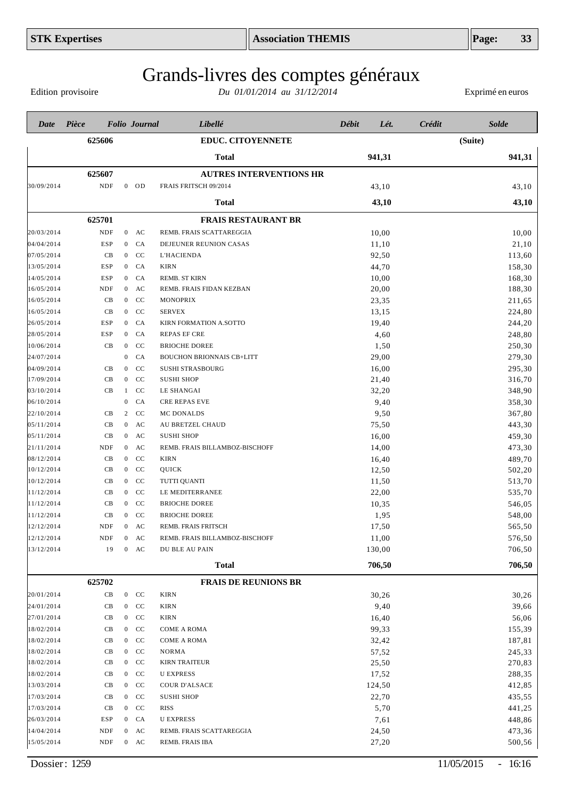Edition provisoire

| Date       | Pièce                       |                | <b>Folio Journal</b> | Libellé                          | <b>Débit</b> | Lét.   | Crédit | <b>Solde</b> |
|------------|-----------------------------|----------------|----------------------|----------------------------------|--------------|--------|--------|--------------|
|            | 625606                      |                |                      | <b>EDUC. CITOYENNETE</b>         |              |        |        | (Suite)      |
|            |                             |                |                      | <b>Total</b>                     |              | 941,31 |        | 941,31       |
|            | 625607                      |                |                      | <b>AUTRES INTERVENTIONS HR</b>   |              |        |        |              |
| 30/09/2014 | <b>NDF</b>                  |                | $0$ OD               | FRAIS FRITSCH 09/2014            |              | 43,10  |        | 43,10        |
|            |                             |                |                      | <b>Total</b>                     |              | 43,10  |        | 43,10        |
|            | 625701                      |                |                      | <b>FRAIS RESTAURANT BR</b>       |              |        |        |              |
| 20/03/2014 | <b>NDF</b>                  |                | $0$ AC               | REMB. FRAIS SCATTAREGGIA         |              | 10,00  |        | 10,00        |
| 04/04/2014 | ESP                         | $\mathbf{0}$   | CA                   | DEJEUNER REUNION CASAS           |              | 11,10  |        | 21,10        |
| 07/05/2014 | CB                          | $\mathbf{0}$   | CC                   | L'HACIENDA                       |              | 92,50  |        | 113,60       |
| 13/05/2014 | ESP                         | $\mathbf{0}$   | CA                   | <b>KIRN</b>                      |              | 44,70  |        | 158,30       |
| 14/05/2014 | ESP                         | $\overline{0}$ | CA                   | REMB. ST KIRN                    |              | 10,00  |        | 168,30       |
| 16/05/2014 | <b>NDF</b>                  | $\mathbf{0}$   | AC                   | REMB. FRAIS FIDAN KEZBAN         |              | 20,00  |        | 188,30       |
| 16/05/2014 | CB                          | $\overline{0}$ | CC                   | <b>MONOPRIX</b>                  |              | 23,35  |        | 211,65       |
| 16/05/2014 | CB                          | $\overline{0}$ | CC                   | <b>SERVEX</b>                    |              | 13,15  |        | 224,80       |
| 26/05/2014 | ESP                         | $\overline{0}$ | CA                   | KIRN FORMATION A.SOTTO           |              | 19,40  |        | 244,20       |
| 28/05/2014 | ESP                         | $\overline{0}$ | CA                   | <b>REPAS EF CRE</b>              |              | 4,60   |        | 248,80       |
| 10/06/2014 | CB                          | $\mathbf{0}$   | CC                   | <b>BRIOCHE DOREE</b>             |              | 1,50   |        | 250,30       |
| 24/07/2014 |                             | $\mathbf{0}$   | CA                   | <b>BOUCHON BRIONNAIS CB+LITT</b> |              | 29,00  |        | 279,30       |
| 04/09/2014 | CB                          | $\overline{0}$ | CC                   | <b>SUSHI STRASBOURG</b>          |              | 16,00  |        | 295,30       |
| 17/09/2014 | CB                          | $\overline{0}$ | CC                   | <b>SUSHI SHOP</b>                |              | 21,40  |        | 316,70       |
| 03/10/2014 | CB                          | 1              | CC                   | LE SHANGAI                       |              | 32,20  |        | 348,90       |
| 06/10/2014 |                             | $\mathbf{0}$   | CA                   | <b>CRE REPAS EVE</b>             |              | 9,40   |        | 358,30       |
| 22/10/2014 | CB                          | 2              | CC                   | MC DONALDS                       |              | 9,50   |        | 367,80       |
| 05/11/2014 | CB                          | $\overline{0}$ | AC                   | AU BRETZEL CHAUD                 |              | 75,50  |        | 443,30       |
| 05/11/2014 | CB                          | $\mathbf{0}$   | AC                   | <b>SUSHI SHOP</b>                |              | 16,00  |        | 459,30       |
| 21/11/2014 | NDF                         |                | $0$ AC               | REMB. FRAIS BILLAMBOZ-BISCHOFF   |              | 14,00  |        | 473,30       |
| 08/12/2014 | CB                          | $\overline{0}$ | CC                   | KIRN                             |              | 16,40  |        | 489,70       |
| 10/12/2014 | CB                          | $\overline{0}$ | CC                   | QUICK                            |              | 12,50  |        | 502,20       |
| 10/12/2014 | CB                          | $\overline{0}$ | CC                   | TUTTI QUANTI                     |              | 11,50  |        | 513,70       |
| 11/12/2014 | CB                          | $\overline{0}$ | CC                   | LE MEDITERRANEE                  |              | 22,00  |        | 535,70       |
| 11/12/2014 | CB                          | $\mathbf{0}$   | CC                   | <b>BRIOCHE DOREE</b>             |              | 10,35  |        | 546,05       |
| 11/12/2014 | CB                          | $\overline{0}$ | CC                   | <b>BRIOCHE DOREE</b>             |              | 1,95   |        | 548,00       |
| 12/12/2014 | <b>NDF</b>                  | $\overline{0}$ | AC                   | REMB. FRAIS FRITSCH              |              | 17,50  |        | 565,50       |
| 12/12/2014 | $\ensuremath{\mathsf{NDF}}$ | $\mathbf{0}$   | AC                   | REMB. FRAIS BILLAMBOZ-BISCHOFF   |              | 11,00  |        | 576,50       |
| 13/12/2014 | 19                          | $\mathbf{0}$   | AC                   | DU BLE AU PAIN                   |              | 130,00 |        | 706,50       |
|            |                             |                |                      | <b>Total</b>                     |              | 706,50 |        | 706,50       |
|            | 625702                      |                |                      | <b>FRAIS DE REUNIONS BR</b>      |              |        |        |              |
| 20/01/2014 | CB                          |                | $0$ CC               | KIRN                             |              | 30,26  |        | 30,26        |
| 24/01/2014 | CB                          | $\mathbf{0}$   | CC                   | <b>KIRN</b>                      |              | 9,40   |        | 39,66        |
| 27/01/2014 | CB                          | $\mathbf{0}$   | CC                   | <b>KIRN</b>                      |              | 16,40  |        | 56,06        |
| 18/02/2014 | CB                          | $\mathbf{0}$   | CC                   | <b>COME A ROMA</b>               |              | 99,33  |        | 155,39       |
| 18/02/2014 | CB                          | $\mathbf{0}$   | CC                   | COME A ROMA                      |              | 32,42  |        | 187,81       |
| 18/02/2014 | CB                          | $\mathbf{0}$   | CC                   | <b>NORMA</b>                     |              | 57,52  |        | 245,33       |
| 18/02/2014 | CB                          | $\mathbf{0}$   | CC                   | <b>KIRN TRAITEUR</b>             |              | 25,50  |        | 270,83       |
| 18/02/2014 | CB                          | $\mathbf{0}$   | CC                   | <b>U EXPRESS</b>                 |              | 17,52  |        | 288,35       |
| 13/03/2014 | CB                          | $\mathbf{0}$   | CC                   | COUR D'ALSACE                    |              | 124,50 |        | 412,85       |
| 17/03/2014 | CB                          | $\mathbf{0}$   | CC                   | <b>SUSHI SHOP</b>                |              | 22,70  |        | 435,55       |
| 17/03/2014 | CB                          | $\mathbf{0}$   | CC                   | RISS                             |              | 5,70   |        | 441,25       |
| 26/03/2014 | ESP                         | $\mathbf{0}$   | CA                   | <b>U EXPRESS</b>                 |              | 7,61   |        | 448,86       |
| 14/04/2014 | NDF                         |                | $0$ AC               | REMB. FRAIS SCATTAREGGIA         |              | 24,50  |        | 473,36       |
| 15/05/2014 | NDF                         |                | $0$ AC               | REMB. FRAIS IBA                  |              | 27,20  |        | 500,56       |
|            |                             |                |                      |                                  |              |        |        |              |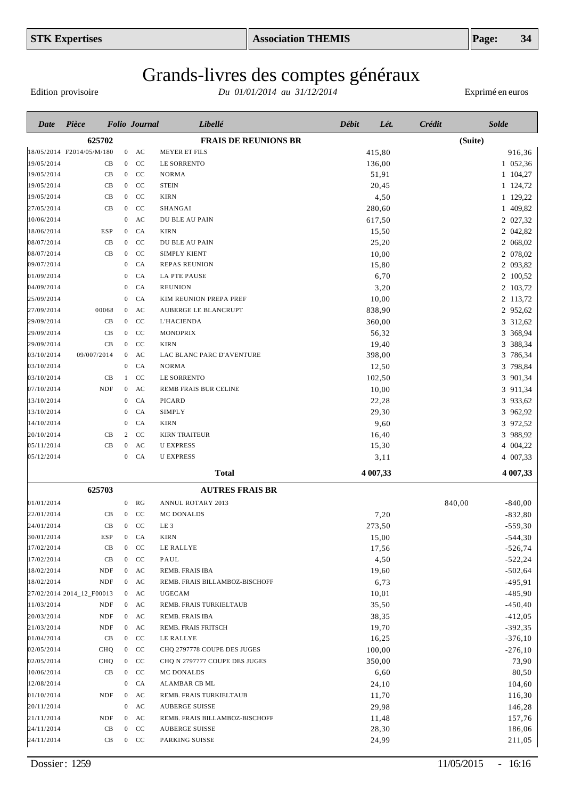Edition provisoire

| Pièce<br>Débit<br>Crédit<br><b>Folio</b> Journal<br>Libellé<br>Lét.<br>Date                     |                     |
|-------------------------------------------------------------------------------------------------|---------------------|
| 625702<br><b>FRAIS DE REUNIONS BR</b>                                                           | (Suite)             |
| 18/05/2014 F2014/05/M/180<br>$0$ AC<br><b>MEYER ET FILS</b><br>415,80                           | 916,36              |
| 19/05/2014<br>CC<br>LE SORRENTO<br>CB<br>$\overline{0}$<br>136,00                               | 1 052,36            |
| 19/05/2014<br><sub>CC</sub><br>CB<br>$\mathbf{0}$<br>NORMA<br>51,91                             | 1 104,27            |
| <sub>CC</sub><br><b>STEIN</b><br>19/05/2014<br>CB<br>$\overline{0}$<br>20,45                    | 1 124,72            |
| CC<br>CB<br><b>KIRN</b><br>4,50<br>19/05/2014<br>$\overline{0}$                                 | 1 129,22            |
| CC<br>SHANGAI<br>27/05/2014<br>CВ<br>280,60<br>$\bf{0}$                                         | 1 409,82            |
| AC<br>DU BLE AU PAIN<br>10/06/2014<br>$\mathbf{0}$<br>617,50                                    | 2 027,32            |
| <b>ESP</b><br>CA<br>18/06/2014<br><b>KIRN</b><br>15,50<br>$\bf{0}$                              | 2 042,82            |
| 08/07/2014<br>CB<br>CC<br>$\overline{0}$<br>DU BLE AU PAIN<br>25,20                             | 2 068,02            |
| 08/07/2014<br>CC<br>SIMPLY KIENT<br>10,00<br>CВ<br>$\mathbf{0}$                                 | 2 078,02            |
| 09/07/2014<br>CA<br>REPAS REUNION<br>15,80<br>$\mathbf{0}$                                      | 2 093,82            |
| 01/09/2014<br>CA<br><b>LA PTE PAUSE</b><br>6,70<br>$\bf{0}$                                     | 2 100,52            |
| 04/09/2014<br>CA<br><b>REUNION</b><br>3,20<br>$\bf{0}$                                          | 2 103,72            |
| CA<br>10,00<br>25/09/2014<br>KIM REUNION PREPA PREF<br>$\bf{0}$                                 | 2 113,72            |
| 00068<br>AC<br>AUBERGE LE BLANCRUPT<br>838,90<br>27/09/2014<br>$\mathbf{0}$                     | 2 952,62            |
| CC<br>L'HACIENDA<br>360,00<br>29/09/2014<br>CВ<br>$\mathbf{0}$                                  | 3 312,62            |
| 29/09/2014<br>CB<br>CC<br>MONOPRIX<br>56,32<br>$\mathbf{0}$                                     | 3 368,94            |
| CB<br>CC<br><b>KIRN</b><br>19,40<br>29/09/2014<br>$\boldsymbol{0}$                              | 3 388,34            |
| 09/007/2014<br>AC<br>398,00<br>03/10/2014<br>LAC BLANC PARC D'AVENTURE<br>$\overline{0}$        | 3 786,34            |
| CA<br>03/10/2014<br>$\mathbf{0}$<br><b>NORMA</b><br>12,50                                       | 3 798,84            |
| CB<br>102,50<br>03/10/2014<br><b>CC</b><br>LE SORRENTO<br>1                                     | 3 901,34            |
| $\mathbf{A}\mathbf{C}$<br>10,00<br>07/10/2014<br>NDF<br>REMB FRAIS BUR CELINE<br>$\overline{0}$ | 3 911,34            |
| CA<br>22,28<br>13/10/2014<br>PICARD<br>$\mathbf{0}$                                             | 3 933,62            |
| CA<br>29,30<br>13/10/2014<br>SIMPLY<br>$\bf{0}$                                                 | 3 962,92            |
| 9,60<br>CA<br>14/10/2014<br><b>KIRN</b><br>$\bf{0}$                                             | 3 972,52            |
| CC<br>16,40<br>20/10/2014<br>CВ<br>2<br><b>KIRN TRAITEUR</b>                                    | 3 988,92            |
| CB<br>AC<br><b>U EXPRESS</b><br>15,30<br>05/11/2014<br>$\mathbf{0}$                             | 4 004,22            |
| CA<br><b>U EXPRESS</b><br>3,11<br>05/12/2014<br>$\overline{0}$                                  | 4 007,33            |
| <b>Total</b><br>4 007,33                                                                        | 4 007,33            |
| 625703<br><b>AUTRES FRAIS BR</b>                                                                |                     |
| 01/01/2014<br><b>ANNUL ROTARY 2013</b><br>$\mathbf{0}$<br>RG                                    | 840,00<br>$-840,00$ |
| 7,20<br>22/01/2014<br>CВ<br><b>CC</b><br>MC DONALDS<br>$\overline{0}$                           | $-832,80$           |
| 24/01/2014<br>CB<br>$0$ CC<br>LE <sub>3</sub><br>273,50                                         | $-559,30$           |
| 30/01/2014<br>15,00<br><b>ESP</b><br>CA<br><b>KIRN</b><br>$\overline{0}$                        | $-544,30$           |
| 17/02/2014<br>17,56<br>CВ<br>$0$ CC<br>LE RALLYE                                                | $-526,74$           |
| 4,50<br>17/02/2014<br>CB<br>$0$ CC<br>PAUL                                                      | $-522,24$           |
| 18/02/2014<br>19,60<br>NDF<br>$0$ AC<br>REMB. FRAIS IBA                                         | $-502,64$           |
| 18/02/2014<br><b>NDF</b><br>6,73<br>AC<br>REMB. FRAIS BILLAMBOZ-BISCHOFF<br>$\mathbf{0}$        | $-495,91$           |
| 10,01<br>27/02/2014 2014_12_F00013<br>$0$ AC<br><b>UGECAM</b>                                   | $-485,90$           |
| 11/03/2014<br>35,50<br>NDF<br>AC<br>REMB. FRAIS TURKIELTAUB<br>$\mathbf{0}$                     | $-450, 40$          |
| 38,35<br>20/03/2014<br>NDF<br>$0$ AC<br>REMB. FRAIS IBA                                         | $-412,05$           |
| 21/03/2014<br>19,70<br>NDF<br>AC<br>REMB. FRAIS FRITSCH<br>$\mathbf{0}$                         | $-392,35$           |
| 01/04/2014<br>CB<br>$0$ CC<br>LE RALLYE<br>16,25                                                | $-376,10$           |
| 02/05/2014<br>CHQ<br>$0$ CC<br>CHQ 2797778 COUPE DES JUGES<br>100,00                            | $-276,10$           |
| CHQ<br>$0$ CC<br>350,00<br>02/05/2014<br>CHQ N 2797777 COUPE DES JUGES                          | 73,90               |
| CB<br>$0$ CC<br>6,60<br>10/06/2014<br>MC DONALDS                                                | 80,50               |
| 12/08/2014<br>CA<br>ALAMBAR CB ML<br>24,10<br>$\mathbf{0}$                                      | 104,60              |
| <b>NDF</b><br>01/10/2014<br>AC<br>REMB. FRAIS TURKIELTAUB<br>11,70<br>$\mathbf{0}$              | 116,30              |
| 29,98<br>20/11/2014<br>AC<br><b>AUBERGE SUISSE</b><br>$\bf{0}$                                  | 146,28              |
| 21/11/2014<br>NDF<br>$0$ AC<br>REMB. FRAIS BILLAMBOZ-BISCHOFF<br>11,48                          | 157,76              |
| 24/11/2014<br>CB<br>28,30<br>$0$ CC<br><b>AUBERGE SUISSE</b>                                    | 186,06              |
| 24/11/2014<br>CB<br>$0$ CC<br>24,99<br>PARKING SUISSE                                           | 211,05              |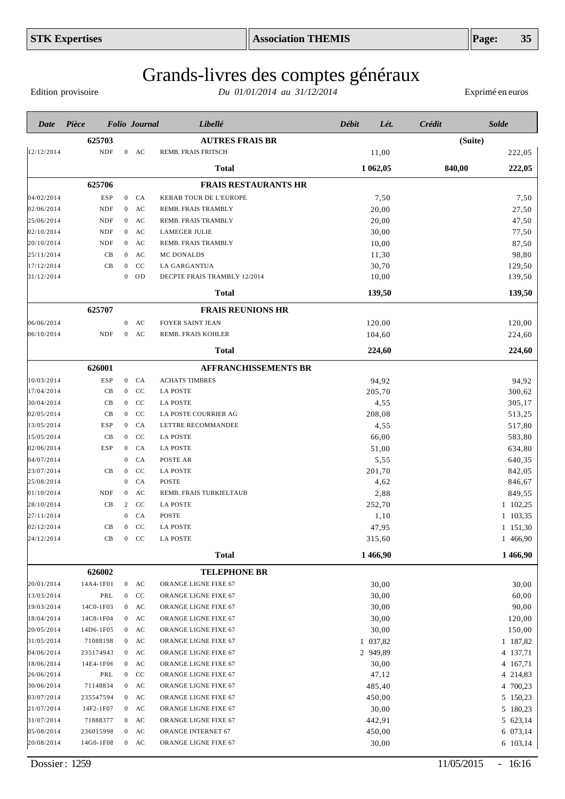Edition provisoire

| Date                     | Pièce                       |                     |                                  | <b>Folio</b> Journal | Libellé                                     | Débit | Lét.           | Crédit |         | <b>Solde</b>     |
|--------------------------|-----------------------------|---------------------|----------------------------------|----------------------|---------------------------------------------|-------|----------------|--------|---------|------------------|
|                          | 625703                      |                     |                                  |                      | <b>AUTRES FRAIS BR</b>                      |       |                |        | (Suite) |                  |
| 12/12/2014               | $\ensuremath{\mathsf{NDF}}$ |                     |                                  | $0$ AC               | REMB. FRAIS FRITSCH                         |       | 11,00          |        |         | 222,05           |
|                          |                             |                     |                                  |                      | <b>Total</b>                                |       | 1 062,05       |        | 840,00  | 222,05           |
|                          | 625706                      |                     |                                  |                      | <b>FRAIS RESTAURANTS HR</b>                 |       |                |        |         |                  |
|                          |                             |                     | $\overline{0}$                   |                      |                                             |       |                |        |         |                  |
| 04/02/2014               | <b>ESP</b>                  |                     |                                  | CA                   | KEBAB TOUR DE L'EUROPE                      |       | 7,50           |        |         | 7,50             |
| 02/06/2014<br>25/06/2014 | <b>NDF</b>                  |                     | $\overline{0}$                   | AC                   | REMB. FRAIS TRAMBLY                         |       | 20,00          |        |         | 27,50            |
| 02/10/2014               | <b>NDF</b><br><b>NDF</b>    |                     | $\mathbf{0}$                     | AC<br>AC             | REMB. FRAIS TRAMBLY<br><b>LAMEGER JULIE</b> |       | 20,00          |        |         | 47,50            |
|                          | <b>NDF</b>                  |                     | $\overline{0}$<br>$\overline{0}$ | AC                   | REMB. FRAIS TRAMBLY                         |       | 30,00          |        |         | 77,50            |
| 20/10/2014               | CB                          |                     | $\mathbf{0}$                     | AC                   | MC DONALDS                                  |       | 10,00          |        |         | 87,50            |
| 25/11/2014               | CB                          |                     | $\overline{0}$                   | $\rm CC$             | LA GARGANTUA                                |       | 11,30          |        |         | 98,80            |
| 17/12/2014<br>31/12/2014 |                             |                     | $\overline{0}$                   | OD                   | DECPTE FRAIS TRAMBLY 12/2014                |       | 30,70<br>10,00 |        |         | 129,50<br>139,50 |
|                          |                             |                     |                                  |                      |                                             |       |                |        |         |                  |
|                          |                             |                     |                                  |                      | <b>Total</b>                                |       | 139,50         |        |         | 139,50           |
|                          | 625707                      |                     |                                  |                      | <b>FRAIS REUNIONS HR</b>                    |       |                |        |         |                  |
| 06/06/2014               |                             |                     | $\overline{0}$                   | AC                   | <b>FOYER SAINT JEAN</b>                     |       | 120,00         |        |         | 120,00           |
| 06/10/2014               | <b>NDF</b>                  |                     | $\mathbf{0}$                     | AC                   | REMB. FRAIS KOHLER                          |       | 104,60         |        |         | 224,60           |
|                          |                             |                     |                                  |                      | <b>Total</b>                                |       | 224,60         |        |         | 224,60           |
|                          | 626001                      |                     |                                  |                      | <b>AFFRANCHISSEMENTS BR</b>                 |       |                |        |         |                  |
| 10/03/2014               | <b>ESP</b>                  |                     | $\mathbf{0}$                     | CA                   | <b>ACHATS TIMBRES</b>                       |       | 94,92          |        |         | 94,92            |
| 17/04/2014               | CB                          |                     | $\mathbf{0}$                     | CC                   | <b>LA POSTE</b>                             |       | 205,70         |        |         | 300,62           |
| 30/04/2014               | CB                          |                     | $\mathbf{0}$                     | CC                   | <b>LA POSTE</b>                             |       | 4,55           |        |         | 305,17           |
| 02/05/2014               | CB                          |                     | $\mathbf{0}$                     | CC                   | LA POSTE COURRIER AG                        |       | 208,08         |        |         | 513,25           |
| 13/05/2014               | <b>ESP</b>                  |                     | $\mathbf{0}$                     | CA                   | LETTRE RECOMMANDEE                          |       | 4,55           |        |         | 517,80           |
| 15/05/2014               | CB                          |                     | $\overline{0}$                   | CC                   | <b>LA POSTE</b>                             |       | 66,00          |        |         | 583,80           |
| 02/06/2014               | <b>ESP</b>                  |                     | $\mathbf{0}$                     | CA                   | <b>LA POSTE</b>                             |       | 51,00          |        |         | 634,80           |
| 04/07/2014               |                             |                     | $\overline{0}$                   | CA                   | POSTE AR                                    |       | 5,55           |        |         | 640,35           |
| 23/07/2014               | CB                          |                     | $\mathbf{0}$                     | CC                   | <b>LA POSTE</b>                             |       | 201,70         |        |         | 842,05           |
| 25/08/2014               |                             |                     | $\mathbf{0}$                     | CA                   | POSTE                                       |       | 4,62           |        |         | 846,67           |
| 01/10/2014               | <b>NDF</b>                  |                     | $\overline{0}$                   | AC                   | REMB. FRAIS TURKIELTAUB                     |       | 2,88           |        |         | 849,55           |
| 28/10/2014               |                             | CB                  | 2                                | CC                   | <b>LA POSTE</b>                             |       | 252,70         |        |         | 1 102,25         |
| 27/11/2014               |                             |                     | $\overline{0}$                   | CA                   | POSTE                                       |       | 1,10           |        |         | 1 103,35         |
| 02/12/2014               |                             | CB                  | $\mathbf{0}$                     | CC                   | <b>LA POSTE</b>                             |       | 47,95          |        |         | 1 151,30         |
| 24/12/2014               |                             | $\operatorname{CB}$ |                                  | $0$ CC               | <b>LA POSTE</b>                             |       | 315,60         |        |         | 1 466,90         |
|                          |                             |                     |                                  |                      | <b>Total</b>                                |       | 1466,90        |        |         | 1466,90          |
|                          | 626002                      |                     |                                  |                      | <b>TELEPHONE BR</b>                         |       |                |        |         |                  |
| 20/01/2014               | 14A4-1F01                   |                     |                                  | $0$ AC               | ORANGE LIGNE FIXE 67                        |       | 30,00          |        |         | 30,00            |
| 13/03/2014               | PRL                         |                     | $\overline{0}$                   | CC                   | ORANGE LIGNE FIXE 67                        |       | 30,00          |        |         | 60,00            |
| 19/03/2014               | 14C0-1F03                   |                     |                                  | $0$ AC               | ORANGE LIGNE FIXE 67                        |       | 30,00          |        |         | 90,00            |
| 18/04/2014               | 14C8-1F04                   |                     |                                  | $0$ AC               | ORANGE LIGNE FIXE 67                        |       | 30,00          |        |         | 120,00           |
| 20/05/2014               | 14D6-1F05                   |                     |                                  | $0$ AC               | ORANGE LIGNE FIXE 67                        |       | 30,00          |        |         | 150,00           |
| 31/05/2014               | 71088198                    |                     |                                  | $0$ AC               | ORANGE LIGNE FIXE 67                        |       | 1 037,82       |        |         | 1 187,82         |
| 04/06/2014               | 235174943                   |                     |                                  | $0$ AC               | ORANGE LIGNE FIXE 67                        |       | 2 949.89       |        |         | 4 137,71         |
| 18/06/2014               | 14E4-1F06                   |                     |                                  | $0$ AC               | ORANGE LIGNE FIXE 67                        |       | 30,00          |        |         | 4 167,71         |
| 26/06/2014               | PRL                         |                     | $\overline{0}$                   | CC                   | ORANGE LIGNE FIXE 67                        |       | 47,12          |        |         | 4 214,83         |
| 30/06/2014               | 71148834                    |                     |                                  | $0$ AC               | ORANGE LIGNE FIXE 67                        |       | 485,40         |        |         | 4 700,23         |
| 03/07/2014               | 235547594                   |                     |                                  | $0$ AC               | ORANGE LIGNE FIXE 67                        |       | 450,00         |        |         | 5 150,23         |
| 21/07/2014               | 14F2-1F07                   |                     |                                  | $0$ AC               | ORANGE LIGNE FIXE 67                        |       | 30,00          |        |         | 5 180,23         |
| 31/07/2014               | 71888377                    |                     |                                  | $0$ AC               | ORANGE LIGNE FIXE 67                        |       | 442,91         |        |         | 5 623,14         |
| 05/08/2014               | 236015998                   |                     |                                  | $0$ AC               | ORANGE INTERNET 67                          |       | 450,00         |        |         | 6 073,14         |
| 20/08/2014               | 14G0-1F08                   |                     |                                  | $0$ AC               | ORANGE LIGNE FIXE 67                        |       | 30,00          |        |         | 6 103,14         |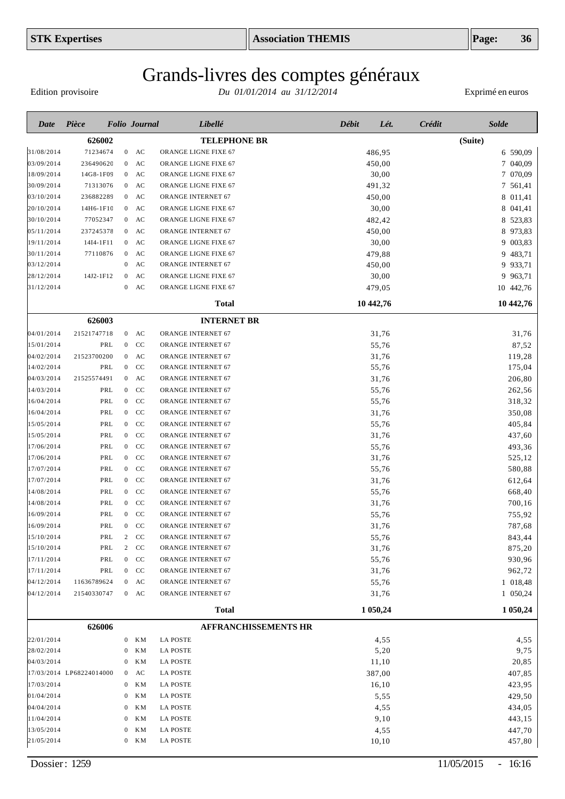# Grands-livres des comptes généraux

Edition provisoire

| 626002<br><b>TELEPHONE BR</b><br>(Suite)<br>71234674<br>$0$ AC<br>ORANGE LIGNE FIXE 67<br>486,95<br>6 590,09<br>236490620<br>ORANGE LIGNE FIXE 67<br>450,00<br>7 040,09<br>$\mathbf{0}$<br>AC<br>30,00<br>7 070,09<br>14G8-1F09<br>$0$ AC<br>ORANGE LIGNE FIXE 67<br>7 561,41<br>71313076<br>$0$ AC<br>ORANGE LIGNE FIXE 67<br>491,32<br>$\mathbf{A}\mathbf{C}$<br>ORANGE INTERNET 67<br>8 011,41<br>236882289<br>$\overline{0}$<br>450,00<br>30,00<br>8 041,41<br>14H6-1F10<br>$0$ AC<br>ORANGE LIGNE FIXE 67<br>77052347<br>$\mathbf{A}\mathbf{C}$<br>8 523,83<br>$\overline{0}$<br>ORANGE LIGNE FIXE 67<br>482,42<br>ORANGE INTERNET 67<br>8 973,83<br>237245378<br>$0$ AC<br>450,00<br>AC<br>ORANGE LIGNE FIXE 67<br>30,00<br>9 003,83<br>14I4-1F11<br>$\overline{0}$<br>479,88<br>9 483,71<br>77110876<br>$\overline{0}$<br>AC<br>ORANGE LIGNE FIXE 67<br>9 933,71<br>03/12/2014<br>AC<br>ORANGE INTERNET 67<br>450,00<br>$\mathbf{0}$<br>9 9 63,71<br>AC<br>30,00<br>28/12/2014<br>14J2-1F12<br>$\overline{0}$<br>ORANGE LIGNE FIXE 67<br>31/12/2014<br>AC<br>479,05<br>10 442,76<br>$\overline{0}$<br>ORANGE LIGNE FIXE 67<br>10 442,76<br>10 442,76<br><b>Total</b><br>626003<br><b>INTERNET BR</b><br>21521747718<br>ORANGE INTERNET 67<br>31,76<br>31,76<br>$0$ AC<br>PRL<br>ORANGE INTERNET 67<br>55,76<br>87,52<br>$0$ CC<br>21523700200<br>$\mathbf{A}\mathbf{C}$<br>ORANGE INTERNET 67<br>31,76<br>119,28<br>$\mathbf{0}$<br>PRL<br><b>CC</b><br>175,04<br>$\overline{0}$<br>ORANGE INTERNET 67<br>55,76<br>$0$ AC<br>21525574491<br>ORANGE INTERNET 67<br>31,76<br>206,80<br>PRL<br>CC<br>ORANGE INTERNET 67<br>262,56<br>$\overline{0}$<br>55,76<br><sub>CC</sub><br>318,32<br>PRL<br>$\overline{0}$<br>ORANGE INTERNET 67<br>55,76<br>PRL<br>CC<br>350,08<br>$\overline{0}$<br>ORANGE INTERNET 67<br>31,76<br>PRL<br>CC<br>405,84<br>$\overline{0}$<br>ORANGE INTERNET 67<br>55,76<br>PRL<br>CC<br>ORANGE INTERNET 67<br>437,60<br>$\overline{0}$<br>31,76<br>PRL<br>CC<br>55,76<br>493,36<br>$\overline{0}$<br>ORANGE INTERNET 67<br>PRL<br>CC<br>525,12<br>$\overline{0}$<br>ORANGE INTERNET 67<br>31,76<br>PRL<br>CC<br>580,88<br>17/07/2014<br>$\overline{0}$<br>ORANGE INTERNET 67<br>55,76<br>PRL<br>CC<br>612,64<br>17/07/2014<br>$\overline{0}$<br>ORANGE INTERNET 67<br>31,76<br>PRL<br>CC<br>ORANGE INTERNET 67<br>668,40<br>14/08/2014<br>$\overline{0}$<br>55,76<br>PRL<br>CC<br>700,16<br>14/08/2014<br>$\overline{0}$<br>ORANGE INTERNET 67<br>31,76<br>PRL<br>CC<br>ORANGE INTERNET 67<br>755,92<br>16/09/2014<br>$\overline{0}$<br>55,76<br>PRL<br>CC<br>31,76<br>787,68<br>16/09/2014<br>$\overline{0}$<br>ORANGE INTERNET 67<br>843,44<br>15/10/2014<br>PRL<br>$\mathbf{2}$<br><sub>CC</sub><br><b>ORANGE INTERNET 67</b><br>55,76<br>875,20<br>15/10/2014<br>PRL<br>$\overline{2}$<br>CC<br>ORANGE INTERNET 67<br>31,76<br>17/11/2014<br>PRL<br>$\rm CC$<br>930,96<br>$\mathbf{0}$<br>ORANGE INTERNET 67<br>55,76<br>CC<br>962,72<br>17/11/2014<br>PRL<br>$\mathbf{0}$<br>ORANGE INTERNET 67<br>31,76<br>1 018,48<br>04/12/2014<br>11636789624<br>$0$ AC<br>ORANGE INTERNET 67<br>55,76<br>1 050,24<br>04/12/2014<br>21540330747<br>$0$ AC<br>ORANGE INTERNET 67<br>31,76<br>1 050,24<br><b>Total</b><br>1 050,24<br>626006<br><b>AFFRANCHISSEMENTS HR</b><br>KМ<br><b>LA POSTE</b><br>4,55<br>4,55<br>22/01/2014<br>$\mathbf{0}$<br>9,75<br>28/02/2014<br>KМ<br><b>LA POSTE</b><br>5,20<br>$\bf{0}$<br>20,85<br>04/03/2014<br>ΚM<br><b>LA POSTE</b><br>11,10<br>$\mathbf{0}$<br>407,85<br>17/03/2014 LP68224014000<br>AC<br><b>LA POSTE</b><br>387,00<br>0<br>423,95<br>17/03/2014<br>ΚM<br><b>LA POSTE</b><br>16,10<br>$\boldsymbol{0}$<br>429,50<br>01/04/2014<br>ΚM<br><b>LA POSTE</b><br>5,55<br>$\bf{0}$<br>4,55<br>434,05<br>04/04/2014<br>ΚM<br><b>LA POSTE</b><br>$\mathbf{0}$<br>9,10<br>443,15<br>11/04/2014<br>KМ<br><b>LA POSTE</b><br>$\mathbf{0}$<br><b>LA POSTE</b><br>4,55<br>447,70<br>13/05/2014<br>KМ<br>$\bf{0}$<br>457,80<br>$0$ KM<br><b>LA POSTE</b><br>10,10 | Date       | Pièce | <b>Folio Journal</b> | Libellé | Débit<br>Lét. | Crédit<br><b>Solde</b> |
|---------------------------------------------------------------------------------------------------------------------------------------------------------------------------------------------------------------------------------------------------------------------------------------------------------------------------------------------------------------------------------------------------------------------------------------------------------------------------------------------------------------------------------------------------------------------------------------------------------------------------------------------------------------------------------------------------------------------------------------------------------------------------------------------------------------------------------------------------------------------------------------------------------------------------------------------------------------------------------------------------------------------------------------------------------------------------------------------------------------------------------------------------------------------------------------------------------------------------------------------------------------------------------------------------------------------------------------------------------------------------------------------------------------------------------------------------------------------------------------------------------------------------------------------------------------------------------------------------------------------------------------------------------------------------------------------------------------------------------------------------------------------------------------------------------------------------------------------------------------------------------------------------------------------------------------------------------------------------------------------------------------------------------------------------------------------------------------------------------------------------------------------------------------------------------------------------------------------------------------------------------------------------------------------------------------------------------------------------------------------------------------------------------------------------------------------------------------------------------------------------------------------------------------------------------------------------------------------------------------------------------------------------------------------------------------------------------------------------------------------------------------------------------------------------------------------------------------------------------------------------------------------------------------------------------------------------------------------------------------------------------------------------------------------------------------------------------------------------------------------------------------------------------------------------------------------------------------------------------------------------------------------------------------------------------------------------------------------------------------------------------------------------------------------------------------------------------------------------------------------------------------------------------------------------------------------------------------------------------------------------------------------------------------------------------------------------------------------------------------------------------------------------------------------------------------------------------------------------------------------------------------------------------------------------------------------------------------------------------------------------------------------------|------------|-------|----------------------|---------|---------------|------------------------|
|                                                                                                                                                                                                                                                                                                                                                                                                                                                                                                                                                                                                                                                                                                                                                                                                                                                                                                                                                                                                                                                                                                                                                                                                                                                                                                                                                                                                                                                                                                                                                                                                                                                                                                                                                                                                                                                                                                                                                                                                                                                                                                                                                                                                                                                                                                                                                                                                                                                                                                                                                                                                                                                                                                                                                                                                                                                                                                                                                                                                                                                                                                                                                                                                                                                                                                                                                                                                                                                                                                                                                                                                                                                                                                                                                                                                                                                                                                                                                                                                                           |            |       |                      |         |               |                        |
|                                                                                                                                                                                                                                                                                                                                                                                                                                                                                                                                                                                                                                                                                                                                                                                                                                                                                                                                                                                                                                                                                                                                                                                                                                                                                                                                                                                                                                                                                                                                                                                                                                                                                                                                                                                                                                                                                                                                                                                                                                                                                                                                                                                                                                                                                                                                                                                                                                                                                                                                                                                                                                                                                                                                                                                                                                                                                                                                                                                                                                                                                                                                                                                                                                                                                                                                                                                                                                                                                                                                                                                                                                                                                                                                                                                                                                                                                                                                                                                                                           | 31/08/2014 |       |                      |         |               |                        |
|                                                                                                                                                                                                                                                                                                                                                                                                                                                                                                                                                                                                                                                                                                                                                                                                                                                                                                                                                                                                                                                                                                                                                                                                                                                                                                                                                                                                                                                                                                                                                                                                                                                                                                                                                                                                                                                                                                                                                                                                                                                                                                                                                                                                                                                                                                                                                                                                                                                                                                                                                                                                                                                                                                                                                                                                                                                                                                                                                                                                                                                                                                                                                                                                                                                                                                                                                                                                                                                                                                                                                                                                                                                                                                                                                                                                                                                                                                                                                                                                                           | 03/09/2014 |       |                      |         |               |                        |
|                                                                                                                                                                                                                                                                                                                                                                                                                                                                                                                                                                                                                                                                                                                                                                                                                                                                                                                                                                                                                                                                                                                                                                                                                                                                                                                                                                                                                                                                                                                                                                                                                                                                                                                                                                                                                                                                                                                                                                                                                                                                                                                                                                                                                                                                                                                                                                                                                                                                                                                                                                                                                                                                                                                                                                                                                                                                                                                                                                                                                                                                                                                                                                                                                                                                                                                                                                                                                                                                                                                                                                                                                                                                                                                                                                                                                                                                                                                                                                                                                           | 18/09/2014 |       |                      |         |               |                        |
|                                                                                                                                                                                                                                                                                                                                                                                                                                                                                                                                                                                                                                                                                                                                                                                                                                                                                                                                                                                                                                                                                                                                                                                                                                                                                                                                                                                                                                                                                                                                                                                                                                                                                                                                                                                                                                                                                                                                                                                                                                                                                                                                                                                                                                                                                                                                                                                                                                                                                                                                                                                                                                                                                                                                                                                                                                                                                                                                                                                                                                                                                                                                                                                                                                                                                                                                                                                                                                                                                                                                                                                                                                                                                                                                                                                                                                                                                                                                                                                                                           | 30/09/2014 |       |                      |         |               |                        |
|                                                                                                                                                                                                                                                                                                                                                                                                                                                                                                                                                                                                                                                                                                                                                                                                                                                                                                                                                                                                                                                                                                                                                                                                                                                                                                                                                                                                                                                                                                                                                                                                                                                                                                                                                                                                                                                                                                                                                                                                                                                                                                                                                                                                                                                                                                                                                                                                                                                                                                                                                                                                                                                                                                                                                                                                                                                                                                                                                                                                                                                                                                                                                                                                                                                                                                                                                                                                                                                                                                                                                                                                                                                                                                                                                                                                                                                                                                                                                                                                                           | 03/10/2014 |       |                      |         |               |                        |
|                                                                                                                                                                                                                                                                                                                                                                                                                                                                                                                                                                                                                                                                                                                                                                                                                                                                                                                                                                                                                                                                                                                                                                                                                                                                                                                                                                                                                                                                                                                                                                                                                                                                                                                                                                                                                                                                                                                                                                                                                                                                                                                                                                                                                                                                                                                                                                                                                                                                                                                                                                                                                                                                                                                                                                                                                                                                                                                                                                                                                                                                                                                                                                                                                                                                                                                                                                                                                                                                                                                                                                                                                                                                                                                                                                                                                                                                                                                                                                                                                           | 20/10/2014 |       |                      |         |               |                        |
|                                                                                                                                                                                                                                                                                                                                                                                                                                                                                                                                                                                                                                                                                                                                                                                                                                                                                                                                                                                                                                                                                                                                                                                                                                                                                                                                                                                                                                                                                                                                                                                                                                                                                                                                                                                                                                                                                                                                                                                                                                                                                                                                                                                                                                                                                                                                                                                                                                                                                                                                                                                                                                                                                                                                                                                                                                                                                                                                                                                                                                                                                                                                                                                                                                                                                                                                                                                                                                                                                                                                                                                                                                                                                                                                                                                                                                                                                                                                                                                                                           | 30/10/2014 |       |                      |         |               |                        |
|                                                                                                                                                                                                                                                                                                                                                                                                                                                                                                                                                                                                                                                                                                                                                                                                                                                                                                                                                                                                                                                                                                                                                                                                                                                                                                                                                                                                                                                                                                                                                                                                                                                                                                                                                                                                                                                                                                                                                                                                                                                                                                                                                                                                                                                                                                                                                                                                                                                                                                                                                                                                                                                                                                                                                                                                                                                                                                                                                                                                                                                                                                                                                                                                                                                                                                                                                                                                                                                                                                                                                                                                                                                                                                                                                                                                                                                                                                                                                                                                                           | 05/11/2014 |       |                      |         |               |                        |
|                                                                                                                                                                                                                                                                                                                                                                                                                                                                                                                                                                                                                                                                                                                                                                                                                                                                                                                                                                                                                                                                                                                                                                                                                                                                                                                                                                                                                                                                                                                                                                                                                                                                                                                                                                                                                                                                                                                                                                                                                                                                                                                                                                                                                                                                                                                                                                                                                                                                                                                                                                                                                                                                                                                                                                                                                                                                                                                                                                                                                                                                                                                                                                                                                                                                                                                                                                                                                                                                                                                                                                                                                                                                                                                                                                                                                                                                                                                                                                                                                           | 19/11/2014 |       |                      |         |               |                        |
|                                                                                                                                                                                                                                                                                                                                                                                                                                                                                                                                                                                                                                                                                                                                                                                                                                                                                                                                                                                                                                                                                                                                                                                                                                                                                                                                                                                                                                                                                                                                                                                                                                                                                                                                                                                                                                                                                                                                                                                                                                                                                                                                                                                                                                                                                                                                                                                                                                                                                                                                                                                                                                                                                                                                                                                                                                                                                                                                                                                                                                                                                                                                                                                                                                                                                                                                                                                                                                                                                                                                                                                                                                                                                                                                                                                                                                                                                                                                                                                                                           | 30/11/2014 |       |                      |         |               |                        |
|                                                                                                                                                                                                                                                                                                                                                                                                                                                                                                                                                                                                                                                                                                                                                                                                                                                                                                                                                                                                                                                                                                                                                                                                                                                                                                                                                                                                                                                                                                                                                                                                                                                                                                                                                                                                                                                                                                                                                                                                                                                                                                                                                                                                                                                                                                                                                                                                                                                                                                                                                                                                                                                                                                                                                                                                                                                                                                                                                                                                                                                                                                                                                                                                                                                                                                                                                                                                                                                                                                                                                                                                                                                                                                                                                                                                                                                                                                                                                                                                                           |            |       |                      |         |               |                        |
|                                                                                                                                                                                                                                                                                                                                                                                                                                                                                                                                                                                                                                                                                                                                                                                                                                                                                                                                                                                                                                                                                                                                                                                                                                                                                                                                                                                                                                                                                                                                                                                                                                                                                                                                                                                                                                                                                                                                                                                                                                                                                                                                                                                                                                                                                                                                                                                                                                                                                                                                                                                                                                                                                                                                                                                                                                                                                                                                                                                                                                                                                                                                                                                                                                                                                                                                                                                                                                                                                                                                                                                                                                                                                                                                                                                                                                                                                                                                                                                                                           |            |       |                      |         |               |                        |
|                                                                                                                                                                                                                                                                                                                                                                                                                                                                                                                                                                                                                                                                                                                                                                                                                                                                                                                                                                                                                                                                                                                                                                                                                                                                                                                                                                                                                                                                                                                                                                                                                                                                                                                                                                                                                                                                                                                                                                                                                                                                                                                                                                                                                                                                                                                                                                                                                                                                                                                                                                                                                                                                                                                                                                                                                                                                                                                                                                                                                                                                                                                                                                                                                                                                                                                                                                                                                                                                                                                                                                                                                                                                                                                                                                                                                                                                                                                                                                                                                           |            |       |                      |         |               |                        |
|                                                                                                                                                                                                                                                                                                                                                                                                                                                                                                                                                                                                                                                                                                                                                                                                                                                                                                                                                                                                                                                                                                                                                                                                                                                                                                                                                                                                                                                                                                                                                                                                                                                                                                                                                                                                                                                                                                                                                                                                                                                                                                                                                                                                                                                                                                                                                                                                                                                                                                                                                                                                                                                                                                                                                                                                                                                                                                                                                                                                                                                                                                                                                                                                                                                                                                                                                                                                                                                                                                                                                                                                                                                                                                                                                                                                                                                                                                                                                                                                                           |            |       |                      |         |               |                        |
|                                                                                                                                                                                                                                                                                                                                                                                                                                                                                                                                                                                                                                                                                                                                                                                                                                                                                                                                                                                                                                                                                                                                                                                                                                                                                                                                                                                                                                                                                                                                                                                                                                                                                                                                                                                                                                                                                                                                                                                                                                                                                                                                                                                                                                                                                                                                                                                                                                                                                                                                                                                                                                                                                                                                                                                                                                                                                                                                                                                                                                                                                                                                                                                                                                                                                                                                                                                                                                                                                                                                                                                                                                                                                                                                                                                                                                                                                                                                                                                                                           |            |       |                      |         |               |                        |
|                                                                                                                                                                                                                                                                                                                                                                                                                                                                                                                                                                                                                                                                                                                                                                                                                                                                                                                                                                                                                                                                                                                                                                                                                                                                                                                                                                                                                                                                                                                                                                                                                                                                                                                                                                                                                                                                                                                                                                                                                                                                                                                                                                                                                                                                                                                                                                                                                                                                                                                                                                                                                                                                                                                                                                                                                                                                                                                                                                                                                                                                                                                                                                                                                                                                                                                                                                                                                                                                                                                                                                                                                                                                                                                                                                                                                                                                                                                                                                                                                           | 04/01/2014 |       |                      |         |               |                        |
|                                                                                                                                                                                                                                                                                                                                                                                                                                                                                                                                                                                                                                                                                                                                                                                                                                                                                                                                                                                                                                                                                                                                                                                                                                                                                                                                                                                                                                                                                                                                                                                                                                                                                                                                                                                                                                                                                                                                                                                                                                                                                                                                                                                                                                                                                                                                                                                                                                                                                                                                                                                                                                                                                                                                                                                                                                                                                                                                                                                                                                                                                                                                                                                                                                                                                                                                                                                                                                                                                                                                                                                                                                                                                                                                                                                                                                                                                                                                                                                                                           | 15/01/2014 |       |                      |         |               |                        |
|                                                                                                                                                                                                                                                                                                                                                                                                                                                                                                                                                                                                                                                                                                                                                                                                                                                                                                                                                                                                                                                                                                                                                                                                                                                                                                                                                                                                                                                                                                                                                                                                                                                                                                                                                                                                                                                                                                                                                                                                                                                                                                                                                                                                                                                                                                                                                                                                                                                                                                                                                                                                                                                                                                                                                                                                                                                                                                                                                                                                                                                                                                                                                                                                                                                                                                                                                                                                                                                                                                                                                                                                                                                                                                                                                                                                                                                                                                                                                                                                                           | 04/02/2014 |       |                      |         |               |                        |
|                                                                                                                                                                                                                                                                                                                                                                                                                                                                                                                                                                                                                                                                                                                                                                                                                                                                                                                                                                                                                                                                                                                                                                                                                                                                                                                                                                                                                                                                                                                                                                                                                                                                                                                                                                                                                                                                                                                                                                                                                                                                                                                                                                                                                                                                                                                                                                                                                                                                                                                                                                                                                                                                                                                                                                                                                                                                                                                                                                                                                                                                                                                                                                                                                                                                                                                                                                                                                                                                                                                                                                                                                                                                                                                                                                                                                                                                                                                                                                                                                           | 14/02/2014 |       |                      |         |               |                        |
|                                                                                                                                                                                                                                                                                                                                                                                                                                                                                                                                                                                                                                                                                                                                                                                                                                                                                                                                                                                                                                                                                                                                                                                                                                                                                                                                                                                                                                                                                                                                                                                                                                                                                                                                                                                                                                                                                                                                                                                                                                                                                                                                                                                                                                                                                                                                                                                                                                                                                                                                                                                                                                                                                                                                                                                                                                                                                                                                                                                                                                                                                                                                                                                                                                                                                                                                                                                                                                                                                                                                                                                                                                                                                                                                                                                                                                                                                                                                                                                                                           | 04/03/2014 |       |                      |         |               |                        |
|                                                                                                                                                                                                                                                                                                                                                                                                                                                                                                                                                                                                                                                                                                                                                                                                                                                                                                                                                                                                                                                                                                                                                                                                                                                                                                                                                                                                                                                                                                                                                                                                                                                                                                                                                                                                                                                                                                                                                                                                                                                                                                                                                                                                                                                                                                                                                                                                                                                                                                                                                                                                                                                                                                                                                                                                                                                                                                                                                                                                                                                                                                                                                                                                                                                                                                                                                                                                                                                                                                                                                                                                                                                                                                                                                                                                                                                                                                                                                                                                                           | 14/03/2014 |       |                      |         |               |                        |
|                                                                                                                                                                                                                                                                                                                                                                                                                                                                                                                                                                                                                                                                                                                                                                                                                                                                                                                                                                                                                                                                                                                                                                                                                                                                                                                                                                                                                                                                                                                                                                                                                                                                                                                                                                                                                                                                                                                                                                                                                                                                                                                                                                                                                                                                                                                                                                                                                                                                                                                                                                                                                                                                                                                                                                                                                                                                                                                                                                                                                                                                                                                                                                                                                                                                                                                                                                                                                                                                                                                                                                                                                                                                                                                                                                                                                                                                                                                                                                                                                           | 16/04/2014 |       |                      |         |               |                        |
|                                                                                                                                                                                                                                                                                                                                                                                                                                                                                                                                                                                                                                                                                                                                                                                                                                                                                                                                                                                                                                                                                                                                                                                                                                                                                                                                                                                                                                                                                                                                                                                                                                                                                                                                                                                                                                                                                                                                                                                                                                                                                                                                                                                                                                                                                                                                                                                                                                                                                                                                                                                                                                                                                                                                                                                                                                                                                                                                                                                                                                                                                                                                                                                                                                                                                                                                                                                                                                                                                                                                                                                                                                                                                                                                                                                                                                                                                                                                                                                                                           | 16/04/2014 |       |                      |         |               |                        |
|                                                                                                                                                                                                                                                                                                                                                                                                                                                                                                                                                                                                                                                                                                                                                                                                                                                                                                                                                                                                                                                                                                                                                                                                                                                                                                                                                                                                                                                                                                                                                                                                                                                                                                                                                                                                                                                                                                                                                                                                                                                                                                                                                                                                                                                                                                                                                                                                                                                                                                                                                                                                                                                                                                                                                                                                                                                                                                                                                                                                                                                                                                                                                                                                                                                                                                                                                                                                                                                                                                                                                                                                                                                                                                                                                                                                                                                                                                                                                                                                                           | 15/05/2014 |       |                      |         |               |                        |
|                                                                                                                                                                                                                                                                                                                                                                                                                                                                                                                                                                                                                                                                                                                                                                                                                                                                                                                                                                                                                                                                                                                                                                                                                                                                                                                                                                                                                                                                                                                                                                                                                                                                                                                                                                                                                                                                                                                                                                                                                                                                                                                                                                                                                                                                                                                                                                                                                                                                                                                                                                                                                                                                                                                                                                                                                                                                                                                                                                                                                                                                                                                                                                                                                                                                                                                                                                                                                                                                                                                                                                                                                                                                                                                                                                                                                                                                                                                                                                                                                           | 15/05/2014 |       |                      |         |               |                        |
|                                                                                                                                                                                                                                                                                                                                                                                                                                                                                                                                                                                                                                                                                                                                                                                                                                                                                                                                                                                                                                                                                                                                                                                                                                                                                                                                                                                                                                                                                                                                                                                                                                                                                                                                                                                                                                                                                                                                                                                                                                                                                                                                                                                                                                                                                                                                                                                                                                                                                                                                                                                                                                                                                                                                                                                                                                                                                                                                                                                                                                                                                                                                                                                                                                                                                                                                                                                                                                                                                                                                                                                                                                                                                                                                                                                                                                                                                                                                                                                                                           | 17/06/2014 |       |                      |         |               |                        |
|                                                                                                                                                                                                                                                                                                                                                                                                                                                                                                                                                                                                                                                                                                                                                                                                                                                                                                                                                                                                                                                                                                                                                                                                                                                                                                                                                                                                                                                                                                                                                                                                                                                                                                                                                                                                                                                                                                                                                                                                                                                                                                                                                                                                                                                                                                                                                                                                                                                                                                                                                                                                                                                                                                                                                                                                                                                                                                                                                                                                                                                                                                                                                                                                                                                                                                                                                                                                                                                                                                                                                                                                                                                                                                                                                                                                                                                                                                                                                                                                                           | 17/06/2014 |       |                      |         |               |                        |
|                                                                                                                                                                                                                                                                                                                                                                                                                                                                                                                                                                                                                                                                                                                                                                                                                                                                                                                                                                                                                                                                                                                                                                                                                                                                                                                                                                                                                                                                                                                                                                                                                                                                                                                                                                                                                                                                                                                                                                                                                                                                                                                                                                                                                                                                                                                                                                                                                                                                                                                                                                                                                                                                                                                                                                                                                                                                                                                                                                                                                                                                                                                                                                                                                                                                                                                                                                                                                                                                                                                                                                                                                                                                                                                                                                                                                                                                                                                                                                                                                           |            |       |                      |         |               |                        |
|                                                                                                                                                                                                                                                                                                                                                                                                                                                                                                                                                                                                                                                                                                                                                                                                                                                                                                                                                                                                                                                                                                                                                                                                                                                                                                                                                                                                                                                                                                                                                                                                                                                                                                                                                                                                                                                                                                                                                                                                                                                                                                                                                                                                                                                                                                                                                                                                                                                                                                                                                                                                                                                                                                                                                                                                                                                                                                                                                                                                                                                                                                                                                                                                                                                                                                                                                                                                                                                                                                                                                                                                                                                                                                                                                                                                                                                                                                                                                                                                                           |            |       |                      |         |               |                        |
|                                                                                                                                                                                                                                                                                                                                                                                                                                                                                                                                                                                                                                                                                                                                                                                                                                                                                                                                                                                                                                                                                                                                                                                                                                                                                                                                                                                                                                                                                                                                                                                                                                                                                                                                                                                                                                                                                                                                                                                                                                                                                                                                                                                                                                                                                                                                                                                                                                                                                                                                                                                                                                                                                                                                                                                                                                                                                                                                                                                                                                                                                                                                                                                                                                                                                                                                                                                                                                                                                                                                                                                                                                                                                                                                                                                                                                                                                                                                                                                                                           |            |       |                      |         |               |                        |
|                                                                                                                                                                                                                                                                                                                                                                                                                                                                                                                                                                                                                                                                                                                                                                                                                                                                                                                                                                                                                                                                                                                                                                                                                                                                                                                                                                                                                                                                                                                                                                                                                                                                                                                                                                                                                                                                                                                                                                                                                                                                                                                                                                                                                                                                                                                                                                                                                                                                                                                                                                                                                                                                                                                                                                                                                                                                                                                                                                                                                                                                                                                                                                                                                                                                                                                                                                                                                                                                                                                                                                                                                                                                                                                                                                                                                                                                                                                                                                                                                           |            |       |                      |         |               |                        |
|                                                                                                                                                                                                                                                                                                                                                                                                                                                                                                                                                                                                                                                                                                                                                                                                                                                                                                                                                                                                                                                                                                                                                                                                                                                                                                                                                                                                                                                                                                                                                                                                                                                                                                                                                                                                                                                                                                                                                                                                                                                                                                                                                                                                                                                                                                                                                                                                                                                                                                                                                                                                                                                                                                                                                                                                                                                                                                                                                                                                                                                                                                                                                                                                                                                                                                                                                                                                                                                                                                                                                                                                                                                                                                                                                                                                                                                                                                                                                                                                                           |            |       |                      |         |               |                        |
|                                                                                                                                                                                                                                                                                                                                                                                                                                                                                                                                                                                                                                                                                                                                                                                                                                                                                                                                                                                                                                                                                                                                                                                                                                                                                                                                                                                                                                                                                                                                                                                                                                                                                                                                                                                                                                                                                                                                                                                                                                                                                                                                                                                                                                                                                                                                                                                                                                                                                                                                                                                                                                                                                                                                                                                                                                                                                                                                                                                                                                                                                                                                                                                                                                                                                                                                                                                                                                                                                                                                                                                                                                                                                                                                                                                                                                                                                                                                                                                                                           |            |       |                      |         |               |                        |
|                                                                                                                                                                                                                                                                                                                                                                                                                                                                                                                                                                                                                                                                                                                                                                                                                                                                                                                                                                                                                                                                                                                                                                                                                                                                                                                                                                                                                                                                                                                                                                                                                                                                                                                                                                                                                                                                                                                                                                                                                                                                                                                                                                                                                                                                                                                                                                                                                                                                                                                                                                                                                                                                                                                                                                                                                                                                                                                                                                                                                                                                                                                                                                                                                                                                                                                                                                                                                                                                                                                                                                                                                                                                                                                                                                                                                                                                                                                                                                                                                           |            |       |                      |         |               |                        |
|                                                                                                                                                                                                                                                                                                                                                                                                                                                                                                                                                                                                                                                                                                                                                                                                                                                                                                                                                                                                                                                                                                                                                                                                                                                                                                                                                                                                                                                                                                                                                                                                                                                                                                                                                                                                                                                                                                                                                                                                                                                                                                                                                                                                                                                                                                                                                                                                                                                                                                                                                                                                                                                                                                                                                                                                                                                                                                                                                                                                                                                                                                                                                                                                                                                                                                                                                                                                                                                                                                                                                                                                                                                                                                                                                                                                                                                                                                                                                                                                                           |            |       |                      |         |               |                        |
|                                                                                                                                                                                                                                                                                                                                                                                                                                                                                                                                                                                                                                                                                                                                                                                                                                                                                                                                                                                                                                                                                                                                                                                                                                                                                                                                                                                                                                                                                                                                                                                                                                                                                                                                                                                                                                                                                                                                                                                                                                                                                                                                                                                                                                                                                                                                                                                                                                                                                                                                                                                                                                                                                                                                                                                                                                                                                                                                                                                                                                                                                                                                                                                                                                                                                                                                                                                                                                                                                                                                                                                                                                                                                                                                                                                                                                                                                                                                                                                                                           |            |       |                      |         |               |                        |
|                                                                                                                                                                                                                                                                                                                                                                                                                                                                                                                                                                                                                                                                                                                                                                                                                                                                                                                                                                                                                                                                                                                                                                                                                                                                                                                                                                                                                                                                                                                                                                                                                                                                                                                                                                                                                                                                                                                                                                                                                                                                                                                                                                                                                                                                                                                                                                                                                                                                                                                                                                                                                                                                                                                                                                                                                                                                                                                                                                                                                                                                                                                                                                                                                                                                                                                                                                                                                                                                                                                                                                                                                                                                                                                                                                                                                                                                                                                                                                                                                           |            |       |                      |         |               |                        |
|                                                                                                                                                                                                                                                                                                                                                                                                                                                                                                                                                                                                                                                                                                                                                                                                                                                                                                                                                                                                                                                                                                                                                                                                                                                                                                                                                                                                                                                                                                                                                                                                                                                                                                                                                                                                                                                                                                                                                                                                                                                                                                                                                                                                                                                                                                                                                                                                                                                                                                                                                                                                                                                                                                                                                                                                                                                                                                                                                                                                                                                                                                                                                                                                                                                                                                                                                                                                                                                                                                                                                                                                                                                                                                                                                                                                                                                                                                                                                                                                                           |            |       |                      |         |               |                        |
|                                                                                                                                                                                                                                                                                                                                                                                                                                                                                                                                                                                                                                                                                                                                                                                                                                                                                                                                                                                                                                                                                                                                                                                                                                                                                                                                                                                                                                                                                                                                                                                                                                                                                                                                                                                                                                                                                                                                                                                                                                                                                                                                                                                                                                                                                                                                                                                                                                                                                                                                                                                                                                                                                                                                                                                                                                                                                                                                                                                                                                                                                                                                                                                                                                                                                                                                                                                                                                                                                                                                                                                                                                                                                                                                                                                                                                                                                                                                                                                                                           |            |       |                      |         |               |                        |
|                                                                                                                                                                                                                                                                                                                                                                                                                                                                                                                                                                                                                                                                                                                                                                                                                                                                                                                                                                                                                                                                                                                                                                                                                                                                                                                                                                                                                                                                                                                                                                                                                                                                                                                                                                                                                                                                                                                                                                                                                                                                                                                                                                                                                                                                                                                                                                                                                                                                                                                                                                                                                                                                                                                                                                                                                                                                                                                                                                                                                                                                                                                                                                                                                                                                                                                                                                                                                                                                                                                                                                                                                                                                                                                                                                                                                                                                                                                                                                                                                           |            |       |                      |         |               |                        |
|                                                                                                                                                                                                                                                                                                                                                                                                                                                                                                                                                                                                                                                                                                                                                                                                                                                                                                                                                                                                                                                                                                                                                                                                                                                                                                                                                                                                                                                                                                                                                                                                                                                                                                                                                                                                                                                                                                                                                                                                                                                                                                                                                                                                                                                                                                                                                                                                                                                                                                                                                                                                                                                                                                                                                                                                                                                                                                                                                                                                                                                                                                                                                                                                                                                                                                                                                                                                                                                                                                                                                                                                                                                                                                                                                                                                                                                                                                                                                                                                                           |            |       |                      |         |               |                        |
|                                                                                                                                                                                                                                                                                                                                                                                                                                                                                                                                                                                                                                                                                                                                                                                                                                                                                                                                                                                                                                                                                                                                                                                                                                                                                                                                                                                                                                                                                                                                                                                                                                                                                                                                                                                                                                                                                                                                                                                                                                                                                                                                                                                                                                                                                                                                                                                                                                                                                                                                                                                                                                                                                                                                                                                                                                                                                                                                                                                                                                                                                                                                                                                                                                                                                                                                                                                                                                                                                                                                                                                                                                                                                                                                                                                                                                                                                                                                                                                                                           |            |       |                      |         |               |                        |
|                                                                                                                                                                                                                                                                                                                                                                                                                                                                                                                                                                                                                                                                                                                                                                                                                                                                                                                                                                                                                                                                                                                                                                                                                                                                                                                                                                                                                                                                                                                                                                                                                                                                                                                                                                                                                                                                                                                                                                                                                                                                                                                                                                                                                                                                                                                                                                                                                                                                                                                                                                                                                                                                                                                                                                                                                                                                                                                                                                                                                                                                                                                                                                                                                                                                                                                                                                                                                                                                                                                                                                                                                                                                                                                                                                                                                                                                                                                                                                                                                           |            |       |                      |         |               |                        |
|                                                                                                                                                                                                                                                                                                                                                                                                                                                                                                                                                                                                                                                                                                                                                                                                                                                                                                                                                                                                                                                                                                                                                                                                                                                                                                                                                                                                                                                                                                                                                                                                                                                                                                                                                                                                                                                                                                                                                                                                                                                                                                                                                                                                                                                                                                                                                                                                                                                                                                                                                                                                                                                                                                                                                                                                                                                                                                                                                                                                                                                                                                                                                                                                                                                                                                                                                                                                                                                                                                                                                                                                                                                                                                                                                                                                                                                                                                                                                                                                                           |            |       |                      |         |               |                        |
|                                                                                                                                                                                                                                                                                                                                                                                                                                                                                                                                                                                                                                                                                                                                                                                                                                                                                                                                                                                                                                                                                                                                                                                                                                                                                                                                                                                                                                                                                                                                                                                                                                                                                                                                                                                                                                                                                                                                                                                                                                                                                                                                                                                                                                                                                                                                                                                                                                                                                                                                                                                                                                                                                                                                                                                                                                                                                                                                                                                                                                                                                                                                                                                                                                                                                                                                                                                                                                                                                                                                                                                                                                                                                                                                                                                                                                                                                                                                                                                                                           |            |       |                      |         |               |                        |
|                                                                                                                                                                                                                                                                                                                                                                                                                                                                                                                                                                                                                                                                                                                                                                                                                                                                                                                                                                                                                                                                                                                                                                                                                                                                                                                                                                                                                                                                                                                                                                                                                                                                                                                                                                                                                                                                                                                                                                                                                                                                                                                                                                                                                                                                                                                                                                                                                                                                                                                                                                                                                                                                                                                                                                                                                                                                                                                                                                                                                                                                                                                                                                                                                                                                                                                                                                                                                                                                                                                                                                                                                                                                                                                                                                                                                                                                                                                                                                                                                           |            |       |                      |         |               |                        |
|                                                                                                                                                                                                                                                                                                                                                                                                                                                                                                                                                                                                                                                                                                                                                                                                                                                                                                                                                                                                                                                                                                                                                                                                                                                                                                                                                                                                                                                                                                                                                                                                                                                                                                                                                                                                                                                                                                                                                                                                                                                                                                                                                                                                                                                                                                                                                                                                                                                                                                                                                                                                                                                                                                                                                                                                                                                                                                                                                                                                                                                                                                                                                                                                                                                                                                                                                                                                                                                                                                                                                                                                                                                                                                                                                                                                                                                                                                                                                                                                                           |            |       |                      |         |               |                        |
|                                                                                                                                                                                                                                                                                                                                                                                                                                                                                                                                                                                                                                                                                                                                                                                                                                                                                                                                                                                                                                                                                                                                                                                                                                                                                                                                                                                                                                                                                                                                                                                                                                                                                                                                                                                                                                                                                                                                                                                                                                                                                                                                                                                                                                                                                                                                                                                                                                                                                                                                                                                                                                                                                                                                                                                                                                                                                                                                                                                                                                                                                                                                                                                                                                                                                                                                                                                                                                                                                                                                                                                                                                                                                                                                                                                                                                                                                                                                                                                                                           |            |       |                      |         |               |                        |
|                                                                                                                                                                                                                                                                                                                                                                                                                                                                                                                                                                                                                                                                                                                                                                                                                                                                                                                                                                                                                                                                                                                                                                                                                                                                                                                                                                                                                                                                                                                                                                                                                                                                                                                                                                                                                                                                                                                                                                                                                                                                                                                                                                                                                                                                                                                                                                                                                                                                                                                                                                                                                                                                                                                                                                                                                                                                                                                                                                                                                                                                                                                                                                                                                                                                                                                                                                                                                                                                                                                                                                                                                                                                                                                                                                                                                                                                                                                                                                                                                           |            |       |                      |         |               |                        |
|                                                                                                                                                                                                                                                                                                                                                                                                                                                                                                                                                                                                                                                                                                                                                                                                                                                                                                                                                                                                                                                                                                                                                                                                                                                                                                                                                                                                                                                                                                                                                                                                                                                                                                                                                                                                                                                                                                                                                                                                                                                                                                                                                                                                                                                                                                                                                                                                                                                                                                                                                                                                                                                                                                                                                                                                                                                                                                                                                                                                                                                                                                                                                                                                                                                                                                                                                                                                                                                                                                                                                                                                                                                                                                                                                                                                                                                                                                                                                                                                                           | 21/05/2014 |       |                      |         |               |                        |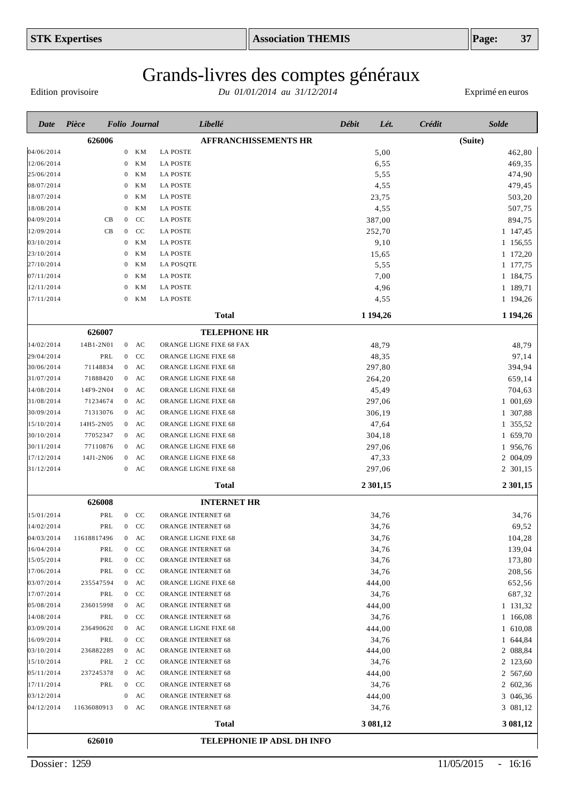Edition provisoire

| Date       | Pièce       |                  | <b>Folio</b> Journal   | Libellé                     | <b>Débit</b> | Lét.<br><b>Crédit</b> | <b>Solde</b>  |
|------------|-------------|------------------|------------------------|-----------------------------|--------------|-----------------------|---------------|
|            | 626006      |                  |                        | <b>AFFRANCHISSEMENTS HR</b> |              |                       | (Suite)       |
| 04/06/2014 |             | $\boldsymbol{0}$ | KМ                     | <b>LA POSTE</b>             |              | 5,00                  | 462,80        |
| 12/06/2014 |             | $\mathbf{0}$     | <b>KM</b>              | <b>LA POSTE</b>             |              | 6,55                  | 469,35        |
| 25/06/2014 |             | $\mathbf{0}$     | ΚM                     | <b>LA POSTE</b>             |              | 5,55                  | 474,90        |
| 08/07/2014 |             | $\bf{0}$         | <b>KM</b>              | <b>LA POSTE</b>             |              | 4,55                  | 479,45        |
| 18/07/2014 |             | $\mathbf{0}$     | KM                     | <b>LA POSTE</b>             | 23,75        |                       | 503,20        |
| 18/08/2014 |             | $\mathbf{0}$     | ΚM                     | <b>LA POSTE</b>             |              | 4,55                  | 507,75        |
| 04/09/2014 | CB          | $\mathbf{0}$     | CC                     | <b>LA POSTE</b>             | 387,00       |                       | 894,75        |
| 12/09/2014 | CB          | $\mathbf{0}$     | CC                     | <b>LA POSTE</b>             | 252,70       |                       | 1 147,45      |
| 03/10/2014 |             | $\mathbf{0}$     | KM                     | <b>LA POSTE</b>             |              | 9,10                  | 1 156,55      |
| 23/10/2014 |             | $\mathbf{0}$     | <b>KM</b>              | <b>LA POSTE</b>             | 15,65        |                       | 1 172,20      |
| 27/10/2014 |             | $\bf{0}$         | <b>KM</b>              | <b>LA POSQTE</b>            |              | 5,55                  | 1 177,75      |
| 07/11/2014 |             | $\bf{0}$         | ΚM                     | <b>LA POSTE</b>             |              | 7,00                  | 1 184,75      |
| 12/11/2014 |             | $\theta$         | <b>KM</b>              | <b>LA POSTE</b>             |              | 4,96                  | 1 189,71      |
| 17/11/2014 |             | $\mathbf{0}$     | KМ                     | <b>LA POSTE</b>             |              | 4,55                  | 1 194,26      |
|            |             |                  |                        | <b>Total</b>                | 1 1 9 4 , 26 |                       | 1 1 9 4 , 2 6 |
|            | 626007      |                  |                        | <b>TELEPHONE HR</b>         |              |                       |               |
| 14/02/2014 | 14B1-2N01   |                  | $0$ AC                 | ORANGE LIGNE FIXE 68 FAX    | 48,79        |                       | 48,79         |
| 29/04/2014 | PRL         | $\overline{0}$   | CC                     | ORANGE LIGNE FIXE 68        | 48,35        |                       | 97,14         |
| 30/06/2014 | 71148834    | $\mathbf{0}$     | AC                     | ORANGE LIGNE FIXE 68        | 297,80       |                       | 394,94        |
| 31/07/2014 | 71888420    | $\mathbf{0}$     | $\mathbf{A}\mathbf{C}$ | ORANGE LIGNE FIXE 68        | 264,20       |                       | 659,14        |
| 14/08/2014 | 14F9-2N04   | $\overline{0}$   | AC                     | ORANGE LIGNE FIXE 68        | 45,49        |                       | 704,63        |
| 31/08/2014 | 71234674    | $\overline{0}$   | AC                     | ORANGE LIGNE FIXE 68        | 297,06       |                       | 1 001,69      |
| 30/09/2014 | 71313076    | $\mathbf{0}$     | AC                     | ORANGE LIGNE FIXE 68        | 306,19       |                       | 1 307,88      |
| 15/10/2014 | 14H5-2N05   | $\mathbf{0}$     | AC                     | ORANGE LIGNE FIXE 68        | 47,64        |                       | 1 355,52      |
| 30/10/2014 | 77052347    | $\overline{0}$   | AC                     | ORANGE LIGNE FIXE 68        | 304,18       |                       | 1 659,70      |
| 30/11/2014 | 77110876    | $\boldsymbol{0}$ | AC                     | ORANGE LIGNE FIXE 68        | 297,06       |                       | 1 956,76      |
| 17/12/2014 | 14J1-2N06   | $\mathbf{0}$     | AC                     | ORANGE LIGNE FIXE 68        | 47,33        |                       | 2 004,09      |
| 31/12/2014 |             | $\boldsymbol{0}$ | AC                     | ORANGE LIGNE FIXE 68        | 297,06       |                       | 2 301,15      |
|            |             |                  |                        | <b>Total</b>                | 2 301,15     |                       | 2 301,15      |
|            | 626008      |                  |                        | <b>INTERNET HR</b>          |              |                       |               |
| 15/01/2014 | PRL         |                  | $0$ CC                 | <b>ORANGE INTERNET 68</b>   | 34,76        |                       | 34,76         |
| 14/02/2014 | PRL         |                  | $0$ CC                 | ORANGE INTERNET 68          | 34,76        |                       | 69,52         |
| 04/03/2014 | 11618817496 | $\mathbf{0}$     | AC                     | ORANGE LIGNE FIXE 68        | 34,76        |                       | 104,28        |
| 16/04/2014 | PRL         |                  | $0$ CC                 | ORANGE INTERNET 68          | 34,76        |                       | 139,04        |
| 15/05/2014 | PRL         | $\boldsymbol{0}$ | CC                     | ORANGE INTERNET 68          | 34,76        |                       | 173,80        |
| 17/06/2014 | PRL         |                  | $0$ CC                 | ORANGE INTERNET 68          | 34,76        |                       | 208,56        |
| 03/07/2014 | 235547594   |                  | $0$ AC                 | ORANGE LIGNE FIXE 68        | 444,00       |                       | 652,56        |
| 17/07/2014 | PRL         |                  | $0$ CC                 | ORANGE INTERNET 68          | 34,76        |                       | 687,32        |
| 05/08/2014 | 236015998   |                  | $0$ AC                 | ORANGE INTERNET 68          | 444,00       |                       | 1 131,32      |
| 14/08/2014 | PRL         |                  | $0$ CC                 | ORANGE INTERNET 68          | 34,76        |                       | 1 166,08      |
| 03/09/2014 | 236490620   |                  | $0$ AC                 | ORANGE LIGNE FIXE 68        | 444,00       |                       | 1 610,08      |
| 16/09/2014 | PRL         |                  | $0$ CC                 | ORANGE INTERNET 68          | 34,76        |                       | 1 644,84      |
| 03/10/2014 | 236882289   | $\mathbf{0}$     | AC                     | ORANGE INTERNET 68          | 444,00       |                       | 2 088,84      |
| 15/10/2014 | PRL         |                  | 2 CC                   | ORANGE INTERNET 68          | 34,76        |                       | 2 123,60      |
| 05/11/2014 | 237245378   |                  | $0$ AC                 | ORANGE INTERNET 68          | 444,00       |                       | 2 567,60      |
| 17/11/2014 | PRL         |                  | $0$ CC                 | ORANGE INTERNET 68          | 34,76        |                       | 2 602,36      |
| 03/12/2014 |             | $\bf{0}$         | AC                     | ORANGE INTERNET 68          | 444,00       |                       | 3 046,36      |
| 04/12/2014 | 11636080913 |                  | $0$ AC                 | ORANGE INTERNET 68          | 34,76        |                       | 3 081,12      |
|            |             |                  |                        | <b>Total</b>                | 3 081,12     |                       | 3 081,12      |
|            | 626010      |                  |                        | TELEPHONIE IP ADSL DH INFO  |              |                       |               |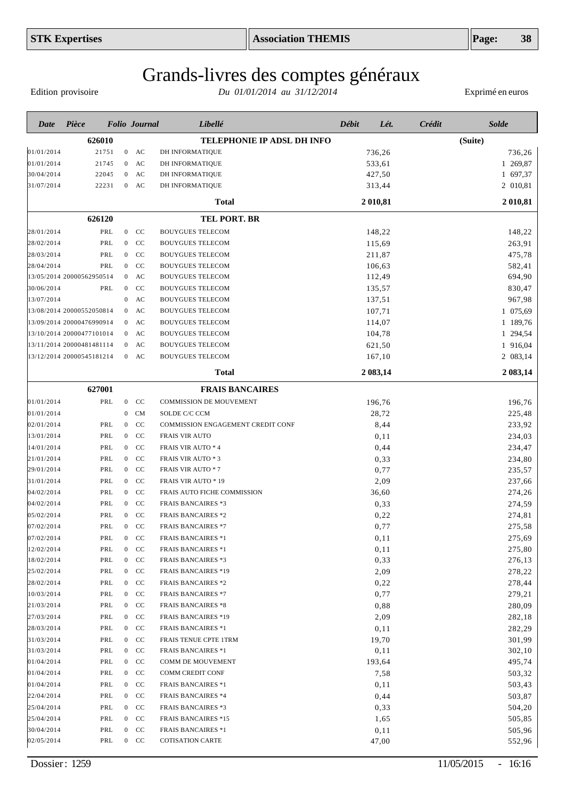# Grands-livres des comptes généraux

Edition provisoire

| Date       | Pièce                     |       |                  | <b>Folio Journal</b> | Libellé                           | Débit | Lét.     | Crédit  | <b>Solde</b> |
|------------|---------------------------|-------|------------------|----------------------|-----------------------------------|-------|----------|---------|--------------|
|            | 626010                    |       |                  |                      | TELEPHONIE IP ADSL DH INFO        |       |          | (Suite) |              |
| 01/01/2014 |                           | 21751 |                  | $0$ AC               | DH INFORMATIQUE                   |       | 736,26   |         | 736,26       |
| 01/01/2014 |                           | 21745 | $\overline{0}$   | AC                   | DH INFORMATIQUE                   |       | 533,61   |         | 1 269,87     |
| 30/04/2014 |                           | 22045 | $\overline{0}$   | AC                   | DH INFORMATIQUE                   |       | 427,50   |         | 1 697,37     |
| 31/07/2014 |                           | 22231 |                  | $0$ AC               | DH INFORMATIQUE                   |       | 313,44   |         | 2 010,81     |
|            |                           |       |                  |                      | Total                             |       | 2 010,81 |         | 2 010,81     |
|            | 626120                    |       |                  |                      | <b>TEL PORT. BR</b>               |       |          |         |              |
| 28/01/2014 |                           | PRL   |                  | $0$ CC               | <b>BOUYGUES TELECOM</b>           |       | 148,22   |         | 148,22       |
| 28/02/2014 |                           | PRL   | $\overline{0}$   | CC                   | <b>BOUYGUES TELECOM</b>           |       | 115,69   |         | 263,91       |
| 28/03/2014 |                           | PRL   | $\overline{0}$   | CC                   | <b>BOUYGUES TELECOM</b>           |       | 211,87   |         | 475,78       |
| 28/04/2014 |                           | PRL   | $\overline{0}$   | <sub>CC</sub>        | <b>BOUYGUES TELECOM</b>           |       | 106,63   |         | 582,41       |
|            | 13/05/2014 20000562950514 |       | $\overline{0}$   | AC                   | <b>BOUYGUES TELECOM</b>           |       | 112,49   |         | 694,90       |
| 30/06/2014 |                           | PRL   | $\mathbf{0}$     | CC                   | <b>BOUYGUES TELECOM</b>           |       | 135,57   |         | 830,47       |
| 13/07/2014 |                           |       | $\overline{0}$   | AC                   | <b>BOUYGUES TELECOM</b>           |       | 137,51   |         | 967,98       |
|            | 13/08/2014 20000552050814 |       | $\mathbf{0}$     | AC                   | <b>BOUYGUES TELECOM</b>           |       | 107,71   |         | 1 075,69     |
|            | 13/09/2014 20000476990914 |       | $\overline{0}$   | AC                   | <b>BOUYGUES TELECOM</b>           |       | 114,07   |         | 1 189,76     |
|            | 13/10/2014 20000477101014 |       |                  | $0$ AC               | <b>BOUYGUES TELECOM</b>           |       | 104,78   |         | 1 294,54     |
|            | 13/11/2014 20000481481114 |       | $\overline{0}$   | AC                   | <b>BOUYGUES TELECOM</b>           |       | 621,50   |         | 1 916,04     |
|            | 13/12/2014 20000545181214 |       |                  | $0$ AC               | <b>BOUYGUES TELECOM</b>           |       | 167,10   |         | 2 083,14     |
|            |                           |       |                  |                      | Total                             |       | 2 083,14 |         | 2 083,14     |
|            | 627001                    |       |                  |                      | <b>FRAIS BANCAIRES</b>            |       |          |         |              |
| 01/01/2014 |                           | PRL   |                  | $0$ CC               | COMMISSION DE MOUVEMENT           |       | 196,76   |         | 196,76       |
| 01/01/2014 |                           |       | $\overline{0}$   | <b>CM</b>            | SOLDE C/C CCM                     |       | 28,72    |         | 225,48       |
| 02/01/2014 |                           | PRL   | $\overline{0}$   | CC                   | COMMISSION ENGAGEMENT CREDIT CONF |       | 8,44     |         | 233,92       |
| 13/01/2014 |                           | PRL   | $\overline{0}$   | CC                   | <b>FRAIS VIR AUTO</b>             |       | 0,11     |         | 234,03       |
| 14/01/2014 |                           | PRL   | $\overline{0}$   | CC                   | FRAIS VIR AUTO * 4                |       | 0,44     |         | 234,47       |
| 21/01/2014 |                           | PRL   | $\mathbf{0}$     | cc                   | <b>FRAIS VIR AUTO * 3</b>         |       | 0,33     |         | 234,80       |
| 29/01/2014 |                           | PRL   | $\overline{0}$   | <sub>CC</sub>        | <b>FRAIS VIR AUTO * 7</b>         |       | 0,77     |         | 235,57       |
| 31/01/2014 |                           | PRL   | $\overline{0}$   | <sub>CC</sub>        | FRAIS VIR AUTO * 19               |       | 2,09     |         | 237,66       |
| 04/02/2014 |                           | PRL   | $\overline{0}$   | CC                   | FRAIS AUTO FICHE COMMISSION       |       | 36,60    |         | 274,26       |
| 04/02/2014 |                           | PRL   | $\overline{0}$   | CC                   | <b>FRAIS BANCAIRES *3</b>         |       | 0,33     |         | 274,59       |
| 05/02/2014 |                           | PRL   | $\overline{0}$   | CC                   | <b>FRAIS BANCAIRES *2</b>         |       | 0,22     |         | 274,81       |
| 07/02/2014 |                           | PRL   |                  | $0$ CC               | <b>FRAIS BANCAIRES *7</b>         |       | 0,77     |         | 275,58       |
| 07/02/2014 |                           | PRL   | $\mathbf{0}$     | CC                   | <b>FRAIS BANCAIRES *1</b>         |       | 0,11     |         | 275,69       |
| 12/02/2014 |                           | PRL   |                  | $0$ CC               | <b>FRAIS BANCAIRES *1</b>         |       | 0,11     |         | 275,80       |
| 18/02/2014 |                           | PRL   | $\overline{0}$   | CC                   | <b>FRAIS BANCAIRES *3</b>         |       | 0,33     |         | 276,13       |
| 25/02/2014 |                           | PRL   |                  | $0$ CC               | <b>FRAIS BANCAIRES *19</b>        |       | 2,09     |         | 278,22       |
| 28/02/2014 |                           | PRL   |                  | $0$ CC               | <b>FRAIS BANCAIRES *2</b>         |       | 0,22     |         | 278,44       |
| 10/03/2014 |                           | PRL   |                  | $0$ CC               | <b>FRAIS BANCAIRES *7</b>         |       | 0,77     |         | 279,21       |
| 21/03/2014 |                           | PRL   |                  | $0$ CC               | <b>FRAIS BANCAIRES *8</b>         |       | 0,88     |         | 280,09       |
| 27/03/2014 |                           | PRL   | $\overline{0}$   | CC                   | <b>FRAIS BANCAIRES *19</b>        |       | 2,09     |         | 282,18       |
| 28/03/2014 |                           | PRL   | $\overline{0}$   | CC                   | <b>FRAIS BANCAIRES *1</b>         |       | 0,11     |         | 282,29       |
| 31/03/2014 |                           | PRL   | $\overline{0}$   | CC                   | FRAIS TENUE CPTE 1TRM             |       | 19,70    |         | 301,99       |
| 31/03/2014 |                           | PRL   | $\overline{0}$   | CC                   | <b>FRAIS BANCAIRES *1</b>         |       | 0,11     |         | 302,10       |
| 01/04/2014 |                           | PRL   | $\overline{0}$   | CC                   | COMM DE MOUVEMENT                 |       | 193,64   |         | 495,74       |
| 01/04/2014 |                           | PRL   | $\overline{0}$   | CC                   | COMM CREDIT CONF                  |       | 7,58     |         | 503,32       |
| 01/04/2014 |                           | PRL   | $\bf{0}$         | CC                   | <b>FRAIS BANCAIRES *1</b>         |       | 0,11     |         | 503,43       |
| 22/04/2014 |                           | PRL   | $\overline{0}$   | CC                   | <b>FRAIS BANCAIRES *4</b>         |       | 0,44     |         | 503,87       |
| 25/04/2014 |                           | PRL   | $\overline{0}$   | CC                   | <b>FRAIS BANCAIRES *3</b>         |       | 0,33     |         | 504,20       |
| 25/04/2014 |                           | PRL   | $\overline{0}$   | CC                   | <b>FRAIS BANCAIRES *15</b>        |       | 1,65     |         | 505,85       |
| 30/04/2014 |                           | PRL   | $\boldsymbol{0}$ | CC                   | <b>FRAIS BANCAIRES *1</b>         |       | 0,11     |         | 505,96       |
| 02/05/2014 |                           | PRL   |                  | $0$ CC               | <b>COTISATION CARTE</b>           |       | 47,00    |         | 552,96       |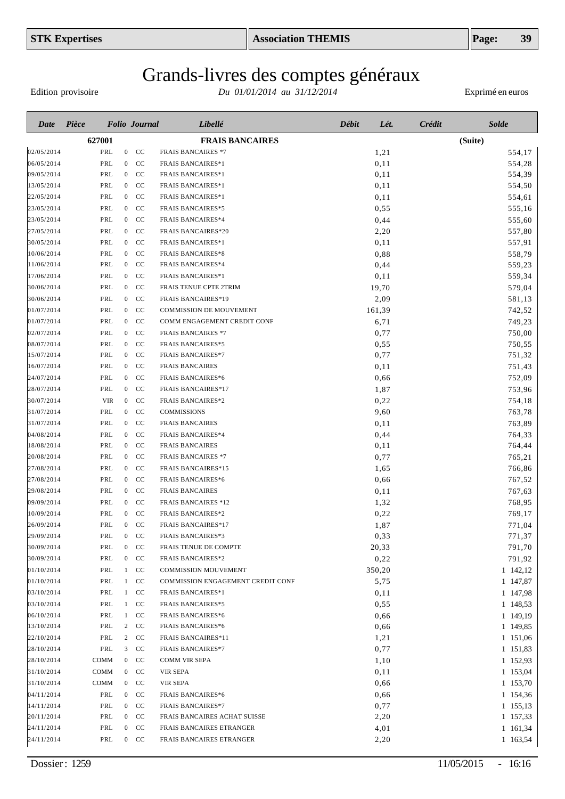# Grands-livres des comptes généraux

Edition provisoire

| Date       | Pièce |             |                  | <b>Folio</b> Journal | Libellé                           | Débit | Lét.   | Crédit | <b>Solde</b>         |
|------------|-------|-------------|------------------|----------------------|-----------------------------------|-------|--------|--------|----------------------|
|            |       | 627001      |                  |                      | <b>FRAIS BANCAIRES</b>            |       |        |        | (Suite)              |
| 02/05/2014 |       | PRL         | $\overline{0}$   | <sub>CC</sub>        | <b>FRAIS BANCAIRES *7</b>         |       | 1,21   |        | 554,17               |
| 06/05/2014 |       | PRL         |                  | $0$ CC               | <b>FRAIS BANCAIRES*1</b>          |       | 0,11   |        | 554,28               |
| 09/05/2014 |       | PRL         |                  | $0$ CC               | <b>FRAIS BANCAIRES*1</b>          |       | 0,11   |        | 554,39               |
| 13/05/2014 |       | PRL         |                  | $0$ CC               | <b>FRAIS BANCAIRES*1</b>          |       | 0,11   |        | 554,50               |
| 22/05/2014 |       | PRL         | $\overline{0}$   | CC                   | <b>FRAIS BANCAIRES*1</b>          |       | 0,11   |        | 554,61               |
| 23/05/2014 |       | PRL         |                  | $0$ CC               | <b>FRAIS BANCAIRES*5</b>          |       | 0,55   |        | 555,16               |
| 23/05/2014 |       | PRL         | $\overline{0}$   | CC                   | <b>FRAIS BANCAIRES*4</b>          |       | 0,44   |        | 555,60               |
| 27/05/2014 |       | PRL         |                  | $0$ CC               | <b>FRAIS BANCAIRES*20</b>         |       | 2,20   |        | 557,80               |
| 30/05/2014 |       | PRL         |                  | $0$ CC               | <b>FRAIS BANCAIRES*1</b>          |       | 0,11   |        | 557,91               |
| 10/06/2014 |       | PRL         |                  | $0$ CC               | <b>FRAIS BANCAIRES*8</b>          |       | 0,88   |        | 558,79               |
| 11/06/2014 |       | PRL         |                  | $0$ CC               | <b>FRAIS BANCAIRES*4</b>          |       | 0,44   |        | 559,23               |
| 17/06/2014 |       | PRL         |                  | $0$ CC               | <b>FRAIS BANCAIRES*1</b>          |       | 0,11   |        | 559,34               |
| 30/06/2014 |       | PRL         | $\overline{0}$   | CC                   | FRAIS TENUE CPTE 2TRIM            |       | 19,70  |        | 579,04               |
| 30/06/2014 |       | PRL         |                  | $0$ CC               | <b>FRAIS BANCAIRES*19</b>         |       | 2,09   |        | 581,13               |
| 01/07/2014 |       | PRL         | $\overline{0}$   | <sub>CC</sub>        | <b>COMMISSION DE MOUVEMENT</b>    |       | 161,39 |        | 742,52               |
| 01/07/2014 |       | PRL         |                  | $0$ CC               | COMM ENGAGEMENT CREDIT CONF       |       | 6,71   |        | 749,23               |
| 02/07/2014 |       | PRL         |                  | $0$ CC               | <b>FRAIS BANCAIRES *7</b>         |       | 0,77   |        | 750,00               |
| 08/07/2014 |       | PRL         | $\overline{0}$   | CC                   | <b>FRAIS BANCAIRES*5</b>          |       | 0,55   |        | 750,55               |
| 15/07/2014 |       | PRL         | $\overline{0}$   | <sub>CC</sub>        | <b>FRAIS BANCAIRES*7</b>          |       | 0,77   |        | 751,32               |
| 16/07/2014 |       | PRL         | $\overline{0}$   | <sub>CC</sub>        | <b>FRAIS BANCAIRES</b>            |       | 0,11   |        | 751,43               |
| 24/07/2014 |       | PRL         | $\overline{0}$   | CC                   | <b>FRAIS BANCAIRES*6</b>          |       | 0,66   |        | 752,09               |
| 28/07/2014 |       | PRL         | $\boldsymbol{0}$ | <sub>CC</sub>        | <b>FRAIS BANCAIRES*17</b>         |       | 1,87   |        | 753,96               |
| 30/07/2014 |       | <b>VIR</b>  | $\overline{0}$   | CC                   | <b>FRAIS BANCAIRES*2</b>          |       | 0,22   |        | 754,18               |
| 31/07/2014 |       | PRL         | $\overline{0}$   | CC                   | COMMISSIONS                       |       | 9,60   |        | 763,78               |
| 31/07/2014 |       | PRL         | $\overline{0}$   | CC                   | <b>FRAIS BANCAIRES</b>            |       | 0,11   |        | 763,89               |
| 04/08/2014 |       | PRL         | $\overline{0}$   | CC                   | <b>FRAIS BANCAIRES*4</b>          |       | 0,44   |        | 764,33               |
| 18/08/2014 |       | PRL         | $\overline{0}$   | CC                   | <b>FRAIS BANCAIRES</b>            |       | 0,11   |        | 764,44               |
| 20/08/2014 |       | PRL         |                  | $0$ CC               | <b>FRAIS BANCAIRES *7</b>         |       | 0,77   |        | 765,21               |
| 27/08/2014 |       | PRL         | $\overline{0}$   | CC                   | <b>FRAIS BANCAIRES*15</b>         |       | 1,65   |        | 766,86               |
| 27/08/2014 |       | PRL         |                  | $0$ CC               | <b>FRAIS BANCAIRES*6</b>          |       | 0,66   |        | 767,52               |
| 29/08/2014 |       | PRL         |                  | $0$ CC               | <b>FRAIS BANCAIRES</b>            |       | 0,11   |        | 767,63               |
| 09/09/2014 |       | PRL         |                  | $0$ CC               | <b>FRAIS BANCAIRES *12</b>        |       | 1,32   |        | 768,95               |
| 10/09/2014 |       | PRL         |                  | $0$ CC               | <b>FRAIS BANCAIRES*2</b>          |       | 0,22   |        | 769,17               |
| 26/09/2014 |       | PRL         | $\overline{0}$   | CC                   | <b>FRAIS BANCAIRES*17</b>         |       | 1,87   |        | 771,04               |
| 29/09/2014 |       | PRL         | $\mathbf{0}$     | CC                   | <b>FRAIS BANCAIRES*3</b>          |       | 0,33   |        | 771,37               |
| 30/09/2014 |       | PRL         |                  | $0$ CC               | FRAIS TENUE DE COMPTE             |       | 20,33  |        | 791,70               |
| 30/09/2014 |       | PRL         |                  | $0$ CC               | <b>FRAIS BANCAIRES*2</b>          |       | 0,22   |        | 791,92               |
| 01/10/2014 |       | PRL         |                  | $1$ CC               | <b>COMMISSION MOUVEMENT</b>       |       | 350,20 |        | $1\quad142,12$       |
| 01/10/2014 |       | PRL         |                  | $1$ CC               | COMMISSION ENGAGEMENT CREDIT CONF |       | 5,75   |        | 1 147,87             |
| 03/10/2014 |       | PRL         |                  | $1$ CC               | <b>FRAIS BANCAIRES*1</b>          |       | 0,11   |        | 1 147,98             |
| 03/10/2014 |       | PRL         |                  | $1$ CC               | <b>FRAIS BANCAIRES*5</b>          |       | 0,55   |        | 1 148,53             |
| 06/10/2014 |       | PRL         |                  | 1 CC                 | <b>FRAIS BANCAIRES*6</b>          |       | 0,66   |        | 1 149,19             |
| 13/10/2014 |       | PRL         |                  | $2$ CC               | <b>FRAIS BANCAIRES*6</b>          |       | 0,66   |        | 1 149,85             |
| 22/10/2014 |       | PRL         |                  | 2 CC                 | FRAIS BANCAIRES*11                |       | 1,21   |        | 1 151,06             |
| 28/10/2014 |       | PRL         |                  | $3$ CC               | <b>FRAIS BANCAIRES*7</b>          |       | 0,77   |        | 1 151,83             |
| 28/10/2014 |       | <b>COMM</b> |                  | $0$ CC               | COMM VIR SEPA                     |       | 1,10   |        | 1 152,93             |
| 31/10/2014 |       | COMM        |                  | $0$ CC               | VIR SEPA                          |       | 0,11   |        | 1 153,04             |
| 31/10/2014 |       | <b>COMM</b> |                  | $0$ CC               | VIR SEPA                          |       | 0,66   |        | 1 153,70             |
| 04/11/2014 |       | PRL         |                  | $0$ CC               | <b>FRAIS BANCAIRES*6</b>          |       | 0,66   |        | 1 154,36             |
| 14/11/2014 |       | PRL         |                  | $0$ CC               | <b>FRAIS BANCAIRES*7</b>          |       | 0,77   |        |                      |
| 20/11/2014 |       | PRL         |                  | $0$ CC               | FRAIS BANCAIRES ACHAT SUISSE      |       | 2,20   |        | 1 155,13<br>1 157,33 |
| 24/11/2014 |       | PRL         |                  | $0$ CC               | FRAIS BANCAIRES ETRANGER          |       | 4,01   |        | 1 161,34             |
|            |       |             |                  | $0\quad \, CC$       |                                   |       |        |        |                      |
| 24/11/2014 |       | PRL         |                  |                      | FRAIS BANCAIRES ETRANGER          |       | 2,20   |        | 1 163,54             |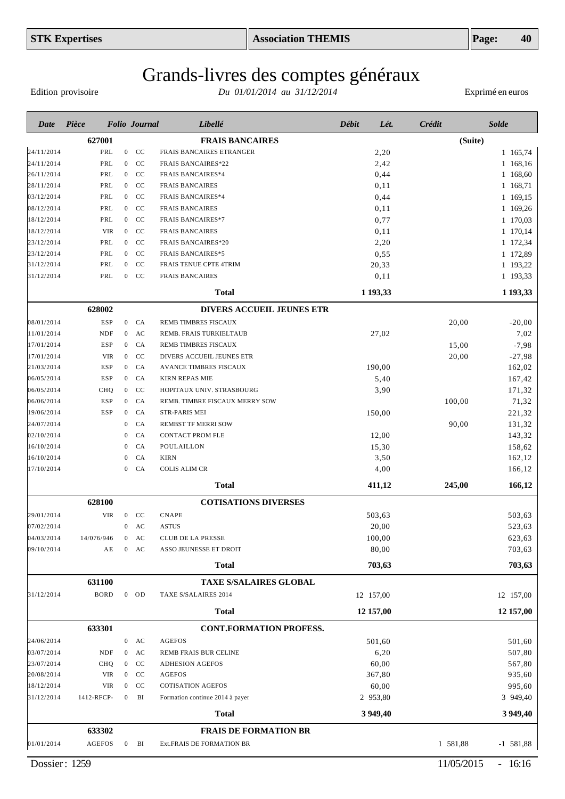# Grands-livres des comptes généraux

Edition provisoire

| Date                     | Pièce         |            |                              | <b>Folio</b> Journal | Libellé                             | <b>Débit</b> | Lét.         | Crédit   | <b>Solde</b> |
|--------------------------|---------------|------------|------------------------------|----------------------|-------------------------------------|--------------|--------------|----------|--------------|
|                          | 627001        |            |                              |                      | <b>FRAIS BANCAIRES</b>              |              |              | (Suite)  |              |
| 24/11/2014               | PRL           |            | $\overline{0}$               | <sub>CC</sub>        | FRAIS BANCAIRES ETRANGER            |              | 2,20         |          | 1 165,74     |
| 24/11/2014               | PRL           |            | $\overline{0}$               | CC                   | <b>FRAIS BANCAIRES*22</b>           |              | 2,42         |          | 1 168,16     |
| 26/11/2014               | PRL           |            | $\overline{0}$               | CC                   | <b>FRAIS BANCAIRES*4</b>            |              | 0,44         |          | 1 168,60     |
| 28/11/2014               | PRL           |            | $\overline{0}$               | CC                   | <b>FRAIS BANCAIRES</b>              |              | 0,11         |          | 1 168,71     |
| 03/12/2014               | PRL           |            | $\overline{0}$               | CC                   | <b>FRAIS BANCAIRES*4</b>            |              | 0,44         |          | 1 169,15     |
| 08/12/2014               | PRL           |            | $\overline{0}$               | CC                   | <b>FRAIS BANCAIRES</b>              |              | 0,11         |          | 1 169,26     |
| 18/12/2014               | PRL           |            | $\overline{0}$               | CC                   | <b>FRAIS BANCAIRES*7</b>            |              | 0,77         |          | 1 170,03     |
| 18/12/2014               | <b>VIR</b>    |            | $\mathbf{0}$                 | CC                   | <b>FRAIS BANCAIRES</b>              |              | 0,11         |          | 1 170,14     |
| 23/12/2014               | PRL           |            | $\overline{0}$               | CC                   | <b>FRAIS BANCAIRES*20</b>           |              | 2,20         |          | 1 172,34     |
| 23/12/2014               | PRL           |            | $\boldsymbol{0}$             | CC                   | <b>FRAIS BANCAIRES*5</b>            |              | 0,55         |          | 1 172,89     |
| 31/12/2014               | PRL           |            | $\mathbf{0}$                 | CC                   | FRAIS TENUE CPTE 4TRIM              |              | 20,33        |          | 1 193,22     |
| 31/12/2014               | PRL           |            | $\overline{0}$               | <sub>CC</sub>        | <b>FRAIS BANCAIRES</b>              |              | 0,11         |          | 1 193,33     |
|                          |               |            |                              |                      | <b>Total</b>                        |              | 1 193,33     |          | 1 193,33     |
|                          | 628002        |            |                              |                      | <b>DIVERS ACCUEIL JEUNES ETR</b>    |              |              |          |              |
| 08/01/2014               | <b>ESP</b>    |            | $\mathbf{0}$                 | CA                   | REMB TIMBRES FISCAUX                |              |              | 20,00    | $-20,00$     |
| 11/01/2014               | <b>NDF</b>    |            | $\overline{0}$               | AC                   | REMB. FRAIS TURKIELTAUB             |              | 27,02        |          | 7,02         |
| 17/01/2014               | <b>ESP</b>    |            | $\overline{0}$               | CA                   | <b>REMB TIMBRES FISCAUX</b>         |              |              | 15,00    | $-7,98$      |
| 17/01/2014               | <b>VIR</b>    |            | $\mathbf{0}$                 | CC                   | DIVERS ACCUEIL JEUNES ETR           |              |              | 20,00    | $-27,98$     |
| 21/03/2014               | <b>ESP</b>    |            | $\boldsymbol{0}$             | CA                   | <b>AVANCE TIMBRES FISCAUX</b>       |              | 190.00       |          | 162,02       |
| 06/05/2014               | <b>ESP</b>    |            | $\boldsymbol{0}$             | CA                   | <b>KIRN REPAS MIE</b>               |              | 5,40         |          | 167,42       |
| 06/05/2014               | CHQ           |            | $\mathbf{0}$                 | CC                   | HOPITAUX UNIV. STRASBOURG           |              | 3,90         |          | 171,32       |
| 06/06/2014               | <b>ESP</b>    |            | $\boldsymbol{0}$             | CA                   | REMB. TIMBRE FISCAUX MERRY SOW      |              |              | 100,00   | 71,32        |
| 19/06/2014               | <b>ESP</b>    |            | $\boldsymbol{0}$             | CA                   | STR-PARIS MEI                       |              | 150,00       |          | 221,32       |
| 24/07/2014               |               |            | $\mathbf{0}$                 | CA                   | <b>REMBST TF MERRI SOW</b>          |              |              | 90,00    | 131,32       |
| 02/10/2014               |               |            | $\mathbf{0}$                 | CA                   | <b>CONTACT PROM FLE</b>             |              | 12,00        |          | 143,32       |
| 16/10/2014               |               |            | $\mathbf{0}$                 | CA                   | POULAILLON                          |              | 15,30        |          | 158,62       |
| 16/10/2014<br>17/10/2014 |               |            | $\mathbf{0}$<br>$\mathbf{0}$ | CA<br>CA             | <b>KIRN</b><br><b>COLIS ALIM CR</b> |              | 3,50<br>4,00 |          | 162,12       |
|                          |               |            |                              |                      |                                     |              |              |          | 166,12       |
|                          |               |            |                              |                      | <b>Total</b>                        |              | 411,12       | 245,00   | 166,12       |
|                          | 628100        |            |                              |                      | <b>COTISATIONS DIVERSES</b>         |              |              |          |              |
| 29/01/2014               |               | <b>VIR</b> | $\mathbf{0}$                 | <sub>CC</sub>        | <b>CNAPE</b>                        |              | 503,63       |          | 503,63       |
| 07/02/2014               |               |            | $\mathbf{0}$                 | AC                   | <b>ASTUS</b>                        |              | 20,00        |          | 523,63       |
| 04/03/2014               | 14/076/946    |            | $\boldsymbol{0}$             | AC                   | CLUB DE LA PRESSE                   |              | 100,00       |          | 623,63       |
| 09/10/2014               |               | AΕ         | $\mathbf{0}$                 | AC                   | ASSO JEUNESSE ET DROIT              |              | 80,00        |          | 703,63       |
|                          |               |            |                              |                      | <b>Total</b>                        |              | 703,63       |          | 703,63       |
|                          | 631100        |            |                              |                      | <b>TAXE S/SALAIRES GLOBAL</b>       |              |              |          |              |
| 31/12/2014               | <b>BORD</b>   |            |                              | $0$ OD               | TAXE S/SALAIRES 2014                |              | 12 157,00    |          | 12 157,00    |
|                          |               |            |                              |                      | <b>Total</b>                        |              | 12 157,00    |          | 12 157,00    |
|                          | 633301        |            |                              |                      | <b>CONT.FORMATION PROFESS.</b>      |              |              |          |              |
| 24/06/2014               |               |            | $\boldsymbol{0}$             | AC                   | <b>AGEFOS</b>                       |              | 501,60       |          | 501,60       |
| 03/07/2014               | <b>NDF</b>    |            |                              | $0$ AC               | REMB FRAIS BUR CELINE               |              | 6,20         |          | 507,80       |
| 23/07/2014               | CHQ           |            |                              | $0$ CC               | <b>ADHESION AGEFOS</b>              |              | 60,00        |          | 567,80       |
| 20/08/2014               | <b>VIR</b>    |            | $\boldsymbol{0}$             | CC                   | <b>AGEFOS</b>                       |              | 367,80       |          | 935,60       |
| 18/12/2014               |               | <b>VIR</b> | $\bf{0}$                     | CC                   | <b>COTISATION AGEFOS</b>            |              | 60,00        |          | 995,60       |
| 31/12/2014               | 1412-RFCP-    |            | $\boldsymbol{0}$             | BI                   | Formation continue 2014 à payer     |              | 2 953,80     |          | 3 949,40     |
|                          |               |            |                              |                      | <b>Total</b>                        |              | 3 949,40     |          | 3 949,40     |
|                          | 633302        |            |                              |                      | <b>FRAIS DE FORMATION BR</b>        |              |              |          |              |
| 01/01/2014               | <b>AGEFOS</b> |            | $\overline{0}$               | BI                   | Ext.FRAIS DE FORMATION BR           |              |              | 1 581,88 | $-1$ 581,88  |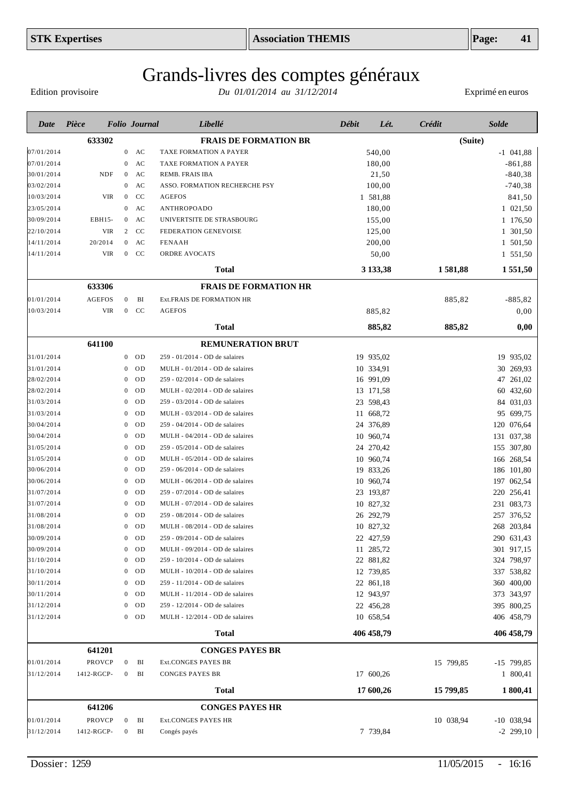# Grands-livres des comptes généraux

Edition provisoire

| Date       | Pièce         |                  | <b>Folio Journal</b> | Libellé                         | Débit | Lét.       | Crédit    | <b>Solde</b> |
|------------|---------------|------------------|----------------------|---------------------------------|-------|------------|-----------|--------------|
|            | 633302        |                  |                      | <b>FRAIS DE FORMATION BR</b>    |       |            | (Suite)   |              |
| 07/01/2014 |               | $\overline{0}$   | AC                   | TAXE FORMATION A PAYER          |       | 540,00     |           | $-1$ 041,88  |
| 07/01/2014 |               | 0                | AC                   | TAXE FORMATION A PAYER          |       | 180,00     |           | $-861,88$    |
| 30/01/2014 | <b>NDF</b>    | $\mathbf{0}$     | AC                   | REMB. FRAIS IBA                 |       | 21,50      |           | $-840,38$    |
| 03/02/2014 |               | $\mathbf{0}$     | AC                   | ASSO. FORMATION RECHERCHE PSY   |       | 100,00     |           | $-740,38$    |
| 10/03/2014 | <b>VIR</b>    | $\overline{0}$   | CC                   | <b>AGEFOS</b>                   |       | 1 581,88   |           | 841,50       |
| 23/05/2014 |               | $\mathbf{0}$     | AC                   | ANTHROPOADO                     |       | 180,00     |           | 1 021,50     |
| 30/09/2014 | EBH15-        | $\mathbf{0}$     | AC                   | UNIVERTSITE DE STRASBOURG       |       | 155,00     |           | 1 176,50     |
| 22/10/2014 | <b>VIR</b>    | 2                | <b>CC</b>            | FEDERATION GENEVOISE            |       | 125,00     |           | 1 301,50     |
| 14/11/2014 | 20/2014       |                  | $0$ AC               | <b>FENAAH</b>                   |       | 200,00     |           | 1 501,50     |
| 14/11/2014 | VIR           |                  | $0$ CC               | ORDRE AVOCATS                   |       | 50,00      |           | 1 551,50     |
|            |               |                  |                      | <b>Total</b>                    |       | 3 133,38   | 1581,88   | 1 551,50     |
|            | 633306        |                  |                      | <b>FRAIS DE FORMATION HR</b>    |       |            |           |              |
| 01/01/2014 | <b>AGEFOS</b> | $\overline{0}$   | BI                   | Ext.FRAIS DE FORMATION HR       |       |            | 885,82    | $-885,82$    |
| 10/03/2014 | <b>VIR</b>    | $\overline{0}$   | <b>CC</b>            | <b>AGEFOS</b>                   |       | 885,82     |           | 0,00         |
|            |               |                  |                      | <b>Total</b>                    |       | 885,82     | 885,82    | 0,00         |
|            |               |                  |                      |                                 |       |            |           |              |
|            | 641100        |                  |                      | <b>REMUNERATION BRUT</b>        |       |            |           |              |
| 31/01/2014 |               | $\overline{0}$   | <b>OD</b>            | 259 - 01/2014 - OD de salaires  |       | 19 935,02  |           | 19 935,02    |
| 31/01/2014 |               | 0                | 0 <sub>D</sub>       | MULH - 01/2014 - OD de salaires |       | 10 334,91  |           | 30 269,93    |
| 28/02/2014 |               | $\mathbf{0}$     | OD                   | 259 - 02/2014 - OD de salaires  |       | 16 991,09  |           | 47 261,02    |
| 28/02/2014 |               | $\mathbf{0}$     | 0 <sub>D</sub>       | MULH - 02/2014 - OD de salaires |       | 13 171,58  |           | 60 432,60    |
| 31/03/2014 |               | $\mathbf{0}$     | OD                   | 259 - 03/2014 - OD de salaires  |       | 23 598,43  |           | 84 031,03    |
| 31/03/2014 |               | $\mathbf{0}$     | OD                   | MULH - 03/2014 - OD de salaires |       | 11 668,72  |           | 95 699,75    |
| 30/04/2014 |               | $\mathbf{0}$     | OD                   | 259 - 04/2014 - OD de salaires  |       | 24 376,89  |           | 120 076,64   |
| 30/04/2014 |               | $\mathbf{0}$     | OD                   | MULH - 04/2014 - OD de salaires |       | 10 960,74  |           | 131 037,38   |
| 31/05/2014 |               | $\mathbf{0}$     | OD                   | 259 - 05/2014 - OD de salaires  |       | 24 270,42  |           | 155 307,80   |
| 31/05/2014 |               | $\mathbf{0}$     | OD                   | MULH - 05/2014 - OD de salaires |       | 10 960,74  |           | 166 268,54   |
| 30/06/2014 |               | $\mathbf{0}$     | OD                   | 259 - 06/2014 - OD de salaires  |       | 19 833,26  |           | 186 101,80   |
| 30/06/2014 |               | $\mathbf{0}$     | OD                   | MULH - 06/2014 - OD de salaires |       | 10 960,74  |           | 197 062,54   |
| 31/07/2014 |               | $\mathbf{0}$     | OD                   | 259 - 07/2014 - OD de salaires  |       | 23 193,87  |           | 220 256,41   |
| 31/07/2014 |               | $\mathbf{0}$     | OD                   | MULH - 07/2014 - OD de salaires |       | 10 827,32  |           | 231 083,73   |
| 31/08/2014 |               | $\mathbf{0}$     | OD                   | 259 - 08/2014 - OD de salaires  |       | 26 292,79  |           | 257 376,52   |
| 31/08/2014 |               | $\boldsymbol{0}$ | OD                   | MULH - 08/2014 - OD de salaires |       | 10 827,32  |           | 268 203,84   |
| 30/09/2014 |               |                  | $0$ OD               | 259 - 09/2014 - OD de salaires  |       | 22 427,59  |           | 290 631,43   |
| 30/09/2014 |               | 0                | OD                   | MULH - 09/2014 - OD de salaires |       | 11 285,72  |           | 301 917,15   |
| 31/10/2014 |               |                  | $0$ OD               | 259 - 10/2014 - OD de salaires  |       | 22 881,82  |           | 324 798,97   |
| 31/10/2014 |               | $\overline{0}$   | OD                   | MULH - 10/2014 - OD de salaires |       | 12 739,85  |           | 337 538,82   |
| 30/11/2014 |               | $\mathbf{0}$     | OD                   | 259 - 11/2014 - OD de salaires  |       | 22 861,18  |           | 360 400,00   |
| 30/11/2014 |               | $\mathbf{0}$     | OD                   | MULH - 11/2014 - OD de salaires |       | 12 943,97  |           | 373 343,97   |
| 31/12/2014 |               | $\overline{0}$   | OD                   | 259 - 12/2014 - OD de salaires  |       | 22 456,28  |           | 395 800,25   |
| 31/12/2014 |               |                  | $0$ OD               | MULH - 12/2014 - OD de salaires |       | 10 658,54  |           | 406 458,79   |
|            |               |                  |                      | <b>Total</b>                    |       | 406 458,79 |           | 406 458,79   |
|            | 641201        |                  |                      | <b>CONGES PAYES BR</b>          |       |            |           |              |
| 01/01/2014 | PROVCP        | $\boldsymbol{0}$ | BI                   | Ext.CONGES PAYES BR             |       |            | 15 799,85 | -15 799,85   |
| 31/12/2014 | 1412-RGCP-    | $\bf{0}$         | BI                   | <b>CONGES PAYES BR</b>          |       | 17 600,26  |           | 1 800,41     |
|            |               |                  |                      | <b>Total</b>                    |       | 17 600,26  | 15 799,85 | 1 800,41     |
|            | 641206        |                  |                      | <b>CONGES PAYES HR</b>          |       |            |           |              |
| 01/01/2014 | PROVCP        | $\overline{0}$   | BI                   | Ext.CONGES PAYES HR             |       |            | 10 038,94 | $-10$ 038,94 |
| 31/12/2014 | 1412-RGCP-    | $\mathbf{0}$     | BI                   | Congés payés                    |       | 7 739,84   |           | $-2$ 299,10  |
|            |               |                  |                      |                                 |       |            |           |              |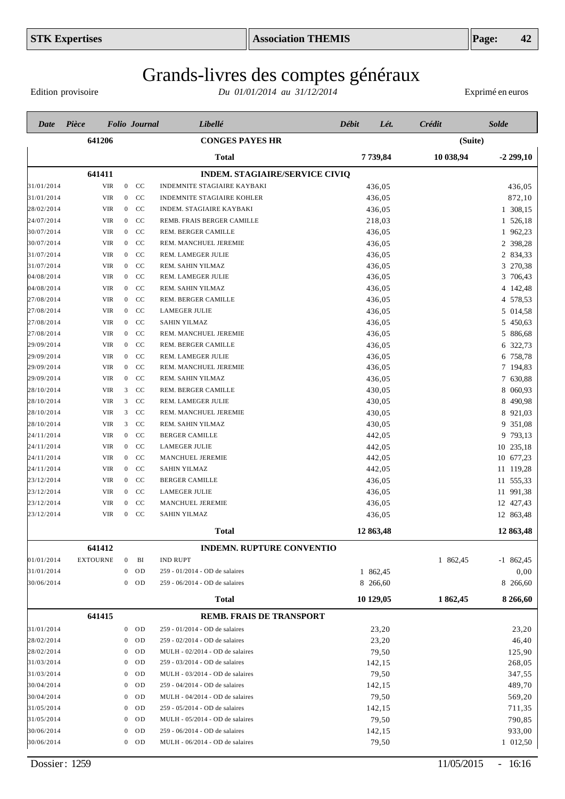Edition provisoire

| Date       | Pièce           |                  | <b>Folio</b> Journal | Libellé                               | Débit     | Lét.<br>Crédit | Solde                   |
|------------|-----------------|------------------|----------------------|---------------------------------------|-----------|----------------|-------------------------|
|            | 641206          |                  |                      | <b>CONGES PAYES HR</b>                |           |                | (Suite)                 |
|            |                 |                  |                      | Total                                 | 7739,84   |                | 10 038,94<br>$-2299,10$ |
|            | 641411          |                  |                      | <b>INDEM. STAGIAIRE/SERVICE CIVIQ</b> |           |                |                         |
| 31/01/2014 | <b>VIR</b>      | $\boldsymbol{0}$ | CC                   | INDEMNITE STAGIAIRE KAYBAKI           | 436,05    |                | 436,05                  |
| 31/01/2014 | <b>VIR</b>      | $\boldsymbol{0}$ | CC                   | INDEMNITE STAGIAIRE KOHLER            | 436,05    |                | 872,10                  |
| 28/02/2014 | VIR             | $\mathbf{0}$     | CC                   | <b>INDEM. STAGIAIRE KAYBAKI</b>       | 436,05    |                | 1 308,15                |
| 24/07/2014 | VIR             | $\overline{0}$   | CC                   | REMB. FRAIS BERGER CAMILLE            | 218,03    |                | 1 526,18                |
| 30/07/2014 | VIR             | $\overline{0}$   | CC                   | REM. BERGER CAMILLE                   | 436,05    |                | 1 962,23                |
| 30/07/2014 | VIR             | $\overline{0}$   | CC                   | REM. MANCHUEL JEREMIE                 | 436,05    |                | 2 398,28                |
| 31/07/2014 | <b>VIR</b>      | $\overline{0}$   | CC                   | REM. LAMEGER JULIE                    | 436,05    |                | 2 834,33                |
| 31/07/2014 | VIR             | $\overline{0}$   | CC                   | REM. SAHIN YILMAZ                     | 436,05    |                | 3 270,38                |
| 04/08/2014 | VIR             | $\overline{0}$   | <sub>CC</sub>        | REM. LAMEGER JULIE                    | 436,05    |                | 3 706,43                |
| 04/08/2014 | VIR             | $\mathbf{0}$     | <b>CC</b>            | REM. SAHIN YILMAZ                     | 436,05    |                | 4 142,48                |
| 27/08/2014 | VIR             | $\mathbf{0}$     | <b>CC</b>            | REM. BERGER CAMILLE                   | 436,05    |                | 4 578,53                |
| 27/08/2014 | VIR             | $\overline{0}$   | <b>CC</b>            | <b>LAMEGER JULIE</b>                  | 436,05    |                | 5 014,58                |
| 27/08/2014 | VIR             | $\mathbf{0}$     | <sub>CC</sub>        | <b>SAHIN YILMAZ</b>                   | 436,05    |                | 5<br>450,63             |
| 27/08/2014 | VIR             | $\overline{0}$   | <b>CC</b>            | REM. MANCHUEL JEREMIE                 | 436,05    |                | 5 886,68                |
| 29/09/2014 | VIR             | $\mathbf{0}$     | <b>CC</b>            | REM. BERGER CAMILLE                   | 436,05    |                | 6 322,73                |
| 29/09/2014 | VIR             | $\overline{0}$   | <b>CC</b>            | REM. LAMEGER JULIE                    | 436,05    |                | 6 758,78                |
| 29/09/2014 | VIR             | $\overline{0}$   | CC                   | REM. MANCHUEL JEREMIE                 | 436,05    |                | 7 194,83                |
| 29/09/2014 | <b>VIR</b>      | $\overline{0}$   | CC                   | REM. SAHIN YILMAZ                     | 436,05    |                | 7 630,88                |
| 28/10/2014 | VIR             | 3                | CC                   | REM. BERGER CAMILLE                   | 430,05    |                | 8 060,93                |
| 28/10/2014 | <b>VIR</b>      | 3                | CC                   | REM. LAMEGER JULIE                    | 430,05    |                | 8 490,98                |
| 28/10/2014 | <b>VIR</b>      | 3                | CC                   | REM. MANCHUEL JEREMIE                 | 430,05    |                | 8 921,03                |
| 28/10/2014 | <b>VIR</b>      | 3                | CC                   | REM. SAHIN YILMAZ                     | 430,05    |                | 9 351,08                |
| 24/11/2014 | <b>VIR</b>      | $\mathbf{0}$     | CC                   | <b>BERGER CAMILLE</b>                 | 442,05    |                | 9 793,13                |
| 24/11/2014 | VIR             | $\overline{0}$   | CC                   | <b>LAMEGER JULIE</b>                  | 442,05    |                | 10 235,18               |
| 24/11/2014 | VIR             | $\overline{0}$   | CC                   | MANCHUEL JEREMIE                      | 442,05    |                | 10 677,23               |
| 24/11/2014 | VIR             | $\mathbf{0}$     | <sub>CC</sub>        | <b>SAHIN YILMAZ</b>                   | 442,05    |                | 11 119,28               |
| 23/12/2014 | VIR             | $\overline{0}$   | CC                   | <b>BERGER CAMILLE</b>                 | 436,05    |                | 11 555,33               |
| 23/12/2014 | VIR             | $\mathbf{0}$     | <sub>CC</sub>        | <b>LAMEGER JULIE</b>                  | 436,05    |                | 11 991,38               |
| 23/12/2014 | VIR             | $\boldsymbol{0}$ | CC                   | MANCHUEL JEREMIE                      | 436,05    |                | 12 427,43               |
| 23/12/2014 | VIR             | $\overline{0}$   | CC                   | <b>SAHIN YILMAZ</b>                   | 436,05    |                | 12 863,48               |
|            |                 |                  |                      | <b>Total</b>                          | 12 863,48 |                | 12 863,48               |
|            | 641412          |                  |                      | INDEMN. RUPTURE CONVENTIO             |           |                |                         |
| 01/01/2014 | <b>EXTOURNE</b> | $\bf{0}$         | BI                   | <b>IND RUPT</b>                       |           |                | 1 862,45<br>$-1$ 862,45 |
| 31/01/2014 |                 | $\mathbf{0}$     | <b>OD</b>            | 259 - 01/2014 - OD de salaires        | 1 862,45  |                | 0,00                    |
| 30/06/2014 |                 | $\mathbf{0}$     | <b>OD</b>            | 259 - 06/2014 - OD de salaires        | 8 266,60  |                | 8 266,60                |
|            |                 |                  |                      | <b>Total</b>                          | 10 129,05 |                | 1862,45<br>8 266,60     |
|            | 641415          |                  |                      | <b>REMB. FRAIS DE TRANSPORT</b>       |           |                |                         |
| 31/01/2014 |                 | $\boldsymbol{0}$ | <b>OD</b>            | 259 - 01/2014 - OD de salaires        | 23,20     |                | 23,20                   |
| 28/02/2014 |                 | $\mathbf{0}$     | <b>OD</b>            | 259 - 02/2014 - OD de salaires        | 23,20     |                | 46,40                   |
| 28/02/2014 |                 | $\mathbf{0}$     | <b>OD</b>            | MULH - 02/2014 - OD de salaires       | 79,50     |                | 125,90                  |
| 31/03/2014 |                 | $\mathbf{0}$     | OD                   | 259 - 03/2014 - OD de salaires        | 142,15    |                | 268,05                  |
| 31/03/2014 |                 | $\bf{0}$         | <b>OD</b>            | MULH - 03/2014 - OD de salaires       | 79,50     |                | 347,55                  |
| 30/04/2014 |                 | $\mathbf{0}$     | OD                   | 259 - 04/2014 - OD de salaires        | 142,15    |                | 489,70                  |
| 30/04/2014 |                 | $\bf{0}$         | <b>OD</b>            | MULH - 04/2014 - OD de salaires       | 79,50     |                | 569,20                  |
| 31/05/2014 |                 | $\bf{0}$         | OD                   | 259 - 05/2014 - OD de salaires        | 142,15    |                | 711,35                  |
| 31/05/2014 |                 | $\bf{0}$         | <b>OD</b>            | MULH - 05/2014 - OD de salaires       | 79,50     |                | 790,85                  |
| 30/06/2014 |                 | $\bf{0}$         | OD                   | 259 - 06/2014 - OD de salaires        | 142,15    |                | 933,00                  |
| 30/06/2014 |                 | $\boldsymbol{0}$ | OD                   | MULH - 06/2014 - OD de salaires       | 79,50     |                | 1 012,50                |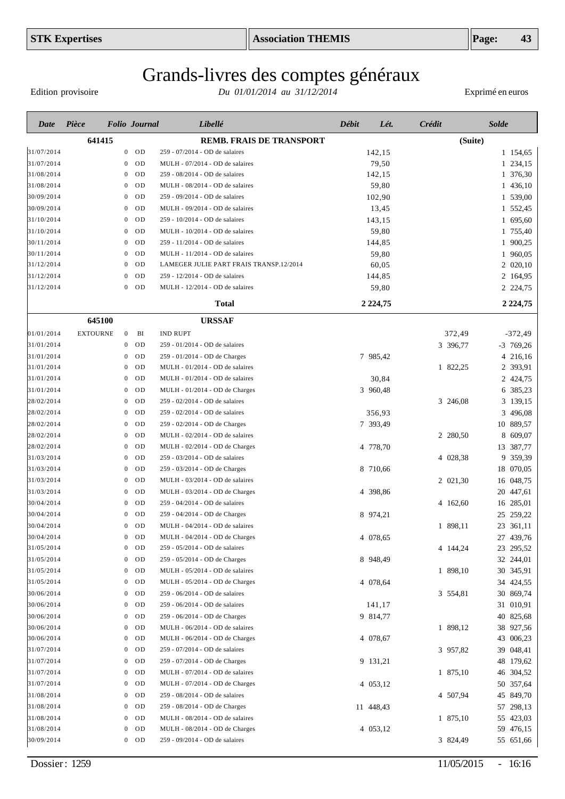Edition provisoire

| Date       | Pièce           |                | <b>Folio</b> Journal | Libellé                                 | Débit | Lét.        | Crédit   | <b>Solde</b> |
|------------|-----------------|----------------|----------------------|-----------------------------------------|-------|-------------|----------|--------------|
|            | 641415          |                |                      | <b>REMB. FRAIS DE TRANSPORT</b>         |       |             | (Suite)  |              |
| 31/07/2014 |                 |                | $0$ OD               | 259 - 07/2014 - OD de salaires          |       | 142,15      |          | 1 154,65     |
| 31/07/2014 |                 | $\mathbf{0}$   | <b>OD</b>            | MULH - 07/2014 - OD de salaires         |       | 79,50       |          | 1 234,15     |
| 31/08/2014 |                 | $\mathbf{0}$   | 0 <sub>D</sub>       | 259 - 08/2014 - OD de salaires          |       | 142,15      |          | 1 376,30     |
| 31/08/2014 |                 | $\mathbf{0}$   | <b>OD</b>            | MULH - 08/2014 - OD de salaires         |       | 59,80       |          | 1 436,10     |
| 30/09/2014 |                 | $\mathbf{0}$   | OD                   | 259 - 09/2014 - OD de salaires          |       | 102,90      |          | 1 539,00     |
| 30/09/2014 |                 | $\mathbf{0}$   | OD                   | MULH - 09/2014 - OD de salaires         |       | 13,45       |          | 1 552,45     |
| 31/10/2014 |                 | $\mathbf{0}$   | OD                   | 259 - 10/2014 - OD de salaires          |       | 143,15      |          | 1 695,60     |
| 31/10/2014 |                 | $\mathbf{0}$   | OD                   | MULH - 10/2014 - OD de salaires         |       | 59,80       |          | 1 755,40     |
| 30/11/2014 |                 | $\mathbf{0}$   | OD                   | 259 - 11/2014 - OD de salaires          |       | 144,85      |          | 1 900,25     |
| 30/11/2014 |                 | $\mathbf{0}$   | OD                   | MULH - 11/2014 - OD de salaires         |       | 59,80       |          | 1 960,05     |
| 31/12/2014 |                 | 0              | OD                   | LAMEGER JULIE PART FRAIS TRANSP.12/2014 |       | 60,05       |          | 2 020,10     |
| 31/12/2014 |                 | 0              | OD                   | 259 - 12/2014 - OD de salaires          |       | 144,85      |          | 2 164,95     |
| 31/12/2014 |                 | $\overline{0}$ | OD                   | MULH - 12/2014 - OD de salaires         |       | 59,80       |          | 2 2 2 4, 75  |
|            |                 |                |                      | <b>Total</b>                            |       | 2 2 2 4, 75 |          | 2 2 2 4, 75  |
|            | 645100          |                |                      | <b>URSSAF</b>                           |       |             |          |              |
| 01/01/2014 | <b>EXTOURNE</b> | $\mathbf{0}$   | BI                   | <b>IND RUPT</b>                         |       |             | 372,49   | $-372,49$    |
| 31/01/2014 |                 | $\overline{0}$ | OD                   | 259 - 01/2014 - OD de salaires          |       |             | 3 396,77 | $-3$ 769,26  |
| 31/01/2014 |                 | $\mathbf{0}$   | <b>OD</b>            | 259 - 01/2014 - OD de Charges           |       | 7 985,42    |          | 4 216,16     |
| 31/01/2014 |                 | $\mathbf{0}$   | OD                   | MULH - 01/2014 - OD de salaires         |       |             | 1 822,25 | 2 393,91     |
| 31/01/2014 |                 | 0              | OD                   | MULH - 01/2014 - OD de salaires         |       | 30,84       |          | 2 424,75     |
| 31/01/2014 |                 | 0              | OD                   | MULH - 01/2014 - OD de Charges          |       | 3 960,48    |          | 6 385,23     |
| 28/02/2014 |                 | 0              | OD                   | 259 - 02/2014 - OD de salaires          |       |             | 3 246,08 | 3 139,15     |
| 28/02/2014 |                 | 0              | OD                   | 259 - 02/2014 - OD de salaires          |       | 356,93      |          | 3 496,08     |
| 28/02/2014 |                 | 0              | OD                   | 259 - 02/2014 - OD de Charges           |       | 7 393,49    |          | 10 889,57    |
| 28/02/2014 |                 | 0              | OD                   | MULH - 02/2014 - OD de salaires         |       |             | 2 280,50 | 609,07<br>8  |
| 28/02/2014 |                 | 0              | OD                   | MULH - 02/2014 - OD de Charges          |       | 4 778,70    |          | 13 387,77    |
| 31/03/2014 |                 | 0              | <b>OD</b>            | 259 - 03/2014 - OD de salaires          |       |             | 4 028,38 | 9 359,39     |
| 31/03/2014 |                 | 0              | <b>OD</b>            | 259 - 03/2014 - OD de Charges           |       | 8 710,66    |          | 18 070,05    |
| 31/03/2014 |                 | 0              | <b>OD</b>            | MULH - 03/2014 - OD de salaires         |       |             | 2 021,30 | 16 048,75    |
| 31/03/2014 |                 | 0              | <b>OD</b>            | MULH - 03/2014 - OD de Charges          |       | 4 398,86    |          | 20 447,61    |
| 30/04/2014 |                 | 0              | <b>OD</b>            | 259 - 04/2014 - OD de salaires          |       |             | 4 162,60 | 16 285,01    |
| 30/04/2014 |                 | 0              | <b>OD</b>            | 259 - 04/2014 - OD de Charges           |       | 8 974,21    |          | 25 259,22    |
| 30/04/2014 |                 | $\overline{0}$ | OD                   | MULH - 04/2014 - OD de salaires         |       |             | 1 898,11 | 23 361,11    |
| 30/04/2014 |                 |                | OD                   | MULH - 04/2014 - OD de Charges          |       | 4 078,65    |          | 27 439,76    |
| 31/05/2014 |                 | 0              | <b>OD</b>            | 259 - 05/2014 - OD de salaires          |       |             | 4 144,24 | 23 295,52    |
| 31/05/2014 |                 | 0              | OD                   | 259 - 05/2014 - OD de Charges           |       | 8 948,49    |          | 32 244,01    |
| 31/05/2014 |                 | 0              | OD                   | MULH - 05/2014 - OD de salaires         |       |             | 1 898,10 | 30 345,91    |
| 31/05/2014 |                 | 0              | OD                   | MULH - 05/2014 - OD de Charges          |       | 4 078,64    |          | 34 424,55    |
| 30/06/2014 |                 | 0              | 0 <sub>D</sub>       | 259 - 06/2014 - OD de salaires          |       |             | 3 554,81 | 30 869,74    |
| 30/06/2014 |                 | 0              | OD                   | 259 - 06/2014 - OD de salaires          |       | 141,17      |          | 31 010,91    |
| 30/06/2014 |                 | 0              | 0 <sub>D</sub>       | 259 - 06/2014 - OD de Charges           |       | 9 814,77    |          | 40 825,68    |
| 30/06/2014 |                 | 0              | OD                   | MULH - 06/2014 - OD de salaires         |       |             | 1 898,12 | 38 927,56    |
| 30/06/2014 |                 | 0              | <b>OD</b>            | MULH - 06/2014 - OD de Charges          |       | 4 078,67    |          | 43 006,23    |
| 31/07/2014 |                 | 0              | <b>OD</b>            | 259 - 07/2014 - OD de salaires          |       |             | 3 957,82 | 39 048,41    |
| 31/07/2014 |                 | 0              | 0 <sub>D</sub>       | 259 - 07/2014 - OD de Charges           |       | 9 131,21    |          | 48 179,62    |
| 31/07/2014 |                 | 0              | 0 <sub>D</sub>       | MULH - 07/2014 - OD de salaires         |       |             | 1 875,10 | 46 304,52    |
| 31/07/2014 |                 | 0              | 0 <sub>D</sub>       | MULH - 07/2014 - OD de Charges          |       | 4 053,12    |          | 50 357,64    |
| 31/08/2014 |                 | 0              | 0 <sub>D</sub>       | 259 - 08/2014 - OD de salaires          |       |             | 4 507,94 | 45 849,70    |
| 31/08/2014 |                 | 0              | 0 <sub>D</sub>       | 259 - 08/2014 - OD de Charges           |       | 11 448,43   |          | 57 298,13    |
| 31/08/2014 |                 | 0              | 0 <sub>D</sub>       | MULH - 08/2014 - OD de salaires         |       |             | 1 875,10 | 55 423,03    |
| 31/08/2014 |                 | 0              | OD                   | MULH - 08/2014 - OD de Charges          |       | 4 053,12    |          | 59 476,15    |
| 30/09/2014 |                 |                | $0$ OD               | 259 - 09/2014 - OD de salaires          |       |             | 3 824,49 | 55 651,66    |
|            |                 |                |                      |                                         |       |             |          |              |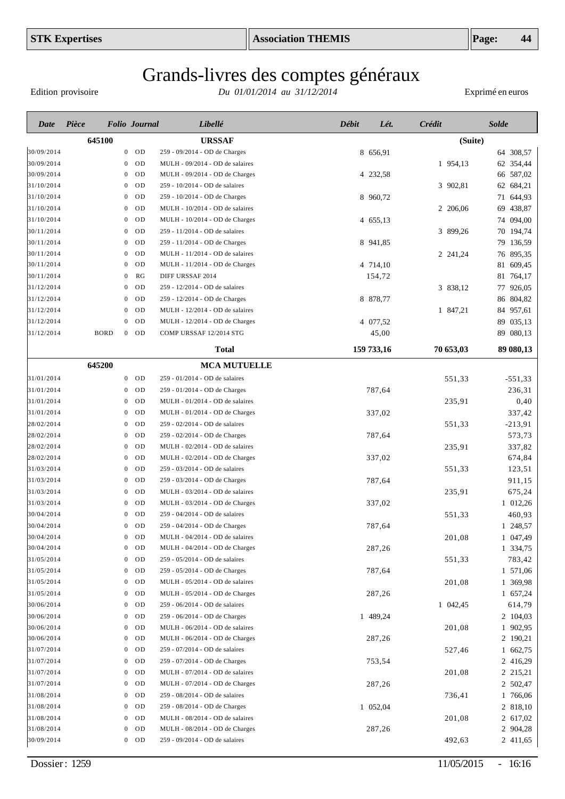Edition provisoire

| Date       | Pièce       |                  | <b>Folio</b> Journal      | Libellé                         | <b>Débit</b> | Lét.       | Crédit    | <b>Solde</b> |
|------------|-------------|------------------|---------------------------|---------------------------------|--------------|------------|-----------|--------------|
|            | 645100      |                  |                           | <b>URSSAF</b>                   |              |            | (Suite)   |              |
| 30/09/2014 |             |                  | $0$ OD                    | 259 - 09/2014 - OD de Charges   |              | 8 656,91   |           | 64 308,57    |
| 30/09/2014 |             | $\mathbf{0}$     | OD                        | MULH - 09/2014 - OD de salaires |              |            | 1 954,13  | 62 354,44    |
| 30/09/2014 |             | $\mathbf{0}$     | <b>OD</b>                 | MULH - 09/2014 - OD de Charges  |              | 4 232,58   |           | 66 587,02    |
| 31/10/2014 |             | 0                | <b>OD</b>                 | 259 - 10/2014 - OD de salaires  |              |            | 3 902,81  | 62 684,21    |
| 31/10/2014 |             | 0                | <b>OD</b>                 | 259 - 10/2014 - OD de Charges   |              | 8 960,72   |           | 71 644,93    |
| 31/10/2014 |             | $\bf{0}$         | <b>OD</b>                 | MULH - 10/2014 - OD de salaires |              |            | 2 206,06  | 69 438,87    |
| 31/10/2014 |             | $\bf{0}$         | OD                        | MULH - 10/2014 - OD de Charges  |              | 4 655,13   |           | 74 094,00    |
| 30/11/2014 |             | $\boldsymbol{0}$ | OD                        | 259 - 11/2014 - OD de salaires  |              |            | 3 899,26  | 70 194,74    |
| 30/11/2014 |             | $\bf{0}$         | <b>OD</b>                 | 259 - 11/2014 - OD de Charges   |              | 8 941,85   |           | 79 136,59    |
| 30/11/2014 |             | $\bf{0}$         | OD                        | MULH - 11/2014 - OD de salaires |              |            | 2 241,24  | 76 895,35    |
| 30/11/2014 |             | $\theta$         | OD                        | MULH - 11/2014 - OD de Charges  |              | 4 714,10   |           | 81 609,45    |
| 30/11/2014 |             | $\bf{0}$         | RG                        | DIFF URSSAF 2014                |              | 154,72     |           | 81 764,17    |
| 31/12/2014 |             | $\theta$         | OD                        | 259 - 12/2014 - OD de salaires  |              |            | 3 838,12  | 77 926,05    |
| 31/12/2014 |             | $\theta$         | OD                        | 259 - 12/2014 - OD de Charges   |              | 8 878,77   |           | 86 804,82    |
| 31/12/2014 |             | $\overline{0}$   | OD                        | MULH - 12/2014 - OD de salaires |              |            | 1 847,21  | 84 957,61    |
| 31/12/2014 |             | $\mathbf{0}$     | OD                        | MULH - 12/2014 - OD de Charges  |              | 4 077,52   |           | 89 035,13    |
| 31/12/2014 | <b>BORD</b> |                  | $0$ OD                    | COMP URSSAF 12/2014 STG         |              | 45,00      |           | 89 080,13    |
|            |             |                  |                           | <b>Total</b>                    |              | 159 733,16 | 70 653,03 | 89 080,13    |
|            | 645200      |                  |                           | <b>MCA MUTUELLE</b>             |              |            |           |              |
| 31/01/2014 |             |                  | $0$ OD                    | 259 - 01/2014 - OD de salaires  |              |            | 551,33    | $-551,33$    |
| 31/01/2014 |             | $\mathbf{0}$     | OD                        | 259 - 01/2014 - OD de Charges   |              | 787,64     |           | 236,31       |
| 31/01/2014 |             | $\theta$         | OD                        | MULH - 01/2014 - OD de salaires |              |            | 235,91    | 0,40         |
| 31/01/2014 |             | $\theta$         | OD                        | MULH - 01/2014 - OD de Charges  |              | 337,02     |           | 337,42       |
| 28/02/2014 |             | $\theta$         | OD                        | 259 - 02/2014 - OD de salaires  |              |            | 551,33    | $-213,91$    |
| 28/02/2014 |             | $\theta$         | OD                        | 259 - 02/2014 - OD de Charges   |              | 787,64     |           | 573,73       |
| 28/02/2014 |             | $\theta$         | OD                        | MULH - 02/2014 - OD de salaires |              |            | 235,91    | 337,82       |
| 28/02/2014 |             | $\bf{0}$         | OD                        | MULH - 02/2014 - OD de Charges  |              | 337,02     |           | 674,84       |
| 31/03/2014 |             | $\bf{0}$         | OD                        | 259 - 03/2014 - OD de salaires  |              |            | 551,33    | 123,51       |
| 31/03/2014 |             | $\bf{0}$         | OD                        | 259 - 03/2014 - OD de Charges   |              | 787,64     |           | 911,15       |
| 31/03/2014 |             | $\bf{0}$         | OD                        | MULH - 03/2014 - OD de salaires |              |            | 235,91    | 675,24       |
| 31/03/2014 |             | 0                | OD                        | MULH - 03/2014 - OD de Charges  |              | 337,02     |           | 1 012,26     |
| 30/04/2014 |             | $\bf{0}$         | OD                        | 259 - 04/2014 - OD de salaires  |              |            | 551,33    | 460,93       |
| 30/04/2014 |             | $\overline{0}$   | OD                        | 259 - 04/2014 - OD de Charges   |              | 787,64     |           | 1 248,57     |
| 30/04/2014 |             | $\mathbf{0}$     | OD                        | MULH - 04/2014 - OD de salaires |              |            | 201,08    | 1 047,49     |
| 30/04/2014 |             | $\mathbf{0}$     | OD                        | MULH - 04/2014 - OD de Charges  |              | 287,26     |           | 1 334,75     |
| 31/05/2014 |             | $\overline{0}$   | OD                        | 259 - 05/2014 - OD de salaires  |              |            | 551,33    | 783,42       |
| 31/05/2014 |             | $\mathbf{0}$     | OD                        | 259 - 05/2014 - OD de Charges   |              | 787,64     |           | 1 571,06     |
| 31/05/2014 |             | $\mathbf{0}$     | <b>OD</b>                 | MULH - 05/2014 - OD de salaires |              |            | 201,08    | 1 369,98     |
| 31/05/2014 |             | $\mathbf{0}$     | OD                        | MULH - 05/2014 - OD de Charges  |              | 287,26     |           | 1 657,24     |
| 30/06/2014 |             | $\mathbf{0}$     | <b>OD</b>                 | 259 - 06/2014 - OD de salaires  |              |            | 1 042,45  | 614,79       |
| 30/06/2014 |             | $\mathbf{0}$     | OD                        | 259 - 06/2014 - OD de Charges   |              | 1 489,24   |           | 2 104,03     |
| 30/06/2014 |             | $\mathbf{0}$     | <b>OD</b>                 | MULH - 06/2014 - OD de salaires |              |            | 201,08    | 1 902,95     |
| 30/06/2014 |             | $\mathbf{0}$     | <b>OD</b>                 | MULH - 06/2014 - OD de Charges  |              | 287,26     |           | 2 190,21     |
| 31/07/2014 |             | $\mathbf{0}$     | <b>OD</b>                 | 259 - 07/2014 - OD de salaires  |              |            | 527,46    | 1 662,75     |
| 31/07/2014 |             |                  | OD<br>$\mathbf{0}$        | 259 - 07/2014 - OD de Charges   |              | 753,54     |           | 2 416,29     |
| 31/07/2014 |             | $\mathbf{0}$     | OD                        | MULH - 07/2014 - OD de salaires |              |            | 201,08    | 2 215,21     |
| 31/07/2014 |             |                  | OD<br>$\mathbf{0}$        | MULH - 07/2014 - OD de Charges  |              | 287,26     |           | 2 502,47     |
| 31/08/2014 |             | $\mathbf{0}$     | OD                        | 259 - 08/2014 - OD de salaires  |              |            | 736,41    | 1 766,06     |
| 31/08/2014 |             |                  | <b>OD</b><br>$\mathbf{0}$ | 259 - 08/2014 - OD de Charges   |              | 1 052,04   |           | 2 818,10     |
| 31/08/2014 |             | $\overline{0}$   | OD                        | MULH - 08/2014 - OD de salaires |              |            | 201,08    | 2 617,02     |
| 31/08/2014 |             | 0                | <b>OD</b>                 | MULH - 08/2014 - OD de Charges  |              | 287,26     |           | 2 904,28     |
| 30/09/2014 |             |                  | $0$ OD                    | 259 - 09/2014 - OD de salaires  |              |            | 492,63    | 2 411,65     |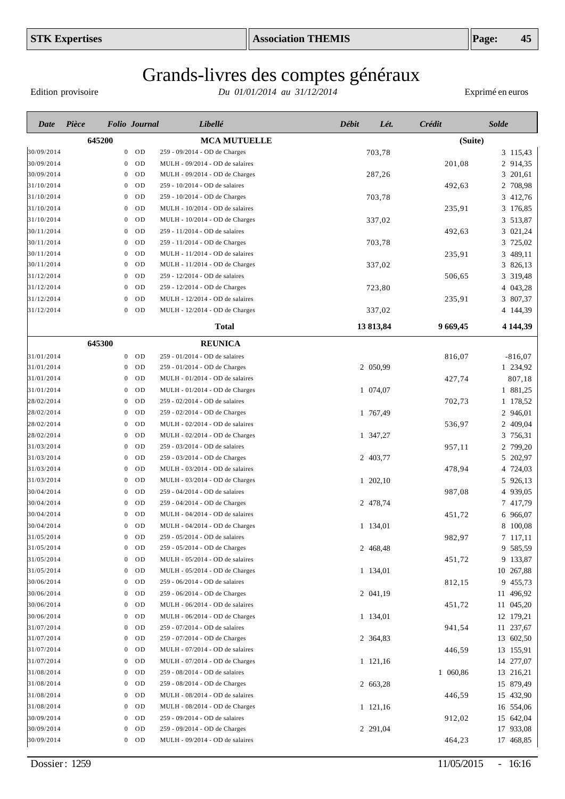Edition provisoire

| Date       | Pièce  |                  | <b>Folio</b> Journal | Libellé                          | <b>Débit</b> | Lét.      | Crédit   | <b>Solde</b> |
|------------|--------|------------------|----------------------|----------------------------------|--------------|-----------|----------|--------------|
|            | 645200 |                  |                      | <b>MCA MUTUELLE</b>              |              |           | (Suite)  |              |
| 30/09/2014 |        | $\mathbf{0}$     | <b>OD</b>            | 259 - 09/2014 - OD de Charges    |              | 703,78    |          | 3 115,43     |
| 30/09/2014 |        | 0                | 0 <sub>D</sub>       | MULH - 09/2014 - OD de salaires  |              |           | 201,08   | 2 914,35     |
| 30/09/2014 |        | $\mathbf{0}$     | OD                   | MULH - 09/2014 - OD de Charges   |              | 287,26    |          | 3 201,61     |
| 31/10/2014 |        | $\mathbf{0}$     | 0 <sub>D</sub>       | 259 - 10/2014 - OD de salaires   |              |           | 492,63   | 2 708,98     |
| 31/10/2014 |        | $\mathbf{0}$     | OD                   | 259 - 10/2014 - OD de Charges    |              | 703,78    |          | 3 412,76     |
| 31/10/2014 |        | $\mathbf{0}$     | OD                   | MULH - 10/2014 - OD de salaires  |              |           | 235,91   | 3 176,85     |
| 31/10/2014 |        | $\mathbf{0}$     | OD                   | MULH - 10/2014 - OD de Charges   |              | 337,02    |          | 3 513,87     |
| 30/11/2014 |        | $\mathbf{0}$     | OD                   | 259 - 11/2014 - OD de salaires   |              |           | 492,63   | 3 021,24     |
| 30/11/2014 |        | $\mathbf{0}$     | OD                   | 259 - 11/2014 - OD de Charges    |              | 703,78    |          | 3 725,02     |
| 30/11/2014 |        | 0                | OD                   | MULH - 11/2014 - OD de salaires  |              |           | 235,91   | 3 489,11     |
| 30/11/2014 |        | $\mathbf{0}$     | OD                   | MULH - 11/2014 - OD de Charges   |              | 337,02    |          | 3 826,13     |
| 31/12/2014 |        | $\mathbf{0}$     | <b>OD</b>            | 259 - 12/2014 - OD de salaires   |              |           | 506,65   | 3 319,48     |
| 31/12/2014 |        | $\mathbf{0}$     | OD                   | 259 - 12/2014 - OD de Charges    |              | 723,80    |          | 4 043,28     |
| 31/12/2014 |        | $\mathbf{0}$     | OD                   | MULH - 12/2014 - OD de salaires  |              |           | 235,91   | 3 807,37     |
| 31/12/2014 |        | $\boldsymbol{0}$ | OD                   | MULH - 12/2014 - OD de Charges   |              | 337,02    |          | 4 144,39     |
|            |        |                  |                      | <b>Total</b>                     |              | 13 813,84 | 9 669,45 | 4 1 4 4 3 9  |
|            | 645300 |                  |                      | <b>REUNICA</b>                   |              |           |          |              |
| 31/01/2014 |        | $\overline{0}$   | OD                   | 259 - 01/2014 - OD de salaires   |              |           | 816,07   | $-816,07$    |
| 31/01/2014 |        | $\mathbf{0}$     | 0 <sub>D</sub>       | 259 - 01/2014 - OD de Charges    |              | 2 050,99  |          | 1 234,92     |
| 31/01/2014 |        | $\mathbf{0}$     | OD                   | MULH - 01/2014 - OD de salaires  |              |           | 427,74   | 807,18       |
| 31/01/2014 |        | $\mathbf{0}$     | OD                   | MULH - 01/2014 - OD de Charges   |              | 1 074,07  |          | 1 881,25     |
| 28/02/2014 |        | $\mathbf{0}$     | OD                   | 259 - 02/2014 - OD de salaires   |              |           | 702,73   | 1 178,52     |
| 28/02/2014 |        | $\mathbf{0}$     | OD                   | 259 - 02/2014 - OD de Charges    |              | 1 767,49  |          | 2 946,01     |
| 28/02/2014 |        | $\mathbf{0}$     | OD                   | MULH - 02/2014 - OD de salaires  |              |           | 536,97   | 2 409,04     |
| 28/02/2014 |        | $\mathbf{0}$     | OD                   | $MULH - 02/2014 - OD$ de Charges |              | 1 347,27  |          | 3<br>756,31  |
| 31/03/2014 |        | $\mathbf{0}$     | OD                   | 259 - 03/2014 - OD de salaires   |              |           | 957,11   | 2 799,20     |
| 31/03/2014 |        | 0                | 0 <sub>D</sub>       | 259 - 03/2014 - OD de Charges    |              | 2 403,77  |          | 5 202,97     |
| 31/03/2014 |        | $\mathbf{0}$     | OD                   | MULH - 03/2014 - OD de salaires  |              |           | 478,94   | 4 724,03     |
| 31/03/2014 |        | 0                | OD                   | MULH - 03/2014 - OD de Charges   |              | 1 202,10  |          | 5 926,13     |
| 30/04/2014 |        | $\mathbf{0}$     | <b>OD</b>            | 259 - 04/2014 - OD de salaires   |              |           | 987,08   | 4 939,05     |
| 30/04/2014 |        | 0                | 0 <sub>D</sub>       | 259 - 04/2014 - OD de Charges    |              | 2 478,74  |          | 7 417,79     |
| 30/04/2014 |        | $\mathbf{0}$     | 0 <sub>D</sub>       | MULH - 04/2014 - OD de salaires  |              |           | 451,72   | 6 966,07     |
| 30/04/2014 |        | $\mathbf{0}$     | OD                   | MULH - 04/2014 - OD de Charges   |              | 1 134,01  |          | 8 100,08     |
| 31/05/2014 |        |                  | $0$ OD               | 259 - 05/2014 - OD de salaires   |              |           | 982,97   | 7 117,11     |
| 31/05/2014 |        |                  | $0$ OD               | 259 - 05/2014 - OD de Charges    |              | 2 468,48  |          | 9 585,59     |
| 31/05/2014 |        | $\mathbf{0}$     | OD                   | MULH - 05/2014 - OD de salaires  |              |           | 451,72   | 9 133,87     |
| 31/05/2014 |        | $\mathbf{0}$     | OD                   | MULH - 05/2014 - OD de Charges   |              | 1 134,01  |          | 10 267,88    |
| 30/06/2014 |        | $\bf{0}$         | OD                   | 259 - 06/2014 - OD de salaires   |              |           | 812,15   | 9 455,73     |
| 30/06/2014 |        | $\mathbf{0}$     | OD                   | 259 - 06/2014 - OD de Charges    |              | 2 041,19  |          | 11 496,92    |
| 30/06/2014 |        | $\bf{0}$         | OD                   | MULH - 06/2014 - OD de salaires  |              |           | 451,72   | 11 045,20    |
| 30/06/2014 |        | $\mathbf{0}$     | OD                   | MULH - 06/2014 - OD de Charges   |              | 1 134,01  |          | 12 179,21    |
| 31/07/2014 |        | $\boldsymbol{0}$ | OD                   | 259 - 07/2014 - OD de salaires   |              |           | 941,54   | 11 237,67    |
| 31/07/2014 |        | $\mathbf{0}$     | OD                   | 259 - 07/2014 - OD de Charges    |              | 2 364,83  |          | 13 602,50    |
| 31/07/2014 |        | $\overline{0}$   | OD                   | MULH - 07/2014 - OD de salaires  |              |           | 446,59   | 13 155,91    |
| 31/07/2014 |        | $\mathbf{0}$     | OD                   | MULH - 07/2014 - OD de Charges   |              | 1 121,16  |          | 14 277,07    |
| 31/08/2014 |        | $\mathbf{0}$     | OD                   | 259 - 08/2014 - OD de salaires   |              |           | 1 060,86 | 13 216,21    |
| 31/08/2014 |        | $\mathbf{0}$     | OD                   | 259 - 08/2014 - OD de Charges    |              | 2 663,28  |          | 15 879,49    |
| 31/08/2014 |        | $\mathbf{0}$     | OD                   | MULH - 08/2014 - OD de salaires  |              |           | 446,59   | 15 432,90    |
| 31/08/2014 |        | $\mathbf{0}$     | OD                   | MULH - 08/2014 - OD de Charges   |              | 1 121,16  |          | 16 554,06    |
| 30/09/2014 |        | $\mathbf{0}$     | OD                   | 259 - 09/2014 - OD de salaires   |              |           | 912,02   | 15 642,04    |
| 30/09/2014 |        | $\bf{0}$         | OD                   | 259 - 09/2014 - OD de Charges    |              | 2 291,04  |          | 17 933,08    |
| 30/09/2014 |        |                  | $0$ OD               | MULH - 09/2014 - OD de salaires  |              |           | 464,23   | 17 468,85    |
|            |        |                  |                      |                                  |              |           |          |              |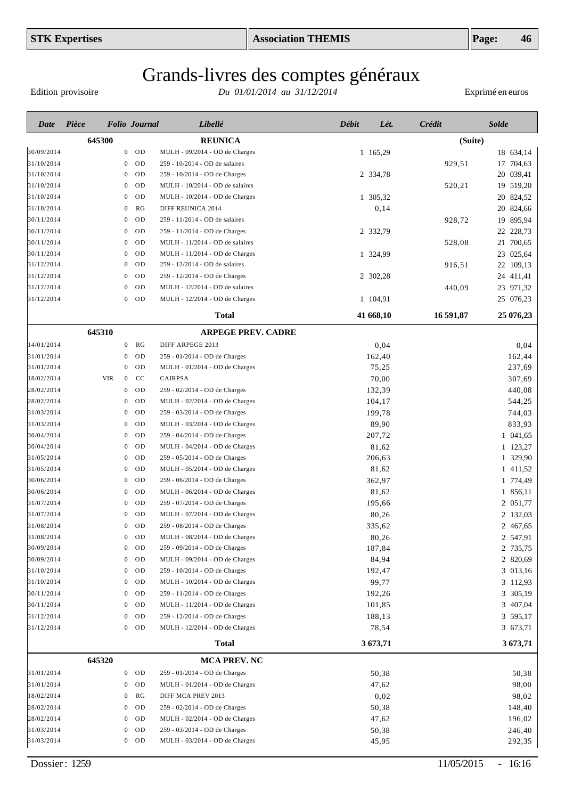Edition provisoire

| Date       | Pièce      |                  | <b>Folio</b> Journal | Libellé                         | <b>Débit</b> | Lét.      | Crédit    | <b>Solde</b> |
|------------|------------|------------------|----------------------|---------------------------------|--------------|-----------|-----------|--------------|
|            | 645300     |                  |                      | <b>REUNICA</b>                  |              |           | (Suite)   |              |
| 30/09/2014 |            |                  | $0$ OD               | MULH - 09/2014 - OD de Charges  |              | 1 165,29  |           | 18 634,14    |
| 31/10/2014 |            | $\bf{0}$         | OD                   | 259 - 10/2014 - OD de salaires  |              |           | 929,51    | 17 704,63    |
| 31/10/2014 |            | $\bf{0}$         | OD                   | 259 - 10/2014 - OD de Charges   |              | 2 334,78  |           | 20 039,41    |
| 31/10/2014 |            | $\bf{0}$         | 0 <sub>D</sub>       | MULH - 10/2014 - OD de salaires |              |           | 520,21    | 19 519,20    |
| 31/10/2014 |            | $\bf{0}$         | OD                   | MULH - 10/2014 - OD de Charges  |              | 1 305,32  |           | 20 824,52    |
| 31/10/2014 |            | $\bf{0}$         | RG                   | DIFF REUNICA 2014               |              | 0,14      |           | 20 824,66    |
| 30/11/2014 |            | $\bf{0}$         | OD                   | 259 - 11/2014 - OD de salaires  |              |           | 928,72    | 19 895,94    |
| 30/11/2014 |            | $\bf{0}$         | OD                   | 259 - 11/2014 - OD de Charges   |              | 2 332,79  |           | 22 228,73    |
| 30/11/2014 |            | $\bf{0}$         | OD                   | MULH - 11/2014 - OD de salaires |              |           | 528,08    | 21 700,65    |
| 30/11/2014 |            | $\bf{0}$         | OD                   | MULH - 11/2014 - OD de Charges  |              | 1 324,99  |           | 23 025,64    |
| 31/12/2014 |            | $\bf{0}$         | OD                   | 259 - 12/2014 - OD de salaires  |              |           | 916,51    | 22 109,13    |
| 31/12/2014 |            | $\mathbf{0}$     | OD                   | 259 - 12/2014 - OD de Charges   |              | 2 302,28  |           | 24 411,41    |
| 31/12/2014 |            | $\mathbf{0}$     | OD                   | MULH - 12/2014 - OD de salaires |              |           | 440,09    | 23 971,32    |
| 31/12/2014 |            |                  | $0$ OD               | MULH - 12/2014 - OD de Charges  |              | 1 104,91  |           | 25 076,23    |
|            |            |                  |                      | <b>Total</b>                    |              | 41 668,10 | 16 591,87 | 25 076,23    |
|            | 645310     |                  |                      | <b>ARPEGE PREV. CADRE</b>       |              |           |           |              |
| 14/01/2014 |            | $\mathbf{0}$     | RG                   | DIFF ARPEGE 2013                |              | 0,04      |           | 0,04         |
| 31/01/2014 |            | $\bf{0}$         | OD                   | 259 - 01/2014 - OD de Charges   |              | 162,40    |           | 162,44       |
| 31/01/2014 |            | $\mathbf{0}$     | OD                   | MULH - 01/2014 - OD de Charges  |              | 75,25     |           | 237,69       |
| 18/02/2014 | <b>VIR</b> | $\overline{0}$   | CC                   | CAIRPSA                         |              | 70,00     |           | 307,69       |
| 28/02/2014 |            | $\overline{0}$   | OD                   | 259 - 02/2014 - OD de Charges   |              | 132,39    |           | 440,08       |
| 28/02/2014 |            | $\bf{0}$         | OD                   | MULH - 02/2014 - OD de Charges  |              | 104,17    |           | 544,25       |
| 31/03/2014 |            | $\bf{0}$         | OD                   | 259 - 03/2014 - OD de Charges   |              | 199,78    |           | 744,03       |
| 31/03/2014 |            | $\bf{0}$         | OD                   | MULH - 03/2014 - OD de Charges  |              | 89,90     |           | 833,93       |
| 30/04/2014 |            | $\bf{0}$         | OD                   | 259 - 04/2014 - OD de Charges   |              | 207,72    |           | 1 041,65     |
| 30/04/2014 |            | $\bf{0}$         | OD                   | MULH - 04/2014 - OD de Charges  |              | 81,62     |           | 1 123,27     |
| 31/05/2014 |            | $\bf{0}$         | <b>OD</b>            | 259 - 05/2014 - OD de Charges   |              | 206,63    |           | 1 329,90     |
| 31/05/2014 |            | 0                | <b>OD</b>            | MULH - 05/2014 - OD de Charges  |              | 81,62     |           | 1 411,52     |
| 30/06/2014 |            | 0                | <b>OD</b>            | 259 - 06/2014 - OD de Charges   |              | 362,97    |           | 1 774,49     |
| 30/06/2014 |            | 0                | <b>OD</b>            | MULH - 06/2014 - OD de Charges  |              | 81,62     |           | 1 856,11     |
| 31/07/2014 |            | 0                | <b>OD</b>            | 259 - 07/2014 - OD de Charges   |              | 195,66    |           | 2 051,77     |
| 31/07/2014 |            | 0                | <b>OD</b>            | MULH - 07/2014 - OD de Charges  |              | 80,26     |           | 2 132,03     |
| 31/08/2014 |            | 0                | <b>OD</b>            | 259 - 08/2014 - OD de Charges   |              | 335,62    |           | 2 467,65     |
| 31/08/2014 |            |                  | OD                   | MULH - 08/2014 - OD de Charges  |              | 80,26     |           | 2 547,91     |
| 30/09/2014 |            | 0                | OD                   | 259 - 09/2014 - OD de Charges   |              | 187,84    |           | 2 735,75     |
| 30/09/2014 |            | $\boldsymbol{0}$ | OD                   | MULH - 09/2014 - OD de Charges  |              | 84,94     |           | 2 820,69     |
| 31/10/2014 |            | $\bf{0}$         | <b>OD</b>            | 259 - 10/2014 - OD de Charges   |              | 192,47    |           | 3 013,16     |
| 31/10/2014 |            | $\bf{0}$         | <b>OD</b>            | MULH - 10/2014 - OD de Charges  |              | 99,77     |           | 3 112,93     |
| 30/11/2014 |            | $\bf{0}$         | <b>OD</b>            | 259 - 11/2014 - OD de Charges   |              | 192,26    |           | 3 305,19     |
| 30/11/2014 |            | $\bf{0}$         | <b>OD</b>            | MULH - 11/2014 - OD de Charges  |              | 101,85    |           | 3 407,04     |
| 31/12/2014 |            | $\bf{0}$         | <b>OD</b>            | 259 - 12/2014 - OD de Charges   |              | 188,13    |           | 3 595,17     |
| 31/12/2014 |            |                  | $0$ OD               | MULH - 12/2014 - OD de Charges  |              | 78,54     |           | 3 673,71     |
|            |            |                  |                      | <b>Total</b>                    |              | 3 673,71  |           | 3673,71      |
|            | 645320     |                  |                      | <b>MCA PREV. NC</b>             |              |           |           |              |
| 31/01/2014 |            |                  | $0$ OD               | 259 - 01/2014 - OD de Charges   |              | 50,38     |           | 50,38        |
| 31/01/2014 |            | $\bf{0}$         | <b>OD</b>            | MULH - 01/2014 - OD de Charges  |              | 47,62     |           | 98,00        |
| 18/02/2014 |            | $\bf{0}$         | RG                   | DIFF MCA PREV 2013              |              | 0,02      |           | 98,02        |
| 28/02/2014 |            | $\bf{0}$         | <b>OD</b>            | 259 - 02/2014 - OD de Charges   |              | 50,38     |           | 148,40       |
| 28/02/2014 |            | $\bf{0}$         | <b>OD</b>            | MULH - 02/2014 - OD de Charges  |              | 47,62     |           | 196,02       |
| 31/03/2014 |            | 0                | <b>OD</b>            | 259 - 03/2014 - OD de Charges   |              | 50,38     |           | 246,40       |
| 31/03/2014 |            |                  | $0$ OD               | MULH - 03/2014 - OD de Charges  |              | 45,95     |           | 292,35       |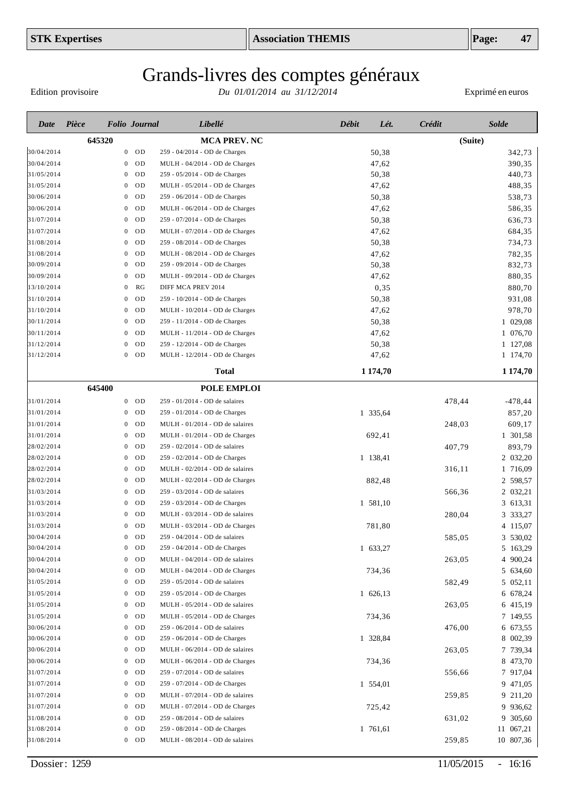# Grands-livres des comptes généraux

Edition provisoire

| Date       | Pièce  | <b>Folio</b> Journal |           | Libellé                         | <b>Débit</b><br>Lét. | Crédit  | <b>Solde</b> |
|------------|--------|----------------------|-----------|---------------------------------|----------------------|---------|--------------|
|            | 645320 |                      |           | <b>MCA PREV. NC</b>             |                      | (Suite) |              |
| 30/04/2014 |        | $\mathbf{0}$         | OD        | 259 - 04/2014 - OD de Charges   | 50,38                |         | 342,73       |
| 30/04/2014 |        | $\theta$             | OD        | MULH - 04/2014 - OD de Charges  | 47,62                |         | 390,35       |
| 31/05/2014 |        | $\bf{0}$             | OD        | 259 - 05/2014 - OD de Charges   | 50,38                |         | 440,73       |
| 31/05/2014 |        | $\bf{0}$             | OD        | MULH - 05/2014 - OD de Charges  | 47,62                |         | 488,35       |
| 30/06/2014 |        | $\bf{0}$             | OD        | 259 - 06/2014 - OD de Charges   | 50,38                |         | 538,73       |
| 30/06/2014 |        | $\bf{0}$             | OD        | MULH - 06/2014 - OD de Charges  | 47,62                |         | 586,35       |
| 31/07/2014 |        | $\bf{0}$             | OD        | 259 - 07/2014 - OD de Charges   | 50,38                |         | 636,73       |
| 31/07/2014 |        | $\bf{0}$             | OD        | MULH - 07/2014 - OD de Charges  | 47,62                |         | 684,35       |
| 31/08/2014 |        | $\bf{0}$             | OD        | 259 - 08/2014 - OD de Charges   | 50,38                |         | 734,73       |
| 31/08/2014 |        | $\bf{0}$             | OD        | MULH - 08/2014 - OD de Charges  | 47,62                |         | 782,35       |
| 30/09/2014 |        | 0                    | OD        | 259 - 09/2014 - OD de Charges   | 50,38                |         | 832,73       |
| 30/09/2014 |        | $\bf{0}$             | OD        | MULH - 09/2014 - OD de Charges  | 47,62                |         | 880,35       |
| 13/10/2014 |        | 0                    | RG        | DIFF MCA PREV 2014              | 0,35                 |         | 880,70       |
| 31/10/2014 |        | 0                    | OD        | 259 - 10/2014 - OD de Charges   | 50,38                |         | 931,08       |
| 31/10/2014 |        | 0                    | OD        | MULH - 10/2014 - OD de Charges  | 47,62                |         | 978,70       |
| 30/11/2014 |        | 0                    | OD        | 259 - 11/2014 - OD de Charges   | 50,38                |         | 1 029,08     |
| 30/11/2014 |        | 0                    | OD        | MULH - 11/2014 - OD de Charges  | 47,62                |         | 1 076,70     |
| 31/12/2014 |        | 0                    | OD        | 259 - 12/2014 - OD de Charges   | 50,38                |         | 1 127,08     |
| 31/12/2014 |        | 0                    | OD        | MULH - 12/2014 - OD de Charges  | 47,62                |         | 1 174,70     |
|            |        |                      |           | <b>Total</b>                    | 1 1 7 4 , 7 0        |         | 1 174,70     |
|            | 645400 |                      |           | <b>POLE EMPLOI</b>              |                      |         |              |
| 31/01/2014 |        | $\mathbf{0}$         | OD        | 259 - 01/2014 - OD de salaires  |                      | 478,44  | $-478, 44$   |
| 31/01/2014 |        | 0                    | OD        | 259 - 01/2014 - OD de Charges   | 1 335,64             |         | 857,20       |
| 31/01/2014 |        | 0                    | OD        | MULH - 01/2014 - OD de salaires |                      | 248,03  | 609,17       |
| 31/01/2014 |        | 0                    | OD        | MULH - 01/2014 - OD de Charges  | 692,41               |         | 1 301,58     |
| 28/02/2014 |        | 0                    | OD        | 259 - 02/2014 - OD de salaires  |                      | 407,79  | 893,79       |
| 28/02/2014 |        | 0                    | OD        | 259 - 02/2014 - OD de Charges   | 1 138,41             |         | 2 032,20     |
| 28/02/2014 |        | 0                    | OD        | MULH - 02/2014 - OD de salaires |                      | 316,11  | 1 716,09     |
| 28/02/2014 |        | 0                    | <b>OD</b> | MULH - 02/2014 - OD de Charges  | 882,48               |         | 2 598,57     |
| 31/03/2014 |        | 0                    | OD        | 259 - 03/2014 - OD de salaires  |                      | 566,36  | 2 032,21     |
| 31/03/2014 |        | 0                    | <b>OD</b> | 259 - 03/2014 - OD de Charges   | 1 581,10             |         | 3 613,31     |
| 31/03/2014 |        | 0                    | OD        | MULH - 03/2014 - OD de salaires |                      | 280,04  | 3 333,27     |
| 31/03/2014 |        | 0                    | <b>OD</b> | MULH - 03/2014 - OD de Charges  | 781,80               |         | 4 115,07     |
| 30/04/2014 |        |                      | OD        | 259 - 04/2014 - OD de salaires  |                      | 585,05  | 3 530,02     |
| 30/04/2014 |        | 0                    | <b>OD</b> | 259 - 04/2014 - OD de Charges   | 1 633,27             |         | 5 163,29     |
| 30/04/2014 |        | $\bf{0}$             | OD        | MULH - 04/2014 - OD de salaires |                      | 263,05  | 4 900,24     |
| 30/04/2014 |        | $\bf{0}$             | OD        | MULH - 04/2014 - OD de Charges  | 734,36               |         | 5 634,60     |
| 31/05/2014 |        | $\mathbf{0}$         | OD        | 259 - 05/2014 - OD de salaires  |                      | 582,49  | 5 052,11     |
| 31/05/2014 |        | $\mathbf{0}$         | OD        | 259 - 05/2014 - OD de Charges   | 1 626,13             |         | 6 678,24     |
| 31/05/2014 |        | $\mathbf{0}$         | OD        | MULH - 05/2014 - OD de salaires |                      | 263,05  | 6 415,19     |
| 31/05/2014 |        | $\mathbf{0}$         | OD        | MULH - 05/2014 - OD de Charges  | 734,36               |         | 7 149,55     |
| 30/06/2014 |        | $\mathbf{0}$         | OD        | 259 - 06/2014 - OD de salaires  |                      | 476,00  | 6 673,55     |
| 30/06/2014 |        | $\mathbf{0}$         | OD        | 259 - 06/2014 - OD de Charges   | 1 328,84             |         | 8 002,39     |
| 30/06/2014 |        | $\mathbf{0}$         | OD        | MULH - 06/2014 - OD de salaires |                      | 263,05  | 7 739,34     |
| 30/06/2014 |        | $\mathbf{0}$         | OD        | MULH - 06/2014 - OD de Charges  | 734,36               |         | 8 473,70     |
| 31/07/2014 |        | $\mathbf{0}$         | OD        | 259 - 07/2014 - OD de salaires  |                      | 556,66  | 7 917,04     |
| 31/07/2014 |        | $\mathbf{0}$         | OD        | 259 - 07/2014 - OD de Charges   | 1 554,01             |         | 9 471,05     |
| 31/07/2014 |        | $\mathbf{0}$         | OD        | MULH - 07/2014 - OD de salaires |                      | 259,85  | 9 211,20     |
| 31/07/2014 |        | $\mathbf{0}$         | OD        | MULH - 07/2014 - OD de Charges  | 725,42               |         | 9 936,62     |
| 31/08/2014 |        | $\mathbf{0}$         | OD        | 259 - 08/2014 - OD de salaires  |                      | 631,02  | 9 305,60     |
| 31/08/2014 |        | $\mathbf{0}$         | OD        | 259 - 08/2014 - OD de Charges   | 1 761,61             |         | 11 067,21    |
| 31/08/2014 |        | $\bf{0}$             | OD        | MULH - 08/2014 - OD de salaires |                      | 259,85  | 10 807,36    |
|            |        |                      |           |                                 |                      |         |              |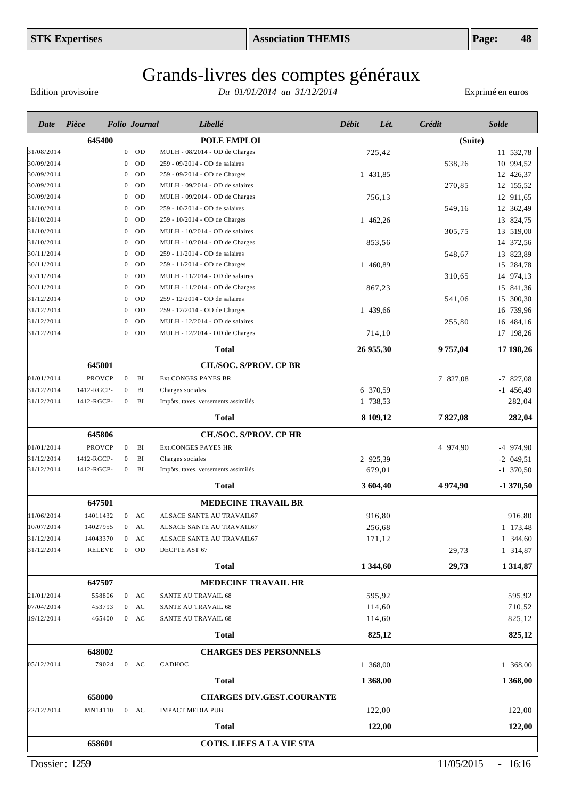Edition provisoire

| Date       | Pièce      |                  | <b>Folio</b> Journal | Libellé                             | <b>Débit</b> | Lét.      | Crédit   | <b>Solde</b> |
|------------|------------|------------------|----------------------|-------------------------------------|--------------|-----------|----------|--------------|
|            | 645400     |                  |                      | POLE EMPLOI                         |              |           | (Suite)  |              |
| 31/08/2014 |            | $\overline{0}$   | OD                   | MULH - 08/2014 - OD de Charges      |              | 725,42    |          | 11 532,78    |
| 30/09/2014 |            | $\mathbf{0}$     | 0 <sub>D</sub>       | 259 - 09/2014 - OD de salaires      |              |           | 538,26   | 10 994,52    |
| 30/09/2014 |            | $\mathbf{0}$     | OD                   | 259 - 09/2014 - OD de Charges       |              | 1 431,85  |          | 12 426,37    |
| 30/09/2014 |            | 0                | OD                   | MULH - 09/2014 - OD de salaires     |              |           | 270,85   | 12 155,52    |
| 30/09/2014 |            | $\mathbf{0}$     | OD                   | MULH - 09/2014 - OD de Charges      |              | 756,13    |          | 12 911,65    |
| 31/10/2014 |            | $\mathbf{0}$     | OD                   | 259 - 10/2014 - OD de salaires      |              |           | 549,16   | 12 362,49    |
| 31/10/2014 |            | $\mathbf{0}$     | OD                   | 259 - 10/2014 - OD de Charges       |              | 1 462,26  |          | 13 824,75    |
| 31/10/2014 |            | $\mathbf{0}$     | OD                   | MULH - 10/2014 - OD de salaires     |              |           | 305,75   | 13 519,00    |
| 31/10/2014 |            | $\mathbf{0}$     | OD                   | MULH - 10/2014 - OD de Charges      |              | 853,56    |          | 14 372,56    |
| 30/11/2014 |            | $\mathbf{0}$     | OD                   | 259 - 11/2014 - OD de salaires      |              |           | 548,67   | 13 823,89    |
| 30/11/2014 |            | $\mathbf{0}$     | OD                   | 259 - 11/2014 - OD de Charges       |              | 1 460,89  |          | 15 284,78    |
| 30/11/2014 |            | $\mathbf{0}$     | OD                   | MULH - 11/2014 - OD de salaires     |              |           | 310,65   | 14 974,13    |
| 30/11/2014 |            | $\mathbf{0}$     | OD                   | MULH - 11/2014 - OD de Charges      |              | 867,23    |          | 15 841,36    |
| 31/12/2014 |            | $\mathbf{0}$     | OD                   | 259 - 12/2014 - OD de salaires      |              |           | 541,06   | 15 300,30    |
| 31/12/2014 |            | $\mathbf{0}$     | OD                   | 259 - 12/2014 - OD de Charges       |              | 1 439,66  |          | 16 739,96    |
| 31/12/2014 |            | $\mathbf{0}$     | OD                   | MULH - 12/2014 - OD de salaires     |              |           | 255,80   | 16 484,16    |
| 31/12/2014 |            | $\boldsymbol{0}$ | OD                   | MULH - 12/2014 - OD de Charges      |              | 714,10    |          | 17 198,26    |
|            |            |                  |                      | Total                               |              | 26 955,30 | 9 757,04 | 17 198,26    |
|            | 645801     |                  |                      | <b>CH./SOC. S/PROV. CP BR</b>       |              |           |          |              |
| 01/01/2014 | PROVCP     | $\boldsymbol{0}$ | BI                   | <b>Ext.CONGES PAYES BR</b>          |              |           | 7 827,08 | $-7827,08$   |
| 31/12/2014 | 1412-RGCP- | $\boldsymbol{0}$ | BI                   | Charges sociales                    |              | 6 370,59  |          | $-1$ 456,49  |
| 31/12/2014 | 1412-RGCP- | $\boldsymbol{0}$ | BI                   | Impôts, taxes, versements assimilés |              | 1 738,53  |          | 282,04       |
|            |            |                  |                      | <b>Total</b>                        |              | 8 109,12  | 7827,08  | 282,04       |
|            | 645806     |                  |                      | <b>CH./SOC. S/PROV. CP HR</b>       |              |           |          |              |
| 01/01/2014 | PROVCP     | $\mathbf{0}$     | BI                   | Ext.CONGES PAYES HR                 |              |           | 4 974,90 | $-4$ 974,90  |
| 31/12/2014 | 1412-RGCP- | $\mathbf{0}$     | BI                   | Charges sociales                    |              | 2 925,39  |          | $-2$ 049,51  |
| 31/12/2014 | 1412-RGCP- | $\boldsymbol{0}$ | BI                   | Impôts, taxes, versements assimilés |              | 679,01    |          | $-1$ 370,50  |
|            |            |                  |                      | <b>Total</b>                        |              | 3 604,40  | 4 974,90 | $-1370,50$   |
|            | 647501     |                  |                      | <b>MEDECINE TRAVAIL BR</b>          |              |           |          |              |
| 11/06/2014 | 14011432   | $\overline{0}$   | AC                   | ALSACE SANTE AU TRAVAIL67           |              | 916,80    |          | 916,80       |
| 10/07/2014 | 14027955   | 0                | AC                   | ALSACE SANTE AU TRAVAIL67           |              | 256,68    |          | 1 173,48     |
| 31/12/2014 | 14043370   | $\boldsymbol{0}$ | AC                   | ALSACE SANTE AU TRAVAIL67           |              | 171,12    |          | 1 344,60     |
| 31/12/2014 | RELEVE     |                  | $0$ OD               | DECPTE AST 67                       |              |           | 29,73    | 1 314,87     |
|            |            |                  |                      | <b>Total</b>                        |              | 1 344,60  | 29,73    | 1314,87      |
|            | 647507     |                  |                      | <b>MEDECINE TRAVAIL HR</b>          |              |           |          |              |
| 21/01/2014 | 558806     |                  | $0$ AC               | SANTE AU TRAVAIL 68                 |              | 595,92    |          | 595,92       |
| 07/04/2014 | 453793     | $\overline{0}$   | AC                   | SANTE AU TRAVAIL 68                 |              | 114,60    |          | 710,52       |
| 19/12/2014 | 465400     |                  | $0$ AC               | SANTE AU TRAVAIL 68                 |              | 114,60    |          | 825,12       |
|            |            |                  |                      | <b>Total</b>                        |              | 825,12    |          | 825,12       |
|            | 648002     |                  |                      | <b>CHARGES DES PERSONNELS</b>       |              |           |          |              |
| 05/12/2014 | 79024      |                  | $0$ AC               | CADHOC                              |              | 1 368,00  |          | 1 368,00     |
|            |            |                  |                      | <b>Total</b>                        |              | 1 368,00  |          | 1 368,00     |
|            | 658000     |                  |                      | <b>CHARGES DIV.GEST.COURANTE</b>    |              |           |          |              |
| 22/12/2014 | MN14110    |                  | $0$ AC               | <b>IMPACT MEDIA PUB</b>             |              | 122,00    |          | 122,00       |
|            |            |                  |                      | <b>Total</b>                        |              | 122,00    |          | 122,00       |
|            | 658601     |                  |                      | <b>COTIS. LIEES A LA VIE STA</b>    |              |           |          |              |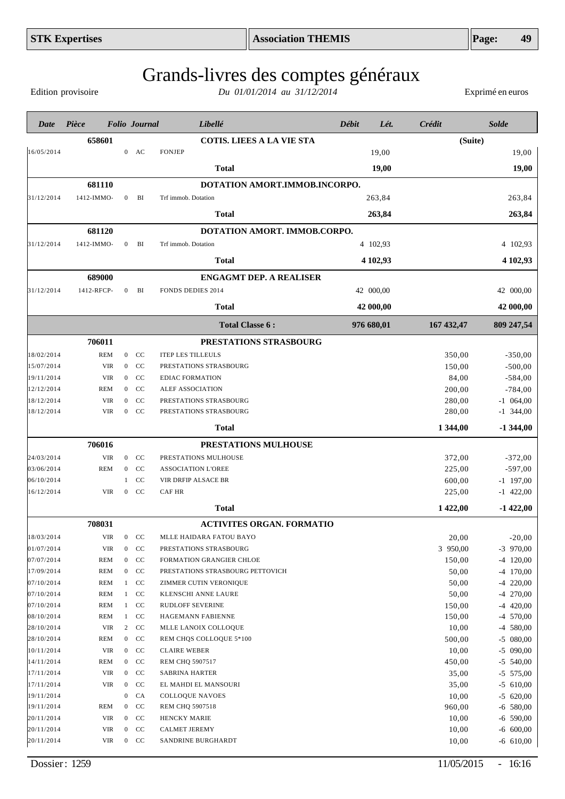Edition provisoire

| Date                     | Pièce             |                                | <b>Folio</b> Journal | Libellé                                   | Débit | Lét.       | Crédit          | <b>Solde</b>               |
|--------------------------|-------------------|--------------------------------|----------------------|-------------------------------------------|-------|------------|-----------------|----------------------------|
|                          | 658601            |                                |                      | <b>COTIS. LIEES A LA VIE STA</b>          |       |            | (Suite)         |                            |
| 16/05/2014               |                   |                                | $0$ AC               | <b>FONJEP</b>                             |       | 19,00      |                 | 19,00                      |
|                          |                   |                                |                      | <b>Total</b>                              |       | 19,00      |                 | 19,00                      |
|                          | 681110            |                                |                      | DOTATION AMORT.IMMOB.INCORPO.             |       |            |                 |                            |
| 31/12/2014               | 1412-IMMO-        | $\boldsymbol{0}$               | BI                   | Trf immob. Dotation                       |       | 263,84     |                 | 263,84                     |
|                          |                   |                                |                      | <b>Total</b>                              |       | 263,84     |                 | 263,84                     |
|                          | 681120            |                                |                      | DOTATION AMORT. IMMOB.CORPO.              |       |            |                 |                            |
| 31/12/2014               | 1412-IMMO-        | $\overline{0}$                 | BI                   | Trf immob. Dotation                       |       | 4 102,93   |                 | 4 102,93                   |
|                          |                   |                                |                      | <b>Total</b>                              |       | 4 102,93   |                 | 4 102,93                   |
|                          | 689000            |                                |                      | <b>ENGAGMT DEP. A REALISER</b>            |       |            |                 |                            |
| 31/12/2014               | 1412-RFCP-        | $\mathbf{0}$                   | BI                   | <b>FONDS DEDIES 2014</b>                  |       | 42 000,00  |                 | 42 000,00                  |
|                          |                   |                                |                      | <b>Total</b>                              |       | 42 000,00  |                 | 42 000,00                  |
|                          |                   |                                |                      | <b>Total Classe 6:</b>                    |       | 976 680,01 | 167 432,47      | 809 247,54                 |
|                          | 706011            |                                |                      | PRESTATIONS STRASBOURG                    |       |            |                 |                            |
| 18/02/2014               | <b>REM</b>        | $\overline{0}$                 | CC                   | <b>ITEP LES TILLEULS</b>                  |       |            | 350,00          | $-350,00$                  |
| 15/07/2014               | <b>VIR</b>        | $\overline{0}$                 | CC                   | PRESTATIONS STRASBOURG                    |       |            | 150,00          | $-500,00$                  |
| 19/11/2014               | <b>VIR</b>        | $\overline{0}$                 | CC                   | <b>EDIAC FORMATION</b>                    |       |            | 84,00           | $-584,00$                  |
| 12/12/2014               | <b>REM</b>        | $\overline{0}$                 | CC                   | ALEF ASSOCIATION                          |       |            | 200,00          | $-784,00$                  |
| 18/12/2014               | <b>VIR</b>        | $\Omega$                       | CC                   | PRESTATIONS STRASBOURG                    |       |            | 280,00          | $-1$ 064,00                |
| 18/12/2014               | <b>VIR</b>        | $\overline{0}$                 | CC                   | PRESTATIONS STRASBOURG                    |       |            | 280,00          | $-1$ 344,00                |
|                          |                   |                                |                      | Total                                     |       |            | 1 344,00        | $-1344,00$                 |
|                          | 706016            |                                |                      | PRESTATIONS MULHOUSE                      |       |            |                 |                            |
| 24/03/2014               | <b>VIR</b>        | $\overline{0}$                 | CC                   | PRESTATIONS MULHOUSE                      |       |            | 372,00          | $-372,00$                  |
| 03/06/2014               | <b>REM</b>        | $\overline{0}$                 | CC                   | <b>ASSOCIATION L'OREE</b>                 |       |            | 225,00          | $-597,00$                  |
| 06/10/2014               |                   | 1                              | CC                   | VIR DRFIP ALSACE BR                       |       |            | 600,00          | $-1$ 197,00                |
| 16/12/2014               | <b>VIR</b>        | $\overline{0}$                 | CC                   | <b>CAF HR</b>                             |       |            | 225,00          | $-1$ 422,00                |
|                          |                   |                                |                      | <b>Total</b>                              |       |            | 1 422,00        | $-1422,00$                 |
|                          | 708031            |                                |                      | <b>ACTIVITES ORGAN. FORMATIO</b>          |       |            |                 |                            |
| 18/03/2014               | VIR               | $\overline{0}$                 | CC                   | MLLE HAIDARA FATOU BAYO                   |       |            | 20,00           | $-20,00$                   |
| 01/07/2014               | VIR               | $\overline{0}$                 | CC                   | PRESTATIONS STRASBOURG                    |       |            | 3 950,00        | $-3$ 970,00                |
| 07/07/2014               | <b>REM</b>        | $\mathbf{0}$                   | CC                   | FORMATION GRANGIER CHLOE                  |       |            | 150,00          | $-4$ 120,00                |
| 17/09/2014               | REM               | $\mathbf{0}$                   | CC                   | PRESTATIONS STRASBOURG PETTOVICH          |       |            | 50,00           | $-4$ 170,00                |
| 07/10/2014               | REM               | 1                              | CC                   | ZIMMER CUTIN VERONIQUE                    |       |            | 50,00           | $-4$ 220,00                |
| 07/10/2014               | REM               | 1                              | CC                   | KLENSCHI ANNE LAURE                       |       |            | 50,00           | $-4$ 270,00                |
| 07/10/2014<br>08/10/2014 | REM               | $\mathbf{1}$                   | CC<br>CC             | RUDLOFF SEVERINE                          |       |            | 150,00          | $-4$ 420,00                |
| 28/10/2014               | REM<br><b>VIR</b> | $\mathbf{1}$<br>$\overline{2}$ | CC                   | HAGEMANN FABIENNE<br>MLLE LANOIX COLLOQUE |       |            | 150,00<br>10,00 | $-4$ 570,00<br>$-4$ 580,00 |
| 28/10/2014               | REM               | $\overline{0}$                 | CC                   | REM CHQS COLLOQUE 5*100                   |       |            | 500,00          | $-5$ 080,00                |
| 10/11/2014               | <b>VIR</b>        | $\overline{0}$                 | CC                   | <b>CLAIRE WEBER</b>                       |       |            | 10,00           | $-5$ 090,00                |
| 14/11/2014               | REM               | $\overline{0}$                 | CC                   | REM CHQ 5907517                           |       |            | 450,00          | $-5$ 540,00                |
| 17/11/2014               | <b>VIR</b>        | $\overline{0}$                 | CC                   | <b>SABRINA HARTER</b>                     |       |            | 35,00           | $-5$ 575,00                |
| 17/11/2014               | VIR               | $\overline{0}$                 | CC                   | EL MAHDI EL MANSOURI                      |       |            | 35,00           | $-5$ 610,00                |
| 19/11/2014               |                   | $\boldsymbol{0}$               | CA                   | <b>COLLOQUE NAVOES</b>                    |       |            | 10,00           | $-5$ 620,00                |
| 19/11/2014               | REM               | $\bf{0}$                       | CC                   | <b>REM CHQ 5907518</b>                    |       |            | 960,00          | $-6$ 580,00                |
| 20/11/2014               | VIR               | $\overline{0}$                 | CC                   | HENCKY MARIE                              |       |            | 10,00           | $-6$ 590,00                |
| 20/11/2014               | VIR               | $\overline{0}$                 | CC                   | <b>CALMET JEREMY</b>                      |       |            | 10,00           | $-6$ 600,00                |
| 20/11/2014               | VIR               | $\mathbf{0}$                   | CC                   | SANDRINE BURGHARDT                        |       |            | 10,00           | $-6$ 610,00                |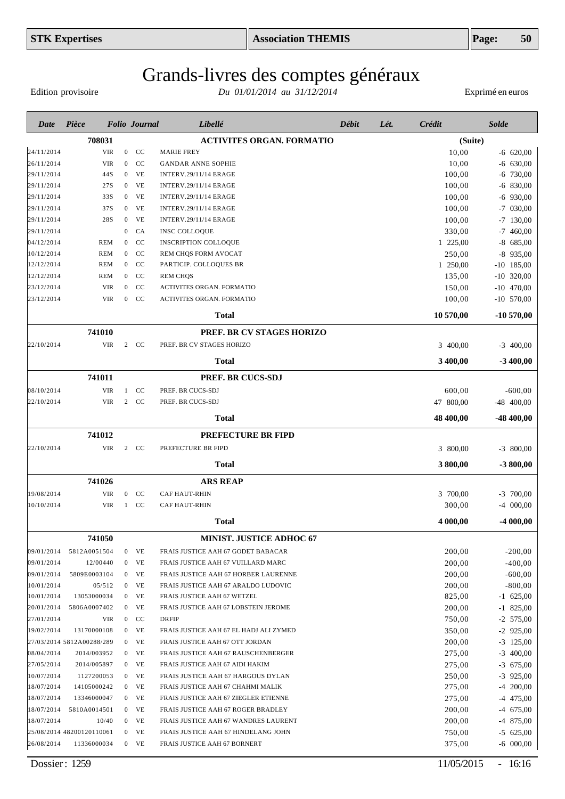Edition provisoire

| Date       | Pièce                     |            |                  | <b>Folio</b> Journal | Libellé                                | <b>Débit</b> | Lét. | Crédit    | <b>Solde</b> |
|------------|---------------------------|------------|------------------|----------------------|----------------------------------------|--------------|------|-----------|--------------|
|            | 708031                    |            |                  |                      | <b>ACTIVITES ORGAN. FORMATIO</b>       |              |      | (Suite)   |              |
| 24/11/2014 |                           | <b>VIR</b> |                  | $0$ CC               | <b>MARIE FREY</b>                      |              |      | 10,00     | $-6$ 620,00  |
| 26/11/2014 |                           | <b>VIR</b> | $\overline{0}$   | CC                   | <b>GANDAR ANNE SOPHIE</b>              |              |      | 10,00     | $-6$ 630,00  |
| 29/11/2014 |                           | 44S        | $\boldsymbol{0}$ | VE                   | <b>INTERV.29/11/14 ERAGE</b>           |              |      | 100,00    | $-6$ 730,00  |
| 29/11/2014 |                           | 27S        | $\mathbf{0}$     | VE                   | <b>INTERV.29/11/14 ERAGE</b>           |              |      | 100,00    | $-6$ 830,00  |
| 29/11/2014 |                           | 33S        | $\overline{0}$   | VE                   | <b>INTERV.29/11/14 ERAGE</b>           |              |      | 100,00    | $-6$ 930,00  |
| 29/11/2014 |                           | 37S        | $\overline{0}$   | VE                   | <b>INTERV.29/11/14 ERAGE</b>           |              |      | 100,00    | $-7$ 030,00  |
| 29/11/2014 |                           | 28S        | $\overline{0}$   | VE                   | <b>INTERV.29/11/14 ERAGE</b>           |              |      | 100,00    | $-7$ 130,00  |
| 29/11/2014 |                           |            | $\mathbf{0}$     | <b>CA</b>            | <b>INSC COLLOQUE</b>                   |              |      | 330,00    | $-7$ 460,00  |
| 04/12/2014 | <b>REM</b>                |            | $\mathbf{0}$     | CC                   | <b>INSCRIPTION COLLOQUE</b>            |              |      | 1 225,00  | $-8$ 685,00  |
| 10/12/2014 | <b>REM</b>                |            | $\mathbf{0}$     | <b>CC</b>            | REM CHQS FORM AVOCAT                   |              |      | 250,00    | $-8$ 935,00  |
| 12/12/2014 | <b>REM</b>                |            | $\overline{0}$   | CC                   | PARTICIP. COLLOQUES BR                 |              |      | 1 250,00  | $-10$ 185,00 |
| 12/12/2014 | <b>REM</b>                |            | $\overline{0}$   | CC                   | <b>REM CHQS</b>                        |              |      | 135,00    | $-10$ 320,00 |
| 23/12/2014 |                           | <b>VIR</b> | $\overline{0}$   | CC                   | ACTIVITES ORGAN. FORMATIO              |              |      | 150,00    | $-10$ 470,00 |
| 23/12/2014 |                           | <b>VIR</b> | $\overline{0}$   | <b>CC</b>            | ACTIVITES ORGAN. FORMATIO              |              |      | 100,00    | $-10$ 570,00 |
|            |                           |            |                  |                      | Total                                  |              |      | 10 570,00 | $-10570,00$  |
|            | 741010                    |            |                  |                      | PREF. BR CV STAGES HORIZO              |              |      |           |              |
| 22/10/2014 |                           | <b>VIR</b> |                  | 2 CC                 | PREF. BR CV STAGES HORIZO              |              |      | 3 400,00  | $-3$ 400,00  |
|            |                           |            |                  |                      | Total                                  |              |      | 3 400,00  | $-3400,00$   |
|            | 741011                    |            |                  |                      | PREF. BR CUCS-SDJ                      |              |      |           |              |
| 08/10/2014 |                           | VIR        |                  | $1$ CC               | PREF. BR CUCS-SDJ                      |              |      | 600,00    | $-600,00$    |
| 22/10/2014 |                           | <b>VIR</b> |                  | 2 CC                 | PREF. BR CUCS-SDJ                      |              |      | 47 800,00 | $-48$ 400,00 |
|            |                           |            |                  |                      | Total                                  |              |      | 48 400,00 | $-48400,00$  |
|            | 741012                    |            |                  |                      | <b>PREFECTURE BR FIPD</b>              |              |      |           |              |
| 22/10/2014 |                           | <b>VIR</b> |                  | 2 CC                 | PREFECTURE BR FIPD                     |              |      | 3 800,00  | $-3$ 800,00  |
|            |                           |            |                  |                      | Total                                  |              |      | 3 800,00  | $-3800,00$   |
|            | 741026                    |            |                  |                      | <b>ARS REAP</b>                        |              |      |           |              |
| 19/08/2014 |                           | <b>VIR</b> | $\overline{0}$   | <b>CC</b>            | <b>CAF HAUT-RHIN</b>                   |              |      | 3 700,00  | $-3$ 700,00  |
| 10/10/2014 |                           | <b>VIR</b> | $\mathbf{1}$     | CC                   | CAF HAUT-RHIN                          |              |      | 300,00    | $-4$ 000,00  |
|            |                           |            |                  |                      | Total                                  |              |      | 4 000,00  | $-4000,00$   |
|            | 741050                    |            |                  |                      | MINIST. JUSTICE ADHOC 67               |              |      |           |              |
| 09/01/2014 | 5812A0051504              |            |                  | $0$ VE               | FRAIS JUSTICE AAH 67 GODET BABACAR     |              |      | 200,00    | $-200,00$    |
| 09/01/2014 | 12/00440                  |            |                  | $0$ VE               | FRAIS JUSTICE AAH 67 VUILLARD MARC     |              |      | 200,00    | $-400,00$    |
| 09/01/2014 | 5809E0003104              |            |                  | $0$ VE               | FRAIS JUSTICE AAH 67 HORBER LAURENNE   |              |      | 200,00    | $-600,00$    |
| 10/01/2014 | 05/512                    |            |                  | $0$ VE               | FRAIS JUSTICE AAH 67 ARALDO LUDOVIC    |              |      | 200,00    | $-800,00$    |
| 10/01/2014 | 13053000034               |            |                  | $0$ VE               | FRAIS JUSTICE AAH 67 WETZEL            |              |      | 825,00    | $-1$ 625,00  |
| 20/01/2014 | 5806A0007402              |            |                  | $0$ VE               | FRAIS JUSTICE AAH 67 LOBSTEIN JEROME   |              |      | 200,00    | $-1$ 825,00  |
| 27/01/2014 |                           | VIR        |                  | $0$ CC               | <b>DRFIP</b>                           |              |      | 750,00    | $-2$ 575,00  |
| 19/02/2014 | 13170000108               |            |                  | $0$ VE               | FRAIS JUSTICE AAH 67 EL HADJ ALI ZYMED |              |      | 350,00    | $-2$ 925,00  |
|            | 27/03/2014 5812A00288/289 |            |                  | $0$ VE               | FRAIS JUSTICE AAH 67 OTT JORDAN        |              |      | 200,00    | $-3$ 125,00  |
| 08/04/2014 | 2014/003952               |            |                  | $0$ VE               | FRAIS JUSTICE AAH 67 RAUSCHENBERGER    |              |      | 275,00    | $-3$ 400,00  |
| 27/05/2014 | 2014/005897               |            | $\overline{0}$   | VE                   | FRAIS JUSTICE AAH 67 AIDI HAKIM        |              |      | 275,00    | $-3$ 675,00  |
| 10/07/2014 | 1127200053                |            |                  | $0$ VE               | FRAIS JUSTICE AAH 67 HARGOUS DYLAN     |              |      | 250,00    | $-3$ 925,00  |
| 18/07/2014 | 14105000242               |            |                  | $0$ VE               | FRAIS JUSTICE AAH 67 CHAHMI MALIK      |              |      | 275,00    | $-4$ 200,00  |
| 18/07/2014 | 13346000047               |            |                  | $0$ VE               | FRAIS JUSTICE AAH 67 ZIEGLER ETIENNE   |              |      | 275,00    | $-4$ 475,00  |
| 18/07/2014 | 5810A0014501              |            |                  | $0$ VE               | FRAIS JUSTICE AAH 67 ROGER BRADLEY     |              |      | 200,00    | $-4$ 675,00  |
| 18/07/2014 | 10/40                     |            |                  | $0$ VE               | FRAIS JUSTICE AAH 67 WANDRES LAURENT   |              |      | 200,00    | $-4$ 875,00  |
|            | 25/08/2014 48200120110061 |            |                  | $0$ VE               | FRAIS JUSTICE AAH 67 HINDELANG JOHN    |              |      | 750,00    | $-5$ 625,00  |
| 26/08/2014 | 11336000034               |            |                  | $0$ VE               | FRAIS JUSTICE AAH 67 BORNERT           |              |      | 375,00    | $-6$ 000,00  |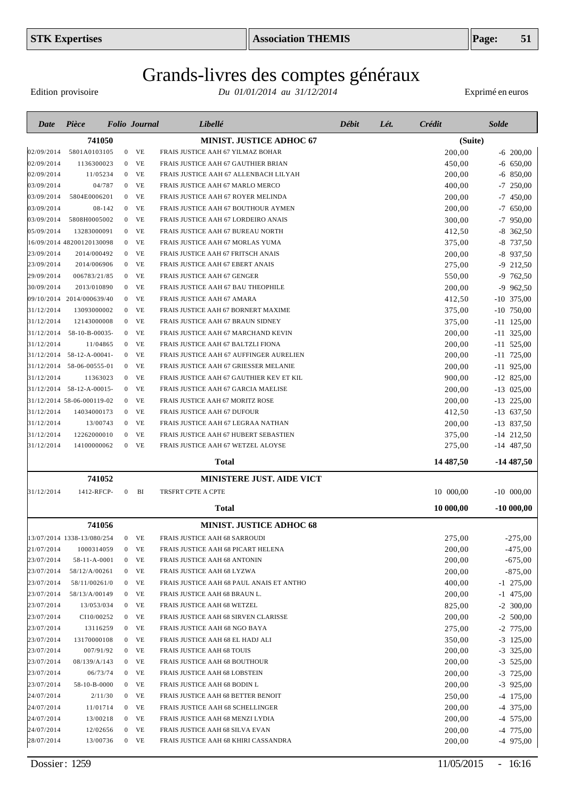Edition provisoire

| Date       | Pièce                      |                | <b>Folio</b> Journal | Libellé                                  | Débit | Lét. | <b>Crédit</b> | <b>Solde</b> |
|------------|----------------------------|----------------|----------------------|------------------------------------------|-------|------|---------------|--------------|
|            | 741050                     |                |                      | <b>MINIST. JUSTICE ADHOC 67</b>          |       |      | (Suite)       |              |
| 02/09/2014 | 5801A0103105               | $\overline{0}$ | <b>VE</b>            | FRAIS JUSTICE AAH 67 YILMAZ BOHAR        |       |      | 200,00        | $-6$ 200,00  |
| 02/09/2014 | 1136300023                 | $\overline{0}$ | <b>VE</b>            | FRAIS JUSTICE AAH 67 GAUTHIER BRIAN      |       |      | 450,00        | $-6$ 650,00  |
| 02/09/2014 | 11/05234                   | $\overline{0}$ | VE                   | FRAIS JUSTICE AAH 67 ALLENBACH LILYAH    |       |      | 200,00        | 850,00<br>-6 |
| 03/09/2014 | 04/787                     |                | $0$ VE               | FRAIS JUSTICE AAH 67 MARLO MERCO         |       |      | 400,00        | $-7$ 250,00  |
| 03/09/2014 | 5804E0006201               | $\mathbf{0}$   | VE                   | FRAIS JUSTICE AAH 67 ROYER MELINDA       |       |      | 200,00        | $-7$ 450,00  |
| 03/09/2014 | 08-142                     | $\overline{0}$ | <b>VE</b>            | FRAIS JUSTICE AAH 67 BOUTHOUR AYMEN      |       |      | 200,00        | $-7650,00$   |
| 03/09/2014 | 5808H0005002               | $\overline{0}$ | VE                   | FRAIS JUSTICE AAH 67 LORDEIRO ANAIS      |       |      | 300,00        | $-7$ 950,00  |
| 05/09/2014 | 13283000091                | $\mathbf{0}$   | <b>VE</b>            | FRAIS JUSTICE AAH 67 BUREAU NORTH        |       |      | 412,50        | -8<br>362,50 |
|            | 16/09/2014 48200120130098  | $\overline{0}$ | VE                   | FRAIS JUSTICE AAH 67 MORLAS YUMA         |       |      | 375,00        | $-8$ 737,50  |
| 23/09/2014 | 2014/000492                |                | $0$ VE               | FRAIS JUSTICE AAH 67 FRITSCH ANAIS       |       |      | 200,00        | $-8$ 937,50  |
| 23/09/2014 | 2014/006906                | $\overline{0}$ | <b>VE</b>            | FRAIS JUSTICE AAH 67 EBERT ANAIS         |       |      | 275,00        | $-9$ 212,50  |
| 29/09/2014 | 006783/21/85               | $\overline{0}$ | <b>VE</b>            | FRAIS JUSTICE AAH 67 GENGER              |       |      | 550,00        | $-9$ 762,50  |
| 30/09/2014 | 2013/010890                | $\mathbf{0}$   | <b>VE</b>            | FRAIS JUSTICE AAH 67 BAU THEOPHILE       |       |      | 200,00        | $-9$ 962,50  |
|            | 09/10/2014 2014/000639/40  | $\overline{0}$ | <b>VE</b>            | FRAIS JUSTICE AAH 67 AMARA               |       |      | 412,50        | $-10$ 375,00 |
| 31/12/2014 | 13093000002                | $\overline{0}$ | <b>VE</b>            | FRAIS JUSTICE AAH 67 BORNERT MAXIME      |       |      | 375,00        | $-10$ 750,00 |
| 31/12/2014 | 12143000008                | $\mathbf{0}$   | <b>VE</b>            | FRAIS JUSTICE AAH 67 BRAUN SIDNEY        |       |      | 375,00        | $-11$ 125,00 |
| 31/12/2014 | 58-10-B-00035-             | $\overline{0}$ | <b>VE</b>            | FRAIS JUSTICE AAH 67 MARCHAND KEVIN      |       |      | 200,00        | $-11$ 325,00 |
| 31/12/2014 | 11/04865                   | $\overline{0}$ | <b>VE</b>            | FRAIS JUSTICE AAH 67 BALTZLI FIONA       |       |      | 200,00        | $-11$ 525,00 |
| 31/12/2014 | 58-12-A-00041-             |                | VE<br>$\overline{0}$ | FRAIS JUSTICE AAH 67 AUFFINGER AURELIEN  |       |      | 200,00        | $-11$ 725,00 |
| 31/12/2014 | 58-06-00555-01             | $\overline{0}$ | VE                   | FRAIS JUSTICE AAH 67 GRIESSER MELANIE    |       |      | 200,00        | $-11$ 925,00 |
| 31/12/2014 | 11363023                   |                | VE<br>$\overline{0}$ | FRAIS JUSTICE AAH 67 GAUTHIER KEV ET KIL |       |      | 900,00        | $-12$ 825,00 |
| 31/12/2014 | 58-12-A-00015-             |                | VE<br>$\overline{0}$ | FRAIS JUSTICE AAH 67 GARCIA MAELISE      |       |      | 200,00        | $-13$ 025,00 |
|            | 31/12/2014 58-06-000119-02 |                | VE<br>$\overline{0}$ | FRAIS JUSTICE AAH 67 MORITZ ROSE         |       |      | 200,00        | $-13$ 225,00 |
| 31/12/2014 | 14034000173                |                | VE<br>$\overline{0}$ | FRAIS JUSTICE AAH 67 DUFOUR              |       |      | 412,50        | $-13$ 637,50 |
| 31/12/2014 | 13/00743                   |                | VE<br>$\overline{0}$ | FRAIS JUSTICE AAH 67 LEGRAA NATHAN       |       |      | 200,00        | $-13$ 837,50 |
| 31/12/2014 | 12262000010                | $\overline{0}$ | VE                   | FRAIS JUSTICE AAH 67 HUBERT SEBASTIEN    |       |      | 375,00        | $-14$ 212,50 |
| 31/12/2014 | 14100000062                | $\overline{0}$ | VE                   | FRAIS JUSTICE AAH 67 WETZEL ALOYSE       |       |      | 275,00        | $-14$ 487,50 |
|            |                            |                |                      | Total                                    |       |      | 14 487,50     | $-14487,50$  |
|            | 741052                     |                |                      | <b>MINISTERE JUST. AIDE VICT</b>         |       |      |               |              |
| 31/12/2014 | 1412-RFCP-                 | $\overline{0}$ | BI                   | TRSFRT CPTE A CPTE                       |       |      | 10 000,00     | $-10$ 000,00 |
|            |                            |                |                      | <b>Total</b>                             |       |      | 10 000,00     | $-10000,00$  |
|            | 741056                     |                |                      | MINIST. JUSTICE ADHOC 68                 |       |      |               |              |
|            | 13/07/2014 1338-13/080/254 |                | $0$ VE               | FRAIS JUSTICE AAH 68 SARROUDI            |       |      | 275,00        | $-275,00$    |
| 21/07/2014 | 1000314059                 |                | $0$ VE               | FRAIS JUSTICE AAH 68 PICART HELENA       |       |      | 200,00        | $-475,00$    |
| 23/07/2014 | 58-11-A-0001               |                | $0$ VE               | FRAIS JUSTICE AAH 68 ANTONIN             |       |      | 200,00        | $-675,00$    |
| 23/07/2014 | 58/12/A/00261              |                | $0$ VE               | FRAIS JUSTICE AAH 68 LYZWA               |       |      | 200,00        | $-875,00$    |
| 23/07/2014 | 58/11/00261/0              |                | $0$ VE               | FRAIS JUSTICE AAH 68 PAUL ANAIS ET ANTHO |       |      | 400,00        | $-1$ 275,00  |
| 23/07/2014 | 58/13/A/00149              |                | $0$ VE               | FRAIS JUSTICE AAH 68 BRAUN L.            |       |      | 200,00        | $-1$ 475,00  |
| 23/07/2014 | 13/053/034                 |                | $0$ VE               | FRAIS JUSTICE AAH 68 WETZEL              |       |      | 825,00        | $-2$ 300,00  |
| 23/07/2014 | CI10/00252                 |                | $0$ VE               | FRAIS JUSTICE AAH 68 SIRVEN CLARISSE     |       |      | 200,00        | $-2,500,00$  |
| 23/07/2014 | 13116259                   |                | $0$ VE               | FRAIS JUSTICE AAH 68 NGO BAYA            |       |      | 275,00        | $-2$ 775,00  |
| 23/07/2014 | 13170000108                |                | $0$ VE               | FRAIS JUSTICE AAH 68 EL HADJ ALI         |       |      | 350,00        | $-3$ 125,00  |
| 23/07/2014 | 007/91/92                  |                | $0$ VE               | FRAIS JUSTICE AAH 68 TOUIS               |       |      | 200,00        | $-3$ 325,00  |
| 23/07/2014 | 08/139/A/143               |                | $0$ VE               | FRAIS JUSTICE AAH 68 BOUTHOUR            |       |      | 200,00        | $-3$ 525,00  |
| 23/07/2014 | 06/73/74                   |                | $0$ VE               | FRAIS JUSTICE AAH 68 LOBSTEIN            |       |      | 200,00        | $-3$ 725,00  |
| 23/07/2014 | 58-10-B-0000               |                | $0$ VE               | FRAIS JUSTICE AAH 68 BODIN L             |       |      | 200,00        | $-3$ 925,00  |
| 24/07/2014 | 2/11/30                    |                | $0$ VE               | FRAIS JUSTICE AAH 68 BETTER BENOIT       |       |      | 250,00        | $-4$ 175,00  |
| 24/07/2014 | 11/01714                   |                | $0$ VE               | FRAIS JUSTICE AAH 68 SCHELLINGER         |       |      | 200,00        | $-4$ 375,00  |
| 24/07/2014 | 13/00218                   |                | $0$ VE               | FRAIS JUSTICE AAH 68 MENZI LYDIA         |       |      | 200,00        | $-4$ 575,00  |
| 24/07/2014 | 12/02656                   |                | $0$ VE               | FRAIS JUSTICE AAH 68 SILVA EVAN          |       |      | 200,00        | $-4$ 775,00  |
| 28/07/2014 | 13/00736                   |                | $0$ VE               | FRAIS JUSTICE AAH 68 KHIRI CASSANDRA     |       |      | 200,00        | $-4$ 975,00  |
|            |                            |                |                      |                                          |       |      |               |              |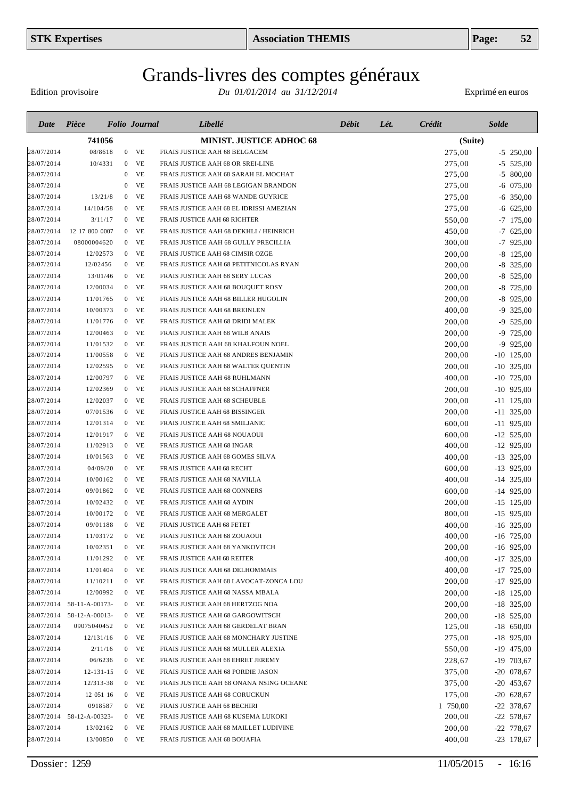Edition provisoire

| 741056<br><b>MINIST. JUSTICE ADHOC 68</b><br>(Suite)<br>08/8618<br>FRAIS JUSTICE AAH 68 BELGACEM<br>275,00<br>$\mathbf{0}$<br>VE<br>$-5$ 250,00<br>28/07/2014<br>10/4331<br>VE<br>FRAIS JUSTICE AAH 68 OR SREI-LINE<br>275,00<br>$-5$ 525,00<br>$\overline{0}$<br>VE<br>$-5$ 800,00<br>28/07/2014<br>275,00<br>0<br>FRAIS JUSTICE AAH 68 SARAH EL MOCHAT<br>VE<br>28/07/2014<br>FRAIS JUSTICE AAH 68 LEGIGAN BRANDON<br>275,00<br>$-6$ 075,00<br>0<br>13/21/8<br>VE<br>FRAIS JUSTICE AAH 68 WANDE GUYRICE<br>275,00<br>$-6$ 350,00<br>28/07/2014<br>$\mathbf{0}$<br>28/07/2014<br>14/104/58<br>VE<br>FRAIS JUSTICE AAH 68 EL IDRISSI AMEZIAN<br>275,00<br>$-6$ 625,00<br>$\overline{0}$<br>$-7$ 175,00<br>28/07/2014<br>3/11/17<br>VE<br>FRAIS JUSTICE AAH 68 RICHTER<br>550,00<br>$\mathbf{0}$<br>28/07/2014<br>12 17 800 0007<br>VE<br>FRAIS JUSTICE AAH 68 DEKHLI / HEINRICH<br>450,00<br>$-7,625,00$<br>$\overline{0}$<br>VE<br>28/07/2014<br>08000004620<br>$\overline{0}$<br>FRAIS JUSTICE AAH 68 GULLY PRECILLIA<br>300,00<br>$-7$ 925,00<br>$-8$ 125,00<br>28/07/2014<br>12/02573<br>VE<br>FRAIS JUSTICE AAH 68 CIMSIR OZGE<br>200,00<br>$\mathbf{0}$<br>$-8$ 325,00<br>VE<br>200,00<br>28/07/2014<br>12/02456<br>$\mathbf{0}$<br>FRAIS JUSTICE AAH 68 PETITNICOLAS RYAN<br>VE<br>$-8$ 525,00<br>28/07/2014<br>13/01/46<br>FRAIS JUSTICE AAH 68 SERY LUCAS<br>200,00<br>$\overline{0}$<br>VE<br>-8<br>28/07/2014<br>12/00034<br>FRAIS JUSTICE AAH 68 BOUQUET ROSY<br>200,00<br>725,00<br>$\overline{0}$<br>$-8$ 925,00<br>28/07/2014<br>11/01765<br>VE<br>FRAIS JUSTICE AAH 68 BILLER HUGOLIN<br>200,00<br>$\mathbf{0}$<br>VE<br>-9<br>28/07/2014<br>10/00373<br>FRAIS JUSTICE AAH 68 BREINLEN<br>400,00<br>325,00<br>$\overline{0}$<br>-9<br>28/07/2014<br>11/01776<br>VE<br>FRAIS JUSTICE AAH 68 DRIDI MALEK<br>200,00<br>525,00<br>$\mathbf{0}$<br>VE<br>725,00<br>28/07/2014<br>12/00463<br>FRAIS JUSTICE AAH 68 WILB ANAIS<br>200,00<br>-9<br>$\bf{0}$<br>VE<br>-9<br>925,00<br>28/07/2014<br>11/01532<br>FRAIS JUSTICE AAH 68 KHALFOUN NOEL<br>200,00<br>$\overline{0}$<br>$-10$ 125,00<br>28/07/2014<br>11/00558<br>$0$ VE<br>FRAIS JUSTICE AAH 68 ANDRES BENJAMIN<br>200,00<br>$-10$ 325,00<br>28/07/2014<br>12/02595<br>$0$ VE<br>FRAIS JUSTICE AAH 68 WALTER QUENTIN<br>200,00<br>VE<br>$-10$ 725,00<br>28/07/2014<br>12/00797<br>FRAIS JUSTICE AAH 68 RUHLMANN<br>400,00<br>$\mathbf{0}$<br>$-10$ 925,00<br>28/07/2014<br>12/02369<br>$0$ VE<br>FRAIS JUSTICE AAH 68 SCHAFFNER<br>200,00<br>$0$ VE<br>28/07/2014<br>12/02037<br>FRAIS JUSTICE AAH 68 SCHEUBLE<br>200,00<br>$-11$ 125,00<br>$0$ VE<br>$-11$ 325,00<br>28/07/2014<br>07/01536<br>FRAIS JUSTICE AAH 68 BISSINGER<br>200,00<br>$-11$ 925,00<br>28/07/2014<br>12/01314<br>$0$ VE<br>FRAIS JUSTICE AAH 68 SMILJANIC<br>600,00<br>$0$ VE<br>$-12$ 525,00<br>28/07/2014<br>12/01917<br>FRAIS JUSTICE AAH 68 NOUAOUI<br>600,00<br>28/07/2014<br>$0$ VE<br>FRAIS JUSTICE AAH 68 INGAR<br>$-12$ 925,00<br>11/02913<br>400,00<br>28/07/2014<br>10/01563<br>$0$ VE<br>FRAIS JUSTICE AAH 68 GOMES SILVA<br>400,00<br>$-13$ 325,00<br>$0$ VE<br>28/07/2014<br>04/09/20<br>FRAIS JUSTICE AAH 68 RECHT<br>600,00<br>$-13$ 925,00<br>$0$ VE<br>28/07/2014<br>10/00162<br>FRAIS JUSTICE AAH 68 NAVILLA<br>400,00<br>$-14$ 325,00<br>28/07/2014<br>09/01862<br>$0$ VE<br>FRAIS JUSTICE AAH 68 CONNERS<br>600,00<br>$-14$ 925,00<br>$0$ VE<br>28/07/2014<br>10/02432<br>FRAIS JUSTICE AAH 68 AYDIN<br>200,00<br>$-15$ 125,00<br>28/07/2014<br>10/00172<br>$0$ VE<br>FRAIS JUSTICE AAH 68 MERGALET<br>800,00<br>$-15$ 925,00<br>28/07/2014<br>$-16$ 325,00<br>09/01188<br>$\overline{0}$<br><b>VE</b><br>FRAIS JUSTICE AAH 68 FETET<br>400,00<br><b>VE</b><br>11/03172<br>$\overline{0}$<br>400,00<br>FRAIS JUSTICE AAH 68 ZOUAOUI<br>$-16$ 725,00<br>28/07/2014<br>$-16$ 925,00<br>10/02351<br>$0$ VE<br>200,00<br>FRAIS JUSTICE AAH 68 YANKOVITCH<br>$0$ VE<br>11/01292<br>400,00<br>$-17$ 325,00<br>FRAIS JUSTICE AAH 68 REITER<br>$0$ VE<br>11/01404<br>400,00<br>$-17$ 725,00<br>FRAIS JUSTICE AAH 68 DELHOMMAIS<br>$0$ VE<br>11/10211<br>FRAIS JUSTICE AAH 68 LAVOCAT-ZONCA LOU<br>200,00<br>$-17$ 925,00<br>$0$ VE<br>12/00992<br>200,00<br>$-18$ 125,00<br>FRAIS JUSTICE AAH 68 NASSA MBALA<br>$0$ VE<br>58-11-A-00173-<br>FRAIS JUSTICE AAH 68 HERTZOG NOA<br>200,00<br>$-18$ 325,00<br>$0$ VE<br>58-12-A-00013-<br>FRAIS JUSTICE AAH 68 GARGOWITSCH<br>200,00<br>$-18$ 525,00<br>VE<br>09075040452<br>125,00<br>$-18$ 650,00<br>$\mathbf{0}$<br>FRAIS JUSTICE AAH 68 GERDELAT BRAN<br>VE<br>12/131/16<br>275,00<br>$-18$ 925,00<br>$\mathbf{0}$<br>FRAIS JUSTICE AAH 68 MONCHARY JUSTINE<br>VE<br>2/11/16<br>$\boldsymbol{0}$<br>550,00<br>$-19$ 475,00<br>FRAIS JUSTICE AAH 68 MULLER ALEXIA<br>06/6236<br>VE<br>$\boldsymbol{0}$<br>FRAIS JUSTICE AAH 68 EHRET JEREMY<br>228,67<br>$-19$ 703,67<br>VE<br>$12 - 131 - 15$<br>$\boldsymbol{0}$<br>FRAIS JUSTICE AAH 68 PORDIE JASON<br>375,00<br>$-20$ 078,67<br>VE<br>12/313-38<br>375,00<br>$-20$ 453,67<br>$\mathbf{0}$<br>FRAIS JUSTICE AAH 68 ONANA NSING OCEANE<br>VE<br>12 051 16<br>$\overline{0}$<br>FRAIS JUSTICE AAH 68 CORUCKUN<br>175,00<br>$-20$ 628,67<br><b>VE</b><br>0918587<br>FRAIS JUSTICE AAH 68 BECHIRI<br>1 750,00<br>$-22$ 378,67<br>$\mathbf{0}$<br>VE<br>28/07/2014<br>58-12-A-00323-<br>200,00<br>$-22$ 578,67<br>$\boldsymbol{0}$<br>FRAIS JUSTICE AAH 68 KUSEMA LUKOKI<br>VE<br>13/02162<br>200,00<br>$-22$ 778,67<br>$\mathbf{0}$<br>FRAIS JUSTICE AAH 68 MAILLET LUDIVINE<br>$0$ VE<br>$-23$ 178,67<br>13/00850<br>FRAIS JUSTICE AAH 68 BOUAFIA<br>400,00 | Date       | Pièce | <b>Folio</b> Journal | Libellé | Débit | Lét. | <b>Crédit</b> | <b>Solde</b> |  |
|-----------------------------------------------------------------------------------------------------------------------------------------------------------------------------------------------------------------------------------------------------------------------------------------------------------------------------------------------------------------------------------------------------------------------------------------------------------------------------------------------------------------------------------------------------------------------------------------------------------------------------------------------------------------------------------------------------------------------------------------------------------------------------------------------------------------------------------------------------------------------------------------------------------------------------------------------------------------------------------------------------------------------------------------------------------------------------------------------------------------------------------------------------------------------------------------------------------------------------------------------------------------------------------------------------------------------------------------------------------------------------------------------------------------------------------------------------------------------------------------------------------------------------------------------------------------------------------------------------------------------------------------------------------------------------------------------------------------------------------------------------------------------------------------------------------------------------------------------------------------------------------------------------------------------------------------------------------------------------------------------------------------------------------------------------------------------------------------------------------------------------------------------------------------------------------------------------------------------------------------------------------------------------------------------------------------------------------------------------------------------------------------------------------------------------------------------------------------------------------------------------------------------------------------------------------------------------------------------------------------------------------------------------------------------------------------------------------------------------------------------------------------------------------------------------------------------------------------------------------------------------------------------------------------------------------------------------------------------------------------------------------------------------------------------------------------------------------------------------------------------------------------------------------------------------------------------------------------------------------------------------------------------------------------------------------------------------------------------------------------------------------------------------------------------------------------------------------------------------------------------------------------------------------------------------------------------------------------------------------------------------------------------------------------------------------------------------------------------------------------------------------------------------------------------------------------------------------------------------------------------------------------------------------------------------------------------------------------------------------------------------------------------------------------------------------------------------------------------------------------------------------------------------------------------------------------------------------------------------------------------------------------------------------------------------------------------------------------------------------------------------------------------------------------------------------------------------------------------------------------------------------------------------------------------------------------------------------------------------------------------------------------------------------------------------------------------------------------------------------------------------------------------------------------------------------------------------------------------------------------------------------------------------------------------------------------------------------------------------------------------------------------------------------------------------------------------------------------------------------------------------------------------------------------------------------------------------------------------------------------------------------------------------------------------------------------------------------------------------------------------------------------------------------------------------------------------------------------------------------------------------------------------------------------------------------------------------------------------------------------|------------|-------|----------------------|---------|-------|------|---------------|--------------|--|
|                                                                                                                                                                                                                                                                                                                                                                                                                                                                                                                                                                                                                                                                                                                                                                                                                                                                                                                                                                                                                                                                                                                                                                                                                                                                                                                                                                                                                                                                                                                                                                                                                                                                                                                                                                                                                                                                                                                                                                                                                                                                                                                                                                                                                                                                                                                                                                                                                                                                                                                                                                                                                                                                                                                                                                                                                                                                                                                                                                                                                                                                                                                                                                                                                                                                                                                                                                                                                                                                                                                                                                                                                                                                                                                                                                                                                                                                                                                                                                                                                                                                                                                                                                                                                                                                                                                                                                                                                                                                                                                                                                                                                                                                                                                                                                                                                                                                                                                                                                                                                                                                                                                                                                                                                                                                                                                                                                                                                                                                                                                                                                                                                 |            |       |                      |         |       |      |               |              |  |
|                                                                                                                                                                                                                                                                                                                                                                                                                                                                                                                                                                                                                                                                                                                                                                                                                                                                                                                                                                                                                                                                                                                                                                                                                                                                                                                                                                                                                                                                                                                                                                                                                                                                                                                                                                                                                                                                                                                                                                                                                                                                                                                                                                                                                                                                                                                                                                                                                                                                                                                                                                                                                                                                                                                                                                                                                                                                                                                                                                                                                                                                                                                                                                                                                                                                                                                                                                                                                                                                                                                                                                                                                                                                                                                                                                                                                                                                                                                                                                                                                                                                                                                                                                                                                                                                                                                                                                                                                                                                                                                                                                                                                                                                                                                                                                                                                                                                                                                                                                                                                                                                                                                                                                                                                                                                                                                                                                                                                                                                                                                                                                                                                 | 28/07/2014 |       |                      |         |       |      |               |              |  |
|                                                                                                                                                                                                                                                                                                                                                                                                                                                                                                                                                                                                                                                                                                                                                                                                                                                                                                                                                                                                                                                                                                                                                                                                                                                                                                                                                                                                                                                                                                                                                                                                                                                                                                                                                                                                                                                                                                                                                                                                                                                                                                                                                                                                                                                                                                                                                                                                                                                                                                                                                                                                                                                                                                                                                                                                                                                                                                                                                                                                                                                                                                                                                                                                                                                                                                                                                                                                                                                                                                                                                                                                                                                                                                                                                                                                                                                                                                                                                                                                                                                                                                                                                                                                                                                                                                                                                                                                                                                                                                                                                                                                                                                                                                                                                                                                                                                                                                                                                                                                                                                                                                                                                                                                                                                                                                                                                                                                                                                                                                                                                                                                                 |            |       |                      |         |       |      |               |              |  |
|                                                                                                                                                                                                                                                                                                                                                                                                                                                                                                                                                                                                                                                                                                                                                                                                                                                                                                                                                                                                                                                                                                                                                                                                                                                                                                                                                                                                                                                                                                                                                                                                                                                                                                                                                                                                                                                                                                                                                                                                                                                                                                                                                                                                                                                                                                                                                                                                                                                                                                                                                                                                                                                                                                                                                                                                                                                                                                                                                                                                                                                                                                                                                                                                                                                                                                                                                                                                                                                                                                                                                                                                                                                                                                                                                                                                                                                                                                                                                                                                                                                                                                                                                                                                                                                                                                                                                                                                                                                                                                                                                                                                                                                                                                                                                                                                                                                                                                                                                                                                                                                                                                                                                                                                                                                                                                                                                                                                                                                                                                                                                                                                                 |            |       |                      |         |       |      |               |              |  |
|                                                                                                                                                                                                                                                                                                                                                                                                                                                                                                                                                                                                                                                                                                                                                                                                                                                                                                                                                                                                                                                                                                                                                                                                                                                                                                                                                                                                                                                                                                                                                                                                                                                                                                                                                                                                                                                                                                                                                                                                                                                                                                                                                                                                                                                                                                                                                                                                                                                                                                                                                                                                                                                                                                                                                                                                                                                                                                                                                                                                                                                                                                                                                                                                                                                                                                                                                                                                                                                                                                                                                                                                                                                                                                                                                                                                                                                                                                                                                                                                                                                                                                                                                                                                                                                                                                                                                                                                                                                                                                                                                                                                                                                                                                                                                                                                                                                                                                                                                                                                                                                                                                                                                                                                                                                                                                                                                                                                                                                                                                                                                                                                                 |            |       |                      |         |       |      |               |              |  |
|                                                                                                                                                                                                                                                                                                                                                                                                                                                                                                                                                                                                                                                                                                                                                                                                                                                                                                                                                                                                                                                                                                                                                                                                                                                                                                                                                                                                                                                                                                                                                                                                                                                                                                                                                                                                                                                                                                                                                                                                                                                                                                                                                                                                                                                                                                                                                                                                                                                                                                                                                                                                                                                                                                                                                                                                                                                                                                                                                                                                                                                                                                                                                                                                                                                                                                                                                                                                                                                                                                                                                                                                                                                                                                                                                                                                                                                                                                                                                                                                                                                                                                                                                                                                                                                                                                                                                                                                                                                                                                                                                                                                                                                                                                                                                                                                                                                                                                                                                                                                                                                                                                                                                                                                                                                                                                                                                                                                                                                                                                                                                                                                                 |            |       |                      |         |       |      |               |              |  |
|                                                                                                                                                                                                                                                                                                                                                                                                                                                                                                                                                                                                                                                                                                                                                                                                                                                                                                                                                                                                                                                                                                                                                                                                                                                                                                                                                                                                                                                                                                                                                                                                                                                                                                                                                                                                                                                                                                                                                                                                                                                                                                                                                                                                                                                                                                                                                                                                                                                                                                                                                                                                                                                                                                                                                                                                                                                                                                                                                                                                                                                                                                                                                                                                                                                                                                                                                                                                                                                                                                                                                                                                                                                                                                                                                                                                                                                                                                                                                                                                                                                                                                                                                                                                                                                                                                                                                                                                                                                                                                                                                                                                                                                                                                                                                                                                                                                                                                                                                                                                                                                                                                                                                                                                                                                                                                                                                                                                                                                                                                                                                                                                                 |            |       |                      |         |       |      |               |              |  |
|                                                                                                                                                                                                                                                                                                                                                                                                                                                                                                                                                                                                                                                                                                                                                                                                                                                                                                                                                                                                                                                                                                                                                                                                                                                                                                                                                                                                                                                                                                                                                                                                                                                                                                                                                                                                                                                                                                                                                                                                                                                                                                                                                                                                                                                                                                                                                                                                                                                                                                                                                                                                                                                                                                                                                                                                                                                                                                                                                                                                                                                                                                                                                                                                                                                                                                                                                                                                                                                                                                                                                                                                                                                                                                                                                                                                                                                                                                                                                                                                                                                                                                                                                                                                                                                                                                                                                                                                                                                                                                                                                                                                                                                                                                                                                                                                                                                                                                                                                                                                                                                                                                                                                                                                                                                                                                                                                                                                                                                                                                                                                                                                                 |            |       |                      |         |       |      |               |              |  |
|                                                                                                                                                                                                                                                                                                                                                                                                                                                                                                                                                                                                                                                                                                                                                                                                                                                                                                                                                                                                                                                                                                                                                                                                                                                                                                                                                                                                                                                                                                                                                                                                                                                                                                                                                                                                                                                                                                                                                                                                                                                                                                                                                                                                                                                                                                                                                                                                                                                                                                                                                                                                                                                                                                                                                                                                                                                                                                                                                                                                                                                                                                                                                                                                                                                                                                                                                                                                                                                                                                                                                                                                                                                                                                                                                                                                                                                                                                                                                                                                                                                                                                                                                                                                                                                                                                                                                                                                                                                                                                                                                                                                                                                                                                                                                                                                                                                                                                                                                                                                                                                                                                                                                                                                                                                                                                                                                                                                                                                                                                                                                                                                                 |            |       |                      |         |       |      |               |              |  |
|                                                                                                                                                                                                                                                                                                                                                                                                                                                                                                                                                                                                                                                                                                                                                                                                                                                                                                                                                                                                                                                                                                                                                                                                                                                                                                                                                                                                                                                                                                                                                                                                                                                                                                                                                                                                                                                                                                                                                                                                                                                                                                                                                                                                                                                                                                                                                                                                                                                                                                                                                                                                                                                                                                                                                                                                                                                                                                                                                                                                                                                                                                                                                                                                                                                                                                                                                                                                                                                                                                                                                                                                                                                                                                                                                                                                                                                                                                                                                                                                                                                                                                                                                                                                                                                                                                                                                                                                                                                                                                                                                                                                                                                                                                                                                                                                                                                                                                                                                                                                                                                                                                                                                                                                                                                                                                                                                                                                                                                                                                                                                                                                                 |            |       |                      |         |       |      |               |              |  |
|                                                                                                                                                                                                                                                                                                                                                                                                                                                                                                                                                                                                                                                                                                                                                                                                                                                                                                                                                                                                                                                                                                                                                                                                                                                                                                                                                                                                                                                                                                                                                                                                                                                                                                                                                                                                                                                                                                                                                                                                                                                                                                                                                                                                                                                                                                                                                                                                                                                                                                                                                                                                                                                                                                                                                                                                                                                                                                                                                                                                                                                                                                                                                                                                                                                                                                                                                                                                                                                                                                                                                                                                                                                                                                                                                                                                                                                                                                                                                                                                                                                                                                                                                                                                                                                                                                                                                                                                                                                                                                                                                                                                                                                                                                                                                                                                                                                                                                                                                                                                                                                                                                                                                                                                                                                                                                                                                                                                                                                                                                                                                                                                                 |            |       |                      |         |       |      |               |              |  |
|                                                                                                                                                                                                                                                                                                                                                                                                                                                                                                                                                                                                                                                                                                                                                                                                                                                                                                                                                                                                                                                                                                                                                                                                                                                                                                                                                                                                                                                                                                                                                                                                                                                                                                                                                                                                                                                                                                                                                                                                                                                                                                                                                                                                                                                                                                                                                                                                                                                                                                                                                                                                                                                                                                                                                                                                                                                                                                                                                                                                                                                                                                                                                                                                                                                                                                                                                                                                                                                                                                                                                                                                                                                                                                                                                                                                                                                                                                                                                                                                                                                                                                                                                                                                                                                                                                                                                                                                                                                                                                                                                                                                                                                                                                                                                                                                                                                                                                                                                                                                                                                                                                                                                                                                                                                                                                                                                                                                                                                                                                                                                                                                                 |            |       |                      |         |       |      |               |              |  |
|                                                                                                                                                                                                                                                                                                                                                                                                                                                                                                                                                                                                                                                                                                                                                                                                                                                                                                                                                                                                                                                                                                                                                                                                                                                                                                                                                                                                                                                                                                                                                                                                                                                                                                                                                                                                                                                                                                                                                                                                                                                                                                                                                                                                                                                                                                                                                                                                                                                                                                                                                                                                                                                                                                                                                                                                                                                                                                                                                                                                                                                                                                                                                                                                                                                                                                                                                                                                                                                                                                                                                                                                                                                                                                                                                                                                                                                                                                                                                                                                                                                                                                                                                                                                                                                                                                                                                                                                                                                                                                                                                                                                                                                                                                                                                                                                                                                                                                                                                                                                                                                                                                                                                                                                                                                                                                                                                                                                                                                                                                                                                                                                                 |            |       |                      |         |       |      |               |              |  |
|                                                                                                                                                                                                                                                                                                                                                                                                                                                                                                                                                                                                                                                                                                                                                                                                                                                                                                                                                                                                                                                                                                                                                                                                                                                                                                                                                                                                                                                                                                                                                                                                                                                                                                                                                                                                                                                                                                                                                                                                                                                                                                                                                                                                                                                                                                                                                                                                                                                                                                                                                                                                                                                                                                                                                                                                                                                                                                                                                                                                                                                                                                                                                                                                                                                                                                                                                                                                                                                                                                                                                                                                                                                                                                                                                                                                                                                                                                                                                                                                                                                                                                                                                                                                                                                                                                                                                                                                                                                                                                                                                                                                                                                                                                                                                                                                                                                                                                                                                                                                                                                                                                                                                                                                                                                                                                                                                                                                                                                                                                                                                                                                                 |            |       |                      |         |       |      |               |              |  |
|                                                                                                                                                                                                                                                                                                                                                                                                                                                                                                                                                                                                                                                                                                                                                                                                                                                                                                                                                                                                                                                                                                                                                                                                                                                                                                                                                                                                                                                                                                                                                                                                                                                                                                                                                                                                                                                                                                                                                                                                                                                                                                                                                                                                                                                                                                                                                                                                                                                                                                                                                                                                                                                                                                                                                                                                                                                                                                                                                                                                                                                                                                                                                                                                                                                                                                                                                                                                                                                                                                                                                                                                                                                                                                                                                                                                                                                                                                                                                                                                                                                                                                                                                                                                                                                                                                                                                                                                                                                                                                                                                                                                                                                                                                                                                                                                                                                                                                                                                                                                                                                                                                                                                                                                                                                                                                                                                                                                                                                                                                                                                                                                                 |            |       |                      |         |       |      |               |              |  |
|                                                                                                                                                                                                                                                                                                                                                                                                                                                                                                                                                                                                                                                                                                                                                                                                                                                                                                                                                                                                                                                                                                                                                                                                                                                                                                                                                                                                                                                                                                                                                                                                                                                                                                                                                                                                                                                                                                                                                                                                                                                                                                                                                                                                                                                                                                                                                                                                                                                                                                                                                                                                                                                                                                                                                                                                                                                                                                                                                                                                                                                                                                                                                                                                                                                                                                                                                                                                                                                                                                                                                                                                                                                                                                                                                                                                                                                                                                                                                                                                                                                                                                                                                                                                                                                                                                                                                                                                                                                                                                                                                                                                                                                                                                                                                                                                                                                                                                                                                                                                                                                                                                                                                                                                                                                                                                                                                                                                                                                                                                                                                                                                                 |            |       |                      |         |       |      |               |              |  |
|                                                                                                                                                                                                                                                                                                                                                                                                                                                                                                                                                                                                                                                                                                                                                                                                                                                                                                                                                                                                                                                                                                                                                                                                                                                                                                                                                                                                                                                                                                                                                                                                                                                                                                                                                                                                                                                                                                                                                                                                                                                                                                                                                                                                                                                                                                                                                                                                                                                                                                                                                                                                                                                                                                                                                                                                                                                                                                                                                                                                                                                                                                                                                                                                                                                                                                                                                                                                                                                                                                                                                                                                                                                                                                                                                                                                                                                                                                                                                                                                                                                                                                                                                                                                                                                                                                                                                                                                                                                                                                                                                                                                                                                                                                                                                                                                                                                                                                                                                                                                                                                                                                                                                                                                                                                                                                                                                                                                                                                                                                                                                                                                                 |            |       |                      |         |       |      |               |              |  |
|                                                                                                                                                                                                                                                                                                                                                                                                                                                                                                                                                                                                                                                                                                                                                                                                                                                                                                                                                                                                                                                                                                                                                                                                                                                                                                                                                                                                                                                                                                                                                                                                                                                                                                                                                                                                                                                                                                                                                                                                                                                                                                                                                                                                                                                                                                                                                                                                                                                                                                                                                                                                                                                                                                                                                                                                                                                                                                                                                                                                                                                                                                                                                                                                                                                                                                                                                                                                                                                                                                                                                                                                                                                                                                                                                                                                                                                                                                                                                                                                                                                                                                                                                                                                                                                                                                                                                                                                                                                                                                                                                                                                                                                                                                                                                                                                                                                                                                                                                                                                                                                                                                                                                                                                                                                                                                                                                                                                                                                                                                                                                                                                                 |            |       |                      |         |       |      |               |              |  |
|                                                                                                                                                                                                                                                                                                                                                                                                                                                                                                                                                                                                                                                                                                                                                                                                                                                                                                                                                                                                                                                                                                                                                                                                                                                                                                                                                                                                                                                                                                                                                                                                                                                                                                                                                                                                                                                                                                                                                                                                                                                                                                                                                                                                                                                                                                                                                                                                                                                                                                                                                                                                                                                                                                                                                                                                                                                                                                                                                                                                                                                                                                                                                                                                                                                                                                                                                                                                                                                                                                                                                                                                                                                                                                                                                                                                                                                                                                                                                                                                                                                                                                                                                                                                                                                                                                                                                                                                                                                                                                                                                                                                                                                                                                                                                                                                                                                                                                                                                                                                                                                                                                                                                                                                                                                                                                                                                                                                                                                                                                                                                                                                                 |            |       |                      |         |       |      |               |              |  |
|                                                                                                                                                                                                                                                                                                                                                                                                                                                                                                                                                                                                                                                                                                                                                                                                                                                                                                                                                                                                                                                                                                                                                                                                                                                                                                                                                                                                                                                                                                                                                                                                                                                                                                                                                                                                                                                                                                                                                                                                                                                                                                                                                                                                                                                                                                                                                                                                                                                                                                                                                                                                                                                                                                                                                                                                                                                                                                                                                                                                                                                                                                                                                                                                                                                                                                                                                                                                                                                                                                                                                                                                                                                                                                                                                                                                                                                                                                                                                                                                                                                                                                                                                                                                                                                                                                                                                                                                                                                                                                                                                                                                                                                                                                                                                                                                                                                                                                                                                                                                                                                                                                                                                                                                                                                                                                                                                                                                                                                                                                                                                                                                                 |            |       |                      |         |       |      |               |              |  |
|                                                                                                                                                                                                                                                                                                                                                                                                                                                                                                                                                                                                                                                                                                                                                                                                                                                                                                                                                                                                                                                                                                                                                                                                                                                                                                                                                                                                                                                                                                                                                                                                                                                                                                                                                                                                                                                                                                                                                                                                                                                                                                                                                                                                                                                                                                                                                                                                                                                                                                                                                                                                                                                                                                                                                                                                                                                                                                                                                                                                                                                                                                                                                                                                                                                                                                                                                                                                                                                                                                                                                                                                                                                                                                                                                                                                                                                                                                                                                                                                                                                                                                                                                                                                                                                                                                                                                                                                                                                                                                                                                                                                                                                                                                                                                                                                                                                                                                                                                                                                                                                                                                                                                                                                                                                                                                                                                                                                                                                                                                                                                                                                                 |            |       |                      |         |       |      |               |              |  |
|                                                                                                                                                                                                                                                                                                                                                                                                                                                                                                                                                                                                                                                                                                                                                                                                                                                                                                                                                                                                                                                                                                                                                                                                                                                                                                                                                                                                                                                                                                                                                                                                                                                                                                                                                                                                                                                                                                                                                                                                                                                                                                                                                                                                                                                                                                                                                                                                                                                                                                                                                                                                                                                                                                                                                                                                                                                                                                                                                                                                                                                                                                                                                                                                                                                                                                                                                                                                                                                                                                                                                                                                                                                                                                                                                                                                                                                                                                                                                                                                                                                                                                                                                                                                                                                                                                                                                                                                                                                                                                                                                                                                                                                                                                                                                                                                                                                                                                                                                                                                                                                                                                                                                                                                                                                                                                                                                                                                                                                                                                                                                                                                                 |            |       |                      |         |       |      |               |              |  |
|                                                                                                                                                                                                                                                                                                                                                                                                                                                                                                                                                                                                                                                                                                                                                                                                                                                                                                                                                                                                                                                                                                                                                                                                                                                                                                                                                                                                                                                                                                                                                                                                                                                                                                                                                                                                                                                                                                                                                                                                                                                                                                                                                                                                                                                                                                                                                                                                                                                                                                                                                                                                                                                                                                                                                                                                                                                                                                                                                                                                                                                                                                                                                                                                                                                                                                                                                                                                                                                                                                                                                                                                                                                                                                                                                                                                                                                                                                                                                                                                                                                                                                                                                                                                                                                                                                                                                                                                                                                                                                                                                                                                                                                                                                                                                                                                                                                                                                                                                                                                                                                                                                                                                                                                                                                                                                                                                                                                                                                                                                                                                                                                                 |            |       |                      |         |       |      |               |              |  |
|                                                                                                                                                                                                                                                                                                                                                                                                                                                                                                                                                                                                                                                                                                                                                                                                                                                                                                                                                                                                                                                                                                                                                                                                                                                                                                                                                                                                                                                                                                                                                                                                                                                                                                                                                                                                                                                                                                                                                                                                                                                                                                                                                                                                                                                                                                                                                                                                                                                                                                                                                                                                                                                                                                                                                                                                                                                                                                                                                                                                                                                                                                                                                                                                                                                                                                                                                                                                                                                                                                                                                                                                                                                                                                                                                                                                                                                                                                                                                                                                                                                                                                                                                                                                                                                                                                                                                                                                                                                                                                                                                                                                                                                                                                                                                                                                                                                                                                                                                                                                                                                                                                                                                                                                                                                                                                                                                                                                                                                                                                                                                                                                                 |            |       |                      |         |       |      |               |              |  |
|                                                                                                                                                                                                                                                                                                                                                                                                                                                                                                                                                                                                                                                                                                                                                                                                                                                                                                                                                                                                                                                                                                                                                                                                                                                                                                                                                                                                                                                                                                                                                                                                                                                                                                                                                                                                                                                                                                                                                                                                                                                                                                                                                                                                                                                                                                                                                                                                                                                                                                                                                                                                                                                                                                                                                                                                                                                                                                                                                                                                                                                                                                                                                                                                                                                                                                                                                                                                                                                                                                                                                                                                                                                                                                                                                                                                                                                                                                                                                                                                                                                                                                                                                                                                                                                                                                                                                                                                                                                                                                                                                                                                                                                                                                                                                                                                                                                                                                                                                                                                                                                                                                                                                                                                                                                                                                                                                                                                                                                                                                                                                                                                                 |            |       |                      |         |       |      |               |              |  |
|                                                                                                                                                                                                                                                                                                                                                                                                                                                                                                                                                                                                                                                                                                                                                                                                                                                                                                                                                                                                                                                                                                                                                                                                                                                                                                                                                                                                                                                                                                                                                                                                                                                                                                                                                                                                                                                                                                                                                                                                                                                                                                                                                                                                                                                                                                                                                                                                                                                                                                                                                                                                                                                                                                                                                                                                                                                                                                                                                                                                                                                                                                                                                                                                                                                                                                                                                                                                                                                                                                                                                                                                                                                                                                                                                                                                                                                                                                                                                                                                                                                                                                                                                                                                                                                                                                                                                                                                                                                                                                                                                                                                                                                                                                                                                                                                                                                                                                                                                                                                                                                                                                                                                                                                                                                                                                                                                                                                                                                                                                                                                                                                                 |            |       |                      |         |       |      |               |              |  |
|                                                                                                                                                                                                                                                                                                                                                                                                                                                                                                                                                                                                                                                                                                                                                                                                                                                                                                                                                                                                                                                                                                                                                                                                                                                                                                                                                                                                                                                                                                                                                                                                                                                                                                                                                                                                                                                                                                                                                                                                                                                                                                                                                                                                                                                                                                                                                                                                                                                                                                                                                                                                                                                                                                                                                                                                                                                                                                                                                                                                                                                                                                                                                                                                                                                                                                                                                                                                                                                                                                                                                                                                                                                                                                                                                                                                                                                                                                                                                                                                                                                                                                                                                                                                                                                                                                                                                                                                                                                                                                                                                                                                                                                                                                                                                                                                                                                                                                                                                                                                                                                                                                                                                                                                                                                                                                                                                                                                                                                                                                                                                                                                                 |            |       |                      |         |       |      |               |              |  |
|                                                                                                                                                                                                                                                                                                                                                                                                                                                                                                                                                                                                                                                                                                                                                                                                                                                                                                                                                                                                                                                                                                                                                                                                                                                                                                                                                                                                                                                                                                                                                                                                                                                                                                                                                                                                                                                                                                                                                                                                                                                                                                                                                                                                                                                                                                                                                                                                                                                                                                                                                                                                                                                                                                                                                                                                                                                                                                                                                                                                                                                                                                                                                                                                                                                                                                                                                                                                                                                                                                                                                                                                                                                                                                                                                                                                                                                                                                                                                                                                                                                                                                                                                                                                                                                                                                                                                                                                                                                                                                                                                                                                                                                                                                                                                                                                                                                                                                                                                                                                                                                                                                                                                                                                                                                                                                                                                                                                                                                                                                                                                                                                                 |            |       |                      |         |       |      |               |              |  |
|                                                                                                                                                                                                                                                                                                                                                                                                                                                                                                                                                                                                                                                                                                                                                                                                                                                                                                                                                                                                                                                                                                                                                                                                                                                                                                                                                                                                                                                                                                                                                                                                                                                                                                                                                                                                                                                                                                                                                                                                                                                                                                                                                                                                                                                                                                                                                                                                                                                                                                                                                                                                                                                                                                                                                                                                                                                                                                                                                                                                                                                                                                                                                                                                                                                                                                                                                                                                                                                                                                                                                                                                                                                                                                                                                                                                                                                                                                                                                                                                                                                                                                                                                                                                                                                                                                                                                                                                                                                                                                                                                                                                                                                                                                                                                                                                                                                                                                                                                                                                                                                                                                                                                                                                                                                                                                                                                                                                                                                                                                                                                                                                                 |            |       |                      |         |       |      |               |              |  |
|                                                                                                                                                                                                                                                                                                                                                                                                                                                                                                                                                                                                                                                                                                                                                                                                                                                                                                                                                                                                                                                                                                                                                                                                                                                                                                                                                                                                                                                                                                                                                                                                                                                                                                                                                                                                                                                                                                                                                                                                                                                                                                                                                                                                                                                                                                                                                                                                                                                                                                                                                                                                                                                                                                                                                                                                                                                                                                                                                                                                                                                                                                                                                                                                                                                                                                                                                                                                                                                                                                                                                                                                                                                                                                                                                                                                                                                                                                                                                                                                                                                                                                                                                                                                                                                                                                                                                                                                                                                                                                                                                                                                                                                                                                                                                                                                                                                                                                                                                                                                                                                                                                                                                                                                                                                                                                                                                                                                                                                                                                                                                                                                                 |            |       |                      |         |       |      |               |              |  |
|                                                                                                                                                                                                                                                                                                                                                                                                                                                                                                                                                                                                                                                                                                                                                                                                                                                                                                                                                                                                                                                                                                                                                                                                                                                                                                                                                                                                                                                                                                                                                                                                                                                                                                                                                                                                                                                                                                                                                                                                                                                                                                                                                                                                                                                                                                                                                                                                                                                                                                                                                                                                                                                                                                                                                                                                                                                                                                                                                                                                                                                                                                                                                                                                                                                                                                                                                                                                                                                                                                                                                                                                                                                                                                                                                                                                                                                                                                                                                                                                                                                                                                                                                                                                                                                                                                                                                                                                                                                                                                                                                                                                                                                                                                                                                                                                                                                                                                                                                                                                                                                                                                                                                                                                                                                                                                                                                                                                                                                                                                                                                                                                                 |            |       |                      |         |       |      |               |              |  |
|                                                                                                                                                                                                                                                                                                                                                                                                                                                                                                                                                                                                                                                                                                                                                                                                                                                                                                                                                                                                                                                                                                                                                                                                                                                                                                                                                                                                                                                                                                                                                                                                                                                                                                                                                                                                                                                                                                                                                                                                                                                                                                                                                                                                                                                                                                                                                                                                                                                                                                                                                                                                                                                                                                                                                                                                                                                                                                                                                                                                                                                                                                                                                                                                                                                                                                                                                                                                                                                                                                                                                                                                                                                                                                                                                                                                                                                                                                                                                                                                                                                                                                                                                                                                                                                                                                                                                                                                                                                                                                                                                                                                                                                                                                                                                                                                                                                                                                                                                                                                                                                                                                                                                                                                                                                                                                                                                                                                                                                                                                                                                                                                                 |            |       |                      |         |       |      |               |              |  |
|                                                                                                                                                                                                                                                                                                                                                                                                                                                                                                                                                                                                                                                                                                                                                                                                                                                                                                                                                                                                                                                                                                                                                                                                                                                                                                                                                                                                                                                                                                                                                                                                                                                                                                                                                                                                                                                                                                                                                                                                                                                                                                                                                                                                                                                                                                                                                                                                                                                                                                                                                                                                                                                                                                                                                                                                                                                                                                                                                                                                                                                                                                                                                                                                                                                                                                                                                                                                                                                                                                                                                                                                                                                                                                                                                                                                                                                                                                                                                                                                                                                                                                                                                                                                                                                                                                                                                                                                                                                                                                                                                                                                                                                                                                                                                                                                                                                                                                                                                                                                                                                                                                                                                                                                                                                                                                                                                                                                                                                                                                                                                                                                                 |            |       |                      |         |       |      |               |              |  |
|                                                                                                                                                                                                                                                                                                                                                                                                                                                                                                                                                                                                                                                                                                                                                                                                                                                                                                                                                                                                                                                                                                                                                                                                                                                                                                                                                                                                                                                                                                                                                                                                                                                                                                                                                                                                                                                                                                                                                                                                                                                                                                                                                                                                                                                                                                                                                                                                                                                                                                                                                                                                                                                                                                                                                                                                                                                                                                                                                                                                                                                                                                                                                                                                                                                                                                                                                                                                                                                                                                                                                                                                                                                                                                                                                                                                                                                                                                                                                                                                                                                                                                                                                                                                                                                                                                                                                                                                                                                                                                                                                                                                                                                                                                                                                                                                                                                                                                                                                                                                                                                                                                                                                                                                                                                                                                                                                                                                                                                                                                                                                                                                                 |            |       |                      |         |       |      |               |              |  |
|                                                                                                                                                                                                                                                                                                                                                                                                                                                                                                                                                                                                                                                                                                                                                                                                                                                                                                                                                                                                                                                                                                                                                                                                                                                                                                                                                                                                                                                                                                                                                                                                                                                                                                                                                                                                                                                                                                                                                                                                                                                                                                                                                                                                                                                                                                                                                                                                                                                                                                                                                                                                                                                                                                                                                                                                                                                                                                                                                                                                                                                                                                                                                                                                                                                                                                                                                                                                                                                                                                                                                                                                                                                                                                                                                                                                                                                                                                                                                                                                                                                                                                                                                                                                                                                                                                                                                                                                                                                                                                                                                                                                                                                                                                                                                                                                                                                                                                                                                                                                                                                                                                                                                                                                                                                                                                                                                                                                                                                                                                                                                                                                                 |            |       |                      |         |       |      |               |              |  |
|                                                                                                                                                                                                                                                                                                                                                                                                                                                                                                                                                                                                                                                                                                                                                                                                                                                                                                                                                                                                                                                                                                                                                                                                                                                                                                                                                                                                                                                                                                                                                                                                                                                                                                                                                                                                                                                                                                                                                                                                                                                                                                                                                                                                                                                                                                                                                                                                                                                                                                                                                                                                                                                                                                                                                                                                                                                                                                                                                                                                                                                                                                                                                                                                                                                                                                                                                                                                                                                                                                                                                                                                                                                                                                                                                                                                                                                                                                                                                                                                                                                                                                                                                                                                                                                                                                                                                                                                                                                                                                                                                                                                                                                                                                                                                                                                                                                                                                                                                                                                                                                                                                                                                                                                                                                                                                                                                                                                                                                                                                                                                                                                                 |            |       |                      |         |       |      |               |              |  |
|                                                                                                                                                                                                                                                                                                                                                                                                                                                                                                                                                                                                                                                                                                                                                                                                                                                                                                                                                                                                                                                                                                                                                                                                                                                                                                                                                                                                                                                                                                                                                                                                                                                                                                                                                                                                                                                                                                                                                                                                                                                                                                                                                                                                                                                                                                                                                                                                                                                                                                                                                                                                                                                                                                                                                                                                                                                                                                                                                                                                                                                                                                                                                                                                                                                                                                                                                                                                                                                                                                                                                                                                                                                                                                                                                                                                                                                                                                                                                                                                                                                                                                                                                                                                                                                                                                                                                                                                                                                                                                                                                                                                                                                                                                                                                                                                                                                                                                                                                                                                                                                                                                                                                                                                                                                                                                                                                                                                                                                                                                                                                                                                                 | 28/07/2014 |       |                      |         |       |      |               |              |  |
|                                                                                                                                                                                                                                                                                                                                                                                                                                                                                                                                                                                                                                                                                                                                                                                                                                                                                                                                                                                                                                                                                                                                                                                                                                                                                                                                                                                                                                                                                                                                                                                                                                                                                                                                                                                                                                                                                                                                                                                                                                                                                                                                                                                                                                                                                                                                                                                                                                                                                                                                                                                                                                                                                                                                                                                                                                                                                                                                                                                                                                                                                                                                                                                                                                                                                                                                                                                                                                                                                                                                                                                                                                                                                                                                                                                                                                                                                                                                                                                                                                                                                                                                                                                                                                                                                                                                                                                                                                                                                                                                                                                                                                                                                                                                                                                                                                                                                                                                                                                                                                                                                                                                                                                                                                                                                                                                                                                                                                                                                                                                                                                                                 |            |       |                      |         |       |      |               |              |  |
|                                                                                                                                                                                                                                                                                                                                                                                                                                                                                                                                                                                                                                                                                                                                                                                                                                                                                                                                                                                                                                                                                                                                                                                                                                                                                                                                                                                                                                                                                                                                                                                                                                                                                                                                                                                                                                                                                                                                                                                                                                                                                                                                                                                                                                                                                                                                                                                                                                                                                                                                                                                                                                                                                                                                                                                                                                                                                                                                                                                                                                                                                                                                                                                                                                                                                                                                                                                                                                                                                                                                                                                                                                                                                                                                                                                                                                                                                                                                                                                                                                                                                                                                                                                                                                                                                                                                                                                                                                                                                                                                                                                                                                                                                                                                                                                                                                                                                                                                                                                                                                                                                                                                                                                                                                                                                                                                                                                                                                                                                                                                                                                                                 | 28/07/2014 |       |                      |         |       |      |               |              |  |
|                                                                                                                                                                                                                                                                                                                                                                                                                                                                                                                                                                                                                                                                                                                                                                                                                                                                                                                                                                                                                                                                                                                                                                                                                                                                                                                                                                                                                                                                                                                                                                                                                                                                                                                                                                                                                                                                                                                                                                                                                                                                                                                                                                                                                                                                                                                                                                                                                                                                                                                                                                                                                                                                                                                                                                                                                                                                                                                                                                                                                                                                                                                                                                                                                                                                                                                                                                                                                                                                                                                                                                                                                                                                                                                                                                                                                                                                                                                                                                                                                                                                                                                                                                                                                                                                                                                                                                                                                                                                                                                                                                                                                                                                                                                                                                                                                                                                                                                                                                                                                                                                                                                                                                                                                                                                                                                                                                                                                                                                                                                                                                                                                 | 28/07/2014 |       |                      |         |       |      |               |              |  |
|                                                                                                                                                                                                                                                                                                                                                                                                                                                                                                                                                                                                                                                                                                                                                                                                                                                                                                                                                                                                                                                                                                                                                                                                                                                                                                                                                                                                                                                                                                                                                                                                                                                                                                                                                                                                                                                                                                                                                                                                                                                                                                                                                                                                                                                                                                                                                                                                                                                                                                                                                                                                                                                                                                                                                                                                                                                                                                                                                                                                                                                                                                                                                                                                                                                                                                                                                                                                                                                                                                                                                                                                                                                                                                                                                                                                                                                                                                                                                                                                                                                                                                                                                                                                                                                                                                                                                                                                                                                                                                                                                                                                                                                                                                                                                                                                                                                                                                                                                                                                                                                                                                                                                                                                                                                                                                                                                                                                                                                                                                                                                                                                                 | 28/07/2014 |       |                      |         |       |      |               |              |  |
|                                                                                                                                                                                                                                                                                                                                                                                                                                                                                                                                                                                                                                                                                                                                                                                                                                                                                                                                                                                                                                                                                                                                                                                                                                                                                                                                                                                                                                                                                                                                                                                                                                                                                                                                                                                                                                                                                                                                                                                                                                                                                                                                                                                                                                                                                                                                                                                                                                                                                                                                                                                                                                                                                                                                                                                                                                                                                                                                                                                                                                                                                                                                                                                                                                                                                                                                                                                                                                                                                                                                                                                                                                                                                                                                                                                                                                                                                                                                                                                                                                                                                                                                                                                                                                                                                                                                                                                                                                                                                                                                                                                                                                                                                                                                                                                                                                                                                                                                                                                                                                                                                                                                                                                                                                                                                                                                                                                                                                                                                                                                                                                                                 | 28/07/2014 |       |                      |         |       |      |               |              |  |
|                                                                                                                                                                                                                                                                                                                                                                                                                                                                                                                                                                                                                                                                                                                                                                                                                                                                                                                                                                                                                                                                                                                                                                                                                                                                                                                                                                                                                                                                                                                                                                                                                                                                                                                                                                                                                                                                                                                                                                                                                                                                                                                                                                                                                                                                                                                                                                                                                                                                                                                                                                                                                                                                                                                                                                                                                                                                                                                                                                                                                                                                                                                                                                                                                                                                                                                                                                                                                                                                                                                                                                                                                                                                                                                                                                                                                                                                                                                                                                                                                                                                                                                                                                                                                                                                                                                                                                                                                                                                                                                                                                                                                                                                                                                                                                                                                                                                                                                                                                                                                                                                                                                                                                                                                                                                                                                                                                                                                                                                                                                                                                                                                 | 28/07/2014 |       |                      |         |       |      |               |              |  |
|                                                                                                                                                                                                                                                                                                                                                                                                                                                                                                                                                                                                                                                                                                                                                                                                                                                                                                                                                                                                                                                                                                                                                                                                                                                                                                                                                                                                                                                                                                                                                                                                                                                                                                                                                                                                                                                                                                                                                                                                                                                                                                                                                                                                                                                                                                                                                                                                                                                                                                                                                                                                                                                                                                                                                                                                                                                                                                                                                                                                                                                                                                                                                                                                                                                                                                                                                                                                                                                                                                                                                                                                                                                                                                                                                                                                                                                                                                                                                                                                                                                                                                                                                                                                                                                                                                                                                                                                                                                                                                                                                                                                                                                                                                                                                                                                                                                                                                                                                                                                                                                                                                                                                                                                                                                                                                                                                                                                                                                                                                                                                                                                                 | 28/07/2014 |       |                      |         |       |      |               |              |  |
|                                                                                                                                                                                                                                                                                                                                                                                                                                                                                                                                                                                                                                                                                                                                                                                                                                                                                                                                                                                                                                                                                                                                                                                                                                                                                                                                                                                                                                                                                                                                                                                                                                                                                                                                                                                                                                                                                                                                                                                                                                                                                                                                                                                                                                                                                                                                                                                                                                                                                                                                                                                                                                                                                                                                                                                                                                                                                                                                                                                                                                                                                                                                                                                                                                                                                                                                                                                                                                                                                                                                                                                                                                                                                                                                                                                                                                                                                                                                                                                                                                                                                                                                                                                                                                                                                                                                                                                                                                                                                                                                                                                                                                                                                                                                                                                                                                                                                                                                                                                                                                                                                                                                                                                                                                                                                                                                                                                                                                                                                                                                                                                                                 | 28/07/2014 |       |                      |         |       |      |               |              |  |
|                                                                                                                                                                                                                                                                                                                                                                                                                                                                                                                                                                                                                                                                                                                                                                                                                                                                                                                                                                                                                                                                                                                                                                                                                                                                                                                                                                                                                                                                                                                                                                                                                                                                                                                                                                                                                                                                                                                                                                                                                                                                                                                                                                                                                                                                                                                                                                                                                                                                                                                                                                                                                                                                                                                                                                                                                                                                                                                                                                                                                                                                                                                                                                                                                                                                                                                                                                                                                                                                                                                                                                                                                                                                                                                                                                                                                                                                                                                                                                                                                                                                                                                                                                                                                                                                                                                                                                                                                                                                                                                                                                                                                                                                                                                                                                                                                                                                                                                                                                                                                                                                                                                                                                                                                                                                                                                                                                                                                                                                                                                                                                                                                 | 28/07/2014 |       |                      |         |       |      |               |              |  |
|                                                                                                                                                                                                                                                                                                                                                                                                                                                                                                                                                                                                                                                                                                                                                                                                                                                                                                                                                                                                                                                                                                                                                                                                                                                                                                                                                                                                                                                                                                                                                                                                                                                                                                                                                                                                                                                                                                                                                                                                                                                                                                                                                                                                                                                                                                                                                                                                                                                                                                                                                                                                                                                                                                                                                                                                                                                                                                                                                                                                                                                                                                                                                                                                                                                                                                                                                                                                                                                                                                                                                                                                                                                                                                                                                                                                                                                                                                                                                                                                                                                                                                                                                                                                                                                                                                                                                                                                                                                                                                                                                                                                                                                                                                                                                                                                                                                                                                                                                                                                                                                                                                                                                                                                                                                                                                                                                                                                                                                                                                                                                                                                                 | 28/07/2014 |       |                      |         |       |      |               |              |  |
|                                                                                                                                                                                                                                                                                                                                                                                                                                                                                                                                                                                                                                                                                                                                                                                                                                                                                                                                                                                                                                                                                                                                                                                                                                                                                                                                                                                                                                                                                                                                                                                                                                                                                                                                                                                                                                                                                                                                                                                                                                                                                                                                                                                                                                                                                                                                                                                                                                                                                                                                                                                                                                                                                                                                                                                                                                                                                                                                                                                                                                                                                                                                                                                                                                                                                                                                                                                                                                                                                                                                                                                                                                                                                                                                                                                                                                                                                                                                                                                                                                                                                                                                                                                                                                                                                                                                                                                                                                                                                                                                                                                                                                                                                                                                                                                                                                                                                                                                                                                                                                                                                                                                                                                                                                                                                                                                                                                                                                                                                                                                                                                                                 | 28/07/2014 |       |                      |         |       |      |               |              |  |
|                                                                                                                                                                                                                                                                                                                                                                                                                                                                                                                                                                                                                                                                                                                                                                                                                                                                                                                                                                                                                                                                                                                                                                                                                                                                                                                                                                                                                                                                                                                                                                                                                                                                                                                                                                                                                                                                                                                                                                                                                                                                                                                                                                                                                                                                                                                                                                                                                                                                                                                                                                                                                                                                                                                                                                                                                                                                                                                                                                                                                                                                                                                                                                                                                                                                                                                                                                                                                                                                                                                                                                                                                                                                                                                                                                                                                                                                                                                                                                                                                                                                                                                                                                                                                                                                                                                                                                                                                                                                                                                                                                                                                                                                                                                                                                                                                                                                                                                                                                                                                                                                                                                                                                                                                                                                                                                                                                                                                                                                                                                                                                                                                 | 28/07/2014 |       |                      |         |       |      |               |              |  |
|                                                                                                                                                                                                                                                                                                                                                                                                                                                                                                                                                                                                                                                                                                                                                                                                                                                                                                                                                                                                                                                                                                                                                                                                                                                                                                                                                                                                                                                                                                                                                                                                                                                                                                                                                                                                                                                                                                                                                                                                                                                                                                                                                                                                                                                                                                                                                                                                                                                                                                                                                                                                                                                                                                                                                                                                                                                                                                                                                                                                                                                                                                                                                                                                                                                                                                                                                                                                                                                                                                                                                                                                                                                                                                                                                                                                                                                                                                                                                                                                                                                                                                                                                                                                                                                                                                                                                                                                                                                                                                                                                                                                                                                                                                                                                                                                                                                                                                                                                                                                                                                                                                                                                                                                                                                                                                                                                                                                                                                                                                                                                                                                                 | 28/07/2014 |       |                      |         |       |      |               |              |  |
|                                                                                                                                                                                                                                                                                                                                                                                                                                                                                                                                                                                                                                                                                                                                                                                                                                                                                                                                                                                                                                                                                                                                                                                                                                                                                                                                                                                                                                                                                                                                                                                                                                                                                                                                                                                                                                                                                                                                                                                                                                                                                                                                                                                                                                                                                                                                                                                                                                                                                                                                                                                                                                                                                                                                                                                                                                                                                                                                                                                                                                                                                                                                                                                                                                                                                                                                                                                                                                                                                                                                                                                                                                                                                                                                                                                                                                                                                                                                                                                                                                                                                                                                                                                                                                                                                                                                                                                                                                                                                                                                                                                                                                                                                                                                                                                                                                                                                                                                                                                                                                                                                                                                                                                                                                                                                                                                                                                                                                                                                                                                                                                                                 | 28/07/2014 |       |                      |         |       |      |               |              |  |
|                                                                                                                                                                                                                                                                                                                                                                                                                                                                                                                                                                                                                                                                                                                                                                                                                                                                                                                                                                                                                                                                                                                                                                                                                                                                                                                                                                                                                                                                                                                                                                                                                                                                                                                                                                                                                                                                                                                                                                                                                                                                                                                                                                                                                                                                                                                                                                                                                                                                                                                                                                                                                                                                                                                                                                                                                                                                                                                                                                                                                                                                                                                                                                                                                                                                                                                                                                                                                                                                                                                                                                                                                                                                                                                                                                                                                                                                                                                                                                                                                                                                                                                                                                                                                                                                                                                                                                                                                                                                                                                                                                                                                                                                                                                                                                                                                                                                                                                                                                                                                                                                                                                                                                                                                                                                                                                                                                                                                                                                                                                                                                                                                 | 28/07/2014 |       |                      |         |       |      |               |              |  |
|                                                                                                                                                                                                                                                                                                                                                                                                                                                                                                                                                                                                                                                                                                                                                                                                                                                                                                                                                                                                                                                                                                                                                                                                                                                                                                                                                                                                                                                                                                                                                                                                                                                                                                                                                                                                                                                                                                                                                                                                                                                                                                                                                                                                                                                                                                                                                                                                                                                                                                                                                                                                                                                                                                                                                                                                                                                                                                                                                                                                                                                                                                                                                                                                                                                                                                                                                                                                                                                                                                                                                                                                                                                                                                                                                                                                                                                                                                                                                                                                                                                                                                                                                                                                                                                                                                                                                                                                                                                                                                                                                                                                                                                                                                                                                                                                                                                                                                                                                                                                                                                                                                                                                                                                                                                                                                                                                                                                                                                                                                                                                                                                                 |            |       |                      |         |       |      |               |              |  |
|                                                                                                                                                                                                                                                                                                                                                                                                                                                                                                                                                                                                                                                                                                                                                                                                                                                                                                                                                                                                                                                                                                                                                                                                                                                                                                                                                                                                                                                                                                                                                                                                                                                                                                                                                                                                                                                                                                                                                                                                                                                                                                                                                                                                                                                                                                                                                                                                                                                                                                                                                                                                                                                                                                                                                                                                                                                                                                                                                                                                                                                                                                                                                                                                                                                                                                                                                                                                                                                                                                                                                                                                                                                                                                                                                                                                                                                                                                                                                                                                                                                                                                                                                                                                                                                                                                                                                                                                                                                                                                                                                                                                                                                                                                                                                                                                                                                                                                                                                                                                                                                                                                                                                                                                                                                                                                                                                                                                                                                                                                                                                                                                                 | 28/07/2014 |       |                      |         |       |      |               |              |  |
|                                                                                                                                                                                                                                                                                                                                                                                                                                                                                                                                                                                                                                                                                                                                                                                                                                                                                                                                                                                                                                                                                                                                                                                                                                                                                                                                                                                                                                                                                                                                                                                                                                                                                                                                                                                                                                                                                                                                                                                                                                                                                                                                                                                                                                                                                                                                                                                                                                                                                                                                                                                                                                                                                                                                                                                                                                                                                                                                                                                                                                                                                                                                                                                                                                                                                                                                                                                                                                                                                                                                                                                                                                                                                                                                                                                                                                                                                                                                                                                                                                                                                                                                                                                                                                                                                                                                                                                                                                                                                                                                                                                                                                                                                                                                                                                                                                                                                                                                                                                                                                                                                                                                                                                                                                                                                                                                                                                                                                                                                                                                                                                                                 | 28/07/2014 |       |                      |         |       |      |               |              |  |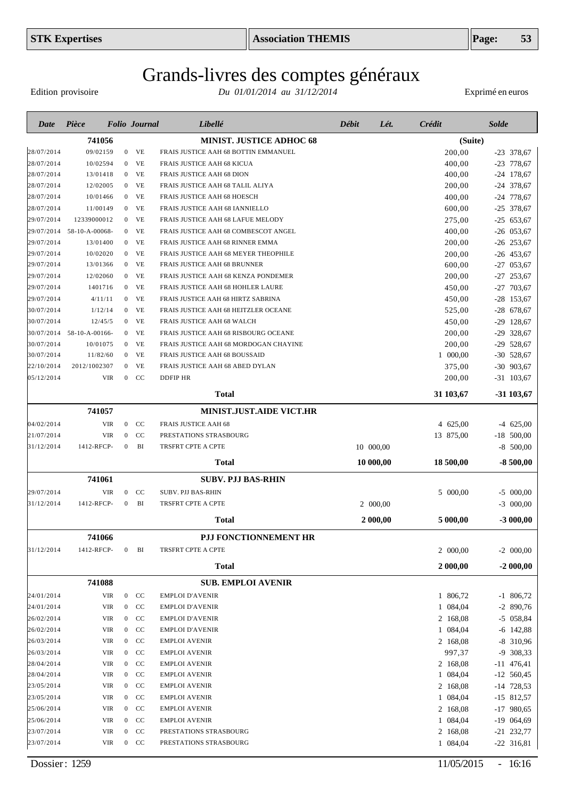# Grands-livres des comptes généraux

Edition provisoire

| 741056<br>MINIST. JUSTICE ADHOC 68<br>28/07/2014<br>09/02159<br><b>VE</b><br>FRAIS JUSTICE AAH 68 BOTTIN EMMANUEL<br>$\overline{0}$<br>28/07/2014<br>VE<br>10/02594<br>$\overline{0}$<br>FRAIS JUSTICE AAH 68 KICUA<br>28/07/2014<br>13/01418<br>VE<br>FRAIS JUSTICE AAH 68 DION<br>$\overline{0}$<br>28/07/2014<br>12/02005<br>VE<br>FRAIS JUSTICE AAH 68 TALIL ALIYA<br>$\overline{0}$<br>VE<br>28/07/2014<br>10/01466<br>FRAIS JUSTICE AAH 68 HOESCH<br>$\overline{0}$<br>VE<br>28/07/2014<br>11/00149<br>FRAIS JUSTICE AAH 68 IANNIELLO<br>$\mathbf{0}$ | (Suite)<br>200,00<br>400,00<br>400,00<br>200,00<br>400,00<br>600,00<br>275,00<br>400,00<br>200,00 | $-23$ 378,67<br>$-23$ 778,67<br>$-24$ 178,67<br>$-24$ 378,67<br>$-24$ 778,67<br>$-25$ 378,67<br>$-25$ 653,67 |
|-------------------------------------------------------------------------------------------------------------------------------------------------------------------------------------------------------------------------------------------------------------------------------------------------------------------------------------------------------------------------------------------------------------------------------------------------------------------------------------------------------------------------------------------------------------|---------------------------------------------------------------------------------------------------|--------------------------------------------------------------------------------------------------------------|
|                                                                                                                                                                                                                                                                                                                                                                                                                                                                                                                                                             |                                                                                                   |                                                                                                              |
|                                                                                                                                                                                                                                                                                                                                                                                                                                                                                                                                                             |                                                                                                   |                                                                                                              |
|                                                                                                                                                                                                                                                                                                                                                                                                                                                                                                                                                             |                                                                                                   |                                                                                                              |
|                                                                                                                                                                                                                                                                                                                                                                                                                                                                                                                                                             |                                                                                                   |                                                                                                              |
|                                                                                                                                                                                                                                                                                                                                                                                                                                                                                                                                                             |                                                                                                   |                                                                                                              |
|                                                                                                                                                                                                                                                                                                                                                                                                                                                                                                                                                             |                                                                                                   |                                                                                                              |
|                                                                                                                                                                                                                                                                                                                                                                                                                                                                                                                                                             |                                                                                                   |                                                                                                              |
| VE<br>29/07/2014<br>12339000012<br>FRAIS JUSTICE AAH 68 LAFUE MELODY<br>$\overline{0}$                                                                                                                                                                                                                                                                                                                                                                                                                                                                      |                                                                                                   |                                                                                                              |
| VE<br>29/07/2014<br>58-10-A-00068-<br>FRAIS JUSTICE AAH 68 COMBESCOT ANGEL<br>$\mathbf{0}$                                                                                                                                                                                                                                                                                                                                                                                                                                                                  |                                                                                                   | $-26$ 053,67                                                                                                 |
| VE<br>29/07/2014<br>13/01400<br>FRAIS JUSTICE AAH 68 RINNER EMMA<br>$\overline{0}$<br>VE<br>29/07/2014<br>10/02020<br>$\overline{0}$<br>FRAIS JUSTICE AAH 68 MEYER THEOPHILE                                                                                                                                                                                                                                                                                                                                                                                |                                                                                                   | $-26$ 253,67<br>$-26$ 453,67                                                                                 |
| VE<br>29/07/2014<br>13/01366<br>FRAIS JUSTICE AAH 68 BRUNNER<br>$\overline{0}$                                                                                                                                                                                                                                                                                                                                                                                                                                                                              | 200,00<br>600,00                                                                                  | $-27$ 053,67                                                                                                 |
| VE<br>29/07/2014<br>12/02060<br>FRAIS JUSTICE AAH 68 KENZA PONDEMER<br>$\mathbf{0}$                                                                                                                                                                                                                                                                                                                                                                                                                                                                         | 200,00                                                                                            | $-27$ 253,67                                                                                                 |
| VE<br>29/07/2014<br>1401716<br>$\overline{0}$<br>FRAIS JUSTICE AAH 68 HOHLER LAURE                                                                                                                                                                                                                                                                                                                                                                                                                                                                          | 450,00                                                                                            | $-27$ 703,67                                                                                                 |
| 4/11/11<br>VE<br>29/07/2014<br>FRAIS JUSTICE AAH 68 HIRTZ SABRINA<br>$\overline{0}$                                                                                                                                                                                                                                                                                                                                                                                                                                                                         | 450,00                                                                                            | $-28$ 153,67                                                                                                 |
| 1/12/14<br>VE<br>30/07/2014<br>$\overline{0}$<br>FRAIS JUSTICE AAH 68 HEITZLER OCEANE                                                                                                                                                                                                                                                                                                                                                                                                                                                                       | 525,00                                                                                            | $-28$ 678,67                                                                                                 |
| 30/07/2014<br>12/45/5<br>VE<br>$\overline{0}$<br>FRAIS JUSTICE AAH 68 WALCH                                                                                                                                                                                                                                                                                                                                                                                                                                                                                 | 450,00                                                                                            | $-29$ 128,67                                                                                                 |
| 30/07/2014 58-10-A-00166-<br>VE<br>FRAIS JUSTICE AAH 68 RISBOURG OCEANE<br>$\overline{0}$                                                                                                                                                                                                                                                                                                                                                                                                                                                                   | 200,00                                                                                            | $-29$ 328,67                                                                                                 |
| 30/07/2014<br>10/01075<br>VE<br>$\overline{0}$<br>FRAIS JUSTICE AAH 68 MORDOGAN CHAYINE                                                                                                                                                                                                                                                                                                                                                                                                                                                                     | 200,00                                                                                            | $-29$ 528,67                                                                                                 |
| 30/07/2014<br>11/82/60<br>$0$ VE<br>FRAIS JUSTICE AAH 68 BOUSSAID                                                                                                                                                                                                                                                                                                                                                                                                                                                                                           | 1 000,00                                                                                          | $-30$ 528,67                                                                                                 |
| 22/10/2014<br>2012/1002307<br>VE<br>$\overline{0}$<br>FRAIS JUSTICE AAH 68 ABED DYLAN                                                                                                                                                                                                                                                                                                                                                                                                                                                                       | 375,00                                                                                            | $-30$ 903,67                                                                                                 |
| $0$ CC<br>05/12/2014<br>VIR<br><b>DDFIP HR</b>                                                                                                                                                                                                                                                                                                                                                                                                                                                                                                              | 200,00                                                                                            | $-31$ 103,67                                                                                                 |
| Total                                                                                                                                                                                                                                                                                                                                                                                                                                                                                                                                                       | 31 103,67                                                                                         | $-31103,67$                                                                                                  |
| 741057<br>MINIST.JUST.AIDE VICT.HR                                                                                                                                                                                                                                                                                                                                                                                                                                                                                                                          |                                                                                                   |                                                                                                              |
| 04/02/2014<br><b>VIR</b><br>$0$ CC<br>FRAIS JUSTICE AAH 68                                                                                                                                                                                                                                                                                                                                                                                                                                                                                                  | 4 625,00                                                                                          | $-4$ 625,00                                                                                                  |
| 21/07/2014<br><b>VIR</b><br>CC<br>PRESTATIONS STRASBOURG<br>$\overline{0}$                                                                                                                                                                                                                                                                                                                                                                                                                                                                                  | 13 875,00                                                                                         | $-18$ 500,00                                                                                                 |
| 1412-RFCP-<br>BI<br>TRSFRT CPTE A CPTE<br>10 000,00<br>31/12/2014<br>$\overline{0}$                                                                                                                                                                                                                                                                                                                                                                                                                                                                         |                                                                                                   | $-8$ 500,00                                                                                                  |
| Total<br>10 000,00                                                                                                                                                                                                                                                                                                                                                                                                                                                                                                                                          | 18 500,00                                                                                         | $-8500,00$                                                                                                   |
| 741061<br>SUBV. PJJ BAS-RHIN                                                                                                                                                                                                                                                                                                                                                                                                                                                                                                                                |                                                                                                   |                                                                                                              |
| $0$ CC<br><b>SUBV. PJJ BAS-RHIN</b><br>29/07/2014<br>VIR                                                                                                                                                                                                                                                                                                                                                                                                                                                                                                    | 5 000,00                                                                                          | $-5$ 000,00                                                                                                  |
| 1412-RFCP-<br>BI<br>TRSFRT CPTE A CPTE<br>2 000,00<br>31/12/2014<br>$\overline{0}$                                                                                                                                                                                                                                                                                                                                                                                                                                                                          |                                                                                                   | $-3$ 000,00                                                                                                  |
| Total<br>2 000,00                                                                                                                                                                                                                                                                                                                                                                                                                                                                                                                                           | 5 000,00                                                                                          | $-3000,00$                                                                                                   |
| 741066<br>PJJ FONCTIONNEMENT HR                                                                                                                                                                                                                                                                                                                                                                                                                                                                                                                             |                                                                                                   |                                                                                                              |
| 31/12/2014<br>TRSFRT CPTE A CPTE<br>1412-RFCP-<br>$0$ BI                                                                                                                                                                                                                                                                                                                                                                                                                                                                                                    | 2 000,00                                                                                          | $-2$ 000,00                                                                                                  |
| <b>Total</b>                                                                                                                                                                                                                                                                                                                                                                                                                                                                                                                                                | 2 000,00                                                                                          | $-2000,00$                                                                                                   |
|                                                                                                                                                                                                                                                                                                                                                                                                                                                                                                                                                             |                                                                                                   |                                                                                                              |
| 741088<br><b>SUB. EMPLOI AVENIR</b>                                                                                                                                                                                                                                                                                                                                                                                                                                                                                                                         |                                                                                                   |                                                                                                              |
| 24/01/2014<br><b>VIR</b><br>$0$ CC<br><b>EMPLOI D'AVENIR</b>                                                                                                                                                                                                                                                                                                                                                                                                                                                                                                | 1 806,72                                                                                          | $-1$ 806,72                                                                                                  |
| 24/01/2014<br>VIR<br>$0$ CC<br><b>EMPLOI D'AVENIR</b>                                                                                                                                                                                                                                                                                                                                                                                                                                                                                                       | 1 084,04                                                                                          | $-2$ 890,76                                                                                                  |
| 26/02/2014<br>VIR<br>$0$ CC<br><b>EMPLOI D'AVENIR</b>                                                                                                                                                                                                                                                                                                                                                                                                                                                                                                       | 2 168,08                                                                                          | $-5$ 058,84                                                                                                  |
| 26/02/2014<br>VIR<br>$0$ CC<br><b>EMPLOI D'AVENIR</b><br>26/03/2014<br>VIR<br>$0$ CC<br><b>EMPLOI AVENIR</b>                                                                                                                                                                                                                                                                                                                                                                                                                                                | 1 084,04                                                                                          | $-6$ 142,88                                                                                                  |
| 26/03/2014<br>VIR<br>$0$ CC<br><b>EMPLOI AVENIR</b>                                                                                                                                                                                                                                                                                                                                                                                                                                                                                                         | 2 168,08<br>997,37                                                                                | $-8$ 310,96                                                                                                  |
| 28/04/2014<br>$0$ CC<br>VIR<br><b>EMPLOI AVENIR</b>                                                                                                                                                                                                                                                                                                                                                                                                                                                                                                         | 2 168,08                                                                                          | -9 308,33<br>$-11$ 476,41                                                                                    |
| 28/04/2014<br>VIR<br>$0$ CC<br><b>EMPLOI AVENIR</b>                                                                                                                                                                                                                                                                                                                                                                                                                                                                                                         | 1 084,04                                                                                          | $-12$ 560,45                                                                                                 |
| 23/05/2014<br>VIR<br>CC<br>$\mathbf{0}$<br><b>EMPLOI AVENIR</b>                                                                                                                                                                                                                                                                                                                                                                                                                                                                                             | 2 168,08                                                                                          | $-14$ 728,53                                                                                                 |
| 23/05/2014<br>VIR<br>$0$ CC<br><b>EMPLOI AVENIR</b>                                                                                                                                                                                                                                                                                                                                                                                                                                                                                                         | 1 084,04                                                                                          | $-15$ 812,57                                                                                                 |
| 25/06/2014<br>VIR<br>CC<br><b>EMPLOI AVENIR</b><br>$\mathbf{0}$                                                                                                                                                                                                                                                                                                                                                                                                                                                                                             | 2 168,08                                                                                          | $-17$ 980,65                                                                                                 |
| <b>VIR</b><br>25/06/2014<br>$0$ CC<br><b>EMPLOI AVENIR</b>                                                                                                                                                                                                                                                                                                                                                                                                                                                                                                  | 1 084,04                                                                                          | $-19$ 064,69                                                                                                 |
| 23/07/2014<br><b>VIR</b><br>$\boldsymbol{0}$<br>CC<br>PRESTATIONS STRASBOURG                                                                                                                                                                                                                                                                                                                                                                                                                                                                                | 2 168,08                                                                                          | $-21$ 232,77                                                                                                 |
| 23/07/2014<br>VIR<br>$0$ CC<br>PRESTATIONS STRASBOURG                                                                                                                                                                                                                                                                                                                                                                                                                                                                                                       | 1 084,04                                                                                          | $-22$ 316,81                                                                                                 |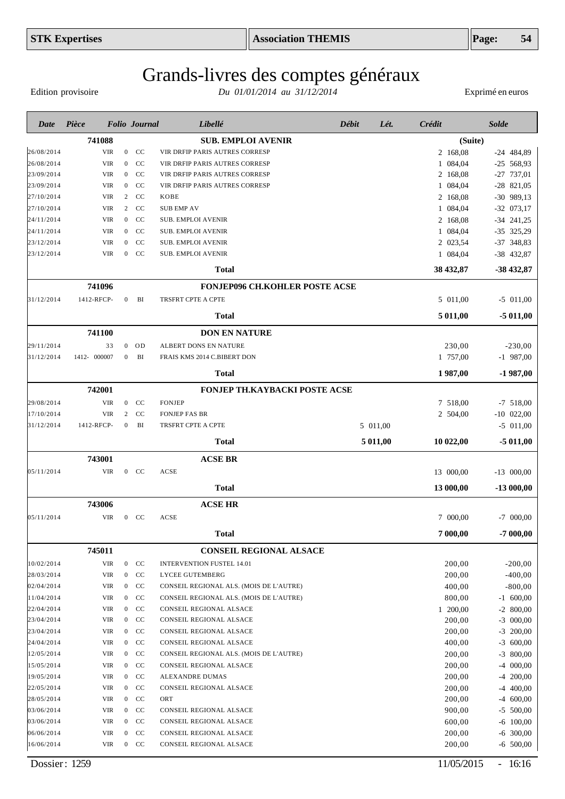# Grands-livres des comptes généraux

Edition provisoire

| Date       | Pièce        |                | <b>Folio</b> Journal          | Libellé                                 | Débit | Lét.     | Crédit    | <b>Solde</b> |
|------------|--------------|----------------|-------------------------------|-----------------------------------------|-------|----------|-----------|--------------|
|            | 741088       |                |                               | <b>SUB. EMPLOI AVENIR</b>               |       |          | (Suite)   |              |
| 26/08/2014 | VIR          |                | $0$ CC                        | VIR DRFIP PARIS AUTRES CORRESP          |       |          | 2 168,08  | $-24$ 484,89 |
| 26/08/2014 | <b>VIR</b>   |                | $\overline{0}$<br>CC          | VIR DRFIP PARIS AUTRES CORRESP          |       |          | 1 084,04  | $-25$ 568,93 |
| 23/09/2014 | <b>VIR</b>   |                | CC<br>$\overline{0}$          | VIR DRFIP PARIS AUTRES CORRESP          |       |          | 2 168,08  | $-27$ 737,01 |
| 23/09/2014 | <b>VIR</b>   |                | CC<br>$\overline{0}$          | VIR DRFIP PARIS AUTRES CORRESP          |       |          | 1 084,04  | $-28$ 821,05 |
| 27/10/2014 | <b>VIR</b>   |                | CC<br>2                       | KOBE                                    |       |          | 2 168,08  | $-30$ 989,13 |
| 27/10/2014 | <b>VIR</b>   |                | $\overline{2}$<br>CC          | <b>SUB EMP AV</b>                       |       |          | 1 084,04  | $-32$ 073,17 |
| 24/11/2014 | <b>VIR</b>   |                | CC<br>$\mathbf{0}$            | <b>SUB. EMPLOI AVENIR</b>               |       |          | 2 168,08  | $-34$ 241,25 |
| 24/11/2014 | <b>VIR</b>   |                | CC<br>$\overline{0}$          | <b>SUB. EMPLOI AVENIR</b>               |       |          | 1 084,04  | -35 325,29   |
| 23/12/2014 | <b>VIR</b>   |                | CC<br>$\overline{0}$          | <b>SUB. EMPLOI AVENIR</b>               |       |          | 2 023,54  | -37 348,83   |
| 23/12/2014 | <b>VIR</b>   |                | CC<br>$\mathbf{0}$            | <b>SUB. EMPLOI AVENIR</b>               |       |          | 1 084,04  | $-38$ 432,87 |
|            |              |                |                               | <b>Total</b>                            |       |          | 38 432,87 | -38 432,87   |
|            | 741096       |                |                               | <b>FONJEP096 CH.KOHLER POSTE ACSE</b>   |       |          |           |              |
| 31/12/2014 | 1412-RFCP-   |                | BI<br>$\overline{0}$          | TRSFRT CPTE A CPTE                      |       |          | 5 011,00  | $-5$ 011,00  |
|            |              |                |                               | Total                                   |       |          | 5 011,00  | $-5011,00$   |
|            | 741100       |                |                               | <b>DON EN NATURE</b>                    |       |          |           |              |
| 29/11/2014 | 33           |                | $0$ OD                        | ALBERT DONS EN NATURE                   |       |          | 230,00    | $-230,00$    |
| 31/12/2014 | 1412- 000007 | $\overline{0}$ | BI                            | FRAIS KMS 2014 C.BIBERT DON             |       |          | 1 757,00  | $-1$ 987,00  |
|            |              |                |                               | <b>Total</b>                            |       |          | 1987,00   | $-1987,00$   |
|            | 742001       |                |                               | FONJEP TH.KAYBACKI POSTE ACSE           |       |          |           |              |
| 29/08/2014 | <b>VIR</b>   |                | $0$ CC                        | <b>FONJEP</b>                           |       |          | 7 518,00  | $-7$ 518,00  |
| 17/10/2014 | <b>VIR</b>   | 2              | CC                            | <b>FONJEP FAS BR</b>                    |       |          | 2 504,00  | $-10$ 022,00 |
| 31/12/2014 | 1412-RFCP-   | $\overline{0}$ | BI                            | TRSFRT CPTE A CPTE                      |       | 5 011,00 |           | $-5$ 011,00  |
|            |              |                |                               | <b>Total</b>                            |       | 5 011,00 | 10 022,00 | $-5011,00$   |
|            | 743001       |                |                               | <b>ACSE BR</b>                          |       |          |           |              |
| 05/11/2014 | <b>VIR</b>   |                | $0$ CC                        | ACSE                                    |       |          | 13 000,00 | $-13$ 000,00 |
|            |              |                |                               | <b>Total</b>                            |       |          | 13 000,00 | $-13000,00$  |
|            | 743006       |                |                               | <b>ACSE HR</b>                          |       |          |           |              |
| 05/11/2014 | <b>VIR</b>   |                | $\mathbf{0}$<br><sub>CC</sub> | ACSE                                    |       |          | 7 000,00  | $-7$ 000,00  |
|            |              |                |                               | <b>Total</b>                            |       |          | 7 000,00  | $-7000,00$   |
|            | 745011       |                |                               | <b>CONSEIL REGIONAL ALSACE</b>          |       |          |           |              |
| 10/02/2014 | <b>VIR</b>   |                | $\mathbf{0}$<br>CC            | <b>INTERVENTION FUSTEL 14.01</b>        |       |          | 200,00    | $-200,00$    |
| 28/03/2014 | <b>VIR</b>   |                | $0$ CC                        | LYCEE GUTEMBERG                         |       |          | 200,00    | $-400,00$    |
| 02/04/2014 | <b>VIR</b>   |                | $\mathbf{0}$<br>CC            | CONSEIL REGIONAL ALS. (MOIS DE L'AUTRE) |       |          | 400,00    | $-800,00$    |
| 11/04/2014 | VIR          |                | CC<br>$\mathbf{0}$            | CONSEIL REGIONAL ALS. (MOIS DE L'AUTRE) |       |          | 800,00    | $-1$ 600,00  |
| 22/04/2014 | <b>VIR</b>   |                | $\mathbf{0}$<br>CC            | <b>CONSEIL REGIONAL ALSACE</b>          |       |          | 1 200,00  | $-2800,00$   |
| 23/04/2014 | VIR          |                | CC<br>$\mathbf{0}$            | CONSEIL REGIONAL ALSACE                 |       |          | 200,00    | $-3$ 000,00  |
| 23/04/2014 | VIR          |                | CC<br>$\mathbf{0}$            | CONSEIL REGIONAL ALSACE                 |       |          | 200,00    | $-3$ 200,00  |
| 24/04/2014 | VIR          |                | CC<br>$\mathbf{0}$            | CONSEIL REGIONAL ALSACE                 |       |          | 400,00    | $-3,600,00$  |
| 12/05/2014 | <b>VIR</b>   |                | CC<br>$\mathbf{0}$            | CONSEIL REGIONAL ALS. (MOIS DE L'AUTRE) |       |          | 200,00    | $-3$ 800,00  |
| 15/05/2014 | <b>VIR</b>   |                | $0$ CC                        | CONSEIL REGIONAL ALSACE                 |       |          | 200,00    | 000,00<br>-4 |
| 19/05/2014 | <b>VIR</b>   |                | CC<br>$\mathbf{0}$            | ALEXANDRE DUMAS                         |       |          | 200,00    | $-4$ 200,00  |
| 22/05/2014 | <b>VIR</b>   |                | $0$ CC                        | CONSEIL REGIONAL ALSACE                 |       |          | 200,00    | $-4$ 400,00  |
| 28/05/2014 | VIR          |                | $0$ CC                        | ORT                                     |       |          | 200,00    | $-4$ 600,00  |
| 03/06/2014 | VIR          |                | CC<br>$\mathbf{0}$            | CONSEIL REGIONAL ALSACE                 |       |          | 900,00    | $-5$ 500,00  |
| 03/06/2014 | VIR          |                | CC<br>$\mathbf{0}$            | CONSEIL REGIONAL ALSACE                 |       |          | 600,00    | $-6$ 100,00  |
| 06/06/2014 | VIR          |                | CC<br>$\mathbf{0}$            | CONSEIL REGIONAL ALSACE                 |       |          | 200,00    | $-6$ 300,00  |
| 16/06/2014 | VIR          |                | CC<br>$\mathbf{0}$            | CONSEIL REGIONAL ALSACE                 |       |          | 200,00    | $-6$ 500,00  |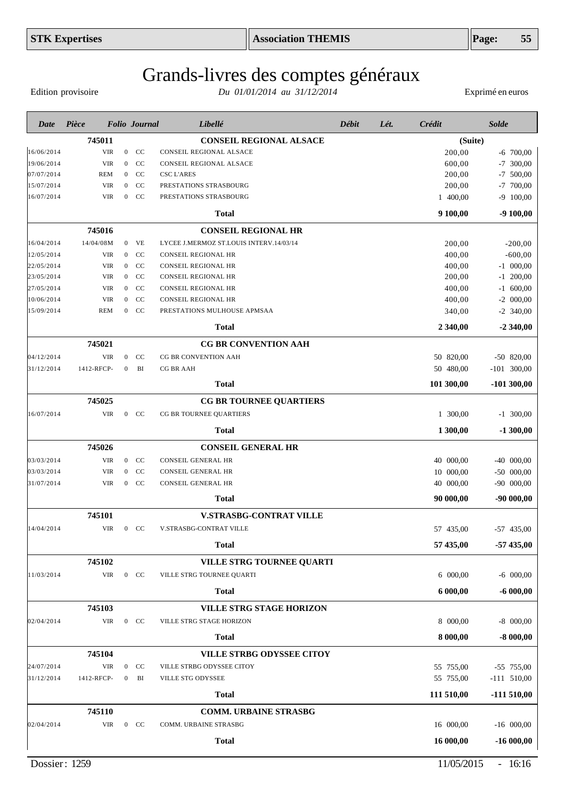Edition provisoire

| Date       | Pièce                |                  | <b>Folio</b> Journal | Libellé                                                   | <b>Débit</b> | Lét. | Crédit     | <b>Solde</b>  |
|------------|----------------------|------------------|----------------------|-----------------------------------------------------------|--------------|------|------------|---------------|
|            | 745011               |                  |                      | <b>CONSEIL REGIONAL ALSACE</b>                            |              |      | (Suite)    |               |
| 16/06/2014 | <b>VIR</b>           |                  | $0$ CC               | CONSEIL REGIONAL ALSACE                                   |              |      | 200,00     | $-6$ 700,00   |
| 19/06/2014 | VIR                  | $\overline{0}$   | <b>CC</b>            | CONSEIL REGIONAL ALSACE                                   |              |      | 600,00     | $-7$ 300,00   |
| 07/07/2014 | <b>REM</b>           | $\overline{0}$   | CC                   | <b>CSC L'ARES</b>                                         |              |      | 200,00     | $-7$ 500,00   |
| 15/07/2014 | <b>VIR</b>           | $\overline{0}$   | CC                   | PRESTATIONS STRASBOURG                                    |              |      | 200,00     | $-7$ 700,00   |
| 16/07/2014 | <b>VIR</b>           | $\overline{0}$   | <sub>CC</sub>        | PRESTATIONS STRASBOURG                                    |              |      | 1 400,00   | $-9$ 100,00   |
|            |                      |                  |                      | <b>Total</b>                                              |              |      | 9 100,00   | $-9100,00$    |
|            | 745016               |                  |                      | <b>CONSEIL REGIONAL HR</b>                                |              |      |            |               |
| 16/04/2014 | 14/04/08M            |                  | $0$ VE               | LYCEE J.MERMOZ ST.LOUIS INTERV.14/03/14                   |              |      | 200,00     | $-200,00$     |
| 12/05/2014 | VIR                  | $\boldsymbol{0}$ | CC                   | <b>CONSEIL REGIONAL HR</b>                                |              |      | 400,00     | $-600,00$     |
| 22/05/2014 | <b>VIR</b>           | $\boldsymbol{0}$ | CC                   | CONSEIL REGIONAL HR                                       |              |      | 400,00     | $-1$ 000,00   |
| 23/05/2014 | <b>VIR</b>           | $\mathbf{0}$     | CC                   | <b>CONSEIL REGIONAL HR</b>                                |              |      | 200,00     | $-1$ 200,00   |
| 27/05/2014 | <b>VIR</b>           | $\overline{0}$   | CC                   | <b>CONSEIL REGIONAL HR</b>                                |              |      | 400,00     | $-1$ 600,00   |
| 10/06/2014 | <b>VIR</b>           | $\mathbf{0}$     | CC                   | CONSEIL REGIONAL HR                                       |              |      | 400,00     | $-2$ 000,00   |
| 15/09/2014 | <b>REM</b>           |                  | $0$ CC               | PRESTATIONS MULHOUSE APMSAA                               |              |      | 340,00     | $-2$ 340,00   |
|            |                      |                  |                      | <b>Total</b>                                              |              |      | 2 340,00   | $-2,340,00$   |
|            | 745021               |                  |                      | <b>CG BR CONVENTION AAH</b>                               |              |      |            |               |
| 04/12/2014 | VIR                  | $\overline{0}$   | <sub>CC</sub>        | <b>CG BR CONVENTION AAH</b>                               |              |      | 50 820,00  | $-50$ 820,00  |
| 31/12/2014 | 1412-RFCP-           | $\mathbf{0}$     | BI                   | <b>CG BR AAH</b>                                          |              |      | 50 480,00  | $-101$ 300,00 |
|            |                      |                  |                      | <b>Total</b>                                              |              |      | 101 300,00 | $-101300,00$  |
|            | 745025               |                  |                      | <b>CG BR TOURNEE QUARTIERS</b>                            |              |      |            |               |
| 16/07/2014 | VIR                  |                  | $0$ CC               | CG BR TOURNEE QUARTIERS                                   |              |      | 1 300,00   | $-1$ 300,00   |
|            |                      |                  |                      | <b>Total</b>                                              |              |      | 1 300,00   | $-1300,00$    |
|            |                      |                  |                      |                                                           |              |      |            |               |
| 03/03/2014 | 745026<br><b>VIR</b> |                  | $0$ CC               | <b>CONSEIL GENERAL HR</b><br><b>CONSEIL GENERAL HR</b>    |              |      | 40 000,00  | $-40$ 000,00  |
| 03/03/2014 | <b>VIR</b>           | $\mathbf{0}$     | CC                   | CONSEIL GENERAL HR                                        |              |      | 10 000,00  | $-50$ 000,00  |
| 31/07/2014 | <b>VIR</b>           | $\boldsymbol{0}$ | CC                   | CONSEIL GENERAL HR                                        |              |      | 40 000,00  | $-90$ 000,00  |
|            |                      |                  |                      | <b>Total</b>                                              |              |      | 90 000,00  | $-90000,00$   |
|            |                      |                  |                      |                                                           |              |      |            |               |
| 14/04/2014 | 745101<br>VIR        |                  | <sub>CC</sub>        | <b>V.STRASBG-CONTRAT VILLE</b><br>V.STRASBG-CONTRAT VILLE |              |      |            |               |
|            |                      | $\mathbf{0}$     |                      |                                                           |              |      | 57 435,00  | $-57$ 435,00  |
|            |                      |                  |                      | <b>Total</b>                                              |              |      | 57 435,00  | $-57435,00$   |
|            | 745102               |                  |                      | VILLE STRG TOURNEE QUARTI                                 |              |      |            |               |
| 11/03/2014 | VIR                  |                  | $0$ CC               | VILLE STRG TOURNEE QUARTI                                 |              |      | 6 000,00   | $-6$ 000,00   |
|            |                      |                  |                      | <b>Total</b>                                              |              |      | 6 000,00   | $-6000,00$    |
|            | 745103               |                  |                      | <b>VILLE STRG STAGE HORIZON</b>                           |              |      |            |               |
| 02/04/2014 | VIR                  |                  | $0$ CC               | VILLE STRG STAGE HORIZON                                  |              |      | 8 000,00   | $-8$ 000,00   |
|            |                      |                  |                      | <b>Total</b>                                              |              |      | 8 000,00   | $-8000,00$    |
|            | 745104               |                  |                      | <b>VILLE STRBG ODYSSEE CITOY</b>                          |              |      |            |               |
| 24/07/2014 | <b>VIR</b>           | $\mathbf{0}$     | CC                   | VILLE STRBG ODYSSEE CITOY                                 |              |      | 55 755,00  | $-55$ 755,00  |
| 31/12/2014 | 1412-RFCP-           | $\boldsymbol{0}$ | BI                   | VILLE STG ODYSSEE                                         |              |      | 55 755,00  | $-111$ 510,00 |
|            |                      |                  |                      | <b>Total</b>                                              |              |      | 111 510,00 | $-111510,00$  |
|            |                      |                  |                      |                                                           |              |      |            |               |
| 02/04/2014 | 745110<br>VIR        |                  | $0$ CC               | <b>COMM. URBAINE STRASBG</b><br>COMM. URBAINE STRASBG     |              |      | 16 000,00  | $-16$ 000,00  |
|            |                      |                  |                      |                                                           |              |      |            |               |
|            |                      |                  |                      | <b>Total</b>                                              |              |      | 16 000,00  | $-16000,00$   |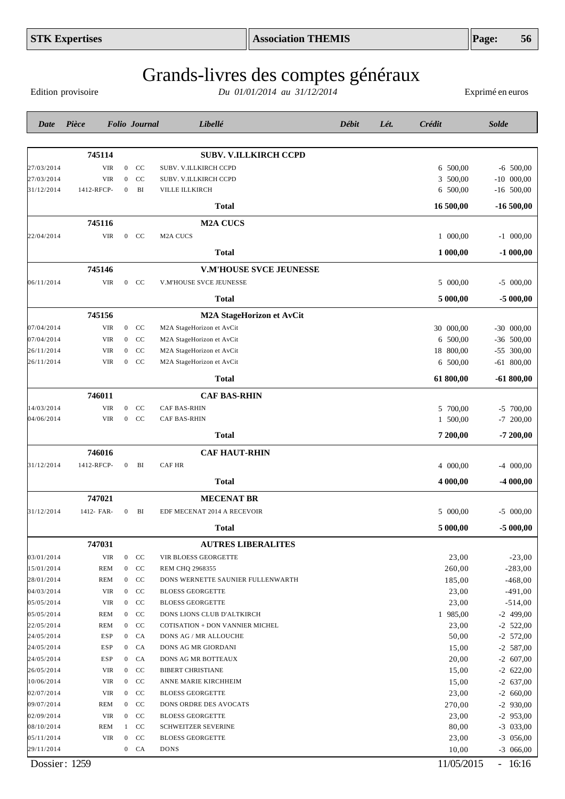|            | <b>STK Expertises</b> |                  |                      |                                    | <b>Association THEMIS</b>      |       |      |           | Page:            | 56           |
|------------|-----------------------|------------------|----------------------|------------------------------------|--------------------------------|-------|------|-----------|------------------|--------------|
|            | Edition provisoire    |                  |                      | Grands-livres des comptes généraux | Du 01/01/2014 au 31/12/2014    |       |      |           | Exprimé en euros |              |
| Date       | Pièce                 |                  | <b>Folio</b> Journal | Libellé                            |                                | Débit | Lét. | Crédit    | <b>Solde</b>     |              |
|            | 745114                |                  |                      | <b>SUBV. V.ILLKIRCH CCPD</b>       |                                |       |      |           |                  |              |
| 27/03/2014 | <b>VIR</b>            | $\boldsymbol{0}$ | CC                   | SUBV. V.ILLKIRCH CCPD              |                                |       |      | 6 500,00  |                  | $-6$ 500,00  |
| 27/03/2014 | <b>VIR</b>            | $\mathbf{0}$     | CC                   | <b>SUBV. V.ILLKIRCH CCPD</b>       |                                |       |      | 3 500,00  |                  | $-10$ 000,00 |
| 31/12/2014 | 1412-RFCP-            | $\boldsymbol{0}$ | BI                   | VILLE ILLKIRCH                     |                                |       |      | 6 500,00  |                  | $-16$ 500,00 |
|            |                       |                  |                      | <b>Total</b>                       |                                |       |      | 16 500,00 |                  | $-16500,00$  |
|            | 745116                |                  |                      | <b>M2A CUCS</b>                    |                                |       |      |           |                  |              |
| 22/04/2014 | <b>VIR</b>            | $\boldsymbol{0}$ | CC                   | M <sub>2</sub> A CUCS              |                                |       |      | 1 000,00  |                  | $-1$ 000,00  |
|            |                       |                  |                      | <b>Total</b>                       |                                |       |      | 1 000,00  |                  | $-1000,00$   |
|            | 745146                |                  |                      |                                    | <b>V.M'HOUSE SVCE JEUNESSE</b> |       |      |           |                  |              |
| 06/11/2014 | <b>VIR</b>            | $\boldsymbol{0}$ | <b>CC</b>            | V.M'HOUSE SVCE JEUNESSE            |                                |       |      | 5 000,00  |                  | $-5$ 000,00  |
|            |                       |                  |                      | <b>Total</b>                       |                                |       |      | 5 000,00  |                  | $-5000,00$   |
|            | 745156                |                  |                      | <b>M2A StageHorizon et AvCit</b>   |                                |       |      |           |                  |              |
| 07/04/2014 | <b>VIR</b>            | $\boldsymbol{0}$ | CC                   | M2A StageHorizon et AvCit          |                                |       |      | 30 000,00 |                  | $-30$ 000,00 |
| 07/04/2014 | <b>VIR</b>            | $\boldsymbol{0}$ | CC                   | M2A StageHorizon et AvCit          |                                |       |      | 6 500,00  |                  | $-36$ 500,00 |
| 26/11/2014 | <b>VIR</b>            | $\boldsymbol{0}$ | CC                   | M2A StageHorizon et AvCit          |                                |       |      | 18 800,00 |                  | $-55$ 300,00 |
| 26/11/2014 | <b>VIR</b>            | $\boldsymbol{0}$ | CC                   | M2A StageHorizon et AvCit          |                                |       |      | 6 500,00  |                  | $-61$ 800,00 |
|            |                       |                  |                      | <b>Total</b>                       |                                |       |      | 61 800,00 |                  | $-61800,00$  |
|            | 746011                |                  |                      | <b>CAF BAS-RHIN</b>                |                                |       |      |           |                  |              |
| 14/03/2014 | <b>VIR</b>            | $\boldsymbol{0}$ | CC                   | <b>CAF BAS-RHIN</b>                |                                |       |      | 5 700,00  |                  | $-5$ 700,00  |
| 04/06/2014 | <b>VIR</b>            | $\boldsymbol{0}$ | CC                   | <b>CAF BAS-RHIN</b>                |                                |       |      | 1 500,00  |                  | $-7$ 200,00  |
|            |                       |                  |                      | <b>Total</b>                       |                                |       |      | 7 200,00  |                  | $-7200,00$   |
|            | 746016                |                  |                      | <b>CAF HAUT-RHIN</b>               |                                |       |      |           |                  |              |
| 31/12/2014 | 1412-RFCP-            | $\boldsymbol{0}$ | BI                   | CAF HR                             |                                |       |      | 4 000,00  |                  | $-4$ 000,00  |
|            |                       |                  |                      | <b>Total</b>                       |                                |       |      | 4 000,00  |                  | $-4000,00$   |
|            | 747021                |                  |                      | <b>MECENAT BR</b>                  |                                |       |      |           |                  |              |
| 31/12/2014 | 1412- FAR-            | $\boldsymbol{0}$ | BI                   | EDF MECENAT 2014 A RECEVOIR        |                                |       |      | 5 000,00  |                  | $-5$ 000,00  |
|            |                       |                  |                      | <b>Total</b>                       |                                |       |      | 5 000,00  |                  | $-5000,00$   |

|            | 747021     |                |               | <b>MECENAT BR</b>                 |          |             |
|------------|------------|----------------|---------------|-----------------------------------|----------|-------------|
| 31/12/2014 | 1412- FAR- | $\Omega$       | BI            | EDF MECENAT 2014 A RECEVOIR       | 5 000,00 | $-5$ 000,00 |
|            |            |                |               | <b>Total</b>                      | 5 000,00 | $-5000,00$  |
|            | 747031     |                |               | <b>AUTRES LIBERALITES</b>         |          |             |
| 03/01/2014 | <b>VIR</b> | $\overline{0}$ | CC            | VIR BLOESS GEORGETTE              | 23,00    | $-23,00$    |
| 15/01/2014 | <b>REM</b> | $\overline{0}$ | CC            | REM CHQ 2968355                   | 260,00   | $-283,00$   |
| 28/01/2014 | <b>REM</b> | $\mathbf{0}$   | CC            | DONS WERNETTE SAUNIER FULLENWARTH | 185,00   | $-468,00$   |
| 04/03/2014 | <b>VIR</b> | $\mathbf{0}$   | CC            | <b>BLOESS GEORGETTE</b>           | 23,00    | $-491,00$   |
| 05/05/2014 | <b>VIR</b> | $\Omega$       | CC            | <b>BLOESS GEORGETTE</b>           | 23,00    | $-514,00$   |
| 05/05/2014 | <b>REM</b> | $\Omega$       | <sub>CC</sub> | DONS LIONS CLUB D'ALTKIRCH        | 1 985,00 | $-2$ 499,00 |
| 22/05/2014 | <b>REM</b> | $\Omega$       | <sub>CC</sub> | COTISATION + DON VANNIER MICHEL   | 23,00    | $-2$ 522,00 |
| 24/05/2014 | <b>ESP</b> | $\overline{0}$ | <b>CA</b>     | DONS AG / MR ALLOUCHE             | 50,00    | $-2$ 572,00 |
| 24/05/2014 | ESP        | $\overline{0}$ | CA            | <b>DONS AG MR GIORDANI</b>        | 15,00    | $-2$ 587,00 |
| 24/05/2014 | <b>ESP</b> | $\mathbf{0}$   | CA            | DONS AG MR BOTTEAUX               | 20,00    | $-2$ 607,00 |
| 26/05/2014 | <b>VIR</b> | $\overline{0}$ | CC            | <b>BIBERT CHRISTIANE</b>          | 15,00    | $-2$ 622,00 |
| 10/06/2014 | <b>VIR</b> | $\Omega$       | CC            | ANNE MARIE KIRCHHEIM              | 15,00    | $-2$ 637,00 |
| 02/07/2014 | <b>VIR</b> | $\Omega$       | CC            | <b>BLOESS GEORGETTE</b>           | 23,00    | $-2660,00$  |
| 09/07/2014 | <b>REM</b> | $\Omega$       | CC            | DONS ORDRE DES AVOCATS            | 270,00   | $-2$ 930,00 |
| 02/09/2014 | <b>VIR</b> | $\Omega$       | CC            | <b>BLOESS GEORGETTE</b>           | 23,00    | $-2$ 953,00 |
| 08/10/2014 | <b>REM</b> | $\mathbf{1}$   | CC            | <b>SCHWEITZER SEVERINE</b>        | 80,00    | $-3$ 033,00 |
| 05/11/2014 | <b>VIR</b> | $\overline{0}$ | <sub>CC</sub> | <b>BLOESS GEORGETTE</b>           | 23,00    | $-3$ 056,00 |
| 29/11/2014 |            | $\mathbf{0}$   | CA            | <b>DONS</b>                       | 10,00    | $-3$ 066,00 |

# néraux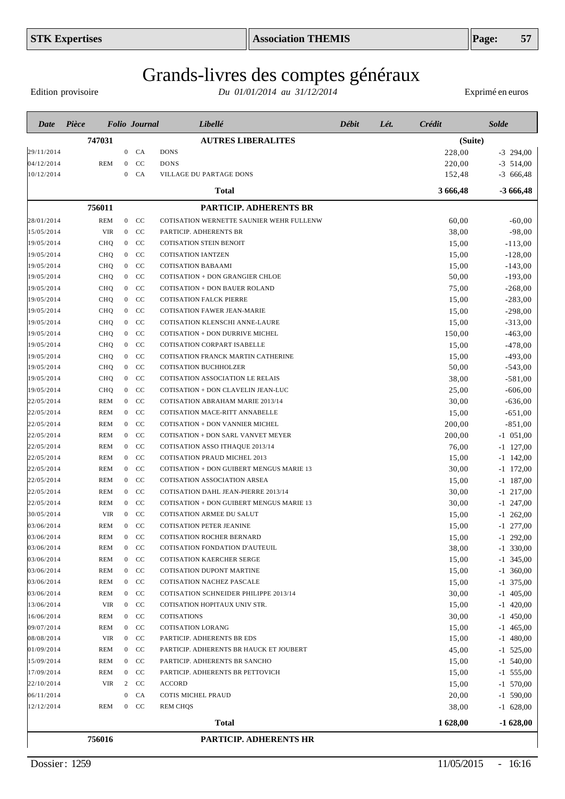Edition provisoire

| Date       | Pièce      |                | <b>Folio</b> Journal | Libellé                                         | Débit | Lét. | Crédit   | <b>Solde</b> |
|------------|------------|----------------|----------------------|-------------------------------------------------|-------|------|----------|--------------|
|            | 747031     |                |                      | <b>AUTRES LIBERALITES</b>                       |       |      | (Suite)  |              |
| 29/11/2014 |            |                | $0$ $CA$             | <b>DONS</b>                                     |       |      | 228,00   | $-3$ 294,00  |
| 04/12/2014 | <b>REM</b> |                | $0$ CC               | <b>DONS</b>                                     |       |      | 220,00   | $-3$ 514,00  |
| 10/12/2014 |            | $\mathbf{0}$   | CA                   | VILLAGE DU PARTAGE DONS                         |       |      | 152,48   | $-3666,48$   |
|            |            |                |                      | <b>Total</b>                                    |       |      | 3 666,48 | $-3666,48$   |
|            | 756011     |                |                      | <b>PARTICIP. ADHERENTS BR</b>                   |       |      |          |              |
| 28/01/2014 | <b>REM</b> |                | $0$ CC               | COTISATION WERNETTE SAUNIER WEHR FULLENW        |       |      | 60,00    | $-60,00$     |
| 15/05/2014 | <b>VIR</b> |                | $0$ CC               | PARTICIP. ADHERENTS BR                          |       |      | 38,00    | $-98,00$     |
| 19/05/2014 | CHQ        |                | $0$ CC               | <b>COTISATION STEIN BENOIT</b>                  |       |      | 15,00    | $-113,00$    |
| 19/05/2014 | CHQ        |                | $0$ CC               | <b>COTISATION IANTZEN</b>                       |       |      | 15,00    | $-128,00$    |
| 19/05/2014 | <b>CHQ</b> |                | $0$ CC               | <b>COTISATION BABAAMI</b>                       |       |      | 15,00    | $-143,00$    |
| 19/05/2014 | <b>CHQ</b> |                | $0$ CC               | <b>COTISATION + DON GRANGIER CHLOE</b>          |       |      | 50,00    | $-193,00$    |
| 19/05/2014 | <b>CHQ</b> |                | $0$ CC               | <b>COTISATION + DON BAUER ROLAND</b>            |       |      | 75,00    | $-268,00$    |
| 19/05/2014 | <b>CHQ</b> |                | $0$ CC               | <b>COTISATION FALCK PIERRE</b>                  |       |      | 15,00    | $-283,00$    |
| 19/05/2014 | <b>CHQ</b> |                | $0$ CC               | <b>COTISATION FAWER JEAN-MARIE</b>              |       |      | 15,00    | $-298,00$    |
| 19/05/2014 | <b>CHQ</b> |                | $0$ CC               | COTISATION KLENSCHI ANNE-LAURE                  |       |      | 15,00    | $-313,00$    |
| 19/05/2014 | <b>CHQ</b> |                | $0$ CC               | COTISATION + DON DURRIVE MICHEL                 |       |      | 150,00   | $-463,00$    |
| 19/05/2014 | <b>CHQ</b> |                | $0$ CC               | COTISATION CORPART ISABELLE                     |       |      | 15,00    | $-478,00$    |
| 19/05/2014 | CHQ        |                | $0$ CC               | COTISATION FRANCK MARTIN CATHERINE              |       |      | 15,00    | $-493,00$    |
| 19/05/2014 | <b>CHQ</b> |                | $0$ CC               | <b>COTISATION BUCHHOLZER</b>                    |       |      | 50,00    | $-543,00$    |
| 19/05/2014 | <b>CHQ</b> |                | $0$ CC               | COTISATION ASSOCIATION LE RELAIS                |       |      | 38,00    | $-581,00$    |
| 19/05/2014 | <b>CHQ</b> |                | $0$ CC               | COTISATION + DON CLAVELIN JEAN-LUC              |       |      | 25,00    | $-606,00$    |
| 22/05/2014 | <b>REM</b> |                | $0$ CC               | COTISATION ABRAHAM MARIE 2013/14                |       |      | 30,00    | $-636,00$    |
| 22/05/2014 | <b>REM</b> |                | $0$ CC               | COTISATION MACE-RITT ANNABELLE                  |       |      | 15,00    | $-651,00$    |
| 22/05/2014 | <b>REM</b> |                | $0$ CC               | COTISATION + DON VANNIER MICHEL                 |       |      | 200,00   | $-851,00$    |
| 22/05/2014 | <b>REM</b> |                | $0$ CC               | COTISATION + DON SARL VANVET MEYER              |       |      | 200,00   | $-1$ 051,00  |
| 22/05/2014 | <b>REM</b> |                | $0$ CC               | COTISATION ASSO ITHAQUE 2013/14                 |       |      | 76,00    | $-1$ 127,00  |
| 22/05/2014 | <b>REM</b> | $\overline{0}$ | CC                   | COTISATION PRAUD MICHEL 2013                    |       |      | 15,00    | $-1$ 142,00  |
| 22/05/2014 | <b>REM</b> | $\overline{0}$ | CC                   | <b>COTISATION + DON GUIBERT MENGUS MARIE 13</b> |       |      | 30,00    | $-1$ 172,00  |
| 22/05/2014 | <b>REM</b> | $\overline{0}$ | CC                   | COTISATION ASSOCIATION ARSEA                    |       |      | 15,00    | $-1$ 187,00  |
| 22/05/2014 | <b>REM</b> | $\overline{0}$ | CC                   | COTISATION DAHL JEAN-PIERRE 2013/14             |       |      | 30,00    | $-1$ 217,00  |
| 22/05/2014 | <b>REM</b> | $\overline{0}$ | CC                   | <b>COTISATION + DON GUIBERT MENGUS MARIE 13</b> |       |      | 30,00    | $-1$ 247,00  |
| 30/05/2014 | <b>VIR</b> | $\overline{0}$ | CC                   | COTISATION ARMEE DU SALUT                       |       |      | 15,00    | $-1$ 262,00  |
| 03/06/2014 | <b>REM</b> |                | $0$ CC               | COTISATION PETER JEANINE                        |       |      | 15,00    | $-1$ 277,00  |
| 03/06/2014 | REM        | $\mathbf{0}$   | <sub>CC</sub>        | <b>COTISATION ROCHER BERNARD</b>                |       |      | 15,00    | $-1$ 292,00  |
| 03/06/2014 | <b>REM</b> |                | $0$ CC               | COTISATION FONDATION D'AUTEUIL                  |       |      | 38,00    | $-1$ 330,00  |
| 03/06/2014 | <b>REM</b> |                | $0$ CC               | <b>COTISATION KAERCHER SERGE</b>                |       |      | 15,00    | $-1$ 345,00  |
| 03/06/2014 | <b>REM</b> |                | $0$ CC               | COTISATION DUPONT MARTINE                       |       |      | 15,00    | $-1$ 360,00  |
| 03/06/2014 | <b>REM</b> |                | $0$ CC               | COTISATION NACHEZ PASCALE                       |       |      | 15,00    | $-1$ 375,00  |
| 03/06/2014 | <b>REM</b> |                | $0$ CC               | COTISATION SCHNEIDER PHILIPPE 2013/14           |       |      | 30,00    | $-1$ 405,00  |
| 13/06/2014 | <b>VIR</b> |                | $0$ CC               | COTISATION HOPITAUX UNIV STR.                   |       |      | 15,00    | $-1$ 420,00  |
| 16/06/2014 | <b>REM</b> |                | $0$ CC               | COTISATIONS                                     |       |      | 30,00    | $-1$ 450,00  |
| 09/07/2014 | <b>REM</b> |                | $0$ CC               | <b>COTISATION LORANG</b>                        |       |      | 15,00    | $-1$ 465,00  |
| 08/08/2014 | <b>VIR</b> |                | $0$ CC               | PARTICIP. ADHERENTS BR EDS                      |       |      | 15,00    | $-1$ 480,00  |
| 01/09/2014 | <b>REM</b> |                | $0$ CC               | PARTICIP. ADHERENTS BR HAUCK ET JOUBERT         |       |      | 45,00    | $-1$ 525,00  |
| 15/09/2014 | <b>REM</b> |                | $0$ CC               | PARTICIP. ADHERENTS BR SANCHO                   |       |      | 15,00    | $-1$ 540,00  |
| 17/09/2014 | <b>REM</b> |                | $0$ CC               | PARTICIP. ADHERENTS BR PETTOVICH                |       |      | 15,00    | $-1$ 555,00  |
| 22/10/2014 | <b>VIR</b> |                | 2 CC                 | <b>ACCORD</b>                                   |       |      | 15,00    | $-1$ 570,00  |
| 06/11/2014 |            |                | $0$ $CA$             | COTIS MICHEL PRAUD                              |       |      | 20,00    | $-1$ 590,00  |
| 12/12/2014 | <b>REM</b> |                | $0$ CC               | <b>REM CHQS</b>                                 |       |      | 38,00    | $-1$ 628,00  |
|            |            |                |                      | Total                                           |       |      | 1 628,00 | $-1628,00$   |
|            | 756016     |                |                      | PARTICIP. ADHERENTS HR                          |       |      |          |              |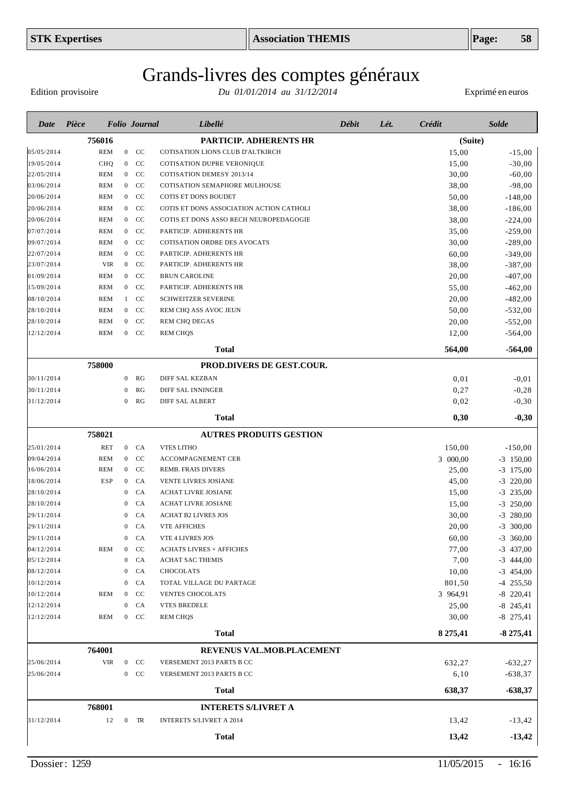# Grands-livres des comptes généraux

Edition provisoire

| Date       | Pièce      |                  | <b>Folio</b> Journal | Libellé                                  | Débit | Lét. | Crédit   | <b>Solde</b> |
|------------|------------|------------------|----------------------|------------------------------------------|-------|------|----------|--------------|
|            | 756016     |                  |                      | PARTICIP. ADHERENTS HR                   |       |      | (Suite)  |              |
| 05/05/2014 | <b>REM</b> |                  | $0$ CC               | COTISATION LIONS CLUB D'ALTKIRCH         |       |      | 15,00    | $-15,00$     |
| 19/05/2014 | CHQ        | $\overline{0}$   | <b>CC</b>            | COTISATION DUPRE VERONIQUE               |       |      | 15,00    | $-30,00$     |
| 22/05/2014 | <b>REM</b> | $\overline{0}$   | CC                   | COTISATION DEMESY 2013/14                |       |      | 30,00    | $-60,00$     |
| 03/06/2014 | <b>REM</b> | $\overline{0}$   | <b>CC</b>            | COTISATION SEMAPHORE MULHOUSE            |       |      | 38,00    | $-98,00$     |
| 20/06/2014 | <b>REM</b> | $\overline{0}$   | CC                   | COTIS ET DONS BOUDET                     |       |      | 50,00    | $-148,00$    |
| 20/06/2014 | <b>REM</b> | $\overline{0}$   | <b>CC</b>            | COTIS ET DONS ASSOCIATION ACTION CATHOLI |       |      | 38,00    | $-186,00$    |
| 20/06/2014 | <b>REM</b> | $\overline{0}$   | CC                   | COTIS ET DONS ASSO RECH NEUROPEDAGOGIE   |       |      | 38,00    | $-224,00$    |
| 07/07/2014 | <b>REM</b> | $\overline{0}$   | <b>CC</b>            | PARTICIP. ADHERENTS HR                   |       |      | 35,00    | $-259,00$    |
| 09/07/2014 | <b>REM</b> | $\overline{0}$   | CC                   | COTISATION ORDRE DES AVOCATS             |       |      | 30,00    | $-289,00$    |
| 22/07/2014 | <b>REM</b> | $\overline{0}$   | CC                   | PARTICIP. ADHERENTS HR                   |       |      | 60,00    | $-349,00$    |
| 23/07/2014 | <b>VIR</b> | $\overline{0}$   | CC                   | PARTICIP. ADHERENTS HR                   |       |      | 38,00    | $-387,00$    |
| 01/09/2014 | <b>REM</b> | $\overline{0}$   | CC                   | <b>BRUN CAROLINE</b>                     |       |      | 20,00    | $-407,00$    |
| 15/09/2014 | <b>REM</b> | $\overline{0}$   | CC                   | PARTICIP. ADHERENTS HR                   |       |      | 55,00    | $-462,00$    |
| 08/10/2014 | <b>REM</b> | 1                | CC                   | <b>SCHWEITZER SEVERINE</b>               |       |      | 20,00    | $-482,00$    |
| 28/10/2014 | <b>REM</b> | $\overline{0}$   | CC                   | REM CHQ ASS AVOC JEUN                    |       |      | 50,00    | $-532,00$    |
| 28/10/2014 | <b>REM</b> | $\overline{0}$   | CC                   | <b>REM CHQ DEGAS</b>                     |       |      | 20,00    | $-552,00$    |
| 12/12/2014 | <b>REM</b> | $\mathbf{0}$     | CC                   | <b>REM CHQS</b>                          |       |      | 12,00    | $-564,00$    |
|            |            |                  |                      | <b>Total</b>                             |       |      | 564,00   | $-564,00$    |
|            | 758000     |                  |                      | <b>PROD.DIVERS DE GEST.COUR.</b>         |       |      |          |              |
| 30/11/2014 |            | $\mathbf{0}$     | RG                   | DIFF SAL KEZBAN                          |       |      | 0,01     | $-0,01$      |
| 30/11/2014 |            | 0                | RG                   | DIFF SAL INNINGER                        |       |      | 0,27     | $-0,28$      |
| 31/12/2014 |            | $\mathbf{0}$     | RG                   | DIFF SAL ALBERT                          |       |      | 0,02     | $-0,30$      |
|            |            |                  |                      | <b>Total</b>                             |       |      | 0,30     | $-0,30$      |
|            | 758021     |                  |                      | <b>AUTRES PRODUITS GESTION</b>           |       |      |          |              |
| 25/01/2014 | <b>RET</b> |                  | $0$ $CA$             | <b>VTES LITHO</b>                        |       |      | 150,00   | $-150,00$    |
| 09/04/2014 | <b>REM</b> | $\overline{0}$   | CC                   | ACCOMPAGNEMENT CER                       |       |      | 3 000,00 | $-3$ 150,00  |
| 16/06/2014 | <b>REM</b> | $\boldsymbol{0}$ | CC                   | REMB. FRAIS DIVERS                       |       |      | 25,00    | $-3$ 175,00  |
| 18/06/2014 | <b>ESP</b> | $\mathbf{0}$     | CA                   | VENTE LIVRES JOSIANE                     |       |      | 45,00    | $-3$ 220,00  |
| 28/10/2014 |            | $\mathbf{0}$     | CA                   | ACHAT LIVRE JOSIANE                      |       |      | 15,00    | $-3$ 235,00  |
| 28/10/2014 |            | $\theta$         | CA                   | ACHAT LIVRE JOSIANE                      |       |      | 15,00    | $-3$ 250,00  |
| 29/11/2014 |            | 0                | CA                   | <b>ACHAT B2 LIVRES JOS</b>               |       |      | 30,00    | $-3$ 280,00  |
| 29/11/2014 |            | $\mathbf{0}$     | CA                   | <b>VTE AFFICHES</b>                      |       |      | 20,00    | $-3$ 300,00  |
| 29/11/2014 |            | $\mathbf{0}$     | CA                   | VTE 4 LIVRES JOS                         |       |      | 60,00    | $-3$ 360,00  |
| 04/12/2014 | <b>REM</b> | $\bf{0}$         | CC                   | <b>ACHATS LIVRES + AFFICHES</b>          |       |      | 77,00    | $-3$ 437,00  |
| 05/12/2014 |            | $\boldsymbol{0}$ | CA                   | ACHAT SAC THEMIS                         |       |      | 7,00     | $-3$ 444,00  |
| 08/12/2014 |            | $\bf{0}$         | CA                   | <b>CHOCOLATS</b>                         |       |      | 10,00    | $-3$ 454,00  |
| 10/12/2014 |            | $\mathbf{0}$     | CA                   | TOTAL VILLAGE DU PARTAGE                 |       |      | 801,50   | $-4$ 255,50  |
| 10/12/2014 | REM        | $\bf{0}$         | CC                   | <b>VENTES CHOCOLATS</b>                  |       |      | 3 964,91 | $-8$ 220,41  |
| 12/12/2014 |            | $\boldsymbol{0}$ | CA                   | <b>VTES BREDELE</b>                      |       |      | 25,00    | $-8$ 245,41  |
| 12/12/2014 | REM        |                  | $0$ CC               | <b>REM CHQS</b>                          |       |      | 30,00    | $-8$ 275,41  |
|            |            |                  |                      | <b>Total</b>                             |       |      | 8 275,41 | $-8275,41$   |
|            | 764001     |                  |                      | REVENUS VAL.MOB.PLACEMENT                |       |      |          |              |
| 25/06/2014 | VIR        | $\overline{0}$   | <b>CC</b>            | VERSEMENT 2013 PARTS B CC                |       |      | 632,27   | $-632,27$    |
| 25/06/2014 |            | $\mathbf{0}$     | CC                   | VERSEMENT 2013 PARTS B CC                |       |      | 6,10     | $-638,37$    |
|            |            |                  |                      | <b>Total</b>                             |       |      | 638,37   | $-638,37$    |
|            | 768001     |                  |                      | <b>INTERETS S/LIVRET A</b>               |       |      |          |              |
| 31/12/2014 | 12         | $\overline{0}$   | TR                   | <b>INTERETS S/LIVRET A 2014</b>          |       |      | 13,42    | $-13,42$     |
|            |            |                  |                      | <b>Total</b>                             |       |      | 13,42    | $-13,42$     |